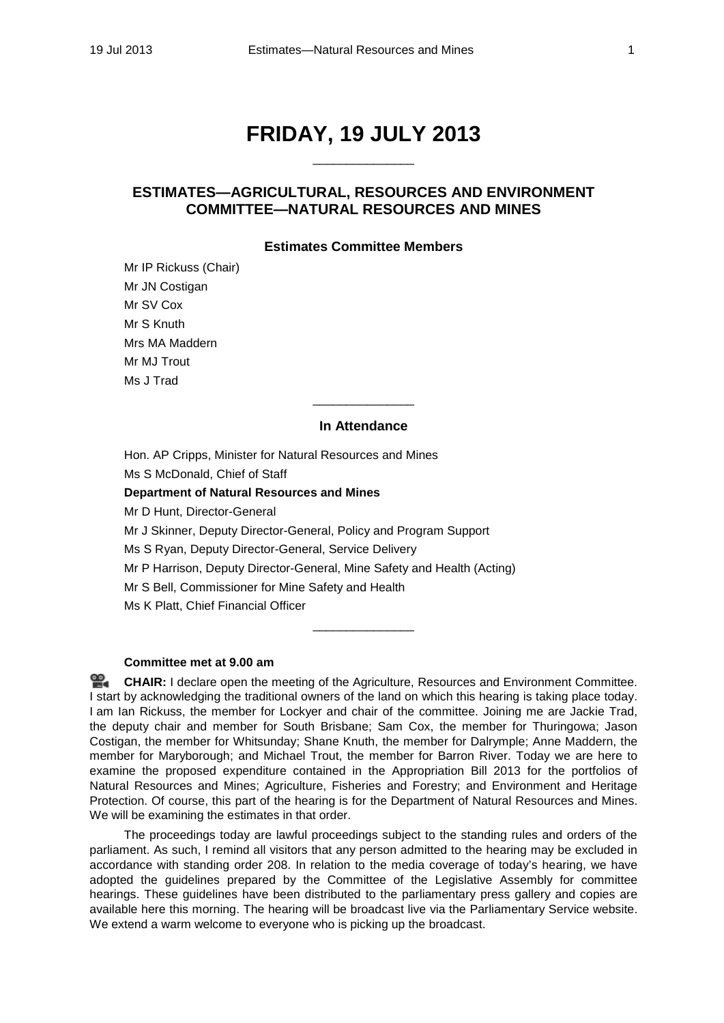# **FRIDAY, 19 JULY 2013** \_\_\_\_\_\_\_\_\_\_\_\_\_\_\_

# **ESTIMATES—AGRICULTURAL, RESOURCES AND ENVIRONMENT COMMITTEE—NATURAL RESOURCES AND MINES**

## **Estimates Committee Members**

Mr IP Rickuss (Chair) Mr JN Costigan Mr SV Cox Mr S Knuth Mrs MA Maddern Mr MJ Trout Ms J Trad

### **In Attendance**

\_\_\_\_\_\_\_\_\_\_\_\_\_\_\_

Hon. AP Cripps, Minister for Natural Resources and Mines Ms S McDonald, Chief of Staff **Department of Natural Resources and Mines** Mr D Hunt, Director-General Mr J Skinner, Deputy Director-General, Policy and Program Support Ms S Ryan, Deputy Director-General, Service Delivery Mr P Harrison, Deputy Director-General, Mine Safety and Health (Acting) Mr S Bell, Commissioner for Mine Safety and Health Ms K Platt, Chief Financial Officer

## **Committee met at 9.00 am**

옆. **[CHAIR:](http://www.parliament.qld.gov.au/docs/find.aspx?id=0Mba20130719_085923)** I declare open the meeting of the Agriculture, Resources and Environment Committee. I start by acknowledging the traditional owners of the land on which this hearing is taking place today. I am Ian Rickuss, the member for Lockyer and chair of the committee. Joining me are Jackie Trad, the deputy chair and member for South Brisbane; Sam Cox, the member for Thuringowa; Jason Costigan, the member for Whitsunday; Shane Knuth, the member for Dalrymple; Anne Maddern, the member for Maryborough; and Michael Trout, the member for Barron River. Today we are here to examine the proposed expenditure contained in the Appropriation Bill 2013 for the portfolios of Natural Resources and Mines; Agriculture, Fisheries and Forestry; and Environment and Heritage Protection. Of course, this part of the hearing is for the Department of Natural Resources and Mines. We will be examining the estimates in that order.

 $\overline{\phantom{a}}$  , where  $\overline{\phantom{a}}$ 

The proceedings today are lawful proceedings subject to the standing rules and orders of the parliament. As such, I remind all visitors that any person admitted to the hearing may be excluded in accordance with standing order 208. In relation to the media coverage of today's hearing, we have adopted the guidelines prepared by the Committee of the Legislative Assembly for committee hearings. These guidelines have been distributed to the parliamentary press gallery and copies are available here this morning. The hearing will be broadcast live via the Parliamentary Service website. We extend a warm welcome to everyone who is picking up the broadcast.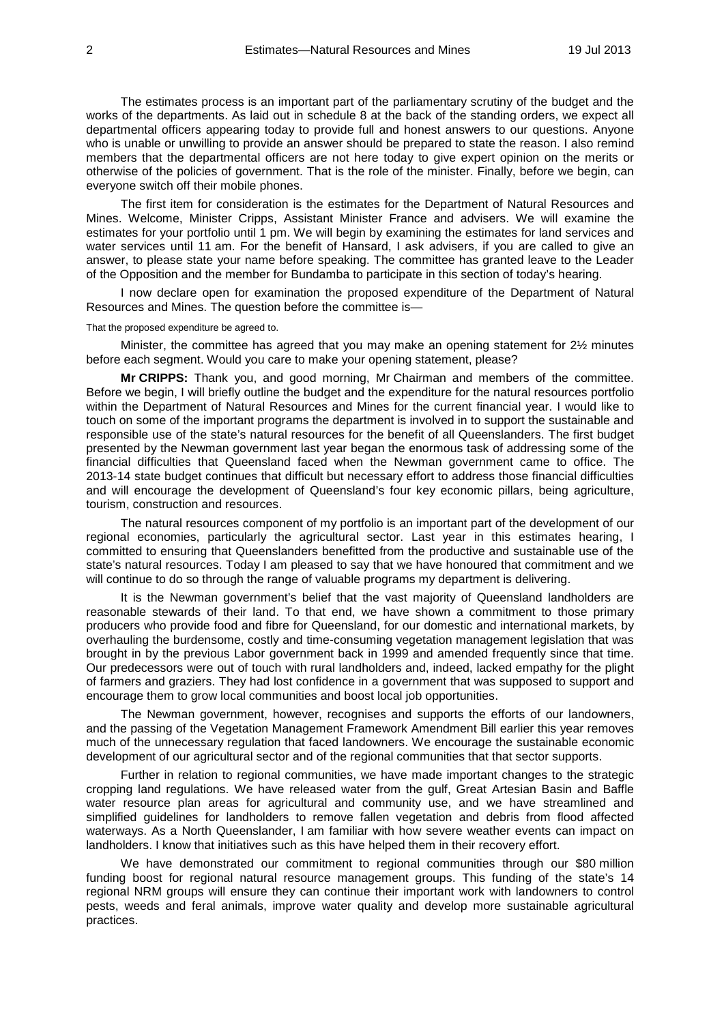The estimates process is an important part of the parliamentary scrutiny of the budget and the works of the departments. As laid out in schedule 8 at the back of the standing orders, we expect all departmental officers appearing today to provide full and honest answers to our questions. Anyone who is unable or unwilling to provide an answer should be prepared to state the reason. I also remind members that the departmental officers are not here today to give expert opinion on the merits or otherwise of the policies of government. That is the role of the minister. Finally, before we begin, can everyone switch off their mobile phones.

The first item for consideration is the estimates for the Department of Natural Resources and Mines. Welcome, Minister Cripps, Assistant Minister France and advisers. We will examine the estimates for your portfolio until 1 pm. We will begin by examining the estimates for land services and water services until 11 am. For the benefit of Hansard, I ask advisers, if you are called to give an answer, to please state your name before speaking. The committee has granted leave to the Leader of the Opposition and the member for Bundamba to participate in this section of today's hearing.

I now declare open for examination the proposed expenditure of the Department of Natural Resources and Mines. The question before the committee is—

That the proposed expenditure be agreed to.

Minister, the committee has agreed that you may make an opening statement for 2½ minutes before each segment. Would you care to make your opening statement, please?

**Mr CRIPPS:** Thank you, and good morning, Mr Chairman and members of the committee. Before we begin, I will briefly outline the budget and the expenditure for the natural resources portfolio within the Department of Natural Resources and Mines for the current financial year. I would like to touch on some of the important programs the department is involved in to support the sustainable and responsible use of the state's natural resources for the benefit of all Queenslanders. The first budget presented by the Newman government last year began the enormous task of addressing some of the financial difficulties that Queensland faced when the Newman government came to office. The 2013-14 state budget continues that difficult but necessary effort to address those financial difficulties and will encourage the development of Queensland's four key economic pillars, being agriculture, tourism, construction and resources.

The natural resources component of my portfolio is an important part of the development of our regional economies, particularly the agricultural sector. Last year in this estimates hearing, I committed to ensuring that Queenslanders benefitted from the productive and sustainable use of the state's natural resources. Today I am pleased to say that we have honoured that commitment and we will continue to do so through the range of valuable programs my department is delivering.

It is the Newman government's belief that the vast majority of Queensland landholders are reasonable stewards of their land. To that end, we have shown a commitment to those primary producers who provide food and fibre for Queensland, for our domestic and international markets, by overhauling the burdensome, costly and time-consuming vegetation management legislation that was brought in by the previous Labor government back in 1999 and amended frequently since that time. Our predecessors were out of touch with rural landholders and, indeed, lacked empathy for the plight of farmers and graziers. They had lost confidence in a government that was supposed to support and encourage them to grow local communities and boost local job opportunities.

The Newman government, however, recognises and supports the efforts of our landowners, and the passing of the Vegetation Management Framework Amendment Bill earlier this year removes much of the unnecessary regulation that faced landowners. We encourage the sustainable economic development of our agricultural sector and of the regional communities that that sector supports.

Further in relation to regional communities, we have made important changes to the strategic cropping land regulations. We have released water from the gulf, Great Artesian Basin and Baffle water resource plan areas for agricultural and community use, and we have streamlined and simplified guidelines for landholders to remove fallen vegetation and debris from flood affected waterways. As a North Queenslander, I am familiar with how severe weather events can impact on landholders. I know that initiatives such as this have helped them in their recovery effort.

We have demonstrated our commitment to regional communities through our \$80 million funding boost for regional natural resource management groups. This funding of the state's 14 regional NRM groups will ensure they can continue their important work with landowners to control pests, weeds and feral animals, improve water quality and develop more sustainable agricultural practices.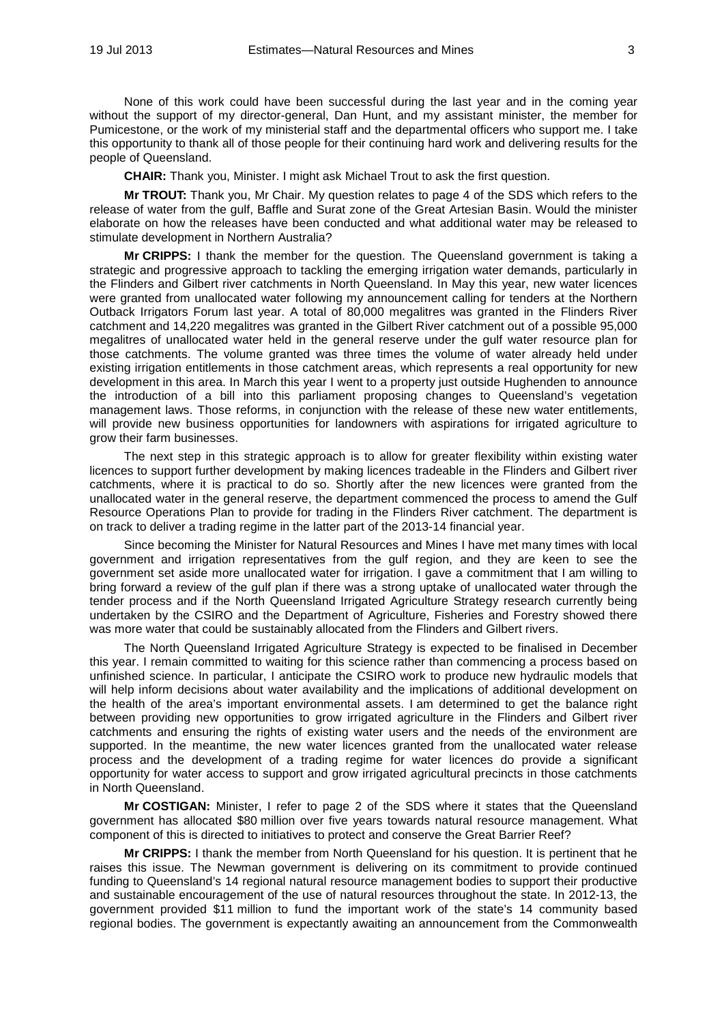None of this work could have been successful during the last year and in the coming year without the support of my director-general, Dan Hunt, and my assistant minister, the member for Pumicestone, or the work of my ministerial staff and the departmental officers who support me. I take this opportunity to thank all of those people for their continuing hard work and delivering results for the people of Queensland.

**CHAIR:** Thank you, Minister. I might ask Michael Trout to ask the first question.

**Mr TROUT:** Thank you, Mr Chair. My question relates to page 4 of the SDS which refers to the release of water from the gulf, Baffle and Surat zone of the Great Artesian Basin. Would the minister elaborate on how the releases have been conducted and what additional water may be released to stimulate development in Northern Australia?

**Mr CRIPPS:** I thank the member for the question. The Queensland government is taking a strategic and progressive approach to tackling the emerging irrigation water demands, particularly in the Flinders and Gilbert river catchments in North Queensland. In May this year, new water licences were granted from unallocated water following my announcement calling for tenders at the Northern Outback Irrigators Forum last year. A total of 80,000 megalitres was granted in the Flinders River catchment and 14,220 megalitres was granted in the Gilbert River catchment out of a possible 95,000 megalitres of unallocated water held in the general reserve under the gulf water resource plan for those catchments. The volume granted was three times the volume of water already held under existing irrigation entitlements in those catchment areas, which represents a real opportunity for new development in this area. In March this year I went to a property just outside Hughenden to announce the introduction of a bill into this parliament proposing changes to Queensland's vegetation management laws. Those reforms, in conjunction with the release of these new water entitlements, will provide new business opportunities for landowners with aspirations for irrigated agriculture to grow their farm businesses.

The next step in this strategic approach is to allow for greater flexibility within existing water licences to support further development by making licences tradeable in the Flinders and Gilbert river catchments, where it is practical to do so. Shortly after the new licences were granted from the unallocated water in the general reserve, the department commenced the process to amend the Gulf Resource Operations Plan to provide for trading in the Flinders River catchment. The department is on track to deliver a trading regime in the latter part of the 2013-14 financial year.

Since becoming the Minister for Natural Resources and Mines I have met many times with local government and irrigation representatives from the gulf region, and they are keen to see the government set aside more unallocated water for irrigation. I gave a commitment that I am willing to bring forward a review of the gulf plan if there was a strong uptake of unallocated water through the tender process and if the North Queensland Irrigated Agriculture Strategy research currently being undertaken by the CSIRO and the Department of Agriculture, Fisheries and Forestry showed there was more water that could be sustainably allocated from the Flinders and Gilbert rivers.

The North Queensland Irrigated Agriculture Strategy is expected to be finalised in December this year. I remain committed to waiting for this science rather than commencing a process based on unfinished science. In particular, I anticipate the CSIRO work to produce new hydraulic models that will help inform decisions about water availability and the implications of additional development on the health of the area's important environmental assets. I am determined to get the balance right between providing new opportunities to grow irrigated agriculture in the Flinders and Gilbert river catchments and ensuring the rights of existing water users and the needs of the environment are supported. In the meantime, the new water licences granted from the unallocated water release process and the development of a trading regime for water licences do provide a significant opportunity for water access to support and grow irrigated agricultural precincts in those catchments in North Queensland.

**Mr COSTIGAN:** Minister, I refer to page 2 of the SDS where it states that the Queensland government has allocated \$80 million over five years towards natural resource management. What component of this is directed to initiatives to protect and conserve the Great Barrier Reef?

**Mr CRIPPS:** I thank the member from North Queensland for his question. It is pertinent that he raises this issue. The Newman government is delivering on its commitment to provide continued funding to Queensland's 14 regional natural resource management bodies to support their productive and sustainable encouragement of the use of natural resources throughout the state. In 2012-13, the government provided \$11 million to fund the important work of the state's 14 community based regional bodies. The government is expectantly awaiting an announcement from the Commonwealth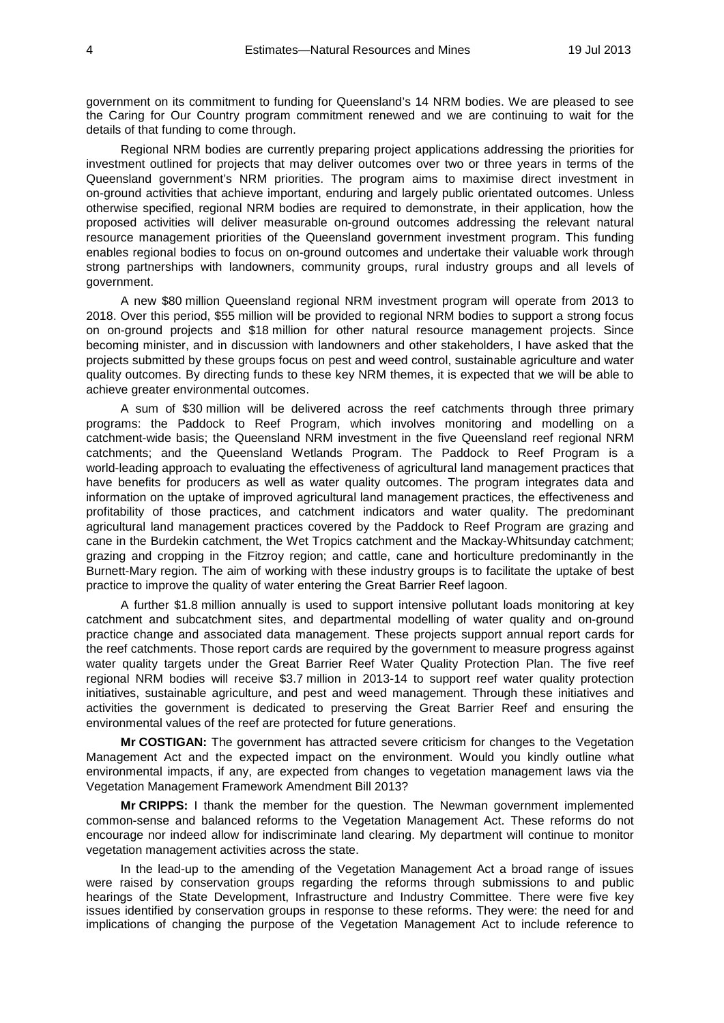government on its commitment to funding for Queensland's 14 NRM bodies. We are pleased to see the Caring for Our Country program commitment renewed and we are continuing to wait for the details of that funding to come through.

Regional NRM bodies are currently preparing project applications addressing the priorities for investment outlined for projects that may deliver outcomes over two or three years in terms of the Queensland government's NRM priorities. The program aims to maximise direct investment in on-ground activities that achieve important, enduring and largely public orientated outcomes. Unless otherwise specified, regional NRM bodies are required to demonstrate, in their application, how the proposed activities will deliver measurable on-ground outcomes addressing the relevant natural resource management priorities of the Queensland government investment program. This funding enables regional bodies to focus on on-ground outcomes and undertake their valuable work through strong partnerships with landowners, community groups, rural industry groups and all levels of government.

A new \$80 million Queensland regional NRM investment program will operate from 2013 to 2018. Over this period, \$55 million will be provided to regional NRM bodies to support a strong focus on on-ground projects and \$18 million for other natural resource management projects. Since becoming minister, and in discussion with landowners and other stakeholders, I have asked that the projects submitted by these groups focus on pest and weed control, sustainable agriculture and water quality outcomes. By directing funds to these key NRM themes, it is expected that we will be able to achieve greater environmental outcomes.

A sum of \$30 million will be delivered across the reef catchments through three primary programs: the Paddock to Reef Program, which involves monitoring and modelling on a catchment-wide basis; the Queensland NRM investment in the five Queensland reef regional NRM catchments; and the Queensland Wetlands Program. The Paddock to Reef Program is a world-leading approach to evaluating the effectiveness of agricultural land management practices that have benefits for producers as well as water quality outcomes. The program integrates data and information on the uptake of improved agricultural land management practices, the effectiveness and profitability of those practices, and catchment indicators and water quality. The predominant agricultural land management practices covered by the Paddock to Reef Program are grazing and cane in the Burdekin catchment, the Wet Tropics catchment and the Mackay-Whitsunday catchment; grazing and cropping in the Fitzroy region; and cattle, cane and horticulture predominantly in the Burnett-Mary region. The aim of working with these industry groups is to facilitate the uptake of best practice to improve the quality of water entering the Great Barrier Reef lagoon.

A further \$1.8 million annually is used to support intensive pollutant loads monitoring at key catchment and subcatchment sites, and departmental modelling of water quality and on-ground practice change and associated data management. These projects support annual report cards for the reef catchments. Those report cards are required by the government to measure progress against water quality targets under the Great Barrier Reef Water Quality Protection Plan. The five reef regional NRM bodies will receive \$3.7 million in 2013-14 to support reef water quality protection initiatives, sustainable agriculture, and pest and weed management. Through these initiatives and activities the government is dedicated to preserving the Great Barrier Reef and ensuring the environmental values of the reef are protected for future generations.

**Mr COSTIGAN:** The government has attracted severe criticism for changes to the Vegetation Management Act and the expected impact on the environment. Would you kindly outline what environmental impacts, if any, are expected from changes to vegetation management laws via the Vegetation Management Framework Amendment Bill 2013?

**Mr CRIPPS:** I thank the member for the question. The Newman government implemented common-sense and balanced reforms to the Vegetation Management Act. These reforms do not encourage nor indeed allow for indiscriminate land clearing. My department will continue to monitor vegetation management activities across the state.

In the lead-up to the amending of the Vegetation Management Act a broad range of issues were raised by conservation groups regarding the reforms through submissions to and public hearings of the State Development, Infrastructure and Industry Committee. There were five key issues identified by conservation groups in response to these reforms. They were: the need for and implications of changing the purpose of the Vegetation Management Act to include reference to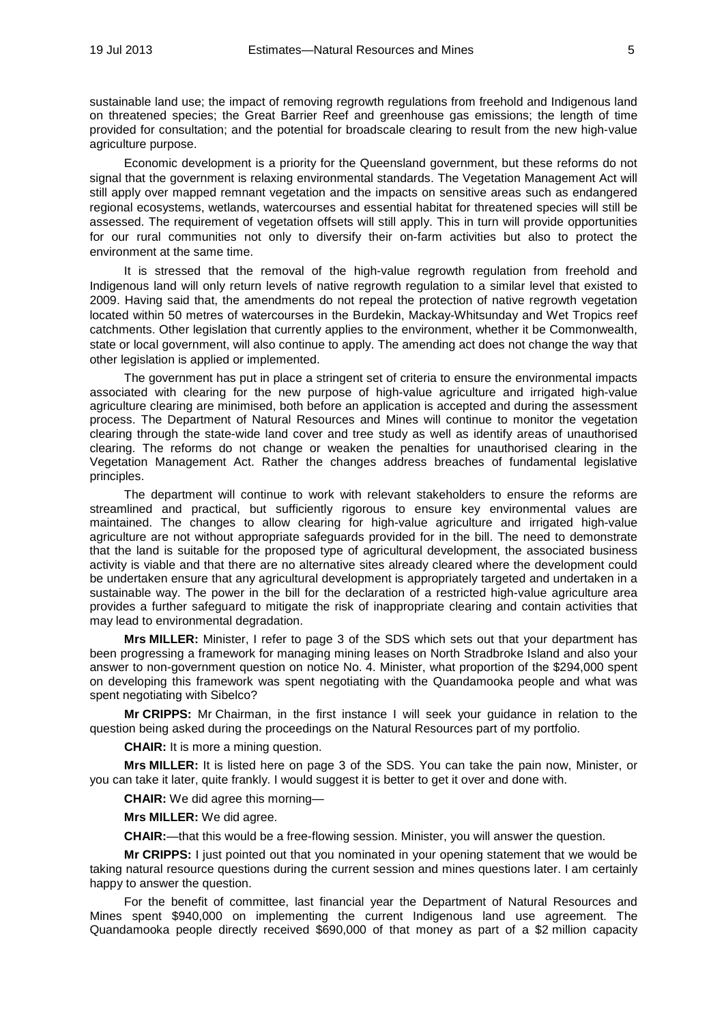sustainable land use; the impact of removing regrowth regulations from freehold and Indigenous land on threatened species; the Great Barrier Reef and greenhouse gas emissions; the length of time provided for consultation; and the potential for broadscale clearing to result from the new high-value agriculture purpose.

Economic development is a priority for the Queensland government, but these reforms do not signal that the government is relaxing environmental standards. The Vegetation Management Act will still apply over mapped remnant vegetation and the impacts on sensitive areas such as endangered regional ecosystems, wetlands, watercourses and essential habitat for threatened species will still be assessed. The requirement of vegetation offsets will still apply. This in turn will provide opportunities for our rural communities not only to diversify their on-farm activities but also to protect the environment at the same time.

It is stressed that the removal of the high-value regrowth regulation from freehold and Indigenous land will only return levels of native regrowth regulation to a similar level that existed to 2009. Having said that, the amendments do not repeal the protection of native regrowth vegetation located within 50 metres of watercourses in the Burdekin, Mackay-Whitsunday and Wet Tropics reef catchments. Other legislation that currently applies to the environment, whether it be Commonwealth, state or local government, will also continue to apply. The amending act does not change the way that other legislation is applied or implemented.

The government has put in place a stringent set of criteria to ensure the environmental impacts associated with clearing for the new purpose of high-value agriculture and irrigated high-value agriculture clearing are minimised, both before an application is accepted and during the assessment process. The Department of Natural Resources and Mines will continue to monitor the vegetation clearing through the state-wide land cover and tree study as well as identify areas of unauthorised clearing. The reforms do not change or weaken the penalties for unauthorised clearing in the Vegetation Management Act. Rather the changes address breaches of fundamental legislative principles.

The department will continue to work with relevant stakeholders to ensure the reforms are streamlined and practical, but sufficiently rigorous to ensure key environmental values are maintained. The changes to allow clearing for high-value agriculture and irrigated high-value agriculture are not without appropriate safeguards provided for in the bill. The need to demonstrate that the land is suitable for the proposed type of agricultural development, the associated business activity is viable and that there are no alternative sites already cleared where the development could be undertaken ensure that any agricultural development is appropriately targeted and undertaken in a sustainable way. The power in the bill for the declaration of a restricted high-value agriculture area provides a further safeguard to mitigate the risk of inappropriate clearing and contain activities that may lead to environmental degradation.

**Mrs MILLER:** Minister, I refer to page 3 of the SDS which sets out that your department has been progressing a framework for managing mining leases on North Stradbroke Island and also your answer to non-government question on notice No. 4. Minister, what proportion of the \$294,000 spent on developing this framework was spent negotiating with the Quandamooka people and what was spent negotiating with Sibelco?

**Mr CRIPPS:** Mr Chairman, in the first instance I will seek your guidance in relation to the question being asked during the proceedings on the Natural Resources part of my portfolio.

**CHAIR:** It is more a mining question.

**Mrs MILLER:** It is listed here on page 3 of the SDS. You can take the pain now, Minister, or you can take it later, quite frankly. I would suggest it is better to get it over and done with.

**CHAIR:** We did agree this morning—

**Mrs MILLER:** We did agree.

**CHAIR:**—that this would be a free-flowing session. Minister, you will answer the question.

**Mr CRIPPS:** I just pointed out that you nominated in your opening statement that we would be taking natural resource questions during the current session and mines questions later. I am certainly happy to answer the question.

For the benefit of committee, last financial year the Department of Natural Resources and Mines spent \$940,000 on implementing the current Indigenous land use agreement. The Quandamooka people directly received \$690,000 of that money as part of a \$2 million capacity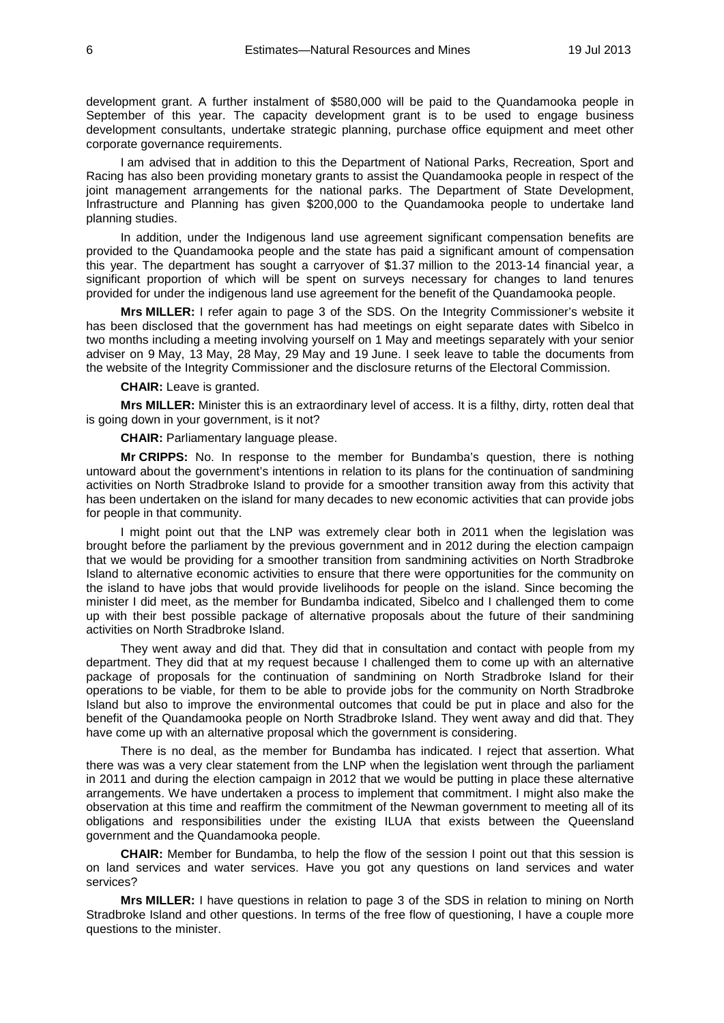development grant. A further instalment of \$580,000 will be paid to the Quandamooka people in September of this year. The capacity development grant is to be used to engage business development consultants, undertake strategic planning, purchase office equipment and meet other corporate governance requirements.

I am advised that in addition to this the Department of National Parks, Recreation, Sport and Racing has also been providing monetary grants to assist the Quandamooka people in respect of the joint management arrangements for the national parks. The Department of State Development, Infrastructure and Planning has given \$200,000 to the Quandamooka people to undertake land planning studies.

In addition, under the Indigenous land use agreement significant compensation benefits are provided to the Quandamooka people and the state has paid a significant amount of compensation this year. The department has sought a carryover of \$1.37 million to the 2013-14 financial year, a significant proportion of which will be spent on surveys necessary for changes to land tenures provided for under the indigenous land use agreement for the benefit of the Quandamooka people.

**Mrs MILLER:** I refer again to page 3 of the SDS. On the Integrity Commissioner's website it has been disclosed that the government has had meetings on eight separate dates with Sibelco in two months including a meeting involving yourself on 1 May and meetings separately with your senior adviser on 9 May, 13 May, 28 May, 29 May and 19 June. I seek leave to table the documents from the website of the Integrity Commissioner and the disclosure returns of the Electoral Commission.

**CHAIR:** Leave is granted.

**Mrs MILLER:** Minister this is an extraordinary level of access. It is a filthy, dirty, rotten deal that is going down in your government, is it not?

**CHAIR:** Parliamentary language please.

**Mr CRIPPS:** No. In response to the member for Bundamba's question, there is nothing untoward about the government's intentions in relation to its plans for the continuation of sandmining activities on North Stradbroke Island to provide for a smoother transition away from this activity that has been undertaken on the island for many decades to new economic activities that can provide jobs for people in that community.

I might point out that the LNP was extremely clear both in 2011 when the legislation was brought before the parliament by the previous government and in 2012 during the election campaign that we would be providing for a smoother transition from sandmining activities on North Stradbroke Island to alternative economic activities to ensure that there were opportunities for the community on the island to have jobs that would provide livelihoods for people on the island. Since becoming the minister I did meet, as the member for Bundamba indicated, Sibelco and I challenged them to come up with their best possible package of alternative proposals about the future of their sandmining activities on North Stradbroke Island.

They went away and did that. They did that in consultation and contact with people from my department. They did that at my request because I challenged them to come up with an alternative package of proposals for the continuation of sandmining on North Stradbroke Island for their operations to be viable, for them to be able to provide jobs for the community on North Stradbroke Island but also to improve the environmental outcomes that could be put in place and also for the benefit of the Quandamooka people on North Stradbroke Island. They went away and did that. They have come up with an alternative proposal which the government is considering.

There is no deal, as the member for Bundamba has indicated. I reject that assertion. What there was was a very clear statement from the LNP when the legislation went through the parliament in 2011 and during the election campaign in 2012 that we would be putting in place these alternative arrangements. We have undertaken a process to implement that commitment. I might also make the observation at this time and reaffirm the commitment of the Newman government to meeting all of its obligations and responsibilities under the existing ILUA that exists between the Queensland government and the Quandamooka people.

**CHAIR:** Member for Bundamba, to help the flow of the session I point out that this session is on land services and water services. Have you got any questions on land services and water services?

**Mrs MILLER:** I have questions in relation to page 3 of the SDS in relation to mining on North Stradbroke Island and other questions. In terms of the free flow of questioning, I have a couple more questions to the minister.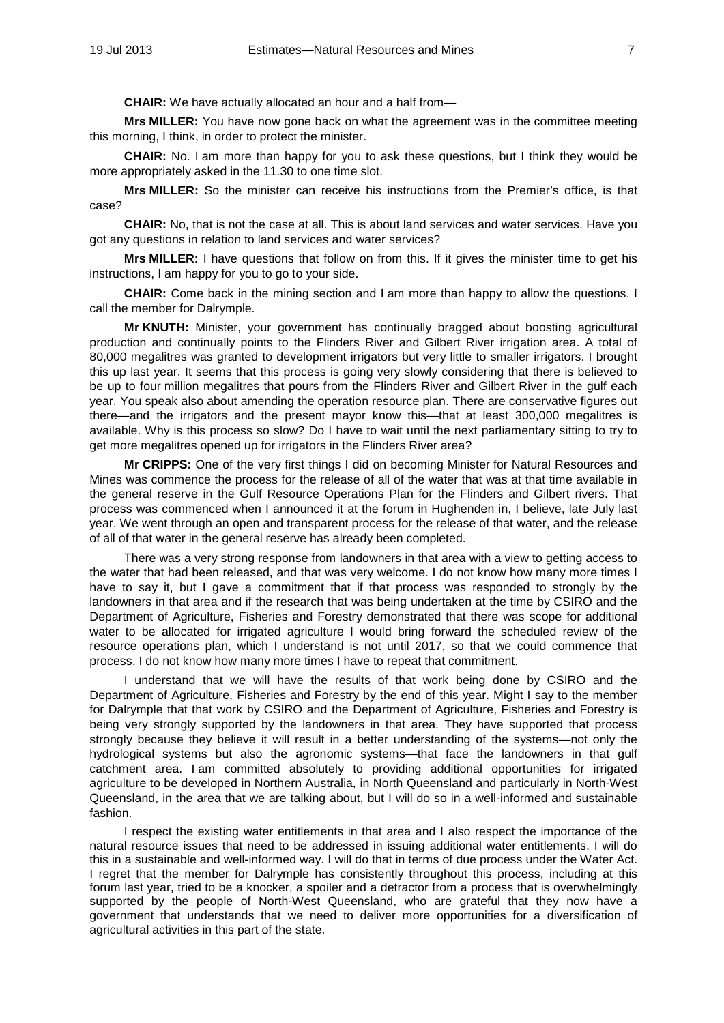**CHAIR:** We have actually allocated an hour and a half from—

**Mrs MILLER:** You have now gone back on what the agreement was in the committee meeting this morning, I think, in order to protect the minister.

**CHAIR:** No. I am more than happy for you to ask these questions, but I think they would be more appropriately asked in the 11.30 to one time slot.

**Mrs MILLER:** So the minister can receive his instructions from the Premier's office, is that case?

**CHAIR:** No, that is not the case at all. This is about land services and water services. Have you got any questions in relation to land services and water services?

**Mrs MILLER:** I have questions that follow on from this. If it gives the minister time to get his instructions, I am happy for you to go to your side.

**CHAIR:** Come back in the mining section and I am more than happy to allow the questions. I call the member for Dalrymple.

**Mr KNUTH:** Minister, your government has continually bragged about boosting agricultural production and continually points to the Flinders River and Gilbert River irrigation area. A total of 80,000 megalitres was granted to development irrigators but very little to smaller irrigators. I brought this up last year. It seems that this process is going very slowly considering that there is believed to be up to four million megalitres that pours from the Flinders River and Gilbert River in the gulf each year. You speak also about amending the operation resource plan. There are conservative figures out there—and the irrigators and the present mayor know this—that at least 300,000 megalitres is available. Why is this process so slow? Do I have to wait until the next parliamentary sitting to try to get more megalitres opened up for irrigators in the Flinders River area?

**Mr CRIPPS:** One of the very first things I did on becoming Minister for Natural Resources and Mines was commence the process for the release of all of the water that was at that time available in the general reserve in the Gulf Resource Operations Plan for the Flinders and Gilbert rivers. That process was commenced when I announced it at the forum in Hughenden in, I believe, late July last year. We went through an open and transparent process for the release of that water, and the release of all of that water in the general reserve has already been completed.

There was a very strong response from landowners in that area with a view to getting access to the water that had been released, and that was very welcome. I do not know how many more times I have to say it, but I gave a commitment that if that process was responded to strongly by the landowners in that area and if the research that was being undertaken at the time by CSIRO and the Department of Agriculture, Fisheries and Forestry demonstrated that there was scope for additional water to be allocated for irrigated agriculture I would bring forward the scheduled review of the resource operations plan, which I understand is not until 2017, so that we could commence that process. I do not know how many more times I have to repeat that commitment.

I understand that we will have the results of that work being done by CSIRO and the Department of Agriculture, Fisheries and Forestry by the end of this year. Might I say to the member for Dalrymple that that work by CSIRO and the Department of Agriculture, Fisheries and Forestry is being very strongly supported by the landowners in that area. They have supported that process strongly because they believe it will result in a better understanding of the systems—not only the hydrological systems but also the agronomic systems—that face the landowners in that gulf catchment area. I am committed absolutely to providing additional opportunities for irrigated agriculture to be developed in Northern Australia, in North Queensland and particularly in North-West Queensland, in the area that we are talking about, but I will do so in a well-informed and sustainable fashion.

I respect the existing water entitlements in that area and I also respect the importance of the natural resource issues that need to be addressed in issuing additional water entitlements. I will do this in a sustainable and well-informed way. I will do that in terms of due process under the Water Act. I regret that the member for Dalrymple has consistently throughout this process, including at this forum last year, tried to be a knocker, a spoiler and a detractor from a process that is overwhelmingly supported by the people of North-West Queensland, who are grateful that they now have a government that understands that we need to deliver more opportunities for a diversification of agricultural activities in this part of the state.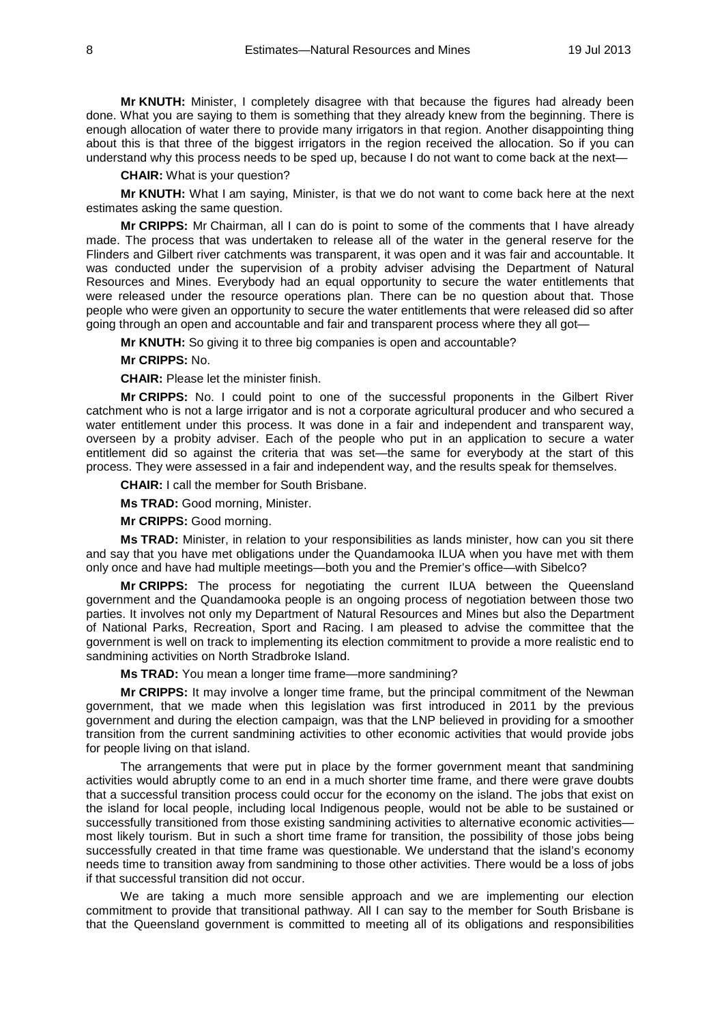**Mr KNUTH:** Minister, I completely disagree with that because the figures had already been done. What you are saying to them is something that they already knew from the beginning. There is enough allocation of water there to provide many irrigators in that region. Another disappointing thing about this is that three of the biggest irrigators in the region received the allocation. So if you can understand why this process needs to be sped up, because I do not want to come back at the next—

**CHAIR:** What is your question?

**Mr KNUTH:** What I am saying, Minister, is that we do not want to come back here at the next estimates asking the same question.

**Mr CRIPPS:** Mr Chairman, all I can do is point to some of the comments that I have already made. The process that was undertaken to release all of the water in the general reserve for the Flinders and Gilbert river catchments was transparent, it was open and it was fair and accountable. It was conducted under the supervision of a probity adviser advising the Department of Natural Resources and Mines. Everybody had an equal opportunity to secure the water entitlements that were released under the resource operations plan. There can be no question about that. Those people who were given an opportunity to secure the water entitlements that were released did so after going through an open and accountable and fair and transparent process where they all got—

**Mr KNUTH:** So giving it to three big companies is open and accountable?

#### **Mr CRIPPS:** No.

**CHAIR:** Please let the minister finish.

**Mr CRIPPS:** No. I could point to one of the successful proponents in the Gilbert River catchment who is not a large irrigator and is not a corporate agricultural producer and who secured a water entitlement under this process. It was done in a fair and independent and transparent way, overseen by a probity adviser. Each of the people who put in an application to secure a water entitlement did so against the criteria that was set—the same for everybody at the start of this process. They were assessed in a fair and independent way, and the results speak for themselves.

**CHAIR:** I call the member for South Brisbane.

**Ms TRAD:** Good morning, Minister.

**Mr CRIPPS:** Good morning.

**Ms TRAD:** Minister, in relation to your responsibilities as lands minister, how can you sit there and say that you have met obligations under the Quandamooka ILUA when you have met with them only once and have had multiple meetings—both you and the Premier's office—with Sibelco?

**Mr CRIPPS:** The process for negotiating the current ILUA between the Queensland government and the Quandamooka people is an ongoing process of negotiation between those two parties. It involves not only my Department of Natural Resources and Mines but also the Department of National Parks, Recreation, Sport and Racing. I am pleased to advise the committee that the government is well on track to implementing its election commitment to provide a more realistic end to sandmining activities on North Stradbroke Island.

**Ms TRAD:** You mean a longer time frame—more sandmining?

**Mr CRIPPS:** It may involve a longer time frame, but the principal commitment of the Newman government, that we made when this legislation was first introduced in 2011 by the previous government and during the election campaign, was that the LNP believed in providing for a smoother transition from the current sandmining activities to other economic activities that would provide jobs for people living on that island.

The arrangements that were put in place by the former government meant that sandmining activities would abruptly come to an end in a much shorter time frame, and there were grave doubts that a successful transition process could occur for the economy on the island. The jobs that exist on the island for local people, including local Indigenous people, would not be able to be sustained or successfully transitioned from those existing sandmining activities to alternative economic activities most likely tourism. But in such a short time frame for transition, the possibility of those jobs being successfully created in that time frame was questionable. We understand that the island's economy needs time to transition away from sandmining to those other activities. There would be a loss of jobs if that successful transition did not occur.

We are taking a much more sensible approach and we are implementing our election commitment to provide that transitional pathway. All I can say to the member for South Brisbane is that the Queensland government is committed to meeting all of its obligations and responsibilities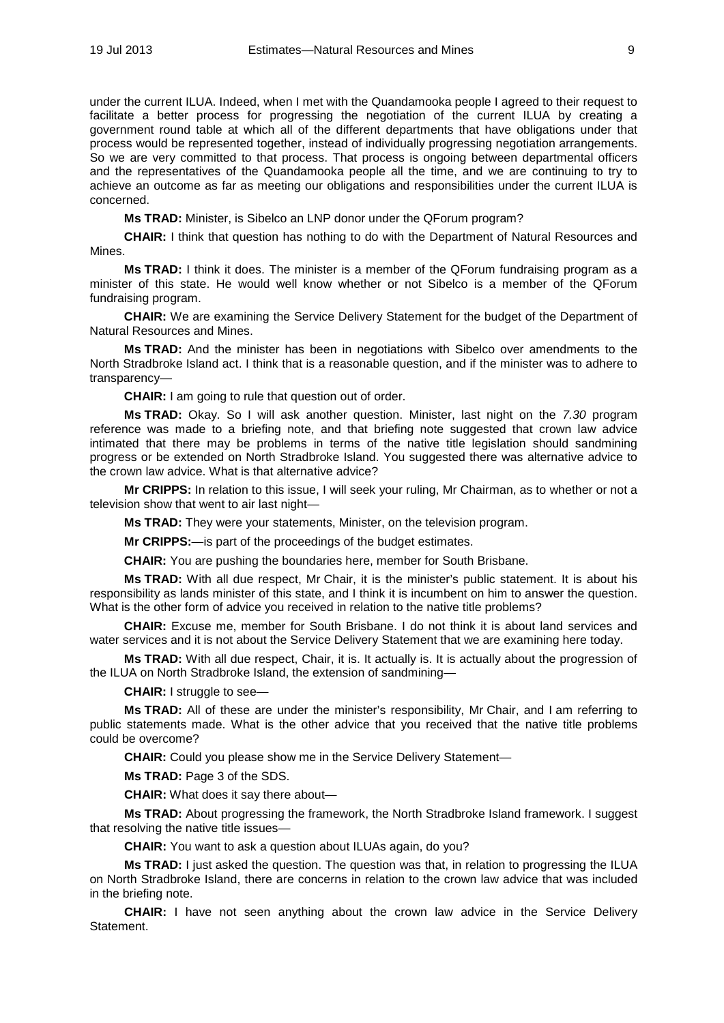under the current ILUA. Indeed, when I met with the Quandamooka people I agreed to their request to facilitate a better process for progressing the negotiation of the current ILUA by creating a government round table at which all of the different departments that have obligations under that process would be represented together, instead of individually progressing negotiation arrangements. So we are very committed to that process. That process is ongoing between departmental officers and the representatives of the Quandamooka people all the time, and we are continuing to try to achieve an outcome as far as meeting our obligations and responsibilities under the current ILUA is concerned.

**Ms TRAD:** Minister, is Sibelco an LNP donor under the QForum program?

**CHAIR:** I think that question has nothing to do with the Department of Natural Resources and Mines.

**Ms TRAD:** I think it does. The minister is a member of the QForum fundraising program as a minister of this state. He would well know whether or not Sibelco is a member of the QForum fundraising program.

**CHAIR:** We are examining the Service Delivery Statement for the budget of the Department of Natural Resources and Mines.

**Ms TRAD:** And the minister has been in negotiations with Sibelco over amendments to the North Stradbroke Island act. I think that is a reasonable question, and if the minister was to adhere to transparency—

**CHAIR:** I am going to rule that question out of order.

**Ms TRAD:** Okay. So I will ask another question. Minister, last night on the *7.30* program reference was made to a briefing note, and that briefing note suggested that crown law advice intimated that there may be problems in terms of the native title legislation should sandmining progress or be extended on North Stradbroke Island. You suggested there was alternative advice to the crown law advice. What is that alternative advice?

**Mr CRIPPS:** In relation to this issue, I will seek your ruling, Mr Chairman, as to whether or not a television show that went to air last night—

**Ms TRAD:** They were your statements, Minister, on the television program.

**Mr CRIPPS:**—is part of the proceedings of the budget estimates.

**CHAIR:** You are pushing the boundaries here, member for South Brisbane.

**Ms TRAD:** With all due respect, Mr Chair, it is the minister's public statement. It is about his responsibility as lands minister of this state, and I think it is incumbent on him to answer the question. What is the other form of advice you received in relation to the native title problems?

**CHAIR:** Excuse me, member for South Brisbane. I do not think it is about land services and water services and it is not about the Service Delivery Statement that we are examining here today.

**Ms TRAD:** With all due respect, Chair, it is. It actually is. It is actually about the progression of the ILUA on North Stradbroke Island, the extension of sandmining—

**CHAIR:** I struggle to see—

**Ms TRAD:** All of these are under the minister's responsibility, Mr Chair, and I am referring to public statements made. What is the other advice that you received that the native title problems could be overcome?

**CHAIR:** Could you please show me in the Service Delivery Statement—

**Ms TRAD:** Page 3 of the SDS.

**CHAIR:** What does it say there about—

**Ms TRAD:** About progressing the framework, the North Stradbroke Island framework. I suggest that resolving the native title issues—

**CHAIR:** You want to ask a question about ILUAs again, do you?

**Ms TRAD:** I just asked the question. The question was that, in relation to progressing the ILUA on North Stradbroke Island, there are concerns in relation to the crown law advice that was included in the briefing note.

**CHAIR:** I have not seen anything about the crown law advice in the Service Delivery Statement.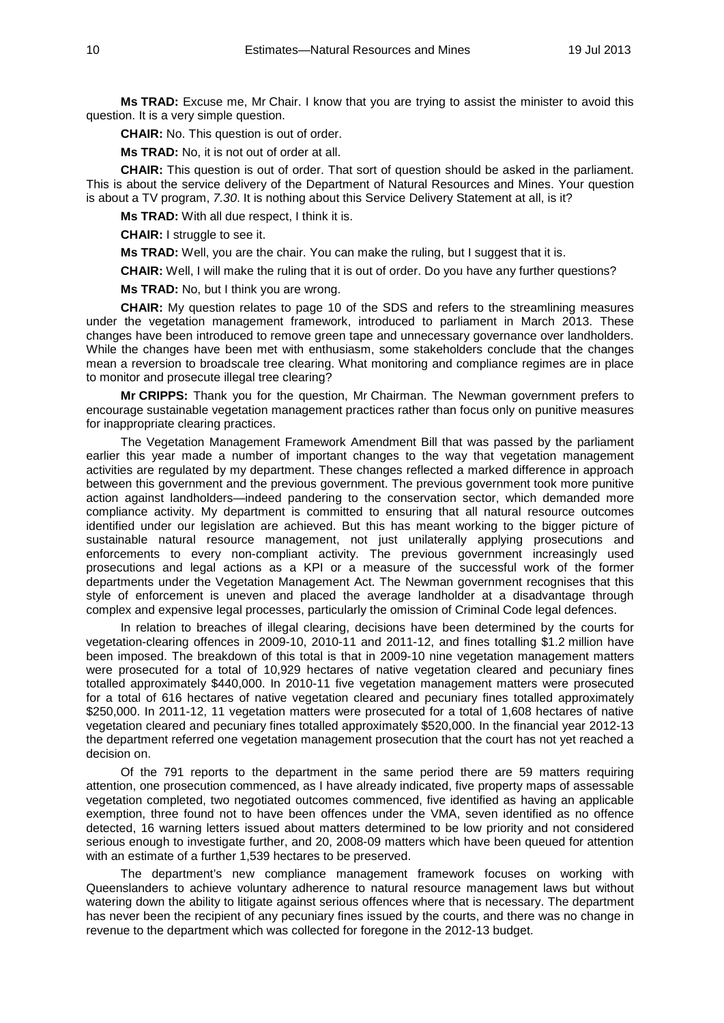**Ms TRAD:** Excuse me, Mr Chair. I know that you are trying to assist the minister to avoid this question. It is a very simple question.

**CHAIR:** No. This question is out of order.

**Ms TRAD:** No, it is not out of order at all.

**CHAIR:** This question is out of order. That sort of question should be asked in the parliament. This is about the service delivery of the Department of Natural Resources and Mines. Your question is about a TV program, *7.30*. It is nothing about this Service Delivery Statement at all, is it?

**Ms TRAD:** With all due respect, I think it is.

**CHAIR:** I struggle to see it.

**Ms TRAD:** Well, you are the chair. You can make the ruling, but I suggest that it is.

**CHAIR:** Well, I will make the ruling that it is out of order. Do you have any further questions?

**Ms TRAD:** No, but I think you are wrong.

**CHAIR:** My question relates to page 10 of the SDS and refers to the streamlining measures under the vegetation management framework, introduced to parliament in March 2013. These changes have been introduced to remove green tape and unnecessary governance over landholders. While the changes have been met with enthusiasm, some stakeholders conclude that the changes mean a reversion to broadscale tree clearing. What monitoring and compliance regimes are in place to monitor and prosecute illegal tree clearing?

**Mr CRIPPS:** Thank you for the question, Mr Chairman. The Newman government prefers to encourage sustainable vegetation management practices rather than focus only on punitive measures for inappropriate clearing practices.

The Vegetation Management Framework Amendment Bill that was passed by the parliament earlier this year made a number of important changes to the way that vegetation management activities are regulated by my department. These changes reflected a marked difference in approach between this government and the previous government. The previous government took more punitive action against landholders—indeed pandering to the conservation sector, which demanded more compliance activity. My department is committed to ensuring that all natural resource outcomes identified under our legislation are achieved. But this has meant working to the bigger picture of sustainable natural resource management, not just unilaterally applying prosecutions and enforcements to every non-compliant activity. The previous government increasingly used prosecutions and legal actions as a KPI or a measure of the successful work of the former departments under the Vegetation Management Act. The Newman government recognises that this style of enforcement is uneven and placed the average landholder at a disadvantage through complex and expensive legal processes, particularly the omission of Criminal Code legal defences.

In relation to breaches of illegal clearing, decisions have been determined by the courts for vegetation-clearing offences in 2009-10, 2010-11 and 2011-12, and fines totalling \$1.2 million have been imposed. The breakdown of this total is that in 2009-10 nine vegetation management matters were prosecuted for a total of 10,929 hectares of native vegetation cleared and pecuniary fines totalled approximately \$440,000. In 2010-11 five vegetation management matters were prosecuted for a total of 616 hectares of native vegetation cleared and pecuniary fines totalled approximately \$250,000. In 2011-12, 11 vegetation matters were prosecuted for a total of 1,608 hectares of native vegetation cleared and pecuniary fines totalled approximately \$520,000. In the financial year 2012-13 the department referred one vegetation management prosecution that the court has not yet reached a decision on.

Of the 791 reports to the department in the same period there are 59 matters requiring attention, one prosecution commenced, as I have already indicated, five property maps of assessable vegetation completed, two negotiated outcomes commenced, five identified as having an applicable exemption, three found not to have been offences under the VMA, seven identified as no offence detected, 16 warning letters issued about matters determined to be low priority and not considered serious enough to investigate further, and 20, 2008-09 matters which have been queued for attention with an estimate of a further 1,539 hectares to be preserved.

The department's new compliance management framework focuses on working with Queenslanders to achieve voluntary adherence to natural resource management laws but without watering down the ability to litigate against serious offences where that is necessary. The department has never been the recipient of any pecuniary fines issued by the courts, and there was no change in revenue to the department which was collected for foregone in the 2012-13 budget.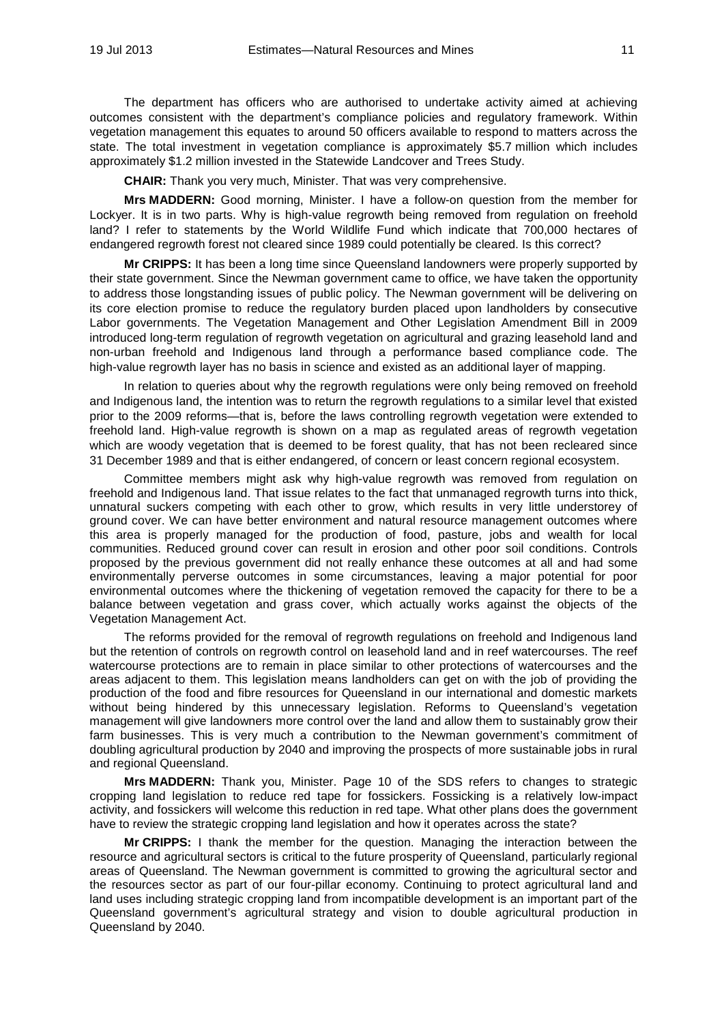The department has officers who are authorised to undertake activity aimed at achieving outcomes consistent with the department's compliance policies and regulatory framework. Within vegetation management this equates to around 50 officers available to respond to matters across the state. The total investment in vegetation compliance is approximately \$5.7 million which includes approximately \$1.2 million invested in the Statewide Landcover and Trees Study.

**CHAIR:** Thank you very much, Minister. That was very comprehensive.

**Mrs MADDERN:** Good morning, Minister. I have a follow-on question from the member for Lockyer. It is in two parts. Why is high-value regrowth being removed from regulation on freehold land? I refer to statements by the World Wildlife Fund which indicate that 700,000 hectares of endangered regrowth forest not cleared since 1989 could potentially be cleared. Is this correct?

**Mr CRIPPS:** It has been a long time since Queensland landowners were properly supported by their state government. Since the Newman government came to office, we have taken the opportunity to address those longstanding issues of public policy. The Newman government will be delivering on its core election promise to reduce the regulatory burden placed upon landholders by consecutive Labor governments. The Vegetation Management and Other Legislation Amendment Bill in 2009 introduced long-term regulation of regrowth vegetation on agricultural and grazing leasehold land and non-urban freehold and Indigenous land through a performance based compliance code. The high-value regrowth layer has no basis in science and existed as an additional layer of mapping.

In relation to queries about why the regrowth regulations were only being removed on freehold and Indigenous land, the intention was to return the regrowth regulations to a similar level that existed prior to the 2009 reforms—that is, before the laws controlling regrowth vegetation were extended to freehold land. High-value regrowth is shown on a map as regulated areas of regrowth vegetation which are woody vegetation that is deemed to be forest quality, that has not been recleared since 31 December 1989 and that is either endangered, of concern or least concern regional ecosystem.

Committee members might ask why high-value regrowth was removed from regulation on freehold and Indigenous land. That issue relates to the fact that unmanaged regrowth turns into thick, unnatural suckers competing with each other to grow, which results in very little understorey of ground cover. We can have better environment and natural resource management outcomes where this area is properly managed for the production of food, pasture, jobs and wealth for local communities. Reduced ground cover can result in erosion and other poor soil conditions. Controls proposed by the previous government did not really enhance these outcomes at all and had some environmentally perverse outcomes in some circumstances, leaving a major potential for poor environmental outcomes where the thickening of vegetation removed the capacity for there to be a balance between vegetation and grass cover, which actually works against the objects of the Vegetation Management Act.

The reforms provided for the removal of regrowth regulations on freehold and Indigenous land but the retention of controls on regrowth control on leasehold land and in reef watercourses. The reef watercourse protections are to remain in place similar to other protections of watercourses and the areas adjacent to them. This legislation means landholders can get on with the job of providing the production of the food and fibre resources for Queensland in our international and domestic markets without being hindered by this unnecessary legislation. Reforms to Queensland's vegetation management will give landowners more control over the land and allow them to sustainably grow their farm businesses. This is very much a contribution to the Newman government's commitment of doubling agricultural production by 2040 and improving the prospects of more sustainable jobs in rural and regional Queensland.

**Mrs MADDERN:** Thank you, Minister. Page 10 of the SDS refers to changes to strategic cropping land legislation to reduce red tape for fossickers. Fossicking is a relatively low-impact activity, and fossickers will welcome this reduction in red tape. What other plans does the government have to review the strategic cropping land legislation and how it operates across the state?

**Mr CRIPPS:** I thank the member for the question. Managing the interaction between the resource and agricultural sectors is critical to the future prosperity of Queensland, particularly regional areas of Queensland. The Newman government is committed to growing the agricultural sector and the resources sector as part of our four-pillar economy. Continuing to protect agricultural land and land uses including strategic cropping land from incompatible development is an important part of the Queensland government's agricultural strategy and vision to double agricultural production in Queensland by 2040.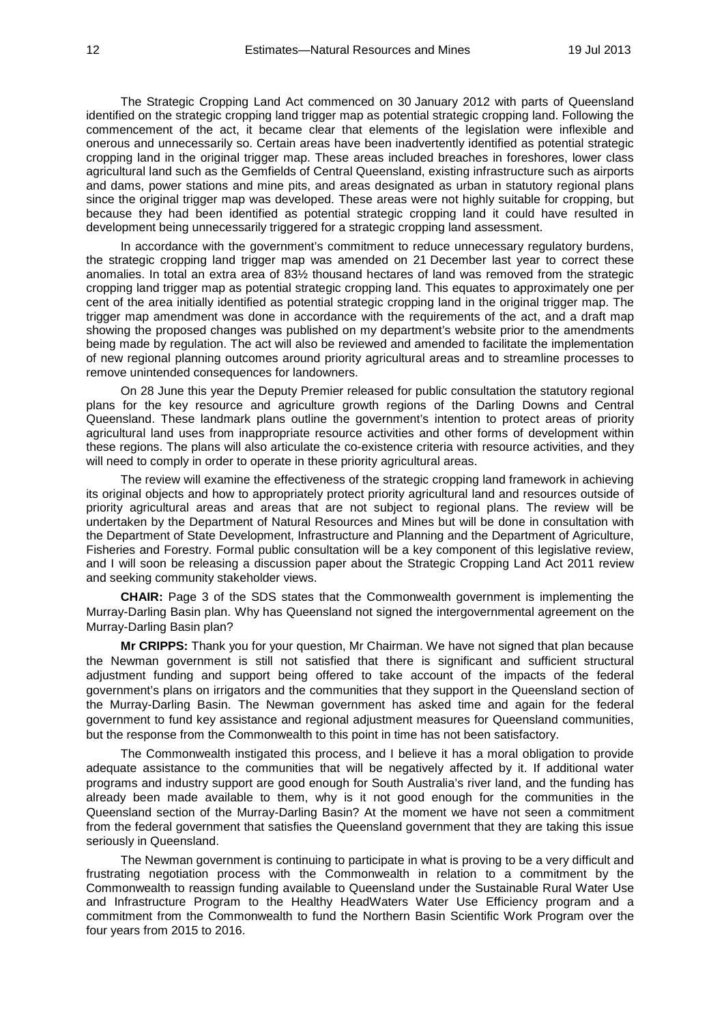The Strategic Cropping Land Act commenced on 30 January 2012 with parts of Queensland identified on the strategic cropping land trigger map as potential strategic cropping land. Following the commencement of the act, it became clear that elements of the legislation were inflexible and onerous and unnecessarily so. Certain areas have been inadvertently identified as potential strategic cropping land in the original trigger map. These areas included breaches in foreshores, lower class agricultural land such as the Gemfields of Central Queensland, existing infrastructure such as airports and dams, power stations and mine pits, and areas designated as urban in statutory regional plans since the original trigger map was developed. These areas were not highly suitable for cropping, but because they had been identified as potential strategic cropping land it could have resulted in development being unnecessarily triggered for a strategic cropping land assessment.

In accordance with the government's commitment to reduce unnecessary regulatory burdens, the strategic cropping land trigger map was amended on 21 December last year to correct these anomalies. In total an extra area of 83½ thousand hectares of land was removed from the strategic cropping land trigger map as potential strategic cropping land. This equates to approximately one per cent of the area initially identified as potential strategic cropping land in the original trigger map. The trigger map amendment was done in accordance with the requirements of the act, and a draft map showing the proposed changes was published on my department's website prior to the amendments being made by regulation. The act will also be reviewed and amended to facilitate the implementation of new regional planning outcomes around priority agricultural areas and to streamline processes to remove unintended consequences for landowners.

On 28 June this year the Deputy Premier released for public consultation the statutory regional plans for the key resource and agriculture growth regions of the Darling Downs and Central Queensland. These landmark plans outline the government's intention to protect areas of priority agricultural land uses from inappropriate resource activities and other forms of development within these regions. The plans will also articulate the co-existence criteria with resource activities, and they will need to comply in order to operate in these priority agricultural areas.

The review will examine the effectiveness of the strategic cropping land framework in achieving its original objects and how to appropriately protect priority agricultural land and resources outside of priority agricultural areas and areas that are not subject to regional plans. The review will be undertaken by the Department of Natural Resources and Mines but will be done in consultation with the Department of State Development, Infrastructure and Planning and the Department of Agriculture, Fisheries and Forestry. Formal public consultation will be a key component of this legislative review, and I will soon be releasing a discussion paper about the Strategic Cropping Land Act 2011 review and seeking community stakeholder views.

**CHAIR:** Page 3 of the SDS states that the Commonwealth government is implementing the Murray-Darling Basin plan. Why has Queensland not signed the intergovernmental agreement on the Murray-Darling Basin plan?

**Mr CRIPPS:** Thank you for your question, Mr Chairman. We have not signed that plan because the Newman government is still not satisfied that there is significant and sufficient structural adjustment funding and support being offered to take account of the impacts of the federal government's plans on irrigators and the communities that they support in the Queensland section of the Murray-Darling Basin. The Newman government has asked time and again for the federal government to fund key assistance and regional adjustment measures for Queensland communities, but the response from the Commonwealth to this point in time has not been satisfactory.

The Commonwealth instigated this process, and I believe it has a moral obligation to provide adequate assistance to the communities that will be negatively affected by it. If additional water programs and industry support are good enough for South Australia's river land, and the funding has already been made available to them, why is it not good enough for the communities in the Queensland section of the Murray-Darling Basin? At the moment we have not seen a commitment from the federal government that satisfies the Queensland government that they are taking this issue seriously in Queensland.

The Newman government is continuing to participate in what is proving to be a very difficult and frustrating negotiation process with the Commonwealth in relation to a commitment by the Commonwealth to reassign funding available to Queensland under the Sustainable Rural Water Use and Infrastructure Program to the Healthy HeadWaters Water Use Efficiency program and a commitment from the Commonwealth to fund the Northern Basin Scientific Work Program over the four years from 2015 to 2016.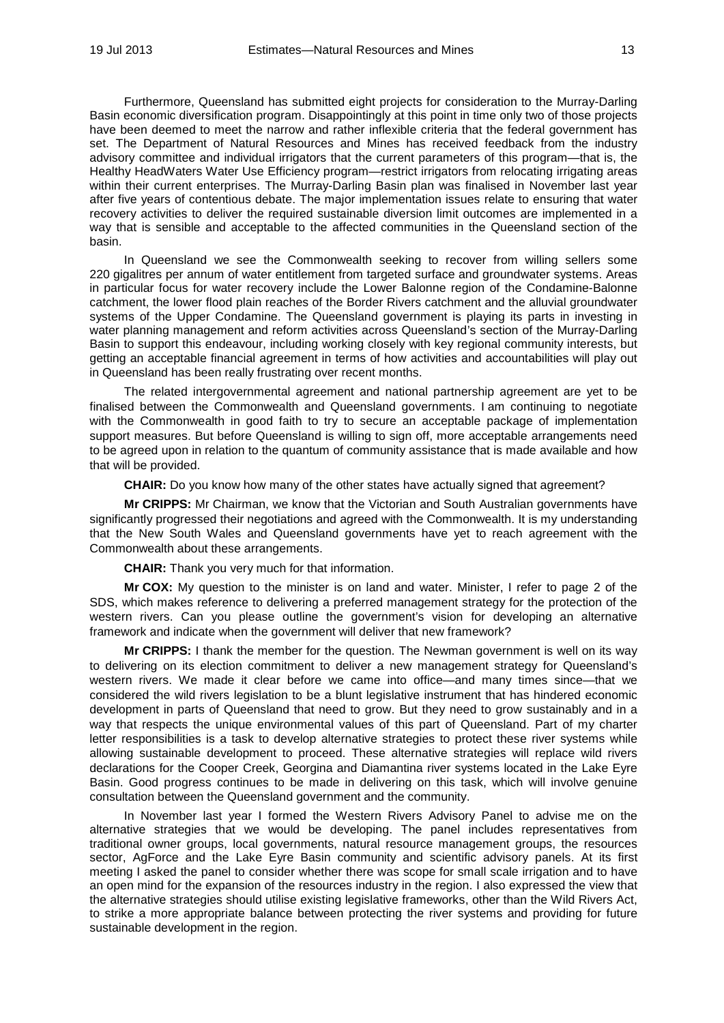Furthermore, Queensland has submitted eight projects for consideration to the Murray-Darling Basin economic diversification program. Disappointingly at this point in time only two of those projects have been deemed to meet the narrow and rather inflexible criteria that the federal government has set. The Department of Natural Resources and Mines has received feedback from the industry advisory committee and individual irrigators that the current parameters of this program—that is, the Healthy HeadWaters Water Use Efficiency program—restrict irrigators from relocating irrigating areas within their current enterprises. The Murray-Darling Basin plan was finalised in November last year after five years of contentious debate. The major implementation issues relate to ensuring that water recovery activities to deliver the required sustainable diversion limit outcomes are implemented in a way that is sensible and acceptable to the affected communities in the Queensland section of the basin.

In Queensland we see the Commonwealth seeking to recover from willing sellers some 220 gigalitres per annum of water entitlement from targeted surface and groundwater systems. Areas in particular focus for water recovery include the Lower Balonne region of the Condamine-Balonne catchment, the lower flood plain reaches of the Border Rivers catchment and the alluvial groundwater systems of the Upper Condamine. The Queensland government is playing its parts in investing in water planning management and reform activities across Queensland's section of the Murray-Darling Basin to support this endeavour, including working closely with key regional community interests, but getting an acceptable financial agreement in terms of how activities and accountabilities will play out in Queensland has been really frustrating over recent months.

The related intergovernmental agreement and national partnership agreement are yet to be finalised between the Commonwealth and Queensland governments. I am continuing to negotiate with the Commonwealth in good faith to try to secure an acceptable package of implementation support measures. But before Queensland is willing to sign off, more acceptable arrangements need to be agreed upon in relation to the quantum of community assistance that is made available and how that will be provided.

**CHAIR:** Do you know how many of the other states have actually signed that agreement?

**Mr CRIPPS:** Mr Chairman, we know that the Victorian and South Australian governments have significantly progressed their negotiations and agreed with the Commonwealth. It is my understanding that the New South Wales and Queensland governments have yet to reach agreement with the Commonwealth about these arrangements.

**CHAIR:** Thank you very much for that information.

**Mr COX:** My question to the minister is on land and water. Minister, I refer to page 2 of the SDS, which makes reference to delivering a preferred management strategy for the protection of the western rivers. Can you please outline the government's vision for developing an alternative framework and indicate when the government will deliver that new framework?

**Mr CRIPPS:** I thank the member for the question. The Newman government is well on its way to delivering on its election commitment to deliver a new management strategy for Queensland's western rivers. We made it clear before we came into office—and many times since—that we considered the wild rivers legislation to be a blunt legislative instrument that has hindered economic development in parts of Queensland that need to grow. But they need to grow sustainably and in a way that respects the unique environmental values of this part of Queensland. Part of my charter letter responsibilities is a task to develop alternative strategies to protect these river systems while allowing sustainable development to proceed. These alternative strategies will replace wild rivers declarations for the Cooper Creek, Georgina and Diamantina river systems located in the Lake Eyre Basin. Good progress continues to be made in delivering on this task, which will involve genuine consultation between the Queensland government and the community.

In November last year I formed the Western Rivers Advisory Panel to advise me on the alternative strategies that we would be developing. The panel includes representatives from traditional owner groups, local governments, natural resource management groups, the resources sector, AgForce and the Lake Eyre Basin community and scientific advisory panels. At its first meeting I asked the panel to consider whether there was scope for small scale irrigation and to have an open mind for the expansion of the resources industry in the region. I also expressed the view that the alternative strategies should utilise existing legislative frameworks, other than the Wild Rivers Act, to strike a more appropriate balance between protecting the river systems and providing for future sustainable development in the region.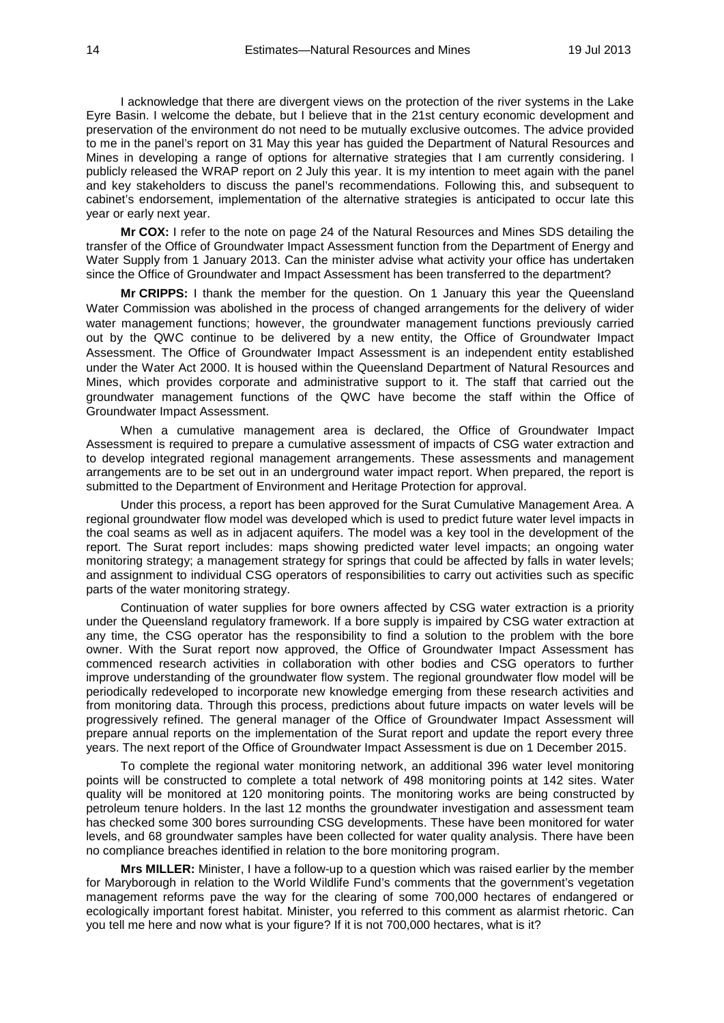I acknowledge that there are divergent views on the protection of the river systems in the Lake Eyre Basin. I welcome the debate, but I believe that in the 21st century economic development and preservation of the environment do not need to be mutually exclusive outcomes. The advice provided to me in the panel's report on 31 May this year has guided the Department of Natural Resources and Mines in developing a range of options for alternative strategies that I am currently considering. I publicly released the WRAP report on 2 July this year. It is my intention to meet again with the panel and key stakeholders to discuss the panel's recommendations. Following this, and subsequent to cabinet's endorsement, implementation of the alternative strategies is anticipated to occur late this year or early next year.

**Mr COX:** I refer to the note on page 24 of the Natural Resources and Mines SDS detailing the transfer of the Office of Groundwater Impact Assessment function from the Department of Energy and Water Supply from 1 January 2013. Can the minister advise what activity your office has undertaken since the Office of Groundwater and Impact Assessment has been transferred to the department?

**Mr CRIPPS:** I thank the member for the question. On 1 January this year the Queensland Water Commission was abolished in the process of changed arrangements for the delivery of wider water management functions; however, the groundwater management functions previously carried out by the QWC continue to be delivered by a new entity, the Office of Groundwater Impact Assessment. The Office of Groundwater Impact Assessment is an independent entity established under the Water Act 2000. It is housed within the Queensland Department of Natural Resources and Mines, which provides corporate and administrative support to it. The staff that carried out the groundwater management functions of the QWC have become the staff within the Office of Groundwater Impact Assessment.

When a cumulative management area is declared, the Office of Groundwater Impact Assessment is required to prepare a cumulative assessment of impacts of CSG water extraction and to develop integrated regional management arrangements. These assessments and management arrangements are to be set out in an underground water impact report. When prepared, the report is submitted to the Department of Environment and Heritage Protection for approval.

Under this process, a report has been approved for the Surat Cumulative Management Area. A regional groundwater flow model was developed which is used to predict future water level impacts in the coal seams as well as in adjacent aquifers. The model was a key tool in the development of the report. The Surat report includes: maps showing predicted water level impacts; an ongoing water monitoring strategy; a management strategy for springs that could be affected by falls in water levels; and assignment to individual CSG operators of responsibilities to carry out activities such as specific parts of the water monitoring strategy.

Continuation of water supplies for bore owners affected by CSG water extraction is a priority under the Queensland regulatory framework. If a bore supply is impaired by CSG water extraction at any time, the CSG operator has the responsibility to find a solution to the problem with the bore owner. With the Surat report now approved, the Office of Groundwater Impact Assessment has commenced research activities in collaboration with other bodies and CSG operators to further improve understanding of the groundwater flow system. The regional groundwater flow model will be periodically redeveloped to incorporate new knowledge emerging from these research activities and from monitoring data. Through this process, predictions about future impacts on water levels will be progressively refined. The general manager of the Office of Groundwater Impact Assessment will prepare annual reports on the implementation of the Surat report and update the report every three years. The next report of the Office of Groundwater Impact Assessment is due on 1 December 2015.

To complete the regional water monitoring network, an additional 396 water level monitoring points will be constructed to complete a total network of 498 monitoring points at 142 sites. Water quality will be monitored at 120 monitoring points. The monitoring works are being constructed by petroleum tenure holders. In the last 12 months the groundwater investigation and assessment team has checked some 300 bores surrounding CSG developments. These have been monitored for water levels, and 68 groundwater samples have been collected for water quality analysis. There have been no compliance breaches identified in relation to the bore monitoring program.

**Mrs MILLER:** Minister, I have a follow-up to a question which was raised earlier by the member for Maryborough in relation to the World Wildlife Fund's comments that the government's vegetation management reforms pave the way for the clearing of some 700,000 hectares of endangered or ecologically important forest habitat. Minister, you referred to this comment as alarmist rhetoric. Can you tell me here and now what is your figure? If it is not 700,000 hectares, what is it?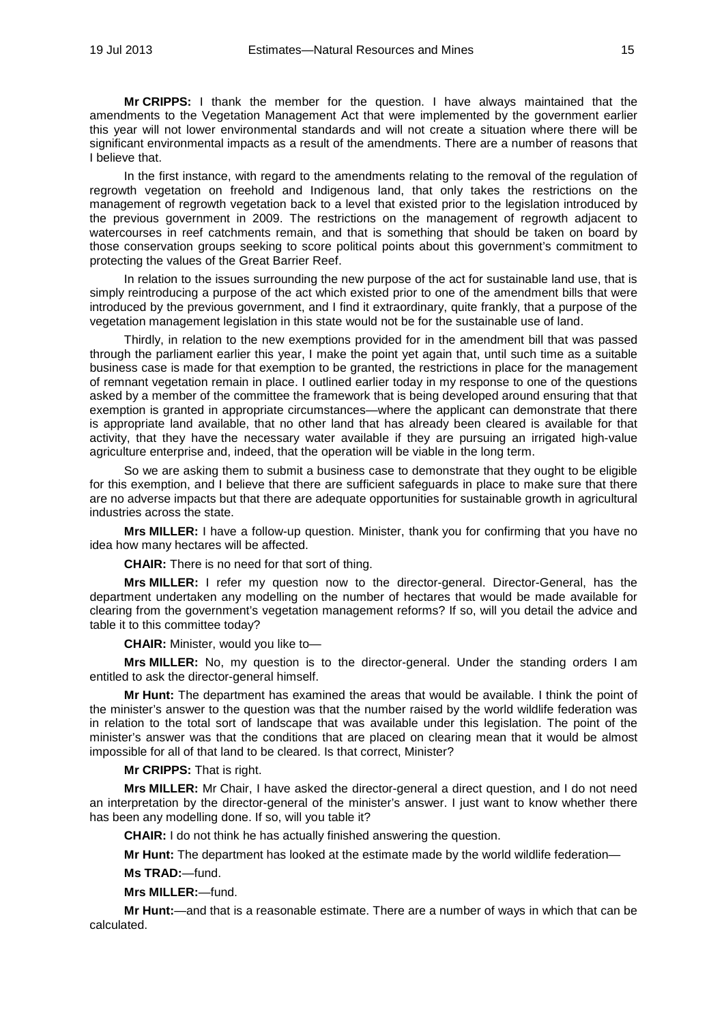**Mr CRIPPS:** I thank the member for the question. I have always maintained that the amendments to the Vegetation Management Act that were implemented by the government earlier this year will not lower environmental standards and will not create a situation where there will be significant environmental impacts as a result of the amendments. There are a number of reasons that I believe that.

In the first instance, with regard to the amendments relating to the removal of the regulation of regrowth vegetation on freehold and Indigenous land, that only takes the restrictions on the management of regrowth vegetation back to a level that existed prior to the legislation introduced by the previous government in 2009. The restrictions on the management of regrowth adjacent to watercourses in reef catchments remain, and that is something that should be taken on board by those conservation groups seeking to score political points about this government's commitment to protecting the values of the Great Barrier Reef.

In relation to the issues surrounding the new purpose of the act for sustainable land use, that is simply reintroducing a purpose of the act which existed prior to one of the amendment bills that were introduced by the previous government, and I find it extraordinary, quite frankly, that a purpose of the vegetation management legislation in this state would not be for the sustainable use of land.

Thirdly, in relation to the new exemptions provided for in the amendment bill that was passed through the parliament earlier this year, I make the point yet again that, until such time as a suitable business case is made for that exemption to be granted, the restrictions in place for the management of remnant vegetation remain in place. I outlined earlier today in my response to one of the questions asked by a member of the committee the framework that is being developed around ensuring that that exemption is granted in appropriate circumstances—where the applicant can demonstrate that there is appropriate land available, that no other land that has already been cleared is available for that activity, that they have the necessary water available if they are pursuing an irrigated high-value agriculture enterprise and, indeed, that the operation will be viable in the long term.

So we are asking them to submit a business case to demonstrate that they ought to be eligible for this exemption, and I believe that there are sufficient safeguards in place to make sure that there are no adverse impacts but that there are adequate opportunities for sustainable growth in agricultural industries across the state.

**Mrs MILLER:** I have a follow-up question. Minister, thank you for confirming that you have no idea how many hectares will be affected.

**CHAIR:** There is no need for that sort of thing.

**Mrs MILLER:** I refer my question now to the director-general. Director-General, has the department undertaken any modelling on the number of hectares that would be made available for clearing from the government's vegetation management reforms? If so, will you detail the advice and table it to this committee today?

**CHAIR:** Minister, would you like to—

**Mrs MILLER:** No, my question is to the director-general. Under the standing orders I am entitled to ask the director-general himself.

**Mr Hunt:** The department has examined the areas that would be available. I think the point of the minister's answer to the question was that the number raised by the world wildlife federation was in relation to the total sort of landscape that was available under this legislation. The point of the minister's answer was that the conditions that are placed on clearing mean that it would be almost impossible for all of that land to be cleared. Is that correct, Minister?

**Mr CRIPPS:** That is right.

**Mrs MILLER:** Mr Chair, I have asked the director-general a direct question, and I do not need an interpretation by the director-general of the minister's answer. I just want to know whether there has been any modelling done. If so, will you table it?

**CHAIR:** I do not think he has actually finished answering the question.

**Mr Hunt:** The department has looked at the estimate made by the world wildlife federation—

**Ms TRAD:**—fund.

**Mrs MILLER:**—fund.

**Mr Hunt:**—and that is a reasonable estimate. There are a number of ways in which that can be calculated.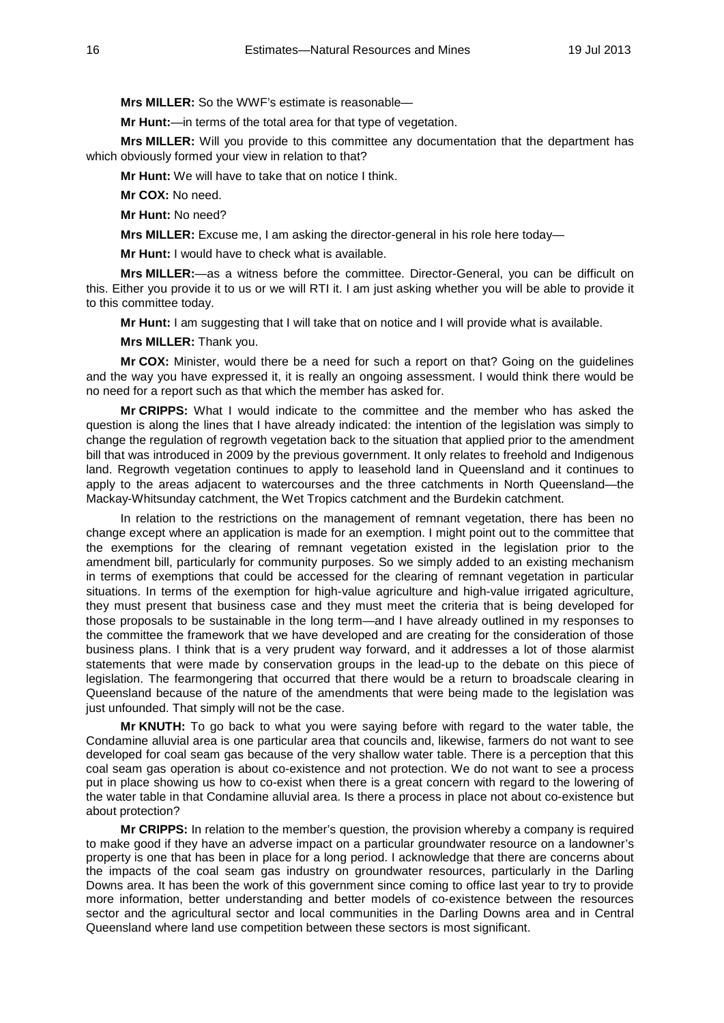**Mrs MILLER:** So the WWF's estimate is reasonable—

**Mr Hunt:**—in terms of the total area for that type of vegetation.

**Mrs MILLER:** Will you provide to this committee any documentation that the department has which obviously formed your view in relation to that?

**Mr Hunt:** We will have to take that on notice I think.

**Mr COX:** No need.

**Mr Hunt:** No need?

**Mrs MILLER:** Excuse me, I am asking the director-general in his role here today—

**Mr Hunt:** I would have to check what is available.

**Mrs MILLER:**—as a witness before the committee. Director-General, you can be difficult on this. Either you provide it to us or we will RTI it. I am just asking whether you will be able to provide it to this committee today.

**Mr Hunt:** I am suggesting that I will take that on notice and I will provide what is available.

**Mrs MILLER:** Thank you.

**Mr COX:** Minister, would there be a need for such a report on that? Going on the guidelines and the way you have expressed it, it is really an ongoing assessment. I would think there would be no need for a report such as that which the member has asked for.

**Mr CRIPPS:** What I would indicate to the committee and the member who has asked the question is along the lines that I have already indicated: the intention of the legislation was simply to change the regulation of regrowth vegetation back to the situation that applied prior to the amendment bill that was introduced in 2009 by the previous government. It only relates to freehold and Indigenous land. Regrowth vegetation continues to apply to leasehold land in Queensland and it continues to apply to the areas adjacent to watercourses and the three catchments in North Queensland—the Mackay-Whitsunday catchment, the Wet Tropics catchment and the Burdekin catchment.

In relation to the restrictions on the management of remnant vegetation, there has been no change except where an application is made for an exemption. I might point out to the committee that the exemptions for the clearing of remnant vegetation existed in the legislation prior to the amendment bill, particularly for community purposes. So we simply added to an existing mechanism in terms of exemptions that could be accessed for the clearing of remnant vegetation in particular situations. In terms of the exemption for high-value agriculture and high-value irrigated agriculture, they must present that business case and they must meet the criteria that is being developed for those proposals to be sustainable in the long term—and I have already outlined in my responses to the committee the framework that we have developed and are creating for the consideration of those business plans. I think that is a very prudent way forward, and it addresses a lot of those alarmist statements that were made by conservation groups in the lead-up to the debate on this piece of legislation. The fearmongering that occurred that there would be a return to broadscale clearing in Queensland because of the nature of the amendments that were being made to the legislation was just unfounded. That simply will not be the case.

**Mr KNUTH:** To go back to what you were saying before with regard to the water table, the Condamine alluvial area is one particular area that councils and, likewise, farmers do not want to see developed for coal seam gas because of the very shallow water table. There is a perception that this coal seam gas operation is about co-existence and not protection. We do not want to see a process put in place showing us how to co-exist when there is a great concern with regard to the lowering of the water table in that Condamine alluvial area. Is there a process in place not about co-existence but about protection?

**Mr CRIPPS:** In relation to the member's question, the provision whereby a company is required to make good if they have an adverse impact on a particular groundwater resource on a landowner's property is one that has been in place for a long period. I acknowledge that there are concerns about the impacts of the coal seam gas industry on groundwater resources, particularly in the Darling Downs area. It has been the work of this government since coming to office last year to try to provide more information, better understanding and better models of co-existence between the resources sector and the agricultural sector and local communities in the Darling Downs area and in Central Queensland where land use competition between these sectors is most significant.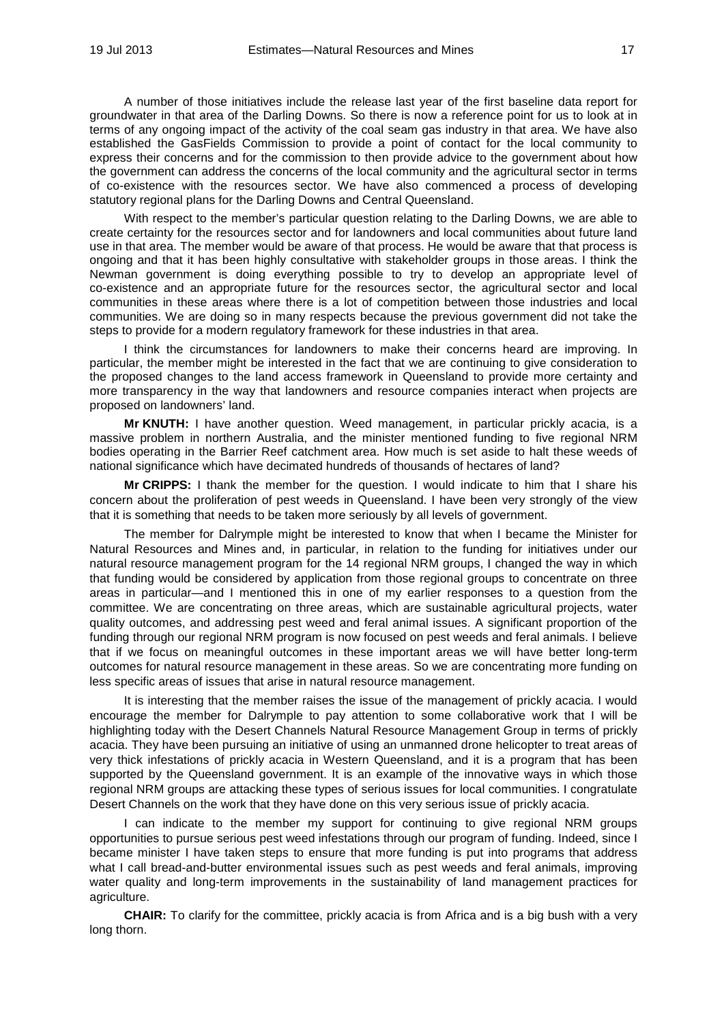A number of those initiatives include the release last year of the first baseline data report for groundwater in that area of the Darling Downs. So there is now a reference point for us to look at in terms of any ongoing impact of the activity of the coal seam gas industry in that area. We have also established the GasFields Commission to provide a point of contact for the local community to express their concerns and for the commission to then provide advice to the government about how the government can address the concerns of the local community and the agricultural sector in terms of co-existence with the resources sector. We have also commenced a process of developing statutory regional plans for the Darling Downs and Central Queensland.

With respect to the member's particular question relating to the Darling Downs, we are able to create certainty for the resources sector and for landowners and local communities about future land use in that area. The member would be aware of that process. He would be aware that that process is ongoing and that it has been highly consultative with stakeholder groups in those areas. I think the Newman government is doing everything possible to try to develop an appropriate level of co-existence and an appropriate future for the resources sector, the agricultural sector and local communities in these areas where there is a lot of competition between those industries and local communities. We are doing so in many respects because the previous government did not take the steps to provide for a modern regulatory framework for these industries in that area.

I think the circumstances for landowners to make their concerns heard are improving. In particular, the member might be interested in the fact that we are continuing to give consideration to the proposed changes to the land access framework in Queensland to provide more certainty and more transparency in the way that landowners and resource companies interact when projects are proposed on landowners' land.

**Mr KNUTH:** I have another question. Weed management, in particular prickly acacia, is a massive problem in northern Australia, and the minister mentioned funding to five regional NRM bodies operating in the Barrier Reef catchment area. How much is set aside to halt these weeds of national significance which have decimated hundreds of thousands of hectares of land?

**Mr CRIPPS:** I thank the member for the question. I would indicate to him that I share his concern about the proliferation of pest weeds in Queensland. I have been very strongly of the view that it is something that needs to be taken more seriously by all levels of government.

The member for Dalrymple might be interested to know that when I became the Minister for Natural Resources and Mines and, in particular, in relation to the funding for initiatives under our natural resource management program for the 14 regional NRM groups, I changed the way in which that funding would be considered by application from those regional groups to concentrate on three areas in particular—and I mentioned this in one of my earlier responses to a question from the committee. We are concentrating on three areas, which are sustainable agricultural projects, water quality outcomes, and addressing pest weed and feral animal issues. A significant proportion of the funding through our regional NRM program is now focused on pest weeds and feral animals. I believe that if we focus on meaningful outcomes in these important areas we will have better long-term outcomes for natural resource management in these areas. So we are concentrating more funding on less specific areas of issues that arise in natural resource management.

It is interesting that the member raises the issue of the management of prickly acacia. I would encourage the member for Dalrymple to pay attention to some collaborative work that I will be highlighting today with the Desert Channels Natural Resource Management Group in terms of prickly acacia. They have been pursuing an initiative of using an unmanned drone helicopter to treat areas of very thick infestations of prickly acacia in Western Queensland, and it is a program that has been supported by the Queensland government. It is an example of the innovative ways in which those regional NRM groups are attacking these types of serious issues for local communities. I congratulate Desert Channels on the work that they have done on this very serious issue of prickly acacia.

I can indicate to the member my support for continuing to give regional NRM groups opportunities to pursue serious pest weed infestations through our program of funding. Indeed, since I became minister I have taken steps to ensure that more funding is put into programs that address what I call bread-and-butter environmental issues such as pest weeds and feral animals, improving water quality and long-term improvements in the sustainability of land management practices for agriculture.

**CHAIR:** To clarify for the committee, prickly acacia is from Africa and is a big bush with a very long thorn.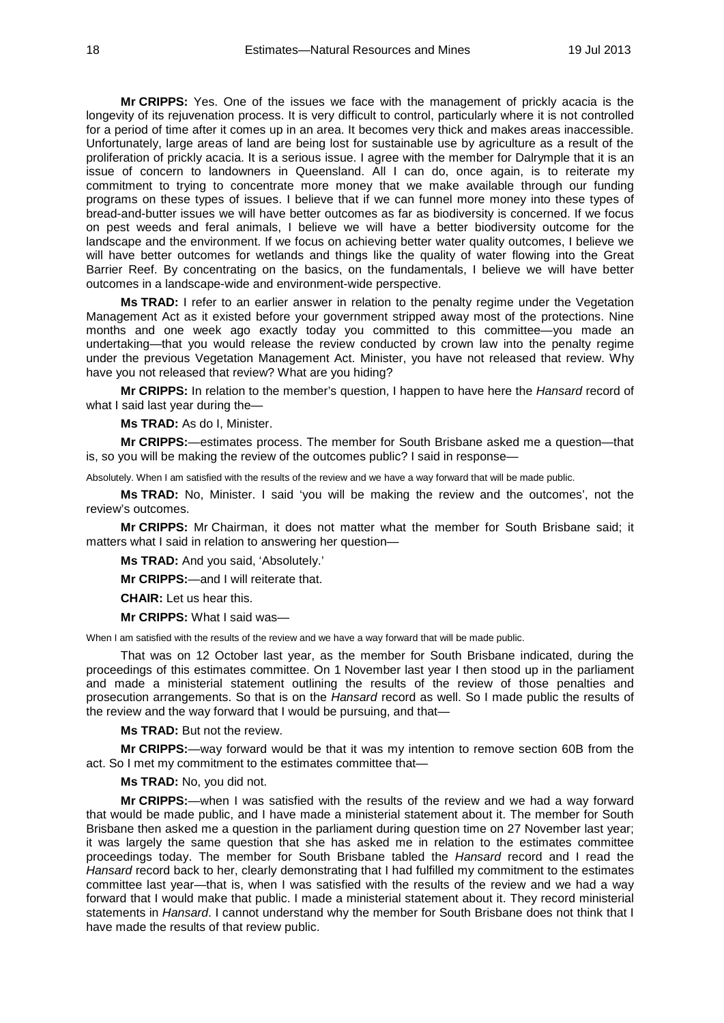**Mr CRIPPS:** Yes. One of the issues we face with the management of prickly acacia is the longevity of its rejuvenation process. It is very difficult to control, particularly where it is not controlled for a period of time after it comes up in an area. It becomes very thick and makes areas inaccessible. Unfortunately, large areas of land are being lost for sustainable use by agriculture as a result of the proliferation of prickly acacia. It is a serious issue. I agree with the member for Dalrymple that it is an issue of concern to landowners in Queensland. All I can do, once again, is to reiterate my commitment to trying to concentrate more money that we make available through our funding programs on these types of issues. I believe that if we can funnel more money into these types of bread-and-butter issues we will have better outcomes as far as biodiversity is concerned. If we focus on pest weeds and feral animals, I believe we will have a better biodiversity outcome for the landscape and the environment. If we focus on achieving better water quality outcomes, I believe we will have better outcomes for wetlands and things like the quality of water flowing into the Great Barrier Reef. By concentrating on the basics, on the fundamentals, I believe we will have better outcomes in a landscape-wide and environment-wide perspective.

**Ms TRAD:** I refer to an earlier answer in relation to the penalty regime under the Vegetation Management Act as it existed before your government stripped away most of the protections. Nine months and one week ago exactly today you committed to this committee—you made an undertaking—that you would release the review conducted by crown law into the penalty regime under the previous Vegetation Management Act. Minister, you have not released that review. Why have you not released that review? What are you hiding?

**Mr CRIPPS:** In relation to the member's question, I happen to have here the *Hansard* record of what I said last year during the—

**Ms TRAD:** As do I, Minister.

**Mr CRIPPS:**—estimates process. The member for South Brisbane asked me a question—that is, so you will be making the review of the outcomes public? I said in response—

Absolutely. When I am satisfied with the results of the review and we have a way forward that will be made public.

**Ms TRAD:** No, Minister. I said 'you will be making the review and the outcomes', not the review's outcomes.

**Mr CRIPPS:** Mr Chairman, it does not matter what the member for South Brisbane said; it matters what I said in relation to answering her question—

**Ms TRAD:** And you said, 'Absolutely.'

**Mr CRIPPS:**—and I will reiterate that.

**CHAIR:** Let us hear this.

**Mr CRIPPS:** What I said was—

When I am satisfied with the results of the review and we have a way forward that will be made public.

That was on 12 October last year, as the member for South Brisbane indicated, during the proceedings of this estimates committee. On 1 November last year I then stood up in the parliament and made a ministerial statement outlining the results of the review of those penalties and prosecution arrangements. So that is on the *Hansard* record as well. So I made public the results of the review and the way forward that I would be pursuing, and that—

**Ms TRAD:** But not the review.

**Mr CRIPPS:**—way forward would be that it was my intention to remove section 60B from the act. So I met my commitment to the estimates committee that—

**Ms TRAD:** No, you did not.

**Mr CRIPPS:**—when I was satisfied with the results of the review and we had a way forward that would be made public, and I have made a ministerial statement about it. The member for South Brisbane then asked me a question in the parliament during question time on 27 November last year; it was largely the same question that she has asked me in relation to the estimates committee proceedings today. The member for South Brisbane tabled the *Hansard* record and I read the *Hansard* record back to her, clearly demonstrating that I had fulfilled my commitment to the estimates committee last year—that is, when I was satisfied with the results of the review and we had a way forward that I would make that public. I made a ministerial statement about it. They record ministerial statements in *Hansard*. I cannot understand why the member for South Brisbane does not think that I have made the results of that review public.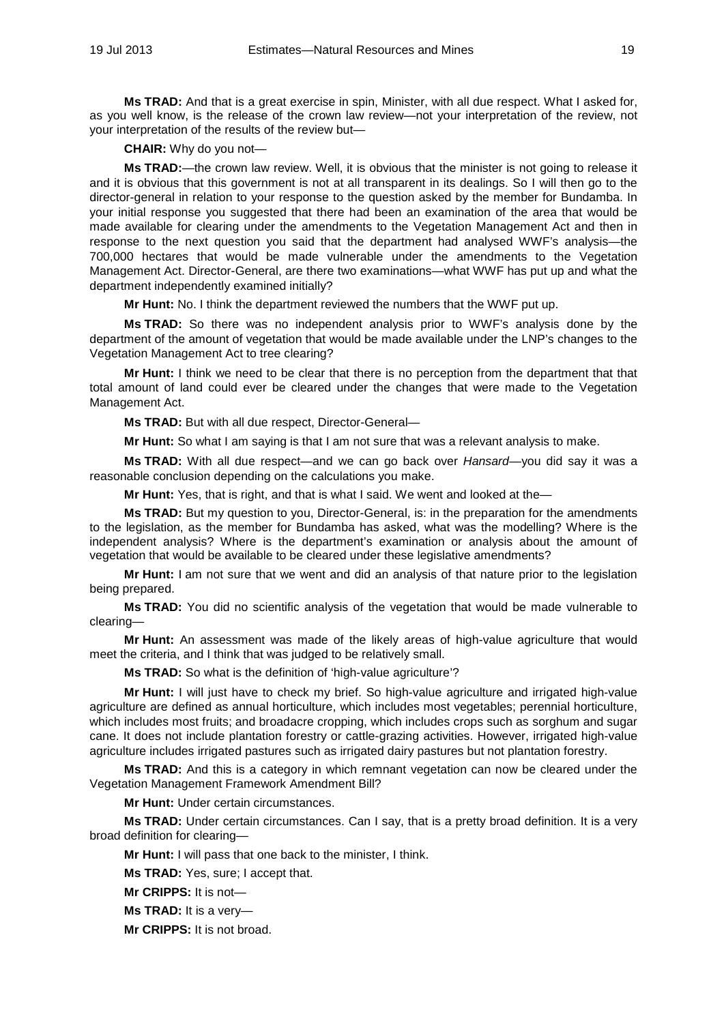**Ms TRAD:** And that is a great exercise in spin, Minister, with all due respect. What I asked for, as you well know, is the release of the crown law review—not your interpretation of the review, not your interpretation of the results of the review but—

**CHAIR:** Why do you not—

**Ms TRAD:**—the crown law review. Well, it is obvious that the minister is not going to release it and it is obvious that this government is not at all transparent in its dealings. So I will then go to the director-general in relation to your response to the question asked by the member for Bundamba. In your initial response you suggested that there had been an examination of the area that would be made available for clearing under the amendments to the Vegetation Management Act and then in response to the next question you said that the department had analysed WWF's analysis—the 700,000 hectares that would be made vulnerable under the amendments to the Vegetation Management Act. Director-General, are there two examinations—what WWF has put up and what the department independently examined initially?

**Mr Hunt:** No. I think the department reviewed the numbers that the WWF put up.

**Ms TRAD:** So there was no independent analysis prior to WWF's analysis done by the department of the amount of vegetation that would be made available under the LNP's changes to the Vegetation Management Act to tree clearing?

**Mr Hunt:** I think we need to be clear that there is no perception from the department that that total amount of land could ever be cleared under the changes that were made to the Vegetation Management Act.

**Ms TRAD:** But with all due respect, Director-General—

**Mr Hunt:** So what I am saying is that I am not sure that was a relevant analysis to make.

**Ms TRAD:** With all due respect—and we can go back over *Hansard*—you did say it was a reasonable conclusion depending on the calculations you make.

**Mr Hunt:** Yes, that is right, and that is what I said. We went and looked at the—

**Ms TRAD:** But my question to you, Director-General, is: in the preparation for the amendments to the legislation, as the member for Bundamba has asked, what was the modelling? Where is the independent analysis? Where is the department's examination or analysis about the amount of vegetation that would be available to be cleared under these legislative amendments?

**Mr Hunt:** I am not sure that we went and did an analysis of that nature prior to the legislation being prepared.

**Ms TRAD:** You did no scientific analysis of the vegetation that would be made vulnerable to clearing—

**Mr Hunt:** An assessment was made of the likely areas of high-value agriculture that would meet the criteria, and I think that was judged to be relatively small.

**Ms TRAD:** So what is the definition of 'high-value agriculture'?

**Mr Hunt:** I will just have to check my brief. So high-value agriculture and irrigated high-value agriculture are defined as annual horticulture, which includes most vegetables; perennial horticulture, which includes most fruits; and broadacre cropping, which includes crops such as sorghum and sugar cane. It does not include plantation forestry or cattle-grazing activities. However, irrigated high-value agriculture includes irrigated pastures such as irrigated dairy pastures but not plantation forestry.

**Ms TRAD:** And this is a category in which remnant vegetation can now be cleared under the Vegetation Management Framework Amendment Bill?

**Mr Hunt:** Under certain circumstances.

**Ms TRAD:** Under certain circumstances. Can I say, that is a pretty broad definition. It is a very broad definition for clearing—

**Mr Hunt:** I will pass that one back to the minister, I think.

**Ms TRAD:** Yes, sure; I accept that.

**Mr CRIPPS:** It is not—

**Ms TRAD:** It is a very—

**Mr CRIPPS:** It is not broad.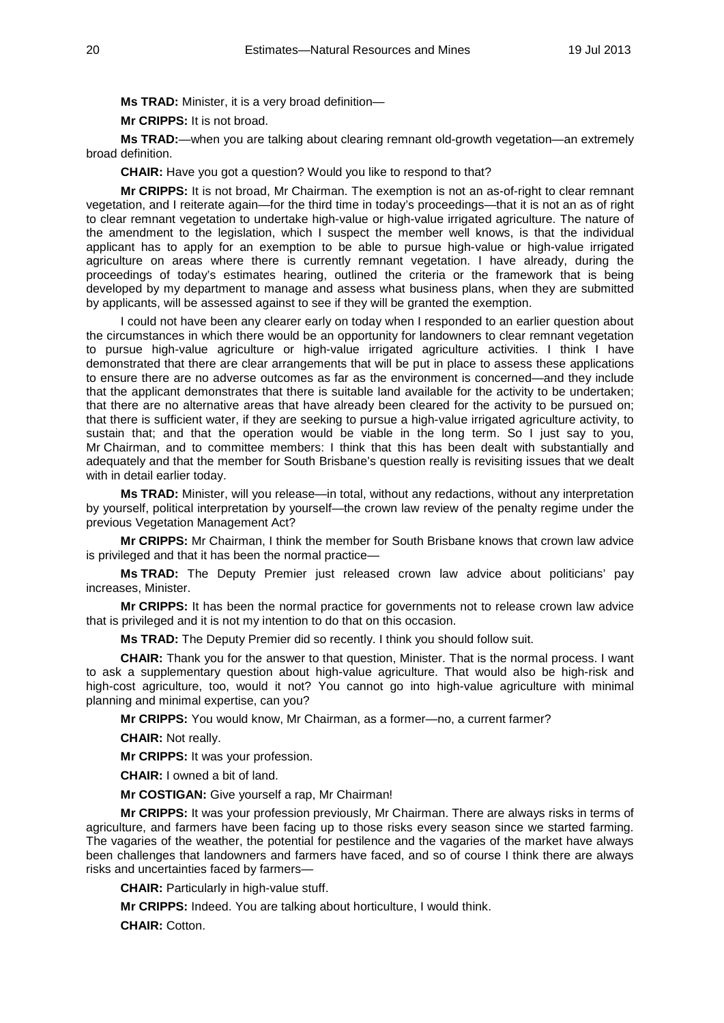**Ms TRAD:** Minister, it is a very broad definition—

**Mr CRIPPS:** It is not broad.

**Ms TRAD:**—when you are talking about clearing remnant old-growth vegetation—an extremely broad definition.

**CHAIR:** Have you got a question? Would you like to respond to that?

**Mr CRIPPS:** It is not broad, Mr Chairman. The exemption is not an as-of-right to clear remnant vegetation, and I reiterate again—for the third time in today's proceedings—that it is not an as of right to clear remnant vegetation to undertake high-value or high-value irrigated agriculture. The nature of the amendment to the legislation, which I suspect the member well knows, is that the individual applicant has to apply for an exemption to be able to pursue high-value or high-value irrigated agriculture on areas where there is currently remnant vegetation. I have already, during the proceedings of today's estimates hearing, outlined the criteria or the framework that is being developed by my department to manage and assess what business plans, when they are submitted by applicants, will be assessed against to see if they will be granted the exemption.

I could not have been any clearer early on today when I responded to an earlier question about the circumstances in which there would be an opportunity for landowners to clear remnant vegetation to pursue high-value agriculture or high-value irrigated agriculture activities. I think I have demonstrated that there are clear arrangements that will be put in place to assess these applications to ensure there are no adverse outcomes as far as the environment is concerned—and they include that the applicant demonstrates that there is suitable land available for the activity to be undertaken; that there are no alternative areas that have already been cleared for the activity to be pursued on; that there is sufficient water, if they are seeking to pursue a high-value irrigated agriculture activity, to sustain that; and that the operation would be viable in the long term. So I just say to you, Mr Chairman, and to committee members: I think that this has been dealt with substantially and adequately and that the member for South Brisbane's question really is revisiting issues that we dealt with in detail earlier today.

**Ms TRAD:** Minister, will you release—in total, without any redactions, without any interpretation by yourself, political interpretation by yourself—the crown law review of the penalty regime under the previous Vegetation Management Act?

**Mr CRIPPS:** Mr Chairman, I think the member for South Brisbane knows that crown law advice is privileged and that it has been the normal practice—

**Ms TRAD:** The Deputy Premier just released crown law advice about politicians' pay increases, Minister.

**Mr CRIPPS:** It has been the normal practice for governments not to release crown law advice that is privileged and it is not my intention to do that on this occasion.

**Ms TRAD:** The Deputy Premier did so recently. I think you should follow suit.

**CHAIR:** Thank you for the answer to that question, Minister. That is the normal process. I want to ask a supplementary question about high-value agriculture. That would also be high-risk and high-cost agriculture, too, would it not? You cannot go into high-value agriculture with minimal planning and minimal expertise, can you?

**Mr CRIPPS:** You would know, Mr Chairman, as a former—no, a current farmer?

**CHAIR:** Not really.

**Mr CRIPPS:** It was your profession.

**CHAIR:** I owned a bit of land.

**Mr COSTIGAN:** Give yourself a rap, Mr Chairman!

**Mr CRIPPS:** It was your profession previously, Mr Chairman. There are always risks in terms of agriculture, and farmers have been facing up to those risks every season since we started farming. The vagaries of the weather, the potential for pestilence and the vagaries of the market have always been challenges that landowners and farmers have faced, and so of course I think there are always risks and uncertainties faced by farmers—

**CHAIR:** Particularly in high-value stuff.

**Mr CRIPPS:** Indeed. You are talking about horticulture, I would think.

**CHAIR:** Cotton.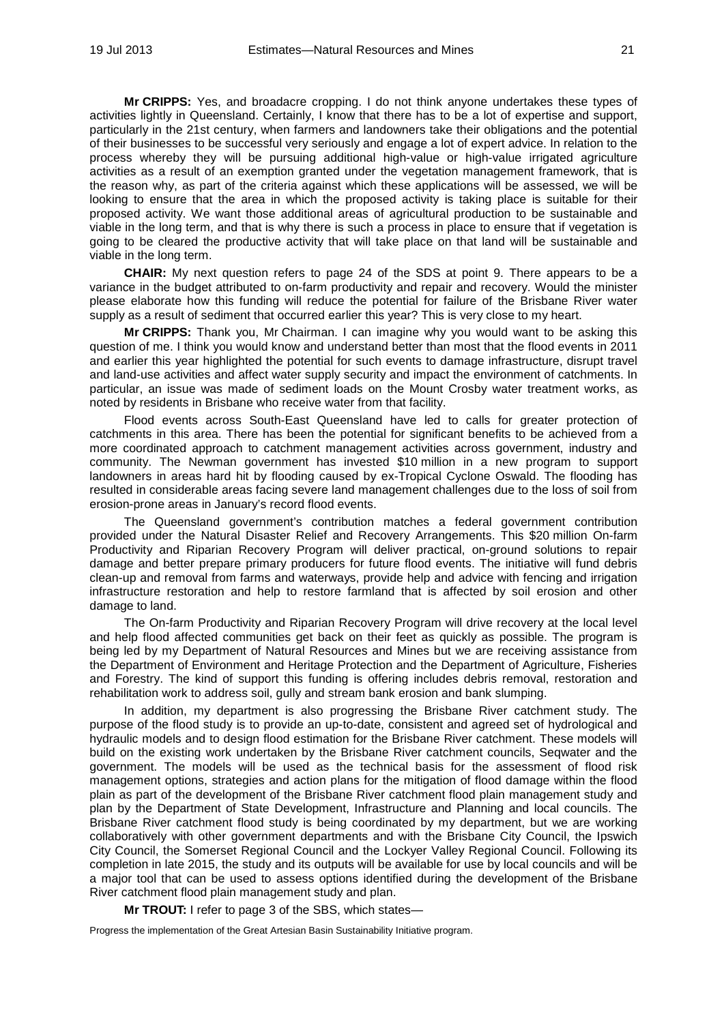**Mr CRIPPS:** Yes, and broadacre cropping. I do not think anyone undertakes these types of activities lightly in Queensland. Certainly, I know that there has to be a lot of expertise and support, particularly in the 21st century, when farmers and landowners take their obligations and the potential of their businesses to be successful very seriously and engage a lot of expert advice. In relation to the process whereby they will be pursuing additional high-value or high-value irrigated agriculture activities as a result of an exemption granted under the vegetation management framework, that is the reason why, as part of the criteria against which these applications will be assessed, we will be looking to ensure that the area in which the proposed activity is taking place is suitable for their proposed activity. We want those additional areas of agricultural production to be sustainable and viable in the long term, and that is why there is such a process in place to ensure that if vegetation is going to be cleared the productive activity that will take place on that land will be sustainable and viable in the long term.

**CHAIR:** My next question refers to page 24 of the SDS at point 9. There appears to be a variance in the budget attributed to on-farm productivity and repair and recovery. Would the minister please elaborate how this funding will reduce the potential for failure of the Brisbane River water supply as a result of sediment that occurred earlier this year? This is very close to my heart.

**Mr CRIPPS:** Thank you, Mr Chairman. I can imagine why you would want to be asking this question of me. I think you would know and understand better than most that the flood events in 2011 and earlier this year highlighted the potential for such events to damage infrastructure, disrupt travel and land-use activities and affect water supply security and impact the environment of catchments. In particular, an issue was made of sediment loads on the Mount Crosby water treatment works, as noted by residents in Brisbane who receive water from that facility.

Flood events across South-East Queensland have led to calls for greater protection of catchments in this area. There has been the potential for significant benefits to be achieved from a more coordinated approach to catchment management activities across government, industry and community. The Newman government has invested \$10 million in a new program to support landowners in areas hard hit by flooding caused by ex-Tropical Cyclone Oswald. The flooding has resulted in considerable areas facing severe land management challenges due to the loss of soil from erosion-prone areas in January's record flood events.

The Queensland government's contribution matches a federal government contribution provided under the Natural Disaster Relief and Recovery Arrangements. This \$20 million On-farm Productivity and Riparian Recovery Program will deliver practical, on-ground solutions to repair damage and better prepare primary producers for future flood events. The initiative will fund debris clean-up and removal from farms and waterways, provide help and advice with fencing and irrigation infrastructure restoration and help to restore farmland that is affected by soil erosion and other damage to land.

The On-farm Productivity and Riparian Recovery Program will drive recovery at the local level and help flood affected communities get back on their feet as quickly as possible. The program is being led by my Department of Natural Resources and Mines but we are receiving assistance from the Department of Environment and Heritage Protection and the Department of Agriculture, Fisheries and Forestry. The kind of support this funding is offering includes debris removal, restoration and rehabilitation work to address soil, gully and stream bank erosion and bank slumping.

In addition, my department is also progressing the Brisbane River catchment study. The purpose of the flood study is to provide an up-to-date, consistent and agreed set of hydrological and hydraulic models and to design flood estimation for the Brisbane River catchment. These models will build on the existing work undertaken by the Brisbane River catchment councils, Seqwater and the government. The models will be used as the technical basis for the assessment of flood risk management options, strategies and action plans for the mitigation of flood damage within the flood plain as part of the development of the Brisbane River catchment flood plain management study and plan by the Department of State Development, Infrastructure and Planning and local councils. The Brisbane River catchment flood study is being coordinated by my department, but we are working collaboratively with other government departments and with the Brisbane City Council, the Ipswich City Council, the Somerset Regional Council and the Lockyer Valley Regional Council. Following its completion in late 2015, the study and its outputs will be available for use by local councils and will be a major tool that can be used to assess options identified during the development of the Brisbane River catchment flood plain management study and plan.

**Mr TROUT:** I refer to page 3 of the SBS, which states—

Progress the implementation of the Great Artesian Basin Sustainability Initiative program.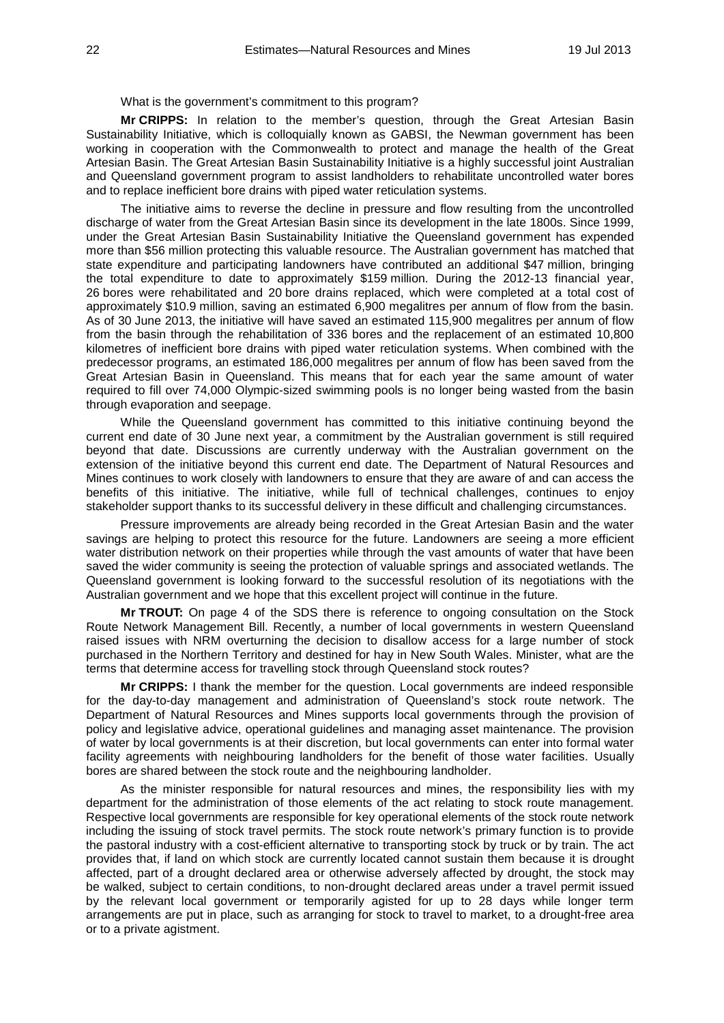#### What is the government's commitment to this program?

**Mr CRIPPS:** In relation to the member's question, through the Great Artesian Basin Sustainability Initiative, which is colloquially known as GABSI, the Newman government has been working in cooperation with the Commonwealth to protect and manage the health of the Great Artesian Basin. The Great Artesian Basin Sustainability Initiative is a highly successful joint Australian and Queensland government program to assist landholders to rehabilitate uncontrolled water bores and to replace inefficient bore drains with piped water reticulation systems.

The initiative aims to reverse the decline in pressure and flow resulting from the uncontrolled discharge of water from the Great Artesian Basin since its development in the late 1800s. Since 1999, under the Great Artesian Basin Sustainability Initiative the Queensland government has expended more than \$56 million protecting this valuable resource. The Australian government has matched that state expenditure and participating landowners have contributed an additional \$47 million, bringing the total expenditure to date to approximately \$159 million. During the 2012-13 financial year, 26 bores were rehabilitated and 20 bore drains replaced, which were completed at a total cost of approximately \$10.9 million, saving an estimated 6,900 megalitres per annum of flow from the basin. As of 30 June 2013, the initiative will have saved an estimated 115,900 megalitres per annum of flow from the basin through the rehabilitation of 336 bores and the replacement of an estimated 10,800 kilometres of inefficient bore drains with piped water reticulation systems. When combined with the predecessor programs, an estimated 186,000 megalitres per annum of flow has been saved from the Great Artesian Basin in Queensland. This means that for each year the same amount of water required to fill over 74,000 Olympic-sized swimming pools is no longer being wasted from the basin through evaporation and seepage.

While the Queensland government has committed to this initiative continuing beyond the current end date of 30 June next year, a commitment by the Australian government is still required beyond that date. Discussions are currently underway with the Australian government on the extension of the initiative beyond this current end date. The Department of Natural Resources and Mines continues to work closely with landowners to ensure that they are aware of and can access the benefits of this initiative. The initiative, while full of technical challenges, continues to enjoy stakeholder support thanks to its successful delivery in these difficult and challenging circumstances.

Pressure improvements are already being recorded in the Great Artesian Basin and the water savings are helping to protect this resource for the future. Landowners are seeing a more efficient water distribution network on their properties while through the vast amounts of water that have been saved the wider community is seeing the protection of valuable springs and associated wetlands. The Queensland government is looking forward to the successful resolution of its negotiations with the Australian government and we hope that this excellent project will continue in the future.

**Mr TROUT:** On page 4 of the SDS there is reference to ongoing consultation on the Stock Route Network Management Bill. Recently, a number of local governments in western Queensland raised issues with NRM overturning the decision to disallow access for a large number of stock purchased in the Northern Territory and destined for hay in New South Wales. Minister, what are the terms that determine access for travelling stock through Queensland stock routes?

**Mr CRIPPS:** I thank the member for the question. Local governments are indeed responsible for the day-to-day management and administration of Queensland's stock route network. The Department of Natural Resources and Mines supports local governments through the provision of policy and legislative advice, operational guidelines and managing asset maintenance. The provision of water by local governments is at their discretion, but local governments can enter into formal water facility agreements with neighbouring landholders for the benefit of those water facilities. Usually bores are shared between the stock route and the neighbouring landholder.

As the minister responsible for natural resources and mines, the responsibility lies with my department for the administration of those elements of the act relating to stock route management. Respective local governments are responsible for key operational elements of the stock route network including the issuing of stock travel permits. The stock route network's primary function is to provide the pastoral industry with a cost-efficient alternative to transporting stock by truck or by train. The act provides that, if land on which stock are currently located cannot sustain them because it is drought affected, part of a drought declared area or otherwise adversely affected by drought, the stock may be walked, subject to certain conditions, to non-drought declared areas under a travel permit issued by the relevant local government or temporarily agisted for up to 28 days while longer term arrangements are put in place, such as arranging for stock to travel to market, to a drought-free area or to a private agistment.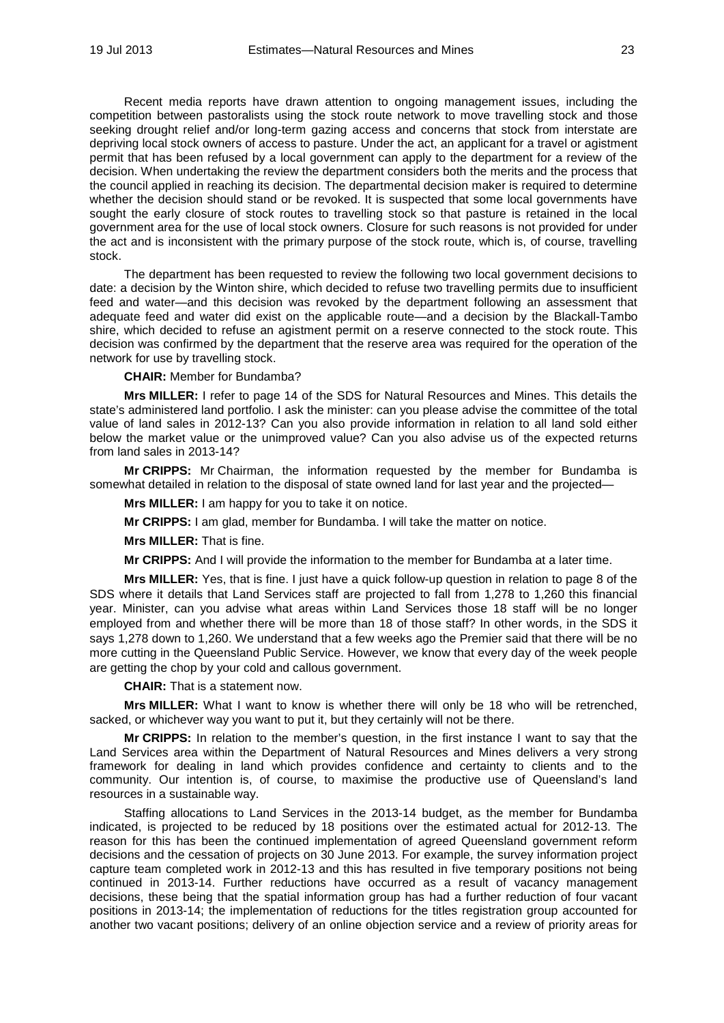Recent media reports have drawn attention to ongoing management issues, including the competition between pastoralists using the stock route network to move travelling stock and those seeking drought relief and/or long-term gazing access and concerns that stock from interstate are depriving local stock owners of access to pasture. Under the act, an applicant for a travel or agistment permit that has been refused by a local government can apply to the department for a review of the decision. When undertaking the review the department considers both the merits and the process that the council applied in reaching its decision. The departmental decision maker is required to determine whether the decision should stand or be revoked. It is suspected that some local governments have sought the early closure of stock routes to travelling stock so that pasture is retained in the local government area for the use of local stock owners. Closure for such reasons is not provided for under the act and is inconsistent with the primary purpose of the stock route, which is, of course, travelling stock.

The department has been requested to review the following two local government decisions to date: a decision by the Winton shire, which decided to refuse two travelling permits due to insufficient feed and water—and this decision was revoked by the department following an assessment that adequate feed and water did exist on the applicable route—and a decision by the Blackall-Tambo shire, which decided to refuse an agistment permit on a reserve connected to the stock route. This decision was confirmed by the department that the reserve area was required for the operation of the network for use by travelling stock.

**CHAIR:** Member for Bundamba?

**Mrs MILLER:** I refer to page 14 of the SDS for Natural Resources and Mines. This details the state's administered land portfolio. I ask the minister: can you please advise the committee of the total value of land sales in 2012-13? Can you also provide information in relation to all land sold either below the market value or the unimproved value? Can you also advise us of the expected returns from land sales in 2013-14?

**Mr CRIPPS:** Mr Chairman, the information requested by the member for Bundamba is somewhat detailed in relation to the disposal of state owned land for last year and the projected—

**Mrs MILLER:** I am happy for you to take it on notice.

**Mr CRIPPS:** I am glad, member for Bundamba. I will take the matter on notice.

**Mrs MILLER:** That is fine.

**Mr CRIPPS:** And I will provide the information to the member for Bundamba at a later time.

**Mrs MILLER:** Yes, that is fine. I just have a quick follow-up question in relation to page 8 of the SDS where it details that Land Services staff are projected to fall from 1,278 to 1,260 this financial year. Minister, can you advise what areas within Land Services those 18 staff will be no longer employed from and whether there will be more than 18 of those staff? In other words, in the SDS it says 1,278 down to 1,260. We understand that a few weeks ago the Premier said that there will be no more cutting in the Queensland Public Service. However, we know that every day of the week people are getting the chop by your cold and callous government.

**CHAIR:** That is a statement now.

**Mrs MILLER:** What I want to know is whether there will only be 18 who will be retrenched, sacked, or whichever way you want to put it, but they certainly will not be there.

**Mr CRIPPS:** In relation to the member's question, in the first instance I want to say that the Land Services area within the Department of Natural Resources and Mines delivers a very strong framework for dealing in land which provides confidence and certainty to clients and to the community. Our intention is, of course, to maximise the productive use of Queensland's land resources in a sustainable way.

Staffing allocations to Land Services in the 2013-14 budget, as the member for Bundamba indicated, is projected to be reduced by 18 positions over the estimated actual for 2012-13. The reason for this has been the continued implementation of agreed Queensland government reform decisions and the cessation of projects on 30 June 2013. For example, the survey information project capture team completed work in 2012-13 and this has resulted in five temporary positions not being continued in 2013-14. Further reductions have occurred as a result of vacancy management decisions, these being that the spatial information group has had a further reduction of four vacant positions in 2013-14; the implementation of reductions for the titles registration group accounted for another two vacant positions; delivery of an online objection service and a review of priority areas for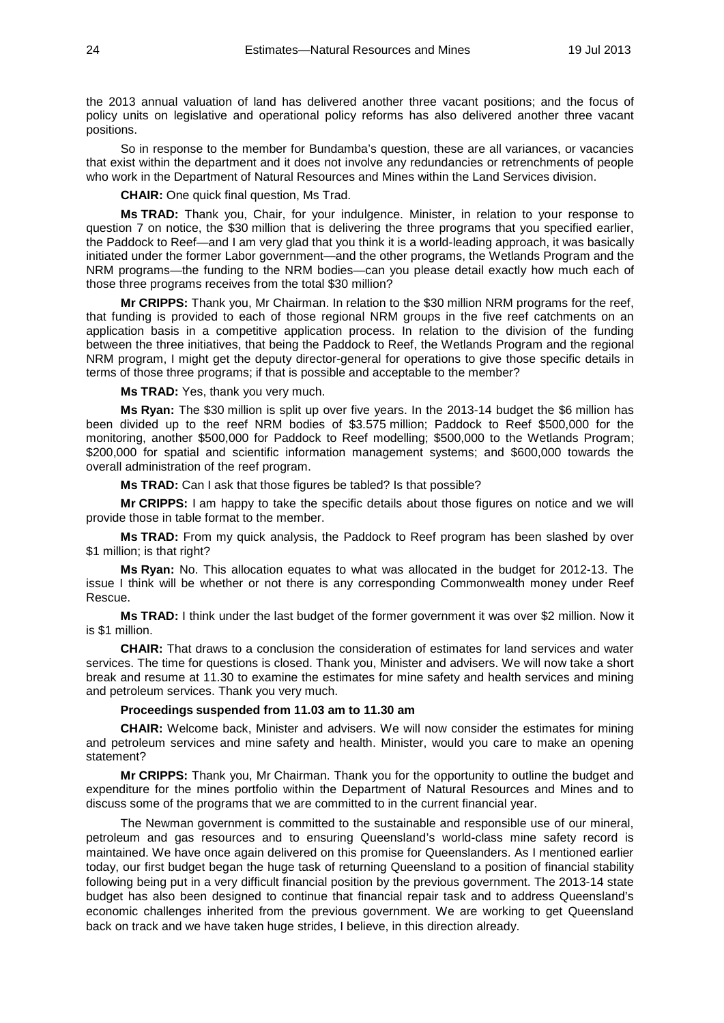the 2013 annual valuation of land has delivered another three vacant positions; and the focus of policy units on legislative and operational policy reforms has also delivered another three vacant positions.

So in response to the member for Bundamba's question, these are all variances, or vacancies that exist within the department and it does not involve any redundancies or retrenchments of people who work in the Department of Natural Resources and Mines within the Land Services division.

**CHAIR:** One quick final question, Ms Trad.

**Ms TRAD:** Thank you, Chair, for your indulgence. Minister, in relation to your response to question 7 on notice, the \$30 million that is delivering the three programs that you specified earlier, the Paddock to Reef—and I am very glad that you think it is a world-leading approach, it was basically initiated under the former Labor government—and the other programs, the Wetlands Program and the NRM programs—the funding to the NRM bodies—can you please detail exactly how much each of those three programs receives from the total \$30 million?

**Mr CRIPPS:** Thank you, Mr Chairman. In relation to the \$30 million NRM programs for the reef, that funding is provided to each of those regional NRM groups in the five reef catchments on an application basis in a competitive application process. In relation to the division of the funding between the three initiatives, that being the Paddock to Reef, the Wetlands Program and the regional NRM program, I might get the deputy director-general for operations to give those specific details in terms of those three programs; if that is possible and acceptable to the member?

**Ms TRAD:** Yes, thank you very much.

**Ms Ryan:** The \$30 million is split up over five years. In the 2013-14 budget the \$6 million has been divided up to the reef NRM bodies of \$3.575 million; Paddock to Reef \$500,000 for the monitoring, another \$500,000 for Paddock to Reef modelling; \$500,000 to the Wetlands Program; \$200,000 for spatial and scientific information management systems; and \$600,000 towards the overall administration of the reef program.

**Ms TRAD:** Can I ask that those figures be tabled? Is that possible?

**Mr CRIPPS:** I am happy to take the specific details about those figures on notice and we will provide those in table format to the member.

**Ms TRAD:** From my quick analysis, the Paddock to Reef program has been slashed by over \$1 million; is that right?

**Ms Ryan:** No. This allocation equates to what was allocated in the budget for 2012-13. The issue I think will be whether or not there is any corresponding Commonwealth money under Reef Rescue.

**Ms TRAD:** I think under the last budget of the former government it was over \$2 million. Now it is \$1 million.

**CHAIR:** That draws to a conclusion the consideration of estimates for land services and water services. The time for questions is closed. Thank you, Minister and advisers. We will now take a short break and resume at 11.30 to examine the estimates for mine safety and health services and mining and petroleum services. Thank you very much.

## **Proceedings suspended from 11.03 am to 11.30 am**

**CHAIR:** Welcome back, Minister and advisers. We will now consider the estimates for mining and petroleum services and mine safety and health. Minister, would you care to make an opening statement?

**Mr CRIPPS:** Thank you, Mr Chairman. Thank you for the opportunity to outline the budget and expenditure for the mines portfolio within the Department of Natural Resources and Mines and to discuss some of the programs that we are committed to in the current financial year.

The Newman government is committed to the sustainable and responsible use of our mineral, petroleum and gas resources and to ensuring Queensland's world-class mine safety record is maintained. We have once again delivered on this promise for Queenslanders. As I mentioned earlier today, our first budget began the huge task of returning Queensland to a position of financial stability following being put in a very difficult financial position by the previous government. The 2013-14 state budget has also been designed to continue that financial repair task and to address Queensland's economic challenges inherited from the previous government. We are working to get Queensland back on track and we have taken huge strides, I believe, in this direction already.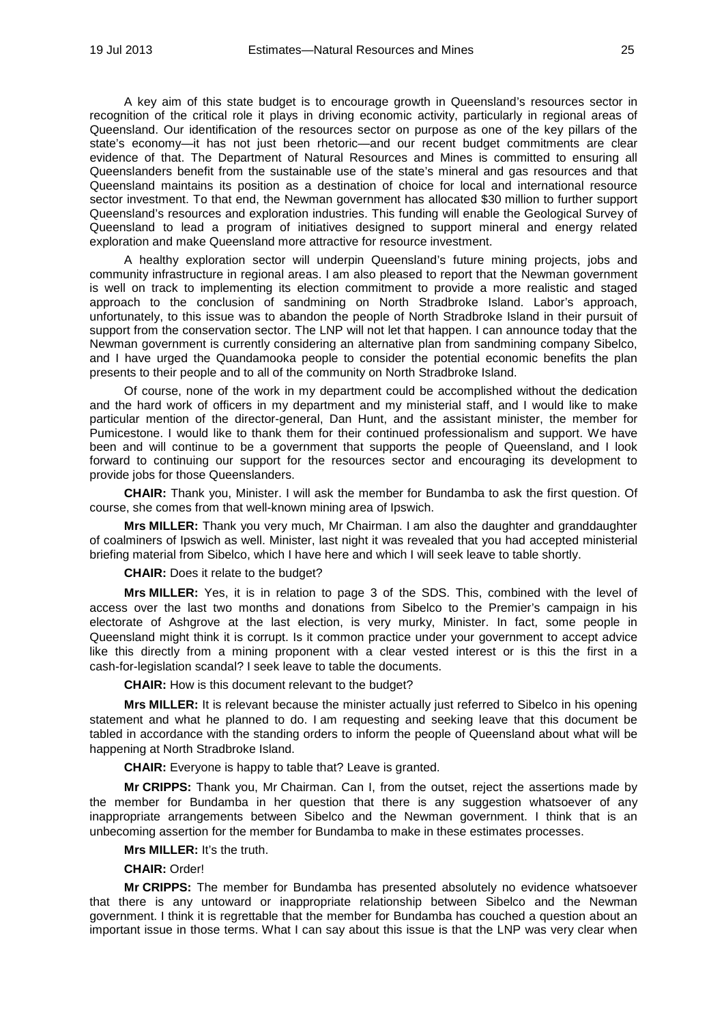A key aim of this state budget is to encourage growth in Queensland's resources sector in recognition of the critical role it plays in driving economic activity, particularly in regional areas of Queensland. Our identification of the resources sector on purpose as one of the key pillars of the state's economy—it has not just been rhetoric—and our recent budget commitments are clear evidence of that. The Department of Natural Resources and Mines is committed to ensuring all Queenslanders benefit from the sustainable use of the state's mineral and gas resources and that Queensland maintains its position as a destination of choice for local and international resource sector investment. To that end, the Newman government has allocated \$30 million to further support Queensland's resources and exploration industries. This funding will enable the Geological Survey of Queensland to lead a program of initiatives designed to support mineral and energy related exploration and make Queensland more attractive for resource investment.

A healthy exploration sector will underpin Queensland's future mining projects, jobs and community infrastructure in regional areas. I am also pleased to report that the Newman government is well on track to implementing its election commitment to provide a more realistic and staged approach to the conclusion of sandmining on North Stradbroke Island. Labor's approach, unfortunately, to this issue was to abandon the people of North Stradbroke Island in their pursuit of support from the conservation sector. The LNP will not let that happen. I can announce today that the Newman government is currently considering an alternative plan from sandmining company Sibelco, and I have urged the Quandamooka people to consider the potential economic benefits the plan presents to their people and to all of the community on North Stradbroke Island.

Of course, none of the work in my department could be accomplished without the dedication and the hard work of officers in my department and my ministerial staff, and I would like to make particular mention of the director-general, Dan Hunt, and the assistant minister, the member for Pumicestone. I would like to thank them for their continued professionalism and support. We have been and will continue to be a government that supports the people of Queensland, and I look forward to continuing our support for the resources sector and encouraging its development to provide jobs for those Queenslanders.

**CHAIR:** Thank you, Minister. I will ask the member for Bundamba to ask the first question. Of course, she comes from that well-known mining area of Ipswich.

**Mrs MILLER:** Thank you very much, Mr Chairman. I am also the daughter and granddaughter of coalminers of Ipswich as well. Minister, last night it was revealed that you had accepted ministerial briefing material from Sibelco, which I have here and which I will seek leave to table shortly.

**CHAIR:** Does it relate to the budget?

**Mrs MILLER:** Yes, it is in relation to page 3 of the SDS. This, combined with the level of access over the last two months and donations from Sibelco to the Premier's campaign in his electorate of Ashgrove at the last election, is very murky, Minister. In fact, some people in Queensland might think it is corrupt. Is it common practice under your government to accept advice like this directly from a mining proponent with a clear vested interest or is this the first in a cash-for-legislation scandal? I seek leave to table the documents.

**CHAIR:** How is this document relevant to the budget?

**Mrs MILLER:** It is relevant because the minister actually just referred to Sibelco in his opening statement and what he planned to do. I am requesting and seeking leave that this document be tabled in accordance with the standing orders to inform the people of Queensland about what will be happening at North Stradbroke Island.

**CHAIR:** Everyone is happy to table that? Leave is granted.

**Mr CRIPPS:** Thank you, Mr Chairman. Can I, from the outset, reject the assertions made by the member for Bundamba in her question that there is any suggestion whatsoever of any inappropriate arrangements between Sibelco and the Newman government. I think that is an unbecoming assertion for the member for Bundamba to make in these estimates processes.

**Mrs MILLER:** It's the truth.

**CHAIR:** Order!

**Mr CRIPPS:** The member for Bundamba has presented absolutely no evidence whatsoever that there is any untoward or inappropriate relationship between Sibelco and the Newman government. I think it is regrettable that the member for Bundamba has couched a question about an important issue in those terms. What I can say about this issue is that the LNP was very clear when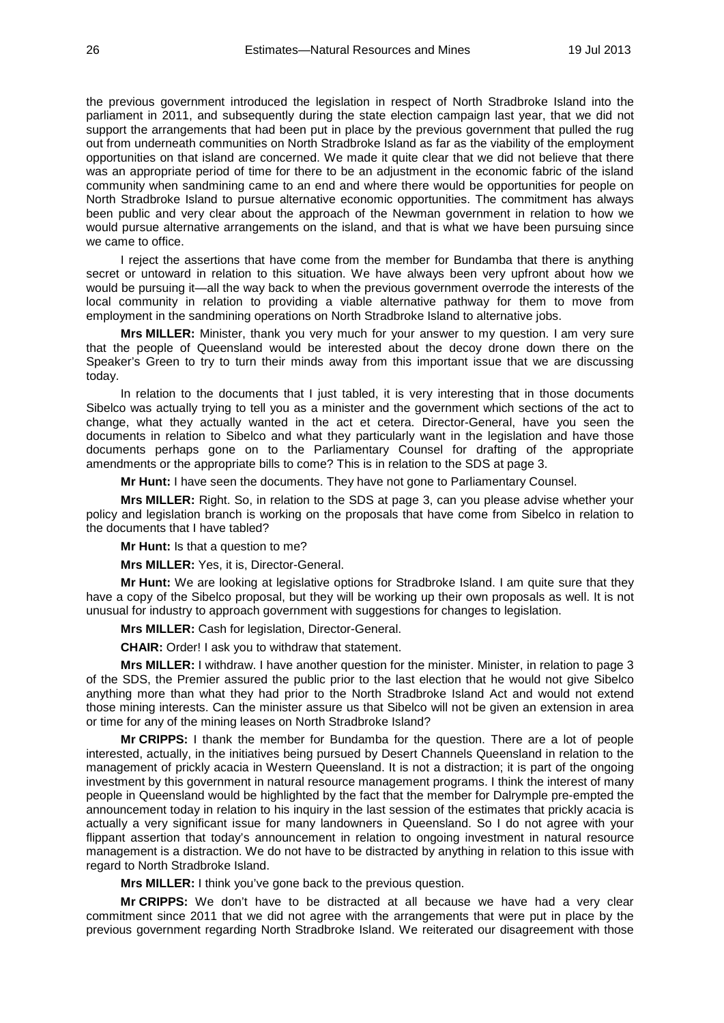the previous government introduced the legislation in respect of North Stradbroke Island into the parliament in 2011, and subsequently during the state election campaign last year, that we did not support the arrangements that had been put in place by the previous government that pulled the rug out from underneath communities on North Stradbroke Island as far as the viability of the employment opportunities on that island are concerned. We made it quite clear that we did not believe that there was an appropriate period of time for there to be an adjustment in the economic fabric of the island community when sandmining came to an end and where there would be opportunities for people on North Stradbroke Island to pursue alternative economic opportunities. The commitment has always been public and very clear about the approach of the Newman government in relation to how we would pursue alternative arrangements on the island, and that is what we have been pursuing since we came to office.

I reject the assertions that have come from the member for Bundamba that there is anything secret or untoward in relation to this situation. We have always been very upfront about how we would be pursuing it—all the way back to when the previous government overrode the interests of the local community in relation to providing a viable alternative pathway for them to move from employment in the sandmining operations on North Stradbroke Island to alternative jobs.

**Mrs MILLER:** Minister, thank you very much for your answer to my question. I am very sure that the people of Queensland would be interested about the decoy drone down there on the Speaker's Green to try to turn their minds away from this important issue that we are discussing today.

In relation to the documents that I just tabled, it is very interesting that in those documents Sibelco was actually trying to tell you as a minister and the government which sections of the act to change, what they actually wanted in the act et cetera. Director-General, have you seen the documents in relation to Sibelco and what they particularly want in the legislation and have those documents perhaps gone on to the Parliamentary Counsel for drafting of the appropriate amendments or the appropriate bills to come? This is in relation to the SDS at page 3.

**Mr Hunt:** I have seen the documents. They have not gone to Parliamentary Counsel.

**Mrs MILLER:** Right. So, in relation to the SDS at page 3, can you please advise whether your policy and legislation branch is working on the proposals that have come from Sibelco in relation to the documents that I have tabled?

**Mr Hunt:** Is that a question to me?

**Mrs MILLER:** Yes, it is, Director-General.

**Mr Hunt:** We are looking at legislative options for Stradbroke Island. I am quite sure that they have a copy of the Sibelco proposal, but they will be working up their own proposals as well. It is not unusual for industry to approach government with suggestions for changes to legislation.

**Mrs MILLER:** Cash for legislation, Director-General.

**CHAIR:** Order! I ask you to withdraw that statement.

**Mrs MILLER:** I withdraw. I have another question for the minister. Minister, in relation to page 3 of the SDS, the Premier assured the public prior to the last election that he would not give Sibelco anything more than what they had prior to the North Stradbroke Island Act and would not extend those mining interests. Can the minister assure us that Sibelco will not be given an extension in area or time for any of the mining leases on North Stradbroke Island?

**Mr CRIPPS:** I thank the member for Bundamba for the question. There are a lot of people interested, actually, in the initiatives being pursued by Desert Channels Queensland in relation to the management of prickly acacia in Western Queensland. It is not a distraction; it is part of the ongoing investment by this government in natural resource management programs. I think the interest of many people in Queensland would be highlighted by the fact that the member for Dalrymple pre-empted the announcement today in relation to his inquiry in the last session of the estimates that prickly acacia is actually a very significant issue for many landowners in Queensland. So I do not agree with your flippant assertion that today's announcement in relation to ongoing investment in natural resource management is a distraction. We do not have to be distracted by anything in relation to this issue with regard to North Stradbroke Island.

**Mrs MILLER:** I think you've gone back to the previous question.

**Mr CRIPPS:** We don't have to be distracted at all because we have had a very clear commitment since 2011 that we did not agree with the arrangements that were put in place by the previous government regarding North Stradbroke Island. We reiterated our disagreement with those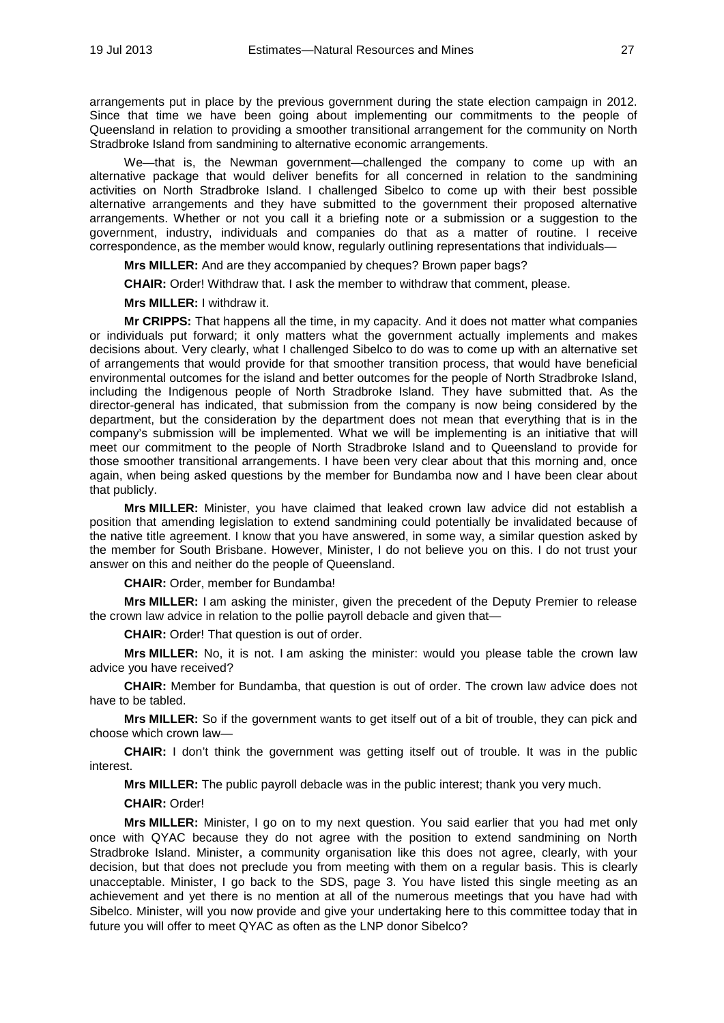arrangements put in place by the previous government during the state election campaign in 2012. Since that time we have been going about implementing our commitments to the people of Queensland in relation to providing a smoother transitional arrangement for the community on North Stradbroke Island from sandmining to alternative economic arrangements.

We—that is, the Newman government—challenged the company to come up with an alternative package that would deliver benefits for all concerned in relation to the sandmining activities on North Stradbroke Island. I challenged Sibelco to come up with their best possible alternative arrangements and they have submitted to the government their proposed alternative arrangements. Whether or not you call it a briefing note or a submission or a suggestion to the government, industry, individuals and companies do that as a matter of routine. I receive correspondence, as the member would know, regularly outlining representations that individuals—

**Mrs MILLER:** And are they accompanied by cheques? Brown paper bags?

**CHAIR:** Order! Withdraw that. I ask the member to withdraw that comment, please.

**Mrs MILLER:** I withdraw it.

**Mr CRIPPS:** That happens all the time, in my capacity. And it does not matter what companies or individuals put forward; it only matters what the government actually implements and makes decisions about. Very clearly, what I challenged Sibelco to do was to come up with an alternative set of arrangements that would provide for that smoother transition process, that would have beneficial environmental outcomes for the island and better outcomes for the people of North Stradbroke Island, including the Indigenous people of North Stradbroke Island. They have submitted that. As the director-general has indicated, that submission from the company is now being considered by the department, but the consideration by the department does not mean that everything that is in the company's submission will be implemented. What we will be implementing is an initiative that will meet our commitment to the people of North Stradbroke Island and to Queensland to provide for those smoother transitional arrangements. I have been very clear about that this morning and, once again, when being asked questions by the member for Bundamba now and I have been clear about that publicly.

**Mrs MILLER:** Minister, you have claimed that leaked crown law advice did not establish a position that amending legislation to extend sandmining could potentially be invalidated because of the native title agreement. I know that you have answered, in some way, a similar question asked by the member for South Brisbane. However, Minister, I do not believe you on this. I do not trust your answer on this and neither do the people of Queensland.

**CHAIR:** Order, member for Bundamba!

**Mrs MILLER:** I am asking the minister, given the precedent of the Deputy Premier to release the crown law advice in relation to the pollie payroll debacle and given that—

**CHAIR:** Order! That question is out of order.

**Mrs MILLER:** No, it is not. I am asking the minister: would you please table the crown law advice you have received?

**CHAIR:** Member for Bundamba, that question is out of order. The crown law advice does not have to be tabled.

**Mrs MILLER:** So if the government wants to get itself out of a bit of trouble, they can pick and choose which crown law—

**CHAIR:** I don't think the government was getting itself out of trouble. It was in the public interest.

**Mrs MILLER:** The public payroll debacle was in the public interest; thank you very much.

**CHAIR:** Order!

**Mrs MILLER:** Minister, I go on to my next question. You said earlier that you had met only once with QYAC because they do not agree with the position to extend sandmining on North Stradbroke Island. Minister, a community organisation like this does not agree, clearly, with your decision, but that does not preclude you from meeting with them on a regular basis. This is clearly unacceptable. Minister, I go back to the SDS, page 3. You have listed this single meeting as an achievement and yet there is no mention at all of the numerous meetings that you have had with Sibelco. Minister, will you now provide and give your undertaking here to this committee today that in future you will offer to meet QYAC as often as the LNP donor Sibelco?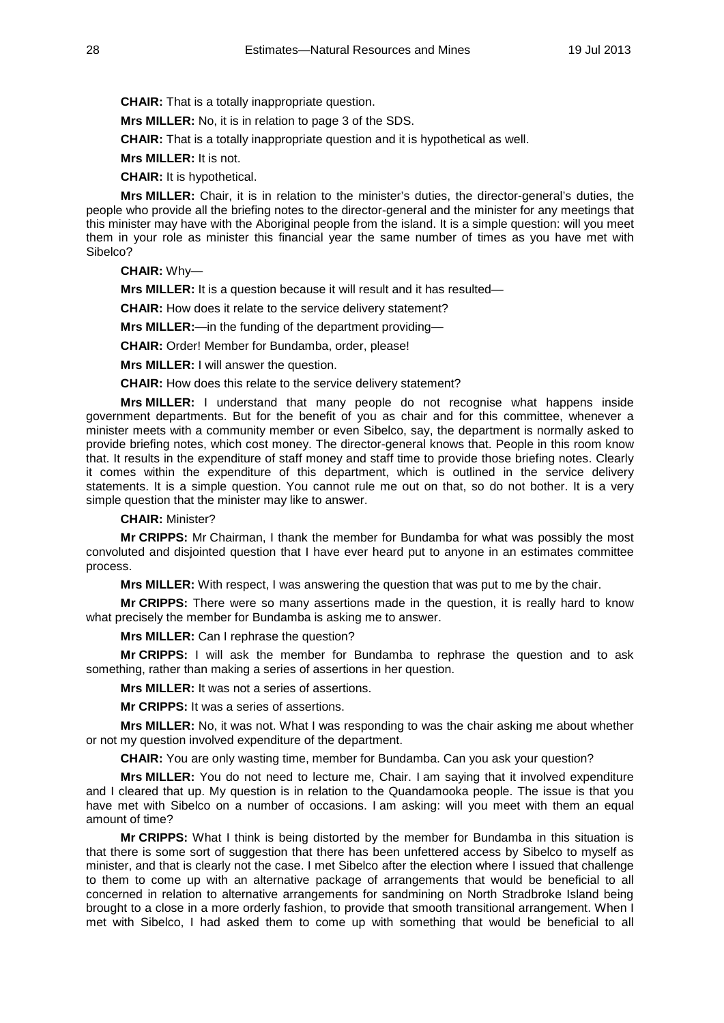**CHAIR:** That is a totally inappropriate question.

**Mrs MILLER:** No, it is in relation to page 3 of the SDS.

**CHAIR:** That is a totally inappropriate question and it is hypothetical as well.

**Mrs MILLER:** It is not.

**CHAIR:** It is hypothetical.

**Mrs MILLER:** Chair, it is in relation to the minister's duties, the director-general's duties, the people who provide all the briefing notes to the director-general and the minister for any meetings that this minister may have with the Aboriginal people from the island. It is a simple question: will you meet them in your role as minister this financial year the same number of times as you have met with Sibelco?

**CHAIR:** Why—

**Mrs MILLER:** It is a question because it will result and it has resulted—

**CHAIR:** How does it relate to the service delivery statement?

**Mrs MILLER:**—in the funding of the department providing—

**CHAIR:** Order! Member for Bundamba, order, please!

**Mrs MILLER:** I will answer the question.

**CHAIR:** How does this relate to the service delivery statement?

**Mrs MILLER:** I understand that many people do not recognise what happens inside government departments. But for the benefit of you as chair and for this committee, whenever a minister meets with a community member or even Sibelco, say, the department is normally asked to provide briefing notes, which cost money. The director-general knows that. People in this room know that. It results in the expenditure of staff money and staff time to provide those briefing notes. Clearly it comes within the expenditure of this department, which is outlined in the service delivery statements. It is a simple question. You cannot rule me out on that, so do not bother. It is a very simple question that the minister may like to answer.

**CHAIR:** Minister?

**Mr CRIPPS:** Mr Chairman, I thank the member for Bundamba for what was possibly the most convoluted and disjointed question that I have ever heard put to anyone in an estimates committee process.

**Mrs MILLER:** With respect, I was answering the question that was put to me by the chair.

**Mr CRIPPS:** There were so many assertions made in the question, it is really hard to know what precisely the member for Bundamba is asking me to answer.

**Mrs MILLER:** Can I rephrase the question?

**Mr CRIPPS:** I will ask the member for Bundamba to rephrase the question and to ask something, rather than making a series of assertions in her question.

**Mrs MILLER:** It was not a series of assertions.

**Mr CRIPPS:** It was a series of assertions.

**Mrs MILLER:** No, it was not. What I was responding to was the chair asking me about whether or not my question involved expenditure of the department.

**CHAIR:** You are only wasting time, member for Bundamba. Can you ask your question?

**Mrs MILLER:** You do not need to lecture me, Chair. I am saying that it involved expenditure and I cleared that up. My question is in relation to the Quandamooka people. The issue is that you have met with Sibelco on a number of occasions. I am asking: will you meet with them an equal amount of time?

**Mr CRIPPS:** What I think is being distorted by the member for Bundamba in this situation is that there is some sort of suggestion that there has been unfettered access by Sibelco to myself as minister, and that is clearly not the case. I met Sibelco after the election where I issued that challenge to them to come up with an alternative package of arrangements that would be beneficial to all concerned in relation to alternative arrangements for sandmining on North Stradbroke Island being brought to a close in a more orderly fashion, to provide that smooth transitional arrangement. When I met with Sibelco, I had asked them to come up with something that would be beneficial to all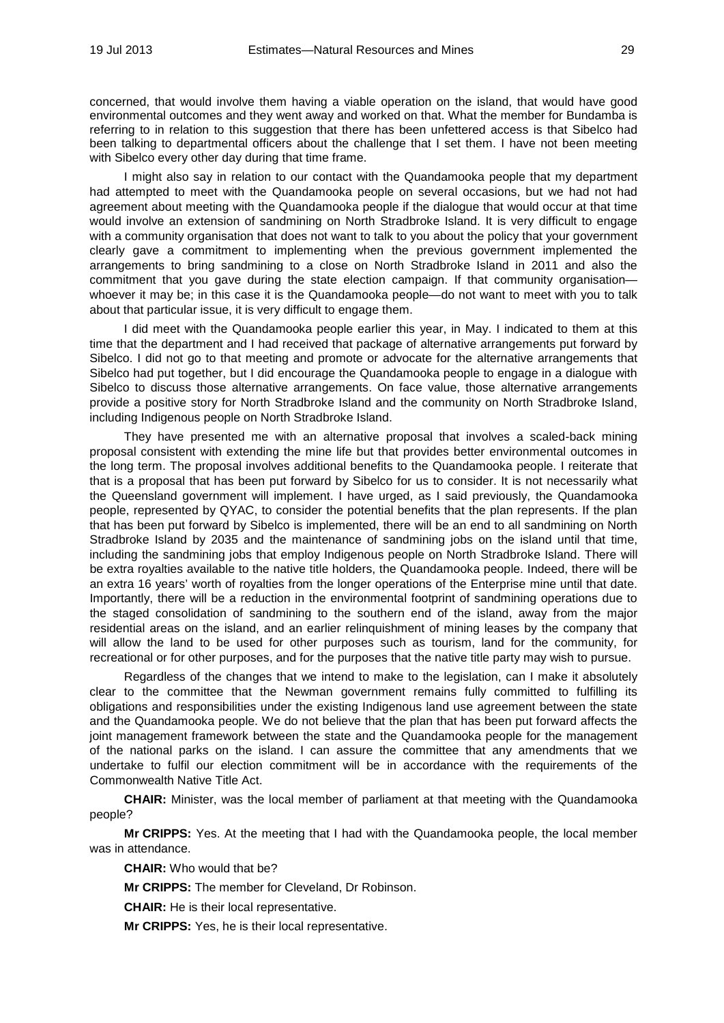concerned, that would involve them having a viable operation on the island, that would have good environmental outcomes and they went away and worked on that. What the member for Bundamba is referring to in relation to this suggestion that there has been unfettered access is that Sibelco had been talking to departmental officers about the challenge that I set them. I have not been meeting with Sibelco every other day during that time frame.

I might also say in relation to our contact with the Quandamooka people that my department had attempted to meet with the Quandamooka people on several occasions, but we had not had agreement about meeting with the Quandamooka people if the dialogue that would occur at that time would involve an extension of sandmining on North Stradbroke Island. It is very difficult to engage with a community organisation that does not want to talk to you about the policy that your government clearly gave a commitment to implementing when the previous government implemented the arrangements to bring sandmining to a close on North Stradbroke Island in 2011 and also the commitment that you gave during the state election campaign. If that community organisation whoever it may be; in this case it is the Quandamooka people—do not want to meet with you to talk about that particular issue, it is very difficult to engage them.

I did meet with the Quandamooka people earlier this year, in May. I indicated to them at this time that the department and I had received that package of alternative arrangements put forward by Sibelco. I did not go to that meeting and promote or advocate for the alternative arrangements that Sibelco had put together, but I did encourage the Quandamooka people to engage in a dialogue with Sibelco to discuss those alternative arrangements. On face value, those alternative arrangements provide a positive story for North Stradbroke Island and the community on North Stradbroke Island, including Indigenous people on North Stradbroke Island.

They have presented me with an alternative proposal that involves a scaled-back mining proposal consistent with extending the mine life but that provides better environmental outcomes in the long term. The proposal involves additional benefits to the Quandamooka people. I reiterate that that is a proposal that has been put forward by Sibelco for us to consider. It is not necessarily what the Queensland government will implement. I have urged, as I said previously, the Quandamooka people, represented by QYAC, to consider the potential benefits that the plan represents. If the plan that has been put forward by Sibelco is implemented, there will be an end to all sandmining on North Stradbroke Island by 2035 and the maintenance of sandmining jobs on the island until that time, including the sandmining jobs that employ Indigenous people on North Stradbroke Island. There will be extra royalties available to the native title holders, the Quandamooka people. Indeed, there will be an extra 16 years' worth of royalties from the longer operations of the Enterprise mine until that date. Importantly, there will be a reduction in the environmental footprint of sandmining operations due to the staged consolidation of sandmining to the southern end of the island, away from the major residential areas on the island, and an earlier relinquishment of mining leases by the company that will allow the land to be used for other purposes such as tourism, land for the community, for recreational or for other purposes, and for the purposes that the native title party may wish to pursue.

Regardless of the changes that we intend to make to the legislation, can I make it absolutely clear to the committee that the Newman government remains fully committed to fulfilling its obligations and responsibilities under the existing Indigenous land use agreement between the state and the Quandamooka people. We do not believe that the plan that has been put forward affects the joint management framework between the state and the Quandamooka people for the management of the national parks on the island. I can assure the committee that any amendments that we undertake to fulfil our election commitment will be in accordance with the requirements of the Commonwealth Native Title Act.

**CHAIR:** Minister, was the local member of parliament at that meeting with the Quandamooka people?

**Mr CRIPPS:** Yes. At the meeting that I had with the Quandamooka people, the local member was in attendance.

**CHAIR:** Who would that be?

**Mr CRIPPS:** The member for Cleveland, Dr Robinson.

**CHAIR:** He is their local representative.

**Mr CRIPPS:** Yes, he is their local representative.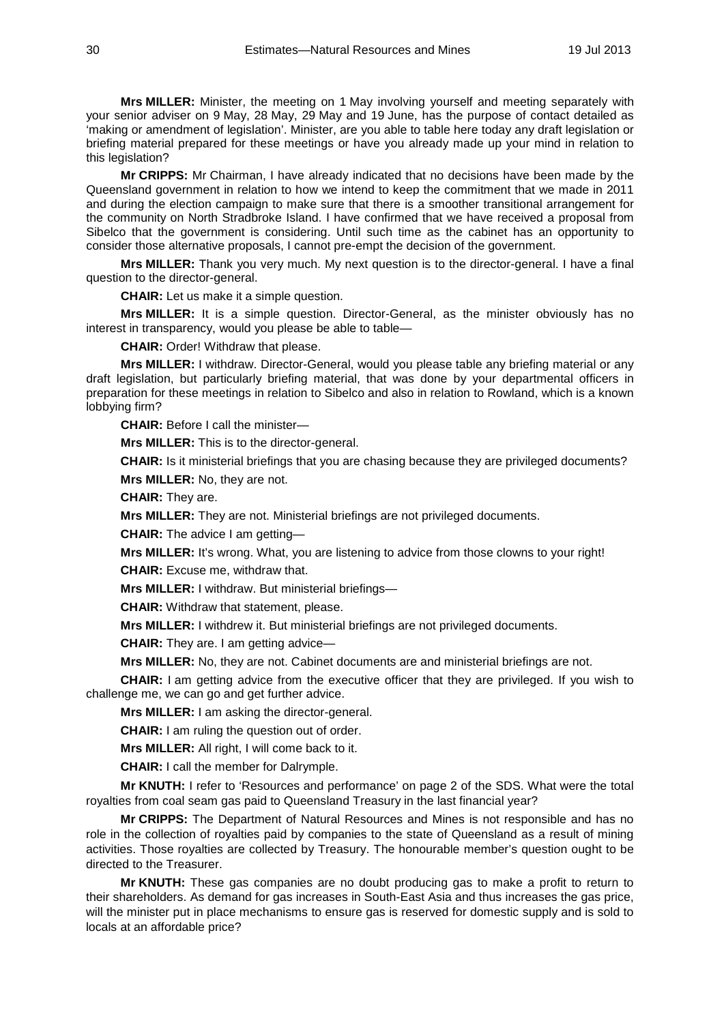**Mrs MILLER:** Minister, the meeting on 1 May involving yourself and meeting separately with your senior adviser on 9 May, 28 May, 29 May and 19 June, has the purpose of contact detailed as 'making or amendment of legislation'. Minister, are you able to table here today any draft legislation or briefing material prepared for these meetings or have you already made up your mind in relation to this legislation?

**Mr CRIPPS:** Mr Chairman, I have already indicated that no decisions have been made by the Queensland government in relation to how we intend to keep the commitment that we made in 2011 and during the election campaign to make sure that there is a smoother transitional arrangement for the community on North Stradbroke Island. I have confirmed that we have received a proposal from Sibelco that the government is considering. Until such time as the cabinet has an opportunity to consider those alternative proposals, I cannot pre-empt the decision of the government.

**Mrs MILLER:** Thank you very much. My next question is to the director-general. I have a final question to the director-general.

**CHAIR:** Let us make it a simple question.

**Mrs MILLER:** It is a simple question. Director-General, as the minister obviously has no interest in transparency, would you please be able to table—

**CHAIR:** Order! Withdraw that please.

**Mrs MILLER:** I withdraw. Director-General, would you please table any briefing material or any draft legislation, but particularly briefing material, that was done by your departmental officers in preparation for these meetings in relation to Sibelco and also in relation to Rowland, which is a known lobbying firm?

**CHAIR:** Before I call the minister—

**Mrs MILLER:** This is to the director-general.

**CHAIR:** Is it ministerial briefings that you are chasing because they are privileged documents? **Mrs MILLER:** No, they are not.

**CHAIR:** They are.

**Mrs MILLER:** They are not. Ministerial briefings are not privileged documents.

**CHAIR:** The advice I am getting—

**Mrs MILLER:** It's wrong. What, you are listening to advice from those clowns to your right! **CHAIR:** Excuse me, withdraw that.

**Mrs MILLER:** I withdraw. But ministerial briefings—

**CHAIR:** Withdraw that statement, please.

**Mrs MILLER:** I withdrew it. But ministerial briefings are not privileged documents.

**CHAIR:** They are. I am getting advice—

**Mrs MILLER:** No, they are not. Cabinet documents are and ministerial briefings are not.

**CHAIR:** I am getting advice from the executive officer that they are privileged. If you wish to challenge me, we can go and get further advice.

**Mrs MILLER:** I am asking the director-general.

**CHAIR:** I am ruling the question out of order.

**Mrs MILLER:** All right, I will come back to it.

**CHAIR:** I call the member for Dalrymple.

**Mr KNUTH:** I refer to 'Resources and performance' on page 2 of the SDS. What were the total royalties from coal seam gas paid to Queensland Treasury in the last financial year?

**Mr CRIPPS:** The Department of Natural Resources and Mines is not responsible and has no role in the collection of royalties paid by companies to the state of Queensland as a result of mining activities. Those royalties are collected by Treasury. The honourable member's question ought to be directed to the Treasurer.

**Mr KNUTH:** These gas companies are no doubt producing gas to make a profit to return to their shareholders. As demand for gas increases in South-East Asia and thus increases the gas price, will the minister put in place mechanisms to ensure gas is reserved for domestic supply and is sold to locals at an affordable price?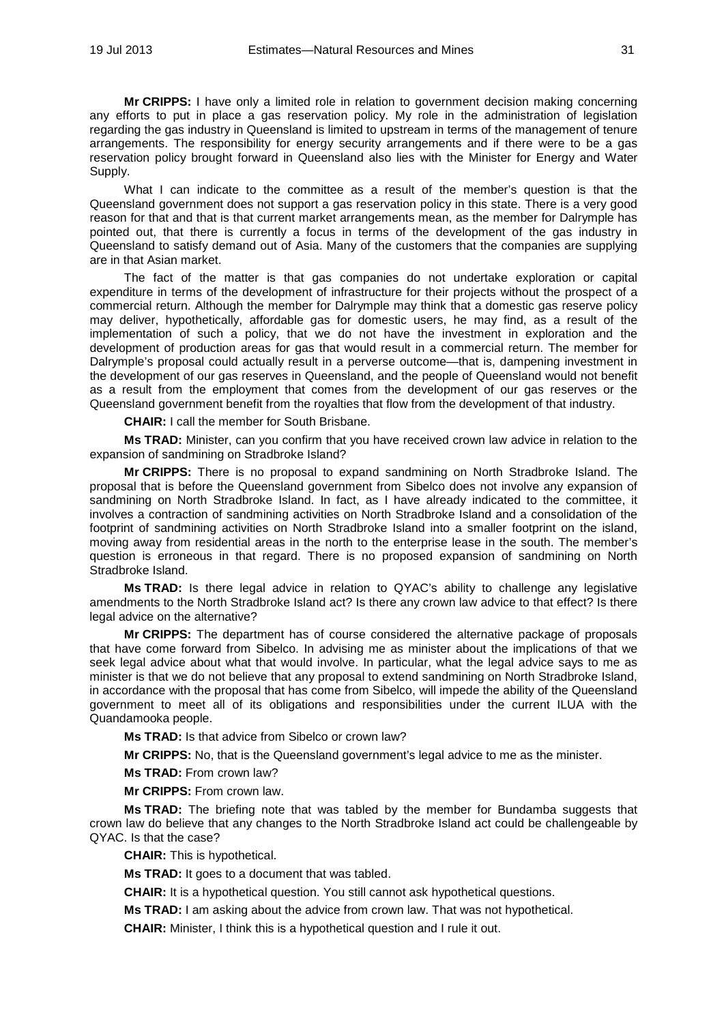**Mr CRIPPS:** I have only a limited role in relation to government decision making concerning any efforts to put in place a gas reservation policy. My role in the administration of legislation regarding the gas industry in Queensland is limited to upstream in terms of the management of tenure arrangements. The responsibility for energy security arrangements and if there were to be a gas reservation policy brought forward in Queensland also lies with the Minister for Energy and Water Supply.

What I can indicate to the committee as a result of the member's question is that the Queensland government does not support a gas reservation policy in this state. There is a very good reason for that and that is that current market arrangements mean, as the member for Dalrymple has pointed out, that there is currently a focus in terms of the development of the gas industry in Queensland to satisfy demand out of Asia. Many of the customers that the companies are supplying are in that Asian market.

The fact of the matter is that gas companies do not undertake exploration or capital expenditure in terms of the development of infrastructure for their projects without the prospect of a commercial return. Although the member for Dalrymple may think that a domestic gas reserve policy may deliver, hypothetically, affordable gas for domestic users, he may find, as a result of the implementation of such a policy, that we do not have the investment in exploration and the development of production areas for gas that would result in a commercial return. The member for Dalrymple's proposal could actually result in a perverse outcome—that is, dampening investment in the development of our gas reserves in Queensland, and the people of Queensland would not benefit as a result from the employment that comes from the development of our gas reserves or the Queensland government benefit from the royalties that flow from the development of that industry.

**CHAIR:** I call the member for South Brisbane.

**Ms TRAD:** Minister, can you confirm that you have received crown law advice in relation to the expansion of sandmining on Stradbroke Island?

**Mr CRIPPS:** There is no proposal to expand sandmining on North Stradbroke Island. The proposal that is before the Queensland government from Sibelco does not involve any expansion of sandmining on North Stradbroke Island. In fact, as I have already indicated to the committee, it involves a contraction of sandmining activities on North Stradbroke Island and a consolidation of the footprint of sandmining activities on North Stradbroke Island into a smaller footprint on the island, moving away from residential areas in the north to the enterprise lease in the south. The member's question is erroneous in that regard. There is no proposed expansion of sandmining on North Stradbroke Island.

**Ms TRAD:** Is there legal advice in relation to QYAC's ability to challenge any legislative amendments to the North Stradbroke Island act? Is there any crown law advice to that effect? Is there legal advice on the alternative?

**Mr CRIPPS:** The department has of course considered the alternative package of proposals that have come forward from Sibelco. In advising me as minister about the implications of that we seek legal advice about what that would involve. In particular, what the legal advice says to me as minister is that we do not believe that any proposal to extend sandmining on North Stradbroke Island, in accordance with the proposal that has come from Sibelco, will impede the ability of the Queensland government to meet all of its obligations and responsibilities under the current ILUA with the Quandamooka people.

**Ms TRAD:** Is that advice from Sibelco or crown law?

**Mr CRIPPS:** No, that is the Queensland government's legal advice to me as the minister.

**Ms TRAD:** From crown law?

**Mr CRIPPS:** From crown law.

**Ms TRAD:** The briefing note that was tabled by the member for Bundamba suggests that crown law do believe that any changes to the North Stradbroke Island act could be challengeable by QYAC. Is that the case?

**CHAIR:** This is hypothetical.

**Ms TRAD:** It goes to a document that was tabled.

**CHAIR:** It is a hypothetical question. You still cannot ask hypothetical questions.

**Ms TRAD:** I am asking about the advice from crown law. That was not hypothetical.

**CHAIR:** Minister, I think this is a hypothetical question and I rule it out.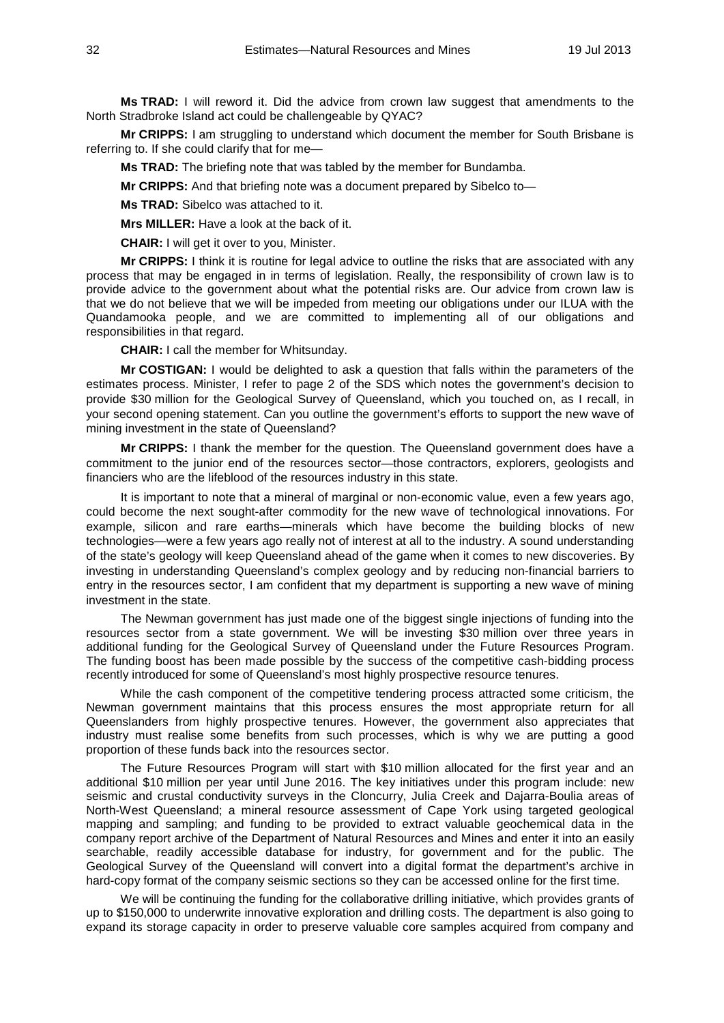**Ms TRAD:** I will reword it. Did the advice from crown law suggest that amendments to the North Stradbroke Island act could be challengeable by QYAC?

**Mr CRIPPS:** I am struggling to understand which document the member for South Brisbane is referring to. If she could clarify that for me—

**Ms TRAD:** The briefing note that was tabled by the member for Bundamba.

**Mr CRIPPS:** And that briefing note was a document prepared by Sibelco to—

**Ms TRAD:** Sibelco was attached to it.

**Mrs MILLER:** Have a look at the back of it.

**CHAIR:** I will get it over to you, Minister.

**Mr CRIPPS:** I think it is routine for legal advice to outline the risks that are associated with any process that may be engaged in in terms of legislation. Really, the responsibility of crown law is to provide advice to the government about what the potential risks are. Our advice from crown law is that we do not believe that we will be impeded from meeting our obligations under our ILUA with the Quandamooka people, and we are committed to implementing all of our obligations and responsibilities in that regard.

**CHAIR:** I call the member for Whitsunday.

**Mr COSTIGAN:** I would be delighted to ask a question that falls within the parameters of the estimates process. Minister, I refer to page 2 of the SDS which notes the government's decision to provide \$30 million for the Geological Survey of Queensland, which you touched on, as I recall, in your second opening statement. Can you outline the government's efforts to support the new wave of mining investment in the state of Queensland?

**Mr CRIPPS:** I thank the member for the question. The Queensland government does have a commitment to the junior end of the resources sector—those contractors, explorers, geologists and financiers who are the lifeblood of the resources industry in this state.

It is important to note that a mineral of marginal or non-economic value, even a few years ago, could become the next sought-after commodity for the new wave of technological innovations. For example, silicon and rare earths—minerals which have become the building blocks of new technologies—were a few years ago really not of interest at all to the industry. A sound understanding of the state's geology will keep Queensland ahead of the game when it comes to new discoveries. By investing in understanding Queensland's complex geology and by reducing non-financial barriers to entry in the resources sector, I am confident that my department is supporting a new wave of mining investment in the state.

The Newman government has just made one of the biggest single injections of funding into the resources sector from a state government. We will be investing \$30 million over three years in additional funding for the Geological Survey of Queensland under the Future Resources Program. The funding boost has been made possible by the success of the competitive cash-bidding process recently introduced for some of Queensland's most highly prospective resource tenures.

While the cash component of the competitive tendering process attracted some criticism, the Newman government maintains that this process ensures the most appropriate return for all Queenslanders from highly prospective tenures. However, the government also appreciates that industry must realise some benefits from such processes, which is why we are putting a good proportion of these funds back into the resources sector.

The Future Resources Program will start with \$10 million allocated for the first year and an additional \$10 million per year until June 2016. The key initiatives under this program include: new seismic and crustal conductivity surveys in the Cloncurry, Julia Creek and Dajarra-Boulia areas of North-West Queensland; a mineral resource assessment of Cape York using targeted geological mapping and sampling; and funding to be provided to extract valuable geochemical data in the company report archive of the Department of Natural Resources and Mines and enter it into an easily searchable, readily accessible database for industry, for government and for the public. The Geological Survey of the Queensland will convert into a digital format the department's archive in hard-copy format of the company seismic sections so they can be accessed online for the first time.

We will be continuing the funding for the collaborative drilling initiative, which provides grants of up to \$150,000 to underwrite innovative exploration and drilling costs. The department is also going to expand its storage capacity in order to preserve valuable core samples acquired from company and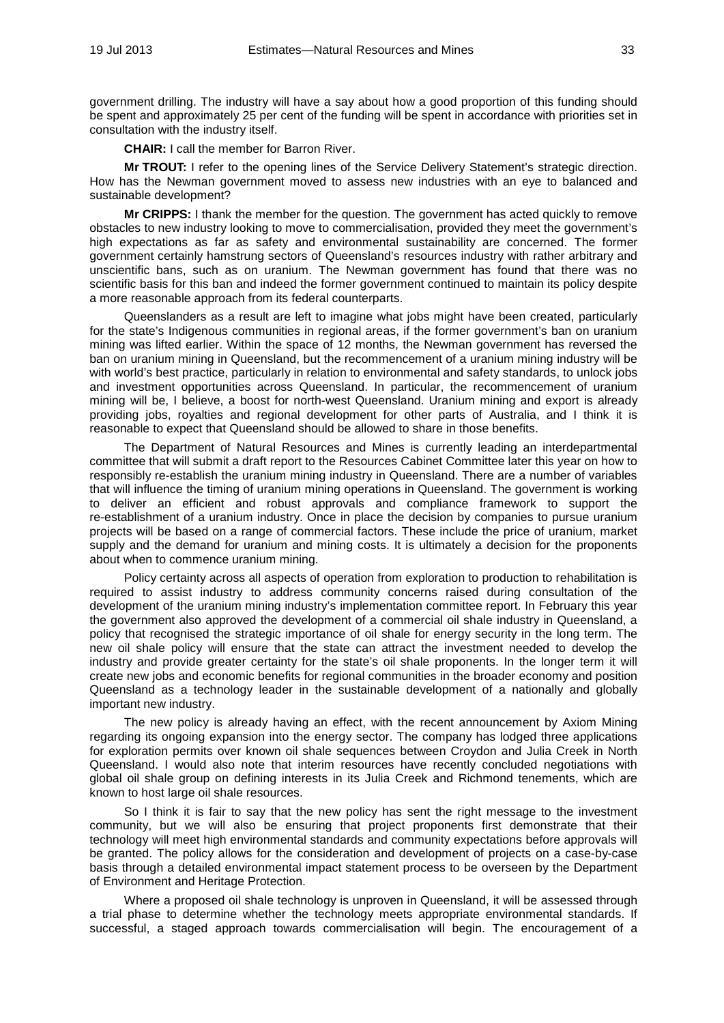government drilling. The industry will have a say about how a good proportion of this funding should be spent and approximately 25 per cent of the funding will be spent in accordance with priorities set in consultation with the industry itself.

**CHAIR:** I call the member for Barron River.

**Mr TROUT:** I refer to the opening lines of the Service Delivery Statement's strategic direction. How has the Newman government moved to assess new industries with an eye to balanced and sustainable development?

**Mr CRIPPS:** I thank the member for the question. The government has acted quickly to remove obstacles to new industry looking to move to commercialisation, provided they meet the government's high expectations as far as safety and environmental sustainability are concerned. The former government certainly hamstrung sectors of Queensland's resources industry with rather arbitrary and unscientific bans, such as on uranium. The Newman government has found that there was no scientific basis for this ban and indeed the former government continued to maintain its policy despite a more reasonable approach from its federal counterparts.

Queenslanders as a result are left to imagine what jobs might have been created, particularly for the state's Indigenous communities in regional areas, if the former government's ban on uranium mining was lifted earlier. Within the space of 12 months, the Newman government has reversed the ban on uranium mining in Queensland, but the recommencement of a uranium mining industry will be with world's best practice, particularly in relation to environmental and safety standards, to unlock jobs and investment opportunities across Queensland. In particular, the recommencement of uranium mining will be, I believe, a boost for north-west Queensland. Uranium mining and export is already providing jobs, royalties and regional development for other parts of Australia, and I think it is reasonable to expect that Queensland should be allowed to share in those benefits.

The Department of Natural Resources and Mines is currently leading an interdepartmental committee that will submit a draft report to the Resources Cabinet Committee later this year on how to responsibly re-establish the uranium mining industry in Queensland. There are a number of variables that will influence the timing of uranium mining operations in Queensland. The government is working to deliver an efficient and robust approvals and compliance framework to support the re-establishment of a uranium industry. Once in place the decision by companies to pursue uranium projects will be based on a range of commercial factors. These include the price of uranium, market supply and the demand for uranium and mining costs. It is ultimately a decision for the proponents about when to commence uranium mining.

Policy certainty across all aspects of operation from exploration to production to rehabilitation is required to assist industry to address community concerns raised during consultation of the development of the uranium mining industry's implementation committee report. In February this year the government also approved the development of a commercial oil shale industry in Queensland, a policy that recognised the strategic importance of oil shale for energy security in the long term. The new oil shale policy will ensure that the state can attract the investment needed to develop the industry and provide greater certainty for the state's oil shale proponents. In the longer term it will create new jobs and economic benefits for regional communities in the broader economy and position Queensland as a technology leader in the sustainable development of a nationally and globally important new industry.

The new policy is already having an effect, with the recent announcement by Axiom Mining regarding its ongoing expansion into the energy sector. The company has lodged three applications for exploration permits over known oil shale sequences between Croydon and Julia Creek in North Queensland. I would also note that interim resources have recently concluded negotiations with global oil shale group on defining interests in its Julia Creek and Richmond tenements, which are known to host large oil shale resources.

So I think it is fair to say that the new policy has sent the right message to the investment community, but we will also be ensuring that project proponents first demonstrate that their technology will meet high environmental standards and community expectations before approvals will be granted. The policy allows for the consideration and development of projects on a case-by-case basis through a detailed environmental impact statement process to be overseen by the Department of Environment and Heritage Protection.

Where a proposed oil shale technology is unproven in Queensland, it will be assessed through a trial phase to determine whether the technology meets appropriate environmental standards. If successful, a staged approach towards commercialisation will begin. The encouragement of a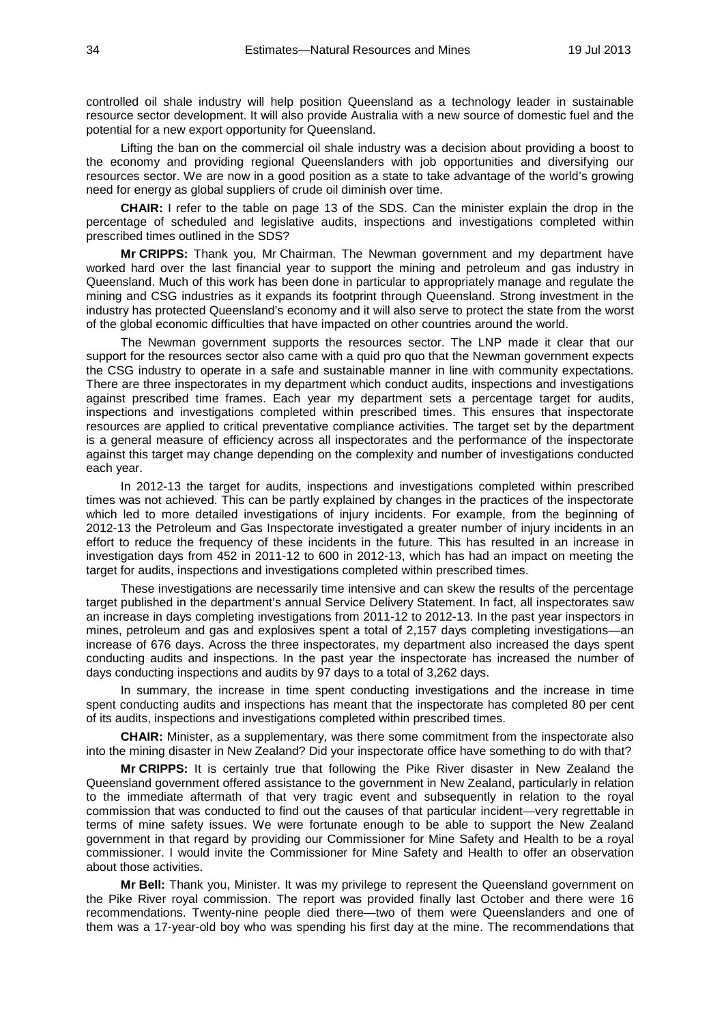controlled oil shale industry will help position Queensland as a technology leader in sustainable resource sector development. It will also provide Australia with a new source of domestic fuel and the potential for a new export opportunity for Queensland.

Lifting the ban on the commercial oil shale industry was a decision about providing a boost to the economy and providing regional Queenslanders with job opportunities and diversifying our resources sector. We are now in a good position as a state to take advantage of the world's growing need for energy as global suppliers of crude oil diminish over time.

**CHAIR:** I refer to the table on page 13 of the SDS. Can the minister explain the drop in the percentage of scheduled and legislative audits, inspections and investigations completed within prescribed times outlined in the SDS?

**Mr CRIPPS:** Thank you, Mr Chairman. The Newman government and my department have worked hard over the last financial year to support the mining and petroleum and gas industry in Queensland. Much of this work has been done in particular to appropriately manage and regulate the mining and CSG industries as it expands its footprint through Queensland. Strong investment in the industry has protected Queensland's economy and it will also serve to protect the state from the worst of the global economic difficulties that have impacted on other countries around the world.

The Newman government supports the resources sector. The LNP made it clear that our support for the resources sector also came with a quid pro quo that the Newman government expects the CSG industry to operate in a safe and sustainable manner in line with community expectations. There are three inspectorates in my department which conduct audits, inspections and investigations against prescribed time frames. Each year my department sets a percentage target for audits, inspections and investigations completed within prescribed times. This ensures that inspectorate resources are applied to critical preventative compliance activities. The target set by the department is a general measure of efficiency across all inspectorates and the performance of the inspectorate against this target may change depending on the complexity and number of investigations conducted each year.

In 2012-13 the target for audits, inspections and investigations completed within prescribed times was not achieved. This can be partly explained by changes in the practices of the inspectorate which led to more detailed investigations of injury incidents. For example, from the beginning of 2012-13 the Petroleum and Gas Inspectorate investigated a greater number of injury incidents in an effort to reduce the frequency of these incidents in the future. This has resulted in an increase in investigation days from 452 in 2011-12 to 600 in 2012-13, which has had an impact on meeting the target for audits, inspections and investigations completed within prescribed times.

These investigations are necessarily time intensive and can skew the results of the percentage target published in the department's annual Service Delivery Statement. In fact, all inspectorates saw an increase in days completing investigations from 2011-12 to 2012-13. In the past year inspectors in mines, petroleum and gas and explosives spent a total of 2,157 days completing investigations—an increase of 676 days. Across the three inspectorates, my department also increased the days spent conducting audits and inspections. In the past year the inspectorate has increased the number of days conducting inspections and audits by 97 days to a total of 3,262 days.

In summary, the increase in time spent conducting investigations and the increase in time spent conducting audits and inspections has meant that the inspectorate has completed 80 per cent of its audits, inspections and investigations completed within prescribed times.

**CHAIR:** Minister, as a supplementary, was there some commitment from the inspectorate also into the mining disaster in New Zealand? Did your inspectorate office have something to do with that?

**Mr CRIPPS:** It is certainly true that following the Pike River disaster in New Zealand the Queensland government offered assistance to the government in New Zealand, particularly in relation to the immediate aftermath of that very tragic event and subsequently in relation to the royal commission that was conducted to find out the causes of that particular incident—very regrettable in terms of mine safety issues. We were fortunate enough to be able to support the New Zealand government in that regard by providing our Commissioner for Mine Safety and Health to be a royal commissioner. I would invite the Commissioner for Mine Safety and Health to offer an observation about those activities.

**Mr Bell:** Thank you, Minister. It was my privilege to represent the Queensland government on the Pike River royal commission. The report was provided finally last October and there were 16 recommendations. Twenty-nine people died there—two of them were Queenslanders and one of them was a 17-year-old boy who was spending his first day at the mine. The recommendations that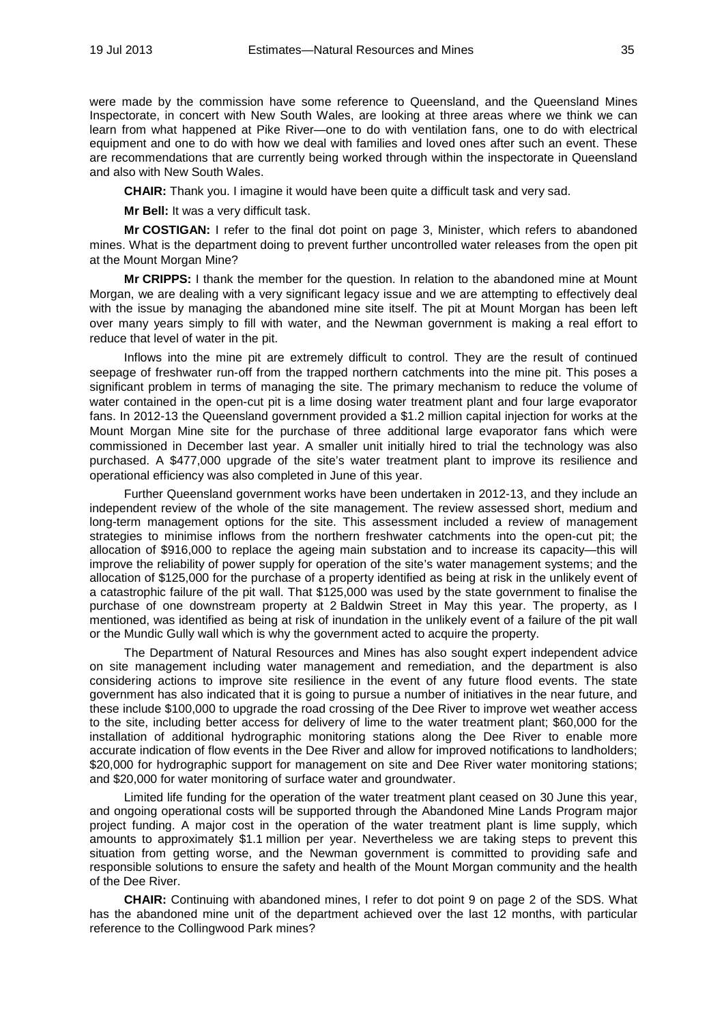were made by the commission have some reference to Queensland, and the Queensland Mines Inspectorate, in concert with New South Wales, are looking at three areas where we think we can learn from what happened at Pike River—one to do with ventilation fans, one to do with electrical equipment and one to do with how we deal with families and loved ones after such an event. These are recommendations that are currently being worked through within the inspectorate in Queensland and also with New South Wales.

**CHAIR:** Thank you. I imagine it would have been quite a difficult task and very sad.

**Mr Bell:** It was a very difficult task.

**Mr COSTIGAN:** I refer to the final dot point on page 3, Minister, which refers to abandoned mines. What is the department doing to prevent further uncontrolled water releases from the open pit at the Mount Morgan Mine?

**Mr CRIPPS:** I thank the member for the question. In relation to the abandoned mine at Mount Morgan, we are dealing with a very significant legacy issue and we are attempting to effectively deal with the issue by managing the abandoned mine site itself. The pit at Mount Morgan has been left over many years simply to fill with water, and the Newman government is making a real effort to reduce that level of water in the pit.

Inflows into the mine pit are extremely difficult to control. They are the result of continued seepage of freshwater run-off from the trapped northern catchments into the mine pit. This poses a significant problem in terms of managing the site. The primary mechanism to reduce the volume of water contained in the open-cut pit is a lime dosing water treatment plant and four large evaporator fans. In 2012-13 the Queensland government provided a \$1.2 million capital injection for works at the Mount Morgan Mine site for the purchase of three additional large evaporator fans which were commissioned in December last year. A smaller unit initially hired to trial the technology was also purchased. A \$477,000 upgrade of the site's water treatment plant to improve its resilience and operational efficiency was also completed in June of this year.

Further Queensland government works have been undertaken in 2012-13, and they include an independent review of the whole of the site management. The review assessed short, medium and long-term management options for the site. This assessment included a review of management strategies to minimise inflows from the northern freshwater catchments into the open-cut pit; the allocation of \$916,000 to replace the ageing main substation and to increase its capacity—this will improve the reliability of power supply for operation of the site's water management systems; and the allocation of \$125,000 for the purchase of a property identified as being at risk in the unlikely event of a catastrophic failure of the pit wall. That \$125,000 was used by the state government to finalise the purchase of one downstream property at 2 Baldwin Street in May this year. The property, as I mentioned, was identified as being at risk of inundation in the unlikely event of a failure of the pit wall or the Mundic Gully wall which is why the government acted to acquire the property.

The Department of Natural Resources and Mines has also sought expert independent advice on site management including water management and remediation, and the department is also considering actions to improve site resilience in the event of any future flood events. The state government has also indicated that it is going to pursue a number of initiatives in the near future, and these include \$100,000 to upgrade the road crossing of the Dee River to improve wet weather access to the site, including better access for delivery of lime to the water treatment plant; \$60,000 for the installation of additional hydrographic monitoring stations along the Dee River to enable more accurate indication of flow events in the Dee River and allow for improved notifications to landholders; \$20,000 for hydrographic support for management on site and Dee River water monitoring stations; and \$20,000 for water monitoring of surface water and groundwater.

Limited life funding for the operation of the water treatment plant ceased on 30 June this year, and ongoing operational costs will be supported through the Abandoned Mine Lands Program major project funding. A major cost in the operation of the water treatment plant is lime supply, which amounts to approximately \$1.1 million per year. Nevertheless we are taking steps to prevent this situation from getting worse, and the Newman government is committed to providing safe and responsible solutions to ensure the safety and health of the Mount Morgan community and the health of the Dee River.

**CHAIR:** Continuing with abandoned mines, I refer to dot point 9 on page 2 of the SDS. What has the abandoned mine unit of the department achieved over the last 12 months, with particular reference to the Collingwood Park mines?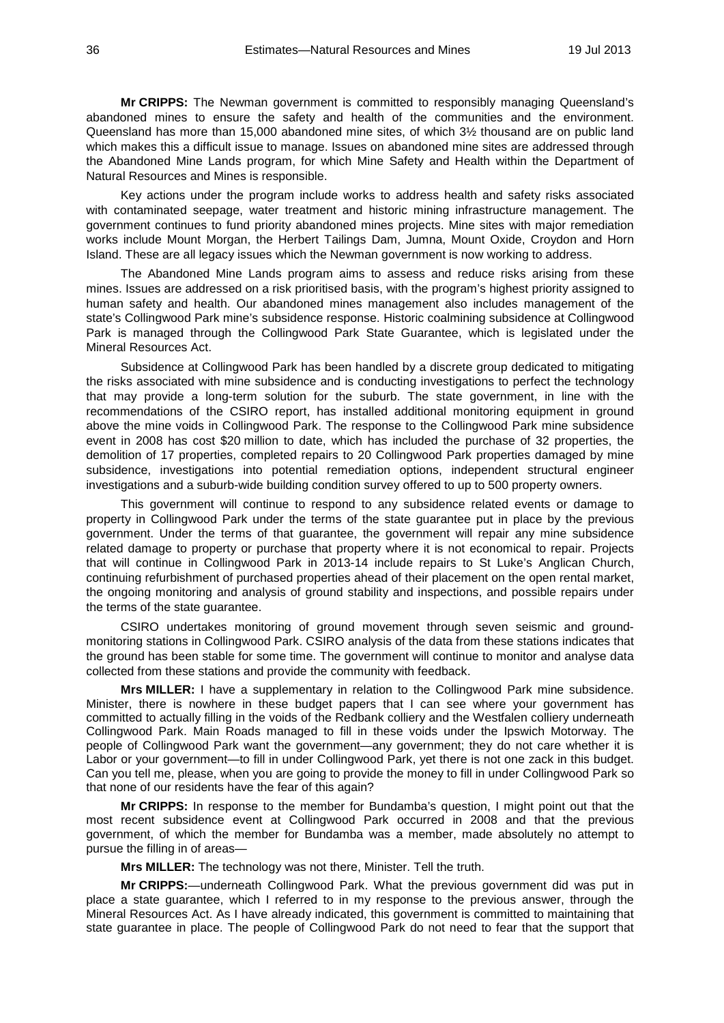**Mr CRIPPS:** The Newman government is committed to responsibly managing Queensland's abandoned mines to ensure the safety and health of the communities and the environment. Queensland has more than 15,000 abandoned mine sites, of which 3½ thousand are on public land which makes this a difficult issue to manage. Issues on abandoned mine sites are addressed through the Abandoned Mine Lands program, for which Mine Safety and Health within the Department of Natural Resources and Mines is responsible.

Key actions under the program include works to address health and safety risks associated with contaminated seepage, water treatment and historic mining infrastructure management. The government continues to fund priority abandoned mines projects. Mine sites with major remediation works include Mount Morgan, the Herbert Tailings Dam, Jumna, Mount Oxide, Croydon and Horn Island. These are all legacy issues which the Newman government is now working to address.

The Abandoned Mine Lands program aims to assess and reduce risks arising from these mines. Issues are addressed on a risk prioritised basis, with the program's highest priority assigned to human safety and health. Our abandoned mines management also includes management of the state's Collingwood Park mine's subsidence response. Historic coalmining subsidence at Collingwood Park is managed through the Collingwood Park State Guarantee, which is legislated under the Mineral Resources Act.

Subsidence at Collingwood Park has been handled by a discrete group dedicated to mitigating the risks associated with mine subsidence and is conducting investigations to perfect the technology that may provide a long-term solution for the suburb. The state government, in line with the recommendations of the CSIRO report, has installed additional monitoring equipment in ground above the mine voids in Collingwood Park. The response to the Collingwood Park mine subsidence event in 2008 has cost \$20 million to date, which has included the purchase of 32 properties, the demolition of 17 properties, completed repairs to 20 Collingwood Park properties damaged by mine subsidence, investigations into potential remediation options, independent structural engineer investigations and a suburb-wide building condition survey offered to up to 500 property owners.

This government will continue to respond to any subsidence related events or damage to property in Collingwood Park under the terms of the state guarantee put in place by the previous government. Under the terms of that guarantee, the government will repair any mine subsidence related damage to property or purchase that property where it is not economical to repair. Projects that will continue in Collingwood Park in 2013-14 include repairs to St Luke's Anglican Church, continuing refurbishment of purchased properties ahead of their placement on the open rental market, the ongoing monitoring and analysis of ground stability and inspections, and possible repairs under the terms of the state guarantee.

CSIRO undertakes monitoring of ground movement through seven seismic and groundmonitoring stations in Collingwood Park. CSIRO analysis of the data from these stations indicates that the ground has been stable for some time. The government will continue to monitor and analyse data collected from these stations and provide the community with feedback.

**Mrs MILLER:** I have a supplementary in relation to the Collingwood Park mine subsidence. Minister, there is nowhere in these budget papers that I can see where your government has committed to actually filling in the voids of the Redbank colliery and the Westfalen colliery underneath Collingwood Park. Main Roads managed to fill in these voids under the Ipswich Motorway. The people of Collingwood Park want the government—any government; they do not care whether it is Labor or your government—to fill in under Collingwood Park, yet there is not one zack in this budget. Can you tell me, please, when you are going to provide the money to fill in under Collingwood Park so that none of our residents have the fear of this again?

**Mr CRIPPS:** In response to the member for Bundamba's question, I might point out that the most recent subsidence event at Collingwood Park occurred in 2008 and that the previous government, of which the member for Bundamba was a member, made absolutely no attempt to pursue the filling in of areas—

**Mrs MILLER:** The technology was not there, Minister. Tell the truth.

**Mr CRIPPS:**—underneath Collingwood Park. What the previous government did was put in place a state guarantee, which I referred to in my response to the previous answer, through the Mineral Resources Act. As I have already indicated, this government is committed to maintaining that state guarantee in place. The people of Collingwood Park do not need to fear that the support that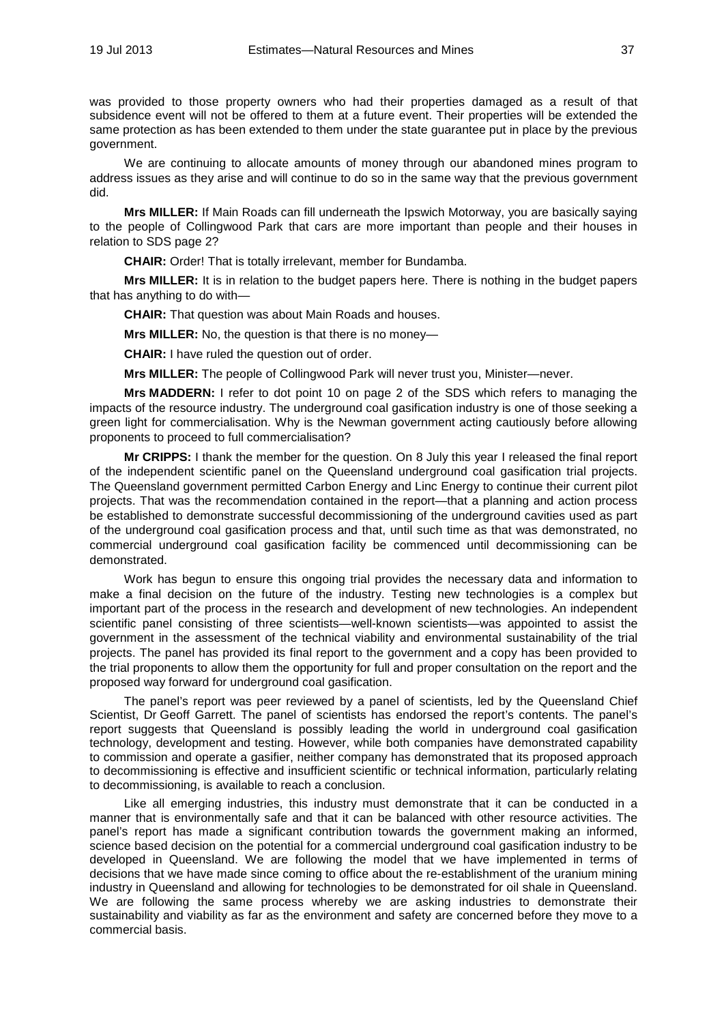was provided to those property owners who had their properties damaged as a result of that subsidence event will not be offered to them at a future event. Their properties will be extended the same protection as has been extended to them under the state guarantee put in place by the previous government.

We are continuing to allocate amounts of money through our abandoned mines program to address issues as they arise and will continue to do so in the same way that the previous government did.

**Mrs MILLER:** If Main Roads can fill underneath the Ipswich Motorway, you are basically saying to the people of Collingwood Park that cars are more important than people and their houses in relation to SDS page 2?

**CHAIR:** Order! That is totally irrelevant, member for Bundamba.

**Mrs MILLER:** It is in relation to the budget papers here. There is nothing in the budget papers that has anything to do with—

**CHAIR:** That question was about Main Roads and houses.

**Mrs MILLER:** No, the question is that there is no money—

**CHAIR:** I have ruled the question out of order.

**Mrs MILLER:** The people of Collingwood Park will never trust you, Minister—never.

**Mrs MADDERN:** I refer to dot point 10 on page 2 of the SDS which refers to managing the impacts of the resource industry. The underground coal gasification industry is one of those seeking a green light for commercialisation. Why is the Newman government acting cautiously before allowing proponents to proceed to full commercialisation?

**Mr CRIPPS:** I thank the member for the question. On 8 July this year I released the final report of the independent scientific panel on the Queensland underground coal gasification trial projects. The Queensland government permitted Carbon Energy and Linc Energy to continue their current pilot projects. That was the recommendation contained in the report—that a planning and action process be established to demonstrate successful decommissioning of the underground cavities used as part of the underground coal gasification process and that, until such time as that was demonstrated, no commercial underground coal gasification facility be commenced until decommissioning can be demonstrated.

Work has begun to ensure this ongoing trial provides the necessary data and information to make a final decision on the future of the industry. Testing new technologies is a complex but important part of the process in the research and development of new technologies. An independent scientific panel consisting of three scientists—well-known scientists—was appointed to assist the government in the assessment of the technical viability and environmental sustainability of the trial projects. The panel has provided its final report to the government and a copy has been provided to the trial proponents to allow them the opportunity for full and proper consultation on the report and the proposed way forward for underground coal gasification.

The panel's report was peer reviewed by a panel of scientists, led by the Queensland Chief Scientist, Dr Geoff Garrett. The panel of scientists has endorsed the report's contents. The panel's report suggests that Queensland is possibly leading the world in underground coal gasification technology, development and testing. However, while both companies have demonstrated capability to commission and operate a gasifier, neither company has demonstrated that its proposed approach to decommissioning is effective and insufficient scientific or technical information, particularly relating to decommissioning, is available to reach a conclusion.

Like all emerging industries, this industry must demonstrate that it can be conducted in a manner that is environmentally safe and that it can be balanced with other resource activities. The panel's report has made a significant contribution towards the government making an informed. science based decision on the potential for a commercial underground coal gasification industry to be developed in Queensland. We are following the model that we have implemented in terms of decisions that we have made since coming to office about the re-establishment of the uranium mining industry in Queensland and allowing for technologies to be demonstrated for oil shale in Queensland. We are following the same process whereby we are asking industries to demonstrate their sustainability and viability as far as the environment and safety are concerned before they move to a commercial basis.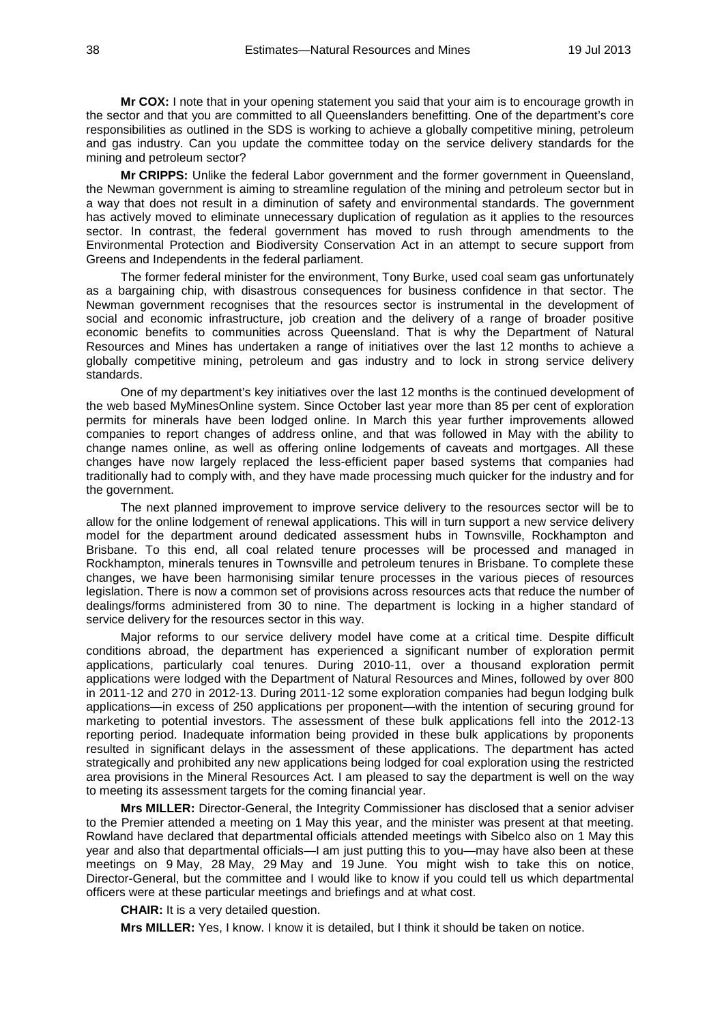**Mr COX:** I note that in your opening statement you said that your aim is to encourage growth in the sector and that you are committed to all Queenslanders benefitting. One of the department's core responsibilities as outlined in the SDS is working to achieve a globally competitive mining, petroleum and gas industry. Can you update the committee today on the service delivery standards for the mining and petroleum sector?

**Mr CRIPPS:** Unlike the federal Labor government and the former government in Queensland, the Newman government is aiming to streamline regulation of the mining and petroleum sector but in a way that does not result in a diminution of safety and environmental standards. The government has actively moved to eliminate unnecessary duplication of regulation as it applies to the resources sector. In contrast, the federal government has moved to rush through amendments to the Environmental Protection and Biodiversity Conservation Act in an attempt to secure support from Greens and Independents in the federal parliament.

The former federal minister for the environment, Tony Burke, used coal seam gas unfortunately as a bargaining chip, with disastrous consequences for business confidence in that sector. The Newman government recognises that the resources sector is instrumental in the development of social and economic infrastructure, job creation and the delivery of a range of broader positive economic benefits to communities across Queensland. That is why the Department of Natural Resources and Mines has undertaken a range of initiatives over the last 12 months to achieve a globally competitive mining, petroleum and gas industry and to lock in strong service delivery standards.

One of my department's key initiatives over the last 12 months is the continued development of the web based MyMinesOnline system. Since October last year more than 85 per cent of exploration permits for minerals have been lodged online. In March this year further improvements allowed companies to report changes of address online, and that was followed in May with the ability to change names online, as well as offering online lodgements of caveats and mortgages. All these changes have now largely replaced the less-efficient paper based systems that companies had traditionally had to comply with, and they have made processing much quicker for the industry and for the government.

The next planned improvement to improve service delivery to the resources sector will be to allow for the online lodgement of renewal applications. This will in turn support a new service delivery model for the department around dedicated assessment hubs in Townsville, Rockhampton and Brisbane. To this end, all coal related tenure processes will be processed and managed in Rockhampton, minerals tenures in Townsville and petroleum tenures in Brisbane. To complete these changes, we have been harmonising similar tenure processes in the various pieces of resources legislation. There is now a common set of provisions across resources acts that reduce the number of dealings/forms administered from 30 to nine. The department is locking in a higher standard of service delivery for the resources sector in this way.

Major reforms to our service delivery model have come at a critical time. Despite difficult conditions abroad, the department has experienced a significant number of exploration permit applications, particularly coal tenures. During 2010-11, over a thousand exploration permit applications were lodged with the Department of Natural Resources and Mines, followed by over 800 in 2011-12 and 270 in 2012-13. During 2011-12 some exploration companies had begun lodging bulk applications—in excess of 250 applications per proponent—with the intention of securing ground for marketing to potential investors. The assessment of these bulk applications fell into the 2012-13 reporting period. Inadequate information being provided in these bulk applications by proponents resulted in significant delays in the assessment of these applications. The department has acted strategically and prohibited any new applications being lodged for coal exploration using the restricted area provisions in the Mineral Resources Act. I am pleased to say the department is well on the way to meeting its assessment targets for the coming financial year.

**Mrs MILLER:** Director-General, the Integrity Commissioner has disclosed that a senior adviser to the Premier attended a meeting on 1 May this year, and the minister was present at that meeting. Rowland have declared that departmental officials attended meetings with Sibelco also on 1 May this year and also that departmental officials—I am just putting this to you—may have also been at these meetings on 9 May, 28 May, 29 May and 19 June. You might wish to take this on notice, Director-General, but the committee and I would like to know if you could tell us which departmental officers were at these particular meetings and briefings and at what cost.

**CHAIR:** It is a very detailed question.

**Mrs MILLER:** Yes, I know. I know it is detailed, but I think it should be taken on notice.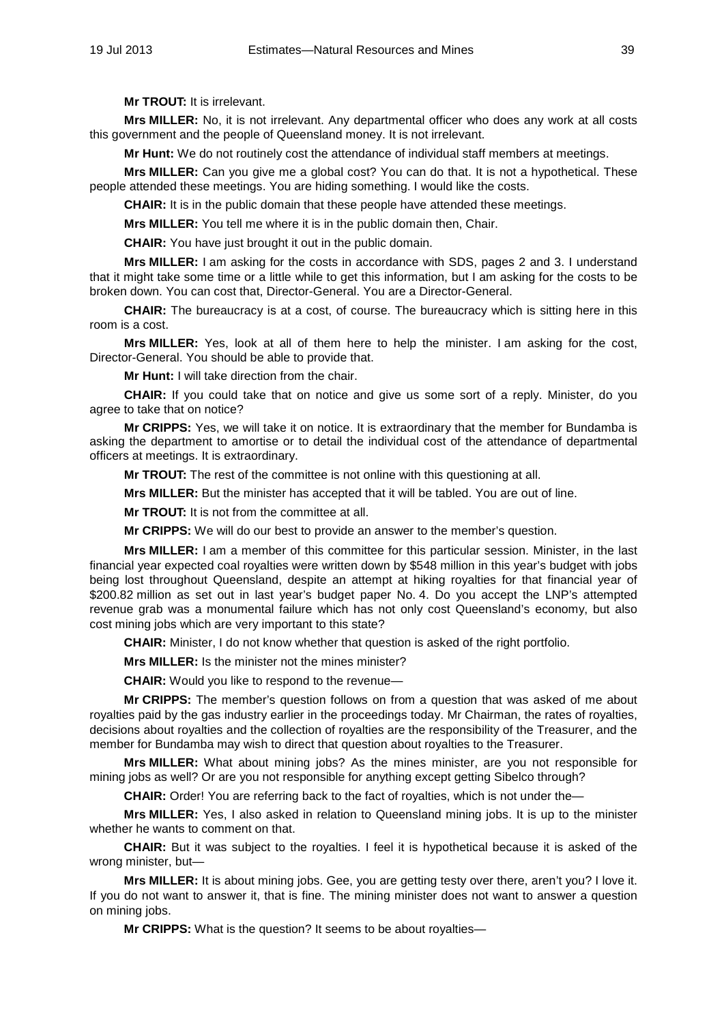**Mr TROUT:** It is irrelevant.

**Mrs MILLER:** No, it is not irrelevant. Any departmental officer who does any work at all costs this government and the people of Queensland money. It is not irrelevant.

**Mr Hunt:** We do not routinely cost the attendance of individual staff members at meetings.

**Mrs MILLER:** Can you give me a global cost? You can do that. It is not a hypothetical. These people attended these meetings. You are hiding something. I would like the costs.

**CHAIR:** It is in the public domain that these people have attended these meetings.

**Mrs MILLER:** You tell me where it is in the public domain then, Chair.

**CHAIR:** You have just brought it out in the public domain.

**Mrs MILLER:** I am asking for the costs in accordance with SDS, pages 2 and 3. I understand that it might take some time or a little while to get this information, but I am asking for the costs to be broken down. You can cost that, Director-General. You are a Director-General.

**CHAIR:** The bureaucracy is at a cost, of course. The bureaucracy which is sitting here in this room is a cost.

**Mrs MILLER:** Yes, look at all of them here to help the minister. I am asking for the cost, Director-General. You should be able to provide that.

**Mr Hunt:** I will take direction from the chair.

**CHAIR:** If you could take that on notice and give us some sort of a reply. Minister, do you agree to take that on notice?

**Mr CRIPPS:** Yes, we will take it on notice. It is extraordinary that the member for Bundamba is asking the department to amortise or to detail the individual cost of the attendance of departmental officers at meetings. It is extraordinary.

**Mr TROUT:** The rest of the committee is not online with this questioning at all.

**Mrs MILLER:** But the minister has accepted that it will be tabled. You are out of line.

**Mr TROUT:** It is not from the committee at all.

**Mr CRIPPS:** We will do our best to provide an answer to the member's question.

**Mrs MILLER:** I am a member of this committee for this particular session. Minister, in the last financial year expected coal royalties were written down by \$548 million in this year's budget with jobs being lost throughout Queensland, despite an attempt at hiking royalties for that financial year of \$200.82 million as set out in last year's budget paper No. 4. Do you accept the LNP's attempted revenue grab was a monumental failure which has not only cost Queensland's economy, but also cost mining jobs which are very important to this state?

**CHAIR:** Minister, I do not know whether that question is asked of the right portfolio.

**Mrs MILLER:** Is the minister not the mines minister?

**CHAIR:** Would you like to respond to the revenue—

**Mr CRIPPS:** The member's question follows on from a question that was asked of me about royalties paid by the gas industry earlier in the proceedings today. Mr Chairman, the rates of royalties, decisions about royalties and the collection of royalties are the responsibility of the Treasurer, and the member for Bundamba may wish to direct that question about royalties to the Treasurer.

**Mrs MILLER:** What about mining jobs? As the mines minister, are you not responsible for mining jobs as well? Or are you not responsible for anything except getting Sibelco through?

**CHAIR:** Order! You are referring back to the fact of royalties, which is not under the—

**Mrs MILLER:** Yes, I also asked in relation to Queensland mining jobs. It is up to the minister whether he wants to comment on that.

**CHAIR:** But it was subject to the royalties. I feel it is hypothetical because it is asked of the wrong minister, but—

**Mrs MILLER:** It is about mining jobs. Gee, you are getting testy over there, aren't you? I love it. If you do not want to answer it, that is fine. The mining minister does not want to answer a question on mining jobs.

**Mr CRIPPS:** What is the question? It seems to be about royalties—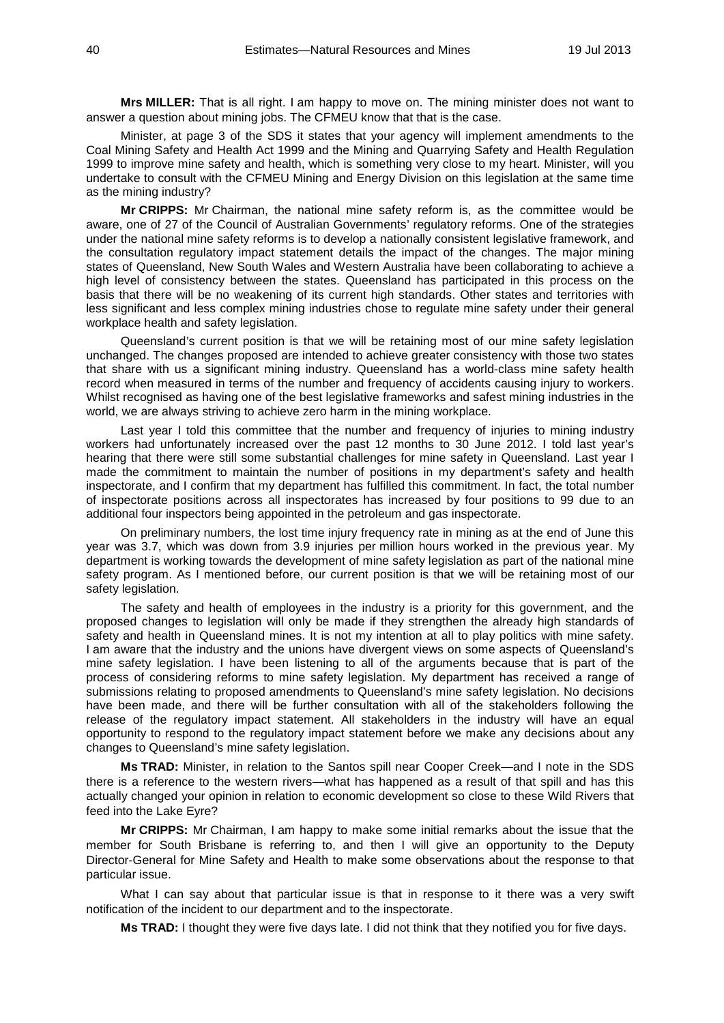**Mrs MILLER:** That is all right. I am happy to move on. The mining minister does not want to answer a question about mining jobs. The CFMEU know that that is the case.

Minister, at page 3 of the SDS it states that your agency will implement amendments to the Coal Mining Safety and Health Act 1999 and the Mining and Quarrying Safety and Health Regulation 1999 to improve mine safety and health, which is something very close to my heart. Minister, will you undertake to consult with the CFMEU Mining and Energy Division on this legislation at the same time as the mining industry?

**Mr CRIPPS:** Mr Chairman, the national mine safety reform is, as the committee would be aware, one of 27 of the Council of Australian Governments' regulatory reforms. One of the strategies under the national mine safety reforms is to develop a nationally consistent legislative framework, and the consultation regulatory impact statement details the impact of the changes. The major mining states of Queensland, New South Wales and Western Australia have been collaborating to achieve a high level of consistency between the states. Queensland has participated in this process on the basis that there will be no weakening of its current high standards. Other states and territories with less significant and less complex mining industries chose to regulate mine safety under their general workplace health and safety legislation.

Queensland's current position is that we will be retaining most of our mine safety legislation unchanged. The changes proposed are intended to achieve greater consistency with those two states that share with us a significant mining industry. Queensland has a world-class mine safety health record when measured in terms of the number and frequency of accidents causing injury to workers. Whilst recognised as having one of the best legislative frameworks and safest mining industries in the world, we are always striving to achieve zero harm in the mining workplace.

Last year I told this committee that the number and frequency of injuries to mining industry workers had unfortunately increased over the past 12 months to 30 June 2012. I told last year's hearing that there were still some substantial challenges for mine safety in Queensland. Last year I made the commitment to maintain the number of positions in my department's safety and health inspectorate, and I confirm that my department has fulfilled this commitment. In fact, the total number of inspectorate positions across all inspectorates has increased by four positions to 99 due to an additional four inspectors being appointed in the petroleum and gas inspectorate.

On preliminary numbers, the lost time injury frequency rate in mining as at the end of June this year was 3.7, which was down from 3.9 injuries per million hours worked in the previous year. My department is working towards the development of mine safety legislation as part of the national mine safety program. As I mentioned before, our current position is that we will be retaining most of our safety legislation.

The safety and health of employees in the industry is a priority for this government, and the proposed changes to legislation will only be made if they strengthen the already high standards of safety and health in Queensland mines. It is not my intention at all to play politics with mine safety. I am aware that the industry and the unions have divergent views on some aspects of Queensland's mine safety legislation. I have been listening to all of the arguments because that is part of the process of considering reforms to mine safety legislation. My department has received a range of submissions relating to proposed amendments to Queensland's mine safety legislation. No decisions have been made, and there will be further consultation with all of the stakeholders following the release of the regulatory impact statement. All stakeholders in the industry will have an equal opportunity to respond to the regulatory impact statement before we make any decisions about any changes to Queensland's mine safety legislation.

**Ms TRAD:** Minister, in relation to the Santos spill near Cooper Creek—and I note in the SDS there is a reference to the western rivers—what has happened as a result of that spill and has this actually changed your opinion in relation to economic development so close to these Wild Rivers that feed into the Lake Eyre?

**Mr CRIPPS:** Mr Chairman, I am happy to make some initial remarks about the issue that the member for South Brisbane is referring to, and then I will give an opportunity to the Deputy Director-General for Mine Safety and Health to make some observations about the response to that particular issue.

What I can say about that particular issue is that in response to it there was a very swift notification of the incident to our department and to the inspectorate.

**Ms TRAD:** I thought they were five days late. I did not think that they notified you for five days.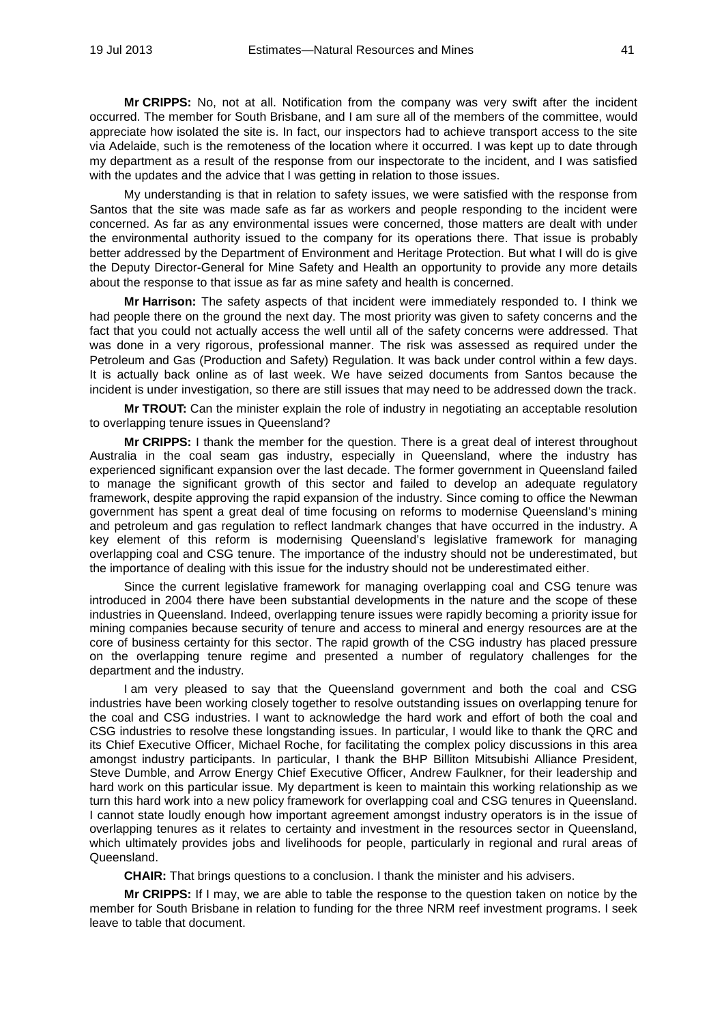**Mr CRIPPS:** No, not at all. Notification from the company was very swift after the incident occurred. The member for South Brisbane, and I am sure all of the members of the committee, would appreciate how isolated the site is. In fact, our inspectors had to achieve transport access to the site via Adelaide, such is the remoteness of the location where it occurred. I was kept up to date through my department as a result of the response from our inspectorate to the incident, and I was satisfied with the updates and the advice that I was getting in relation to those issues.

My understanding is that in relation to safety issues, we were satisfied with the response from Santos that the site was made safe as far as workers and people responding to the incident were concerned. As far as any environmental issues were concerned, those matters are dealt with under the environmental authority issued to the company for its operations there. That issue is probably better addressed by the Department of Environment and Heritage Protection. But what I will do is give the Deputy Director-General for Mine Safety and Health an opportunity to provide any more details about the response to that issue as far as mine safety and health is concerned.

**Mr Harrison:** The safety aspects of that incident were immediately responded to. I think we had people there on the ground the next day. The most priority was given to safety concerns and the fact that you could not actually access the well until all of the safety concerns were addressed. That was done in a very rigorous, professional manner. The risk was assessed as required under the Petroleum and Gas (Production and Safety) Regulation. It was back under control within a few days. It is actually back online as of last week. We have seized documents from Santos because the incident is under investigation, so there are still issues that may need to be addressed down the track.

**Mr TROUT:** Can the minister explain the role of industry in negotiating an acceptable resolution to overlapping tenure issues in Queensland?

**Mr CRIPPS:** I thank the member for the question. There is a great deal of interest throughout Australia in the coal seam gas industry, especially in Queensland, where the industry has experienced significant expansion over the last decade. The former government in Queensland failed to manage the significant growth of this sector and failed to develop an adequate regulatory framework, despite approving the rapid expansion of the industry. Since coming to office the Newman government has spent a great deal of time focusing on reforms to modernise Queensland's mining and petroleum and gas regulation to reflect landmark changes that have occurred in the industry. A key element of this reform is modernising Queensland's legislative framework for managing overlapping coal and CSG tenure. The importance of the industry should not be underestimated, but the importance of dealing with this issue for the industry should not be underestimated either.

Since the current legislative framework for managing overlapping coal and CSG tenure was introduced in 2004 there have been substantial developments in the nature and the scope of these industries in Queensland. Indeed, overlapping tenure issues were rapidly becoming a priority issue for mining companies because security of tenure and access to mineral and energy resources are at the core of business certainty for this sector. The rapid growth of the CSG industry has placed pressure on the overlapping tenure regime and presented a number of regulatory challenges for the department and the industry.

I am very pleased to say that the Queensland government and both the coal and CSG industries have been working closely together to resolve outstanding issues on overlapping tenure for the coal and CSG industries. I want to acknowledge the hard work and effort of both the coal and CSG industries to resolve these longstanding issues. In particular, I would like to thank the QRC and its Chief Executive Officer, Michael Roche, for facilitating the complex policy discussions in this area amongst industry participants. In particular, I thank the BHP Billiton Mitsubishi Alliance President, Steve Dumble, and Arrow Energy Chief Executive Officer, Andrew Faulkner, for their leadership and hard work on this particular issue. My department is keen to maintain this working relationship as we turn this hard work into a new policy framework for overlapping coal and CSG tenures in Queensland. I cannot state loudly enough how important agreement amongst industry operators is in the issue of overlapping tenures as it relates to certainty and investment in the resources sector in Queensland, which ultimately provides jobs and livelihoods for people, particularly in regional and rural areas of Queensland.

**CHAIR:** That brings questions to a conclusion. I thank the minister and his advisers.

**Mr CRIPPS:** If I may, we are able to table the response to the question taken on notice by the member for South Brisbane in relation to funding for the three NRM reef investment programs. I seek leave to table that document.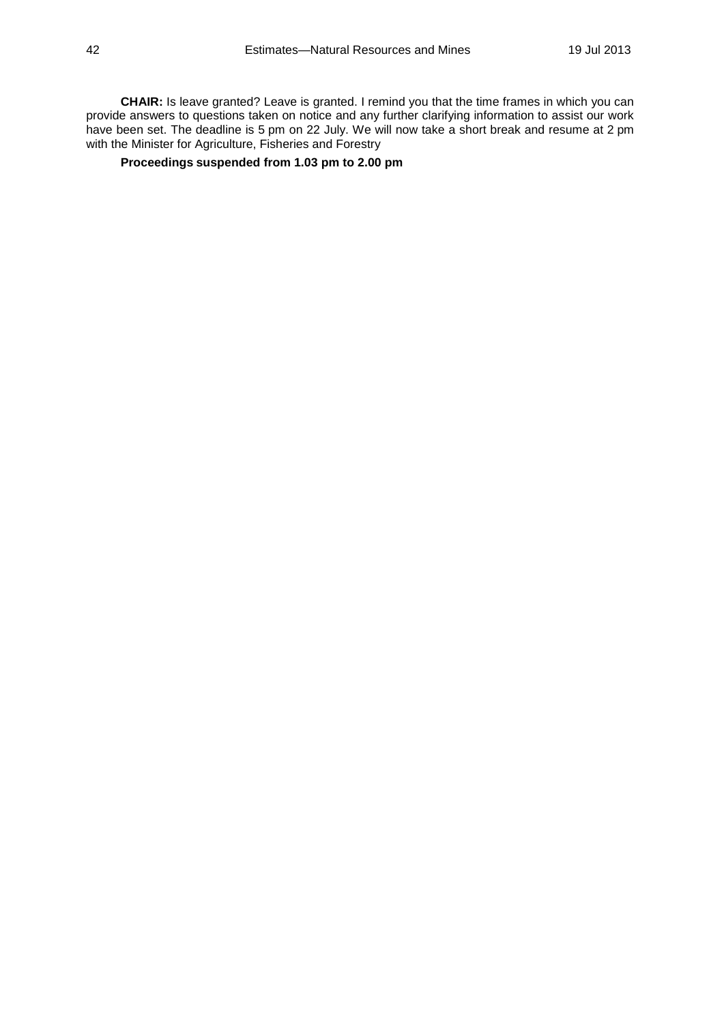**CHAIR:** Is leave granted? Leave is granted. I remind you that the time frames in which you can provide answers to questions taken on notice and any further clarifying information to assist our work have been set. The deadline is 5 pm on 22 July. We will now take a short break and resume at 2 pm with the Minister for Agriculture, Fisheries and Forestry

## **Proceedings suspended from 1.03 pm to 2.00 pm**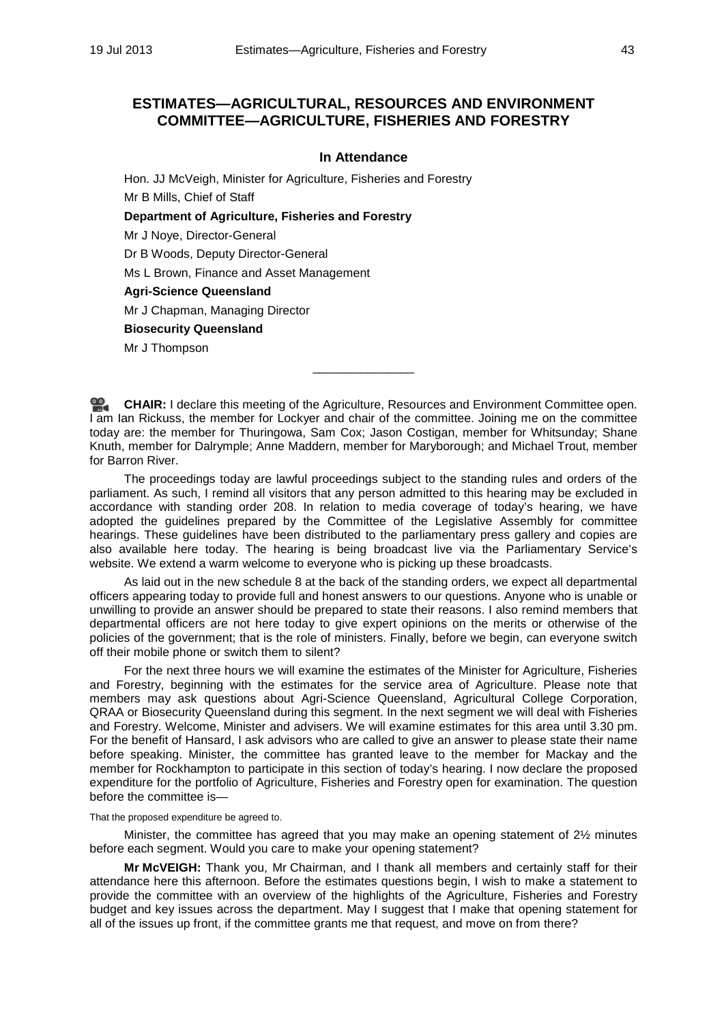# **ESTIMATES—AGRICULTURAL, RESOURCES AND ENVIRONMENT COMMITTEE—AGRICULTURE, FISHERIES AND FORESTRY**

#### **In Attendance**

Hon. JJ McVeigh, Minister for Agriculture, Fisheries and Forestry Mr B Mills, Chief of Staff

**Department of Agriculture, Fisheries and Forestry**

Mr J Noye, Director-General

Dr B Woods, Deputy Director-General

Ms L Brown, Finance and Asset Management

**Agri-Science Queensland**

Mr J Chapman, Managing Director

#### **Biosecurity Queensland**

Mr J Thompson

**[CHAIR:](http://www.parliament.qld.gov.au/docs/find.aspx?id=0Mba20130719_140040)** I declare this meeting of the Agriculture, Resources and Environment Committee open. I am Ian Rickuss, the member for Lockyer and chair of the committee. Joining me on the committee today are: the member for Thuringowa, Sam Cox; Jason Costigan, member for Whitsunday; Shane Knuth, member for Dalrymple; Anne Maddern, member for Maryborough; and Michael Trout, member for Barron River.

\_\_\_\_\_\_\_\_\_\_\_\_\_\_\_

The proceedings today are lawful proceedings subject to the standing rules and orders of the parliament. As such, I remind all visitors that any person admitted to this hearing may be excluded in accordance with standing order 208. In relation to media coverage of today's hearing, we have adopted the guidelines prepared by the Committee of the Legislative Assembly for committee hearings. These guidelines have been distributed to the parliamentary press gallery and copies are also available here today. The hearing is being broadcast live via the Parliamentary Service's website. We extend a warm welcome to everyone who is picking up these broadcasts.

As laid out in the new schedule 8 at the back of the standing orders, we expect all departmental officers appearing today to provide full and honest answers to our questions. Anyone who is unable or unwilling to provide an answer should be prepared to state their reasons. I also remind members that departmental officers are not here today to give expert opinions on the merits or otherwise of the policies of the government; that is the role of ministers. Finally, before we begin, can everyone switch off their mobile phone or switch them to silent?

For the next three hours we will examine the estimates of the Minister for Agriculture, Fisheries and Forestry, beginning with the estimates for the service area of Agriculture. Please note that members may ask questions about Agri-Science Queensland, Agricultural College Corporation, QRAA or Biosecurity Queensland during this segment. In the next segment we will deal with Fisheries and Forestry. Welcome, Minister and advisers. We will examine estimates for this area until 3.30 pm. For the benefit of Hansard, I ask advisors who are called to give an answer to please state their name before speaking. Minister, the committee has granted leave to the member for Mackay and the member for Rockhampton to participate in this section of today's hearing. I now declare the proposed expenditure for the portfolio of Agriculture, Fisheries and Forestry open for examination. The question before the committee is—

#### That the proposed expenditure be agreed to.

Minister, the committee has agreed that you may make an opening statement of 2½ minutes before each segment. Would you care to make your opening statement?

**Mr McVEIGH:** Thank you, Mr Chairman, and I thank all members and certainly staff for their attendance here this afternoon. Before the estimates questions begin, I wish to make a statement to provide the committee with an overview of the highlights of the Agriculture, Fisheries and Forestry budget and key issues across the department. May I suggest that I make that opening statement for all of the issues up front, if the committee grants me that request, and move on from there?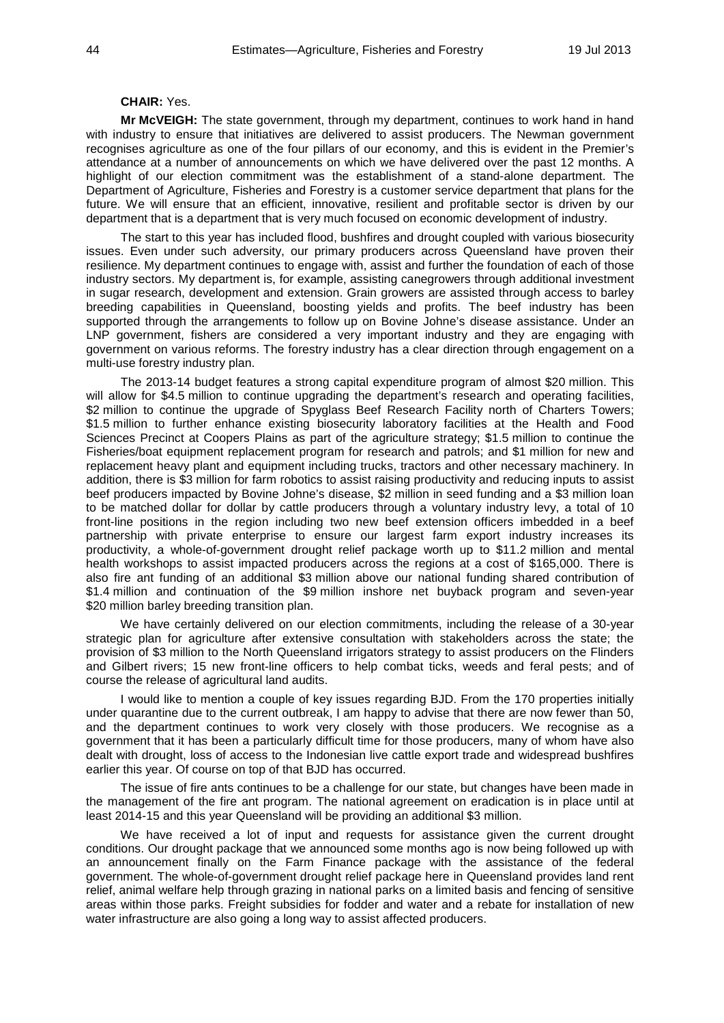### **CHAIR:** Yes.

**Mr McVEIGH:** The state government, through my department, continues to work hand in hand with industry to ensure that initiatives are delivered to assist producers. The Newman government recognises agriculture as one of the four pillars of our economy, and this is evident in the Premier's attendance at a number of announcements on which we have delivered over the past 12 months. A highlight of our election commitment was the establishment of a stand-alone department. The Department of Agriculture, Fisheries and Forestry is a customer service department that plans for the future. We will ensure that an efficient, innovative, resilient and profitable sector is driven by our department that is a department that is very much focused on economic development of industry.

The start to this year has included flood, bushfires and drought coupled with various biosecurity issues. Even under such adversity, our primary producers across Queensland have proven their resilience. My department continues to engage with, assist and further the foundation of each of those industry sectors. My department is, for example, assisting canegrowers through additional investment in sugar research, development and extension. Grain growers are assisted through access to barley breeding capabilities in Queensland, boosting yields and profits. The beef industry has been supported through the arrangements to follow up on Bovine Johne's disease assistance. Under an LNP government, fishers are considered a very important industry and they are engaging with government on various reforms. The forestry industry has a clear direction through engagement on a multi-use forestry industry plan.

The 2013-14 budget features a strong capital expenditure program of almost \$20 million. This will allow for \$4.5 million to continue upgrading the department's research and operating facilities, \$2 million to continue the upgrade of Spyglass Beef Research Facility north of Charters Towers; \$1.5 million to further enhance existing biosecurity laboratory facilities at the Health and Food Sciences Precinct at Coopers Plains as part of the agriculture strategy; \$1.5 million to continue the Fisheries/boat equipment replacement program for research and patrols; and \$1 million for new and replacement heavy plant and equipment including trucks, tractors and other necessary machinery. In addition, there is \$3 million for farm robotics to assist raising productivity and reducing inputs to assist beef producers impacted by Bovine Johne's disease, \$2 million in seed funding and a \$3 million loan to be matched dollar for dollar by cattle producers through a voluntary industry levy, a total of 10 front-line positions in the region including two new beef extension officers imbedded in a beef partnership with private enterprise to ensure our largest farm export industry increases its productivity, a whole-of-government drought relief package worth up to \$11.2 million and mental health workshops to assist impacted producers across the regions at a cost of \$165,000. There is also fire ant funding of an additional \$3 million above our national funding shared contribution of \$1.4 million and continuation of the \$9 million inshore net buyback program and seven-year \$20 million barley breeding transition plan.

We have certainly delivered on our election commitments, including the release of a 30-year strategic plan for agriculture after extensive consultation with stakeholders across the state; the provision of \$3 million to the North Queensland irrigators strategy to assist producers on the Flinders and Gilbert rivers; 15 new front-line officers to help combat ticks, weeds and feral pests; and of course the release of agricultural land audits.

I would like to mention a couple of key issues regarding BJD. From the 170 properties initially under quarantine due to the current outbreak, I am happy to advise that there are now fewer than 50, and the department continues to work very closely with those producers. We recognise as a government that it has been a particularly difficult time for those producers, many of whom have also dealt with drought, loss of access to the Indonesian live cattle export trade and widespread bushfires earlier this year. Of course on top of that BJD has occurred.

The issue of fire ants continues to be a challenge for our state, but changes have been made in the management of the fire ant program. The national agreement on eradication is in place until at least 2014-15 and this year Queensland will be providing an additional \$3 million.

We have received a lot of input and requests for assistance given the current drought conditions. Our drought package that we announced some months ago is now being followed up with an announcement finally on the Farm Finance package with the assistance of the federal government. The whole-of-government drought relief package here in Queensland provides land rent relief, animal welfare help through grazing in national parks on a limited basis and fencing of sensitive areas within those parks. Freight subsidies for fodder and water and a rebate for installation of new water infrastructure are also going a long way to assist affected producers.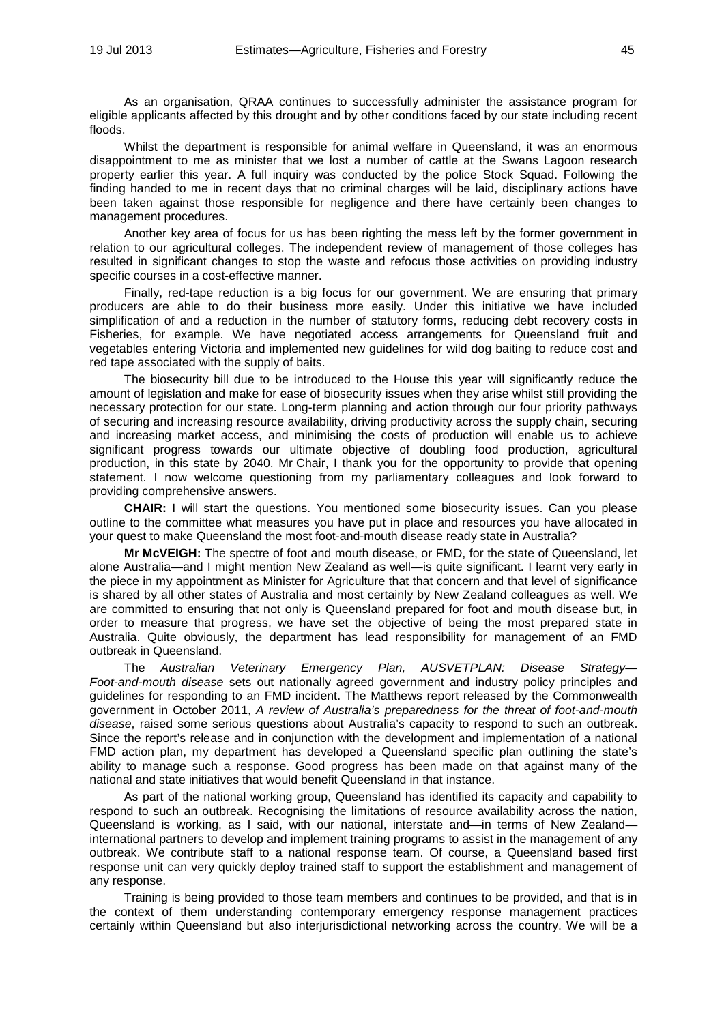As an organisation, QRAA continues to successfully administer the assistance program for eligible applicants affected by this drought and by other conditions faced by our state including recent floods.

Whilst the department is responsible for animal welfare in Queensland, it was an enormous disappointment to me as minister that we lost a number of cattle at the Swans Lagoon research property earlier this year. A full inquiry was conducted by the police Stock Squad. Following the finding handed to me in recent days that no criminal charges will be laid, disciplinary actions have been taken against those responsible for negligence and there have certainly been changes to management procedures.

Another key area of focus for us has been righting the mess left by the former government in relation to our agricultural colleges. The independent review of management of those colleges has resulted in significant changes to stop the waste and refocus those activities on providing industry specific courses in a cost-effective manner.

Finally, red-tape reduction is a big focus for our government. We are ensuring that primary producers are able to do their business more easily. Under this initiative we have included simplification of and a reduction in the number of statutory forms, reducing debt recovery costs in Fisheries, for example. We have negotiated access arrangements for Queensland fruit and vegetables entering Victoria and implemented new guidelines for wild dog baiting to reduce cost and red tape associated with the supply of baits.

The biosecurity bill due to be introduced to the House this year will significantly reduce the amount of legislation and make for ease of biosecurity issues when they arise whilst still providing the necessary protection for our state. Long-term planning and action through our four priority pathways of securing and increasing resource availability, driving productivity across the supply chain, securing and increasing market access, and minimising the costs of production will enable us to achieve significant progress towards our ultimate objective of doubling food production, agricultural production, in this state by 2040. Mr Chair, I thank you for the opportunity to provide that opening statement. I now welcome questioning from my parliamentary colleagues and look forward to providing comprehensive answers.

**CHAIR:** I will start the questions. You mentioned some biosecurity issues. Can you please outline to the committee what measures you have put in place and resources you have allocated in your quest to make Queensland the most foot-and-mouth disease ready state in Australia?

**Mr McVEIGH:** The spectre of foot and mouth disease, or FMD, for the state of Queensland, let alone Australia—and I might mention New Zealand as well—is quite significant. I learnt very early in the piece in my appointment as Minister for Agriculture that that concern and that level of significance is shared by all other states of Australia and most certainly by New Zealand colleagues as well. We are committed to ensuring that not only is Queensland prepared for foot and mouth disease but, in order to measure that progress, we have set the objective of being the most prepared state in Australia. Quite obviously, the department has lead responsibility for management of an FMD outbreak in Queensland.

The *Australian Veterinary Emergency Plan, AUSVETPLAN: Disease Strategy— Foot-and-mouth disease* sets out nationally agreed government and industry policy principles and guidelines for responding to an FMD incident. The Matthews report released by the Commonwealth government in October 2011, *A review of Australia's preparedness for the threat of foot-and-mouth disease*, raised some serious questions about Australia's capacity to respond to such an outbreak. Since the report's release and in conjunction with the development and implementation of a national FMD action plan, my department has developed a Queensland specific plan outlining the state's ability to manage such a response. Good progress has been made on that against many of the national and state initiatives that would benefit Queensland in that instance.

As part of the national working group, Queensland has identified its capacity and capability to respond to such an outbreak. Recognising the limitations of resource availability across the nation, Queensland is working, as I said, with our national, interstate and—in terms of New Zealand international partners to develop and implement training programs to assist in the management of any outbreak. We contribute staff to a national response team. Of course, a Queensland based first response unit can very quickly deploy trained staff to support the establishment and management of any response.

Training is being provided to those team members and continues to be provided, and that is in the context of them understanding contemporary emergency response management practices certainly within Queensland but also interjurisdictional networking across the country. We will be a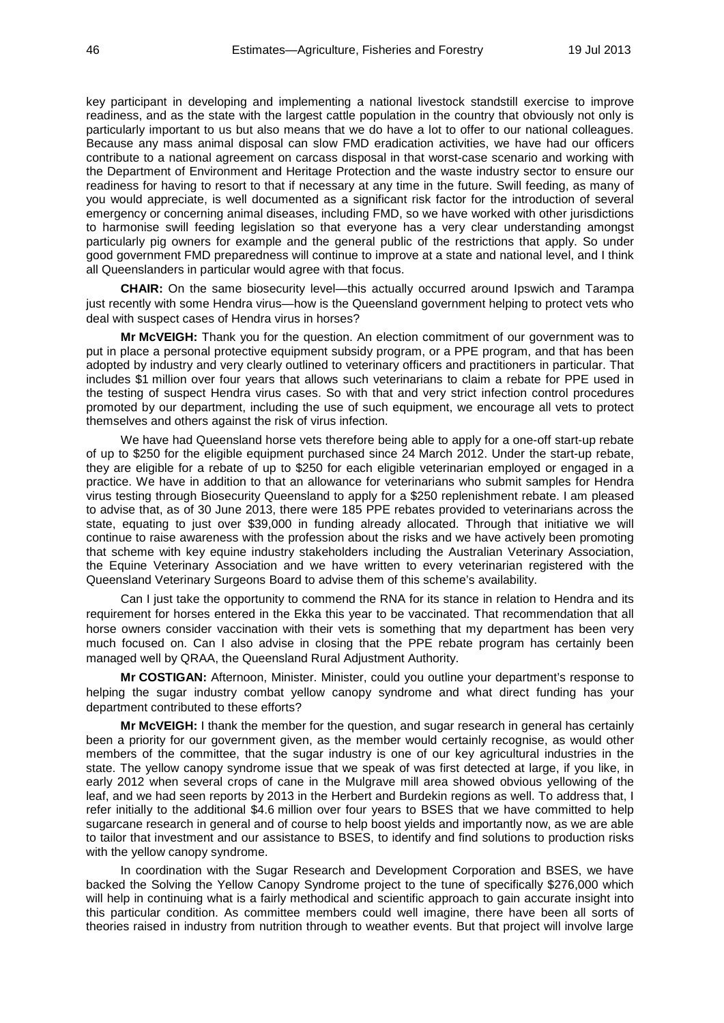key participant in developing and implementing a national livestock standstill exercise to improve readiness, and as the state with the largest cattle population in the country that obviously not only is particularly important to us but also means that we do have a lot to offer to our national colleagues. Because any mass animal disposal can slow FMD eradication activities, we have had our officers contribute to a national agreement on carcass disposal in that worst-case scenario and working with the Department of Environment and Heritage Protection and the waste industry sector to ensure our readiness for having to resort to that if necessary at any time in the future. Swill feeding, as many of you would appreciate, is well documented as a significant risk factor for the introduction of several emergency or concerning animal diseases, including FMD, so we have worked with other jurisdictions to harmonise swill feeding legislation so that everyone has a very clear understanding amongst particularly pig owners for example and the general public of the restrictions that apply. So under good government FMD preparedness will continue to improve at a state and national level, and I think all Queenslanders in particular would agree with that focus.

**CHAIR:** On the same biosecurity level—this actually occurred around Ipswich and Tarampa just recently with some Hendra virus—how is the Queensland government helping to protect vets who deal with suspect cases of Hendra virus in horses?

**Mr McVEIGH:** Thank you for the question. An election commitment of our government was to put in place a personal protective equipment subsidy program, or a PPE program, and that has been adopted by industry and very clearly outlined to veterinary officers and practitioners in particular. That includes \$1 million over four years that allows such veterinarians to claim a rebate for PPE used in the testing of suspect Hendra virus cases. So with that and very strict infection control procedures promoted by our department, including the use of such equipment, we encourage all vets to protect themselves and others against the risk of virus infection.

We have had Queensland horse vets therefore being able to apply for a one-off start-up rebate of up to \$250 for the eligible equipment purchased since 24 March 2012. Under the start-up rebate, they are eligible for a rebate of up to \$250 for each eligible veterinarian employed or engaged in a practice. We have in addition to that an allowance for veterinarians who submit samples for Hendra virus testing through Biosecurity Queensland to apply for a \$250 replenishment rebate. I am pleased to advise that, as of 30 June 2013, there were 185 PPE rebates provided to veterinarians across the state, equating to just over \$39,000 in funding already allocated. Through that initiative we will continue to raise awareness with the profession about the risks and we have actively been promoting that scheme with key equine industry stakeholders including the Australian Veterinary Association, the Equine Veterinary Association and we have written to every veterinarian registered with the Queensland Veterinary Surgeons Board to advise them of this scheme's availability.

Can I just take the opportunity to commend the RNA for its stance in relation to Hendra and its requirement for horses entered in the Ekka this year to be vaccinated. That recommendation that all horse owners consider vaccination with their vets is something that my department has been very much focused on. Can I also advise in closing that the PPE rebate program has certainly been managed well by QRAA, the Queensland Rural Adjustment Authority.

**Mr COSTIGAN:** Afternoon, Minister. Minister, could you outline your department's response to helping the sugar industry combat yellow canopy syndrome and what direct funding has your department contributed to these efforts?

**Mr McVEIGH:** I thank the member for the question, and sugar research in general has certainly been a priority for our government given, as the member would certainly recognise, as would other members of the committee, that the sugar industry is one of our key agricultural industries in the state. The yellow canopy syndrome issue that we speak of was first detected at large, if you like, in early 2012 when several crops of cane in the Mulgrave mill area showed obvious yellowing of the leaf, and we had seen reports by 2013 in the Herbert and Burdekin regions as well. To address that, I refer initially to the additional \$4.6 million over four years to BSES that we have committed to help sugarcane research in general and of course to help boost yields and importantly now, as we are able to tailor that investment and our assistance to BSES, to identify and find solutions to production risks with the yellow canopy syndrome.

In coordination with the Sugar Research and Development Corporation and BSES, we have backed the Solving the Yellow Canopy Syndrome project to the tune of specifically \$276,000 which will help in continuing what is a fairly methodical and scientific approach to gain accurate insight into this particular condition. As committee members could well imagine, there have been all sorts of theories raised in industry from nutrition through to weather events. But that project will involve large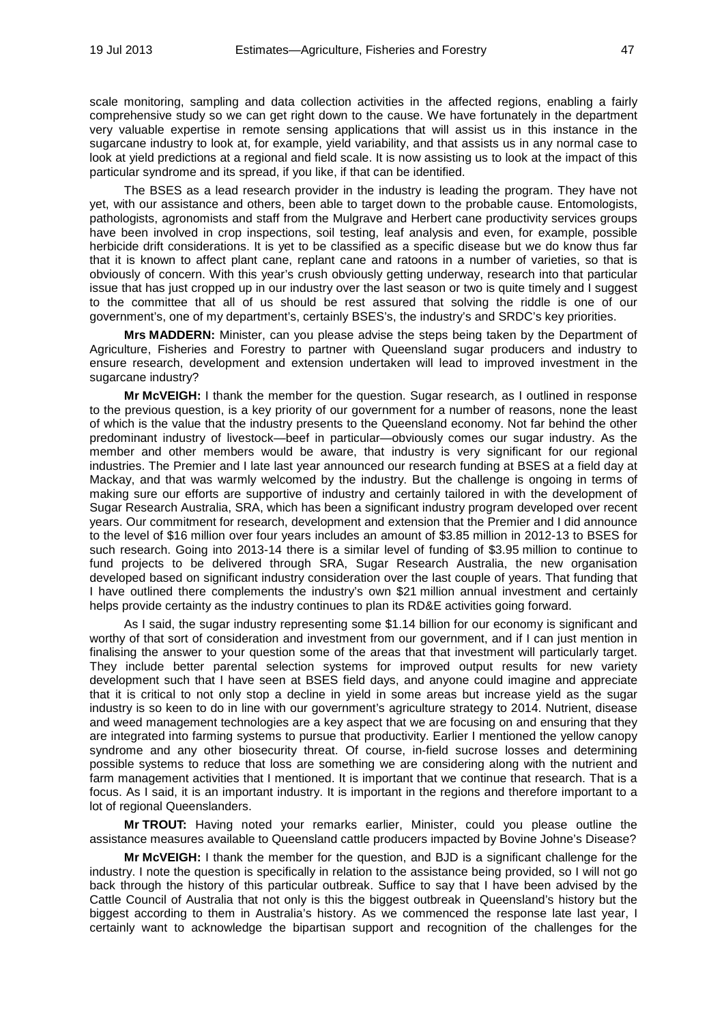scale monitoring, sampling and data collection activities in the affected regions, enabling a fairly comprehensive study so we can get right down to the cause. We have fortunately in the department very valuable expertise in remote sensing applications that will assist us in this instance in the sugarcane industry to look at, for example, yield variability, and that assists us in any normal case to look at yield predictions at a regional and field scale. It is now assisting us to look at the impact of this particular syndrome and its spread, if you like, if that can be identified.

The BSES as a lead research provider in the industry is leading the program. They have not yet, with our assistance and others, been able to target down to the probable cause. Entomologists, pathologists, agronomists and staff from the Mulgrave and Herbert cane productivity services groups have been involved in crop inspections, soil testing, leaf analysis and even, for example, possible herbicide drift considerations. It is yet to be classified as a specific disease but we do know thus far that it is known to affect plant cane, replant cane and ratoons in a number of varieties, so that is obviously of concern. With this year's crush obviously getting underway, research into that particular issue that has just cropped up in our industry over the last season or two is quite timely and I suggest to the committee that all of us should be rest assured that solving the riddle is one of our government's, one of my department's, certainly BSES's, the industry's and SRDC's key priorities.

**Mrs MADDERN:** Minister, can you please advise the steps being taken by the Department of Agriculture, Fisheries and Forestry to partner with Queensland sugar producers and industry to ensure research, development and extension undertaken will lead to improved investment in the sugarcane industry?

**Mr McVEIGH:** I thank the member for the question. Sugar research, as I outlined in response to the previous question, is a key priority of our government for a number of reasons, none the least of which is the value that the industry presents to the Queensland economy. Not far behind the other predominant industry of livestock—beef in particular—obviously comes our sugar industry. As the member and other members would be aware, that industry is very significant for our regional industries. The Premier and I late last year announced our research funding at BSES at a field day at Mackay, and that was warmly welcomed by the industry. But the challenge is ongoing in terms of making sure our efforts are supportive of industry and certainly tailored in with the development of Sugar Research Australia, SRA, which has been a significant industry program developed over recent years. Our commitment for research, development and extension that the Premier and I did announce to the level of \$16 million over four years includes an amount of \$3.85 million in 2012-13 to BSES for such research. Going into 2013-14 there is a similar level of funding of \$3.95 million to continue to fund projects to be delivered through SRA, Sugar Research Australia, the new organisation developed based on significant industry consideration over the last couple of years. That funding that I have outlined there complements the industry's own \$21 million annual investment and certainly helps provide certainty as the industry continues to plan its RD&E activities going forward.

As I said, the sugar industry representing some \$1.14 billion for our economy is significant and worthy of that sort of consideration and investment from our government, and if I can just mention in finalising the answer to your question some of the areas that that investment will particularly target. They include better parental selection systems for improved output results for new variety development such that I have seen at BSES field days, and anyone could imagine and appreciate that it is critical to not only stop a decline in yield in some areas but increase yield as the sugar industry is so keen to do in line with our government's agriculture strategy to 2014. Nutrient, disease and weed management technologies are a key aspect that we are focusing on and ensuring that they are integrated into farming systems to pursue that productivity. Earlier I mentioned the yellow canopy syndrome and any other biosecurity threat. Of course, in-field sucrose losses and determining possible systems to reduce that loss are something we are considering along with the nutrient and farm management activities that I mentioned. It is important that we continue that research. That is a focus. As I said, it is an important industry. It is important in the regions and therefore important to a lot of regional Queenslanders.

**Mr TROUT:** Having noted your remarks earlier, Minister, could you please outline the assistance measures available to Queensland cattle producers impacted by Bovine Johne's Disease?

**Mr McVEIGH:** I thank the member for the question, and BJD is a significant challenge for the industry. I note the question is specifically in relation to the assistance being provided, so I will not go back through the history of this particular outbreak. Suffice to say that I have been advised by the Cattle Council of Australia that not only is this the biggest outbreak in Queensland's history but the biggest according to them in Australia's history. As we commenced the response late last year, I certainly want to acknowledge the bipartisan support and recognition of the challenges for the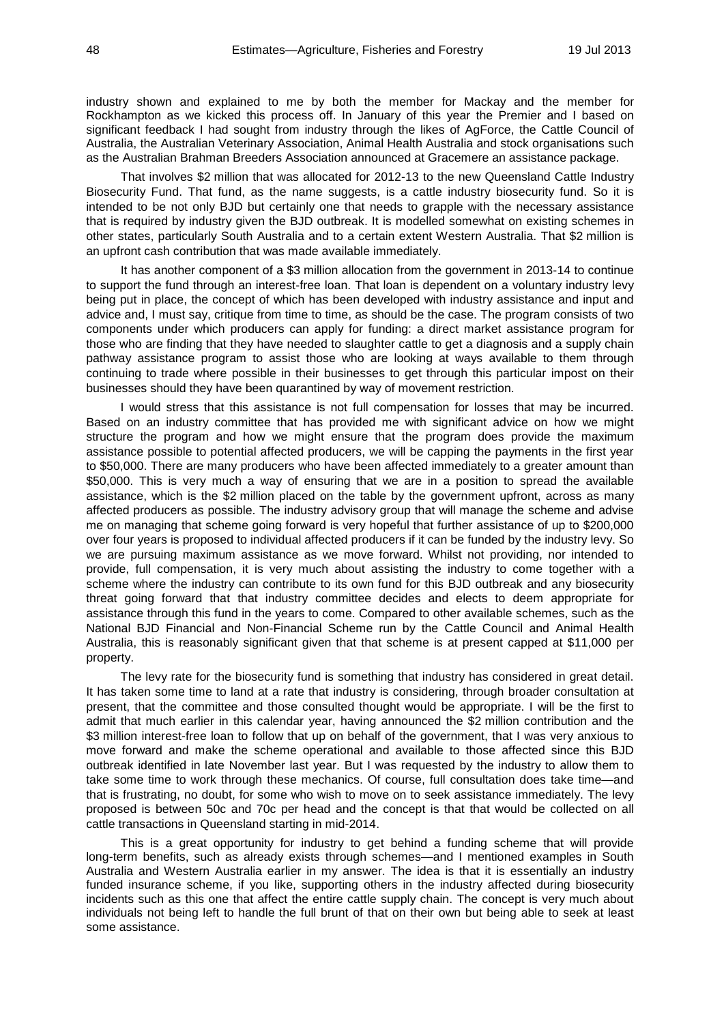industry shown and explained to me by both the member for Mackay and the member for Rockhampton as we kicked this process off. In January of this year the Premier and I based on significant feedback I had sought from industry through the likes of AgForce, the Cattle Council of Australia, the Australian Veterinary Association, Animal Health Australia and stock organisations such as the Australian Brahman Breeders Association announced at Gracemere an assistance package.

That involves \$2 million that was allocated for 2012-13 to the new Queensland Cattle Industry Biosecurity Fund. That fund, as the name suggests, is a cattle industry biosecurity fund. So it is intended to be not only BJD but certainly one that needs to grapple with the necessary assistance that is required by industry given the BJD outbreak. It is modelled somewhat on existing schemes in other states, particularly South Australia and to a certain extent Western Australia. That \$2 million is an upfront cash contribution that was made available immediately.

It has another component of a \$3 million allocation from the government in 2013-14 to continue to support the fund through an interest-free loan. That loan is dependent on a voluntary industry levy being put in place, the concept of which has been developed with industry assistance and input and advice and, I must say, critique from time to time, as should be the case. The program consists of two components under which producers can apply for funding: a direct market assistance program for those who are finding that they have needed to slaughter cattle to get a diagnosis and a supply chain pathway assistance program to assist those who are looking at ways available to them through continuing to trade where possible in their businesses to get through this particular impost on their businesses should they have been quarantined by way of movement restriction.

I would stress that this assistance is not full compensation for losses that may be incurred. Based on an industry committee that has provided me with significant advice on how we might structure the program and how we might ensure that the program does provide the maximum assistance possible to potential affected producers, we will be capping the payments in the first year to \$50,000. There are many producers who have been affected immediately to a greater amount than \$50,000. This is very much a way of ensuring that we are in a position to spread the available assistance, which is the \$2 million placed on the table by the government upfront, across as many affected producers as possible. The industry advisory group that will manage the scheme and advise me on managing that scheme going forward is very hopeful that further assistance of up to \$200,000 over four years is proposed to individual affected producers if it can be funded by the industry levy. So we are pursuing maximum assistance as we move forward. Whilst not providing, nor intended to provide, full compensation, it is very much about assisting the industry to come together with a scheme where the industry can contribute to its own fund for this BJD outbreak and any biosecurity threat going forward that that industry committee decides and elects to deem appropriate for assistance through this fund in the years to come. Compared to other available schemes, such as the National BJD Financial and Non-Financial Scheme run by the Cattle Council and Animal Health Australia, this is reasonably significant given that that scheme is at present capped at \$11,000 per property.

The levy rate for the biosecurity fund is something that industry has considered in great detail. It has taken some time to land at a rate that industry is considering, through broader consultation at present, that the committee and those consulted thought would be appropriate. I will be the first to admit that much earlier in this calendar year, having announced the \$2 million contribution and the \$3 million interest-free loan to follow that up on behalf of the government, that I was very anxious to move forward and make the scheme operational and available to those affected since this BJD outbreak identified in late November last year. But I was requested by the industry to allow them to take some time to work through these mechanics. Of course, full consultation does take time—and that is frustrating, no doubt, for some who wish to move on to seek assistance immediately. The levy proposed is between 50c and 70c per head and the concept is that that would be collected on all cattle transactions in Queensland starting in mid-2014.

This is a great opportunity for industry to get behind a funding scheme that will provide long-term benefits, such as already exists through schemes—and I mentioned examples in South Australia and Western Australia earlier in my answer. The idea is that it is essentially an industry funded insurance scheme, if you like, supporting others in the industry affected during biosecurity incidents such as this one that affect the entire cattle supply chain. The concept is very much about individuals not being left to handle the full brunt of that on their own but being able to seek at least some assistance.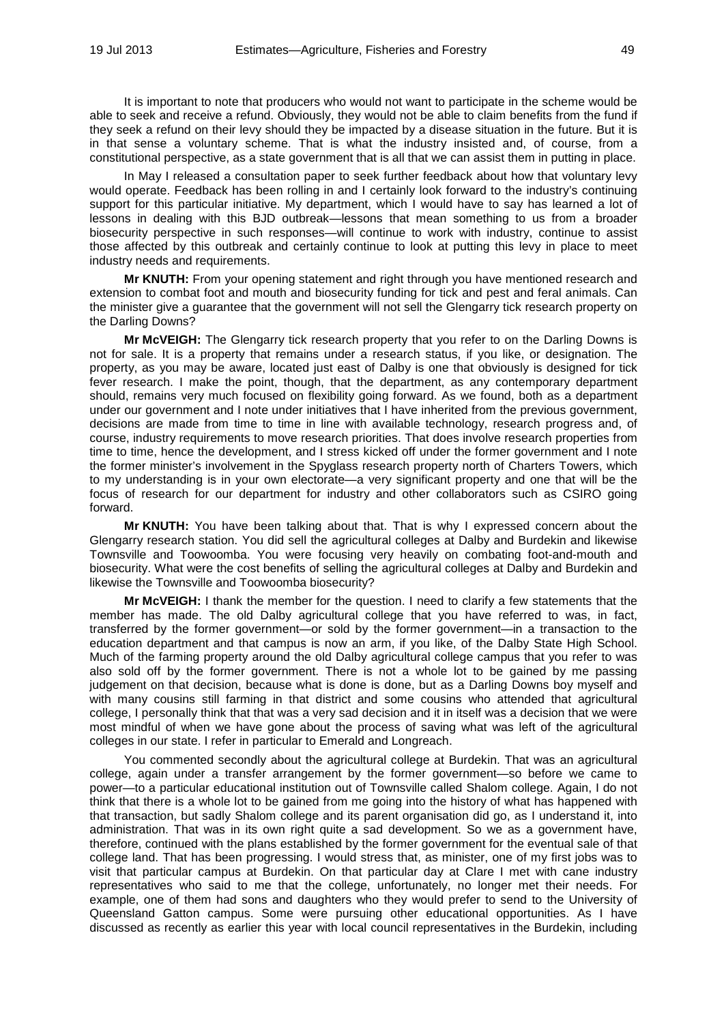It is important to note that producers who would not want to participate in the scheme would be able to seek and receive a refund. Obviously, they would not be able to claim benefits from the fund if they seek a refund on their levy should they be impacted by a disease situation in the future. But it is in that sense a voluntary scheme. That is what the industry insisted and, of course, from a constitutional perspective, as a state government that is all that we can assist them in putting in place.

In May I released a consultation paper to seek further feedback about how that voluntary levy would operate. Feedback has been rolling in and I certainly look forward to the industry's continuing support for this particular initiative. My department, which I would have to say has learned a lot of lessons in dealing with this BJD outbreak—lessons that mean something to us from a broader biosecurity perspective in such responses—will continue to work with industry, continue to assist those affected by this outbreak and certainly continue to look at putting this levy in place to meet industry needs and requirements.

**Mr KNUTH:** From your opening statement and right through you have mentioned research and extension to combat foot and mouth and biosecurity funding for tick and pest and feral animals. Can the minister give a guarantee that the government will not sell the Glengarry tick research property on the Darling Downs?

**Mr McVEIGH:** The Glengarry tick research property that you refer to on the Darling Downs is not for sale. It is a property that remains under a research status, if you like, or designation. The property, as you may be aware, located just east of Dalby is one that obviously is designed for tick fever research. I make the point, though, that the department, as any contemporary department should, remains very much focused on flexibility going forward. As we found, both as a department under our government and I note under initiatives that I have inherited from the previous government, decisions are made from time to time in line with available technology, research progress and, of course, industry requirements to move research priorities. That does involve research properties from time to time, hence the development, and I stress kicked off under the former government and I note the former minister's involvement in the Spyglass research property north of Charters Towers, which to my understanding is in your own electorate—a very significant property and one that will be the focus of research for our department for industry and other collaborators such as CSIRO going forward.

**Mr KNUTH:** You have been talking about that. That is why I expressed concern about the Glengarry research station. You did sell the agricultural colleges at Dalby and Burdekin and likewise Townsville and Toowoomba. You were focusing very heavily on combating foot-and-mouth and biosecurity. What were the cost benefits of selling the agricultural colleges at Dalby and Burdekin and likewise the Townsville and Toowoomba biosecurity?

**Mr McVEIGH:** I thank the member for the question. I need to clarify a few statements that the member has made. The old Dalby agricultural college that you have referred to was, in fact, transferred by the former government—or sold by the former government—in a transaction to the education department and that campus is now an arm, if you like, of the Dalby State High School. Much of the farming property around the old Dalby agricultural college campus that you refer to was also sold off by the former government. There is not a whole lot to be gained by me passing judgement on that decision, because what is done is done, but as a Darling Downs boy myself and with many cousins still farming in that district and some cousins who attended that agricultural college, I personally think that that was a very sad decision and it in itself was a decision that we were most mindful of when we have gone about the process of saving what was left of the agricultural colleges in our state. I refer in particular to Emerald and Longreach.

You commented secondly about the agricultural college at Burdekin. That was an agricultural college, again under a transfer arrangement by the former government—so before we came to power—to a particular educational institution out of Townsville called Shalom college. Again, I do not think that there is a whole lot to be gained from me going into the history of what has happened with that transaction, but sadly Shalom college and its parent organisation did go, as I understand it, into administration. That was in its own right quite a sad development. So we as a government have, therefore, continued with the plans established by the former government for the eventual sale of that college land. That has been progressing. I would stress that, as minister, one of my first jobs was to visit that particular campus at Burdekin. On that particular day at Clare I met with cane industry representatives who said to me that the college, unfortunately, no longer met their needs. For example, one of them had sons and daughters who they would prefer to send to the University of Queensland Gatton campus. Some were pursuing other educational opportunities. As I have discussed as recently as earlier this year with local council representatives in the Burdekin, including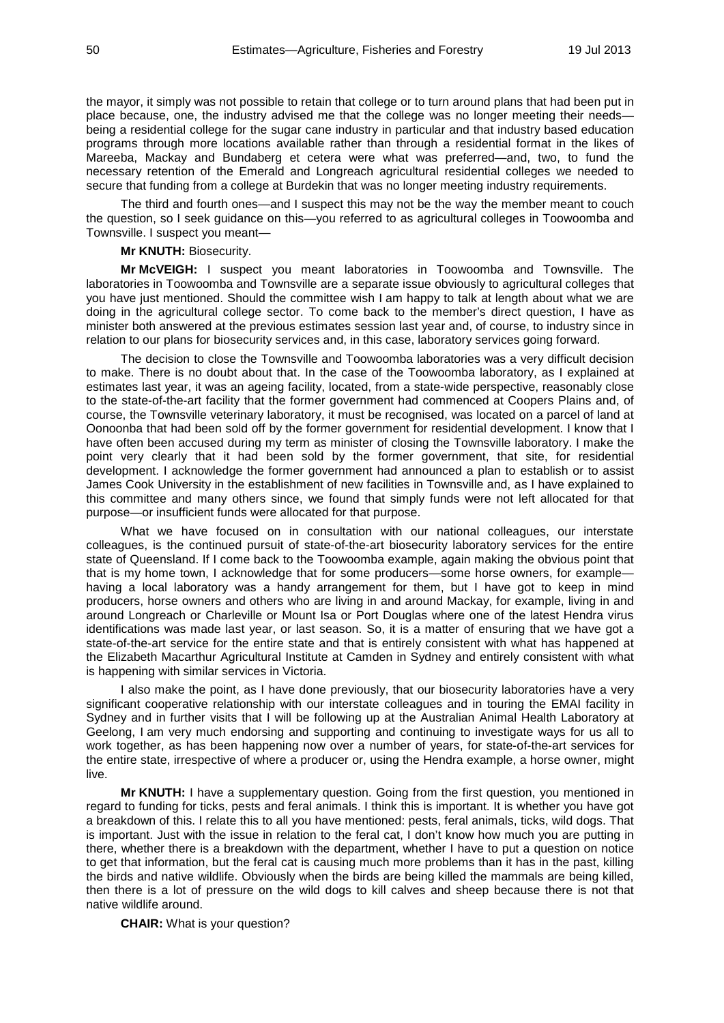the mayor, it simply was not possible to retain that college or to turn around plans that had been put in place because, one, the industry advised me that the college was no longer meeting their needs being a residential college for the sugar cane industry in particular and that industry based education programs through more locations available rather than through a residential format in the likes of Mareeba, Mackay and Bundaberg et cetera were what was preferred—and, two, to fund the necessary retention of the Emerald and Longreach agricultural residential colleges we needed to secure that funding from a college at Burdekin that was no longer meeting industry requirements.

The third and fourth ones—and I suspect this may not be the way the member meant to couch the question, so I seek guidance on this—you referred to as agricultural colleges in Toowoomba and Townsville. I suspect you meant—

#### **Mr KNUTH:** Biosecurity.

**Mr McVEIGH:** I suspect you meant laboratories in Toowoomba and Townsville. The laboratories in Toowoomba and Townsville are a separate issue obviously to agricultural colleges that you have just mentioned. Should the committee wish I am happy to talk at length about what we are doing in the agricultural college sector. To come back to the member's direct question, I have as minister both answered at the previous estimates session last year and, of course, to industry since in relation to our plans for biosecurity services and, in this case, laboratory services going forward.

The decision to close the Townsville and Toowoomba laboratories was a very difficult decision to make. There is no doubt about that. In the case of the Toowoomba laboratory, as I explained at estimates last year, it was an ageing facility, located, from a state-wide perspective, reasonably close to the state-of-the-art facility that the former government had commenced at Coopers Plains and, of course, the Townsville veterinary laboratory, it must be recognised, was located on a parcel of land at Oonoonba that had been sold off by the former government for residential development. I know that I have often been accused during my term as minister of closing the Townsville laboratory. I make the point very clearly that it had been sold by the former government, that site, for residential development. I acknowledge the former government had announced a plan to establish or to assist James Cook University in the establishment of new facilities in Townsville and, as I have explained to this committee and many others since, we found that simply funds were not left allocated for that purpose—or insufficient funds were allocated for that purpose.

What we have focused on in consultation with our national colleagues, our interstate colleagues, is the continued pursuit of state-of-the-art biosecurity laboratory services for the entire state of Queensland. If I come back to the Toowoomba example, again making the obvious point that that is my home town, I acknowledge that for some producers—some horse owners, for example having a local laboratory was a handy arrangement for them, but I have got to keep in mind producers, horse owners and others who are living in and around Mackay, for example, living in and around Longreach or Charleville or Mount Isa or Port Douglas where one of the latest Hendra virus identifications was made last year, or last season. So, it is a matter of ensuring that we have got a state-of-the-art service for the entire state and that is entirely consistent with what has happened at the Elizabeth Macarthur Agricultural Institute at Camden in Sydney and entirely consistent with what is happening with similar services in Victoria.

I also make the point, as I have done previously, that our biosecurity laboratories have a very significant cooperative relationship with our interstate colleagues and in touring the EMAI facility in Sydney and in further visits that I will be following up at the Australian Animal Health Laboratory at Geelong, I am very much endorsing and supporting and continuing to investigate ways for us all to work together, as has been happening now over a number of years, for state-of-the-art services for the entire state, irrespective of where a producer or, using the Hendra example, a horse owner, might live.

**Mr KNUTH:** I have a supplementary question. Going from the first question, you mentioned in regard to funding for ticks, pests and feral animals. I think this is important. It is whether you have got a breakdown of this. I relate this to all you have mentioned: pests, feral animals, ticks, wild dogs. That is important. Just with the issue in relation to the feral cat, I don't know how much you are putting in there, whether there is a breakdown with the department, whether I have to put a question on notice to get that information, but the feral cat is causing much more problems than it has in the past, killing the birds and native wildlife. Obviously when the birds are being killed the mammals are being killed, then there is a lot of pressure on the wild dogs to kill calves and sheep because there is not that native wildlife around.

**CHAIR:** What is your question?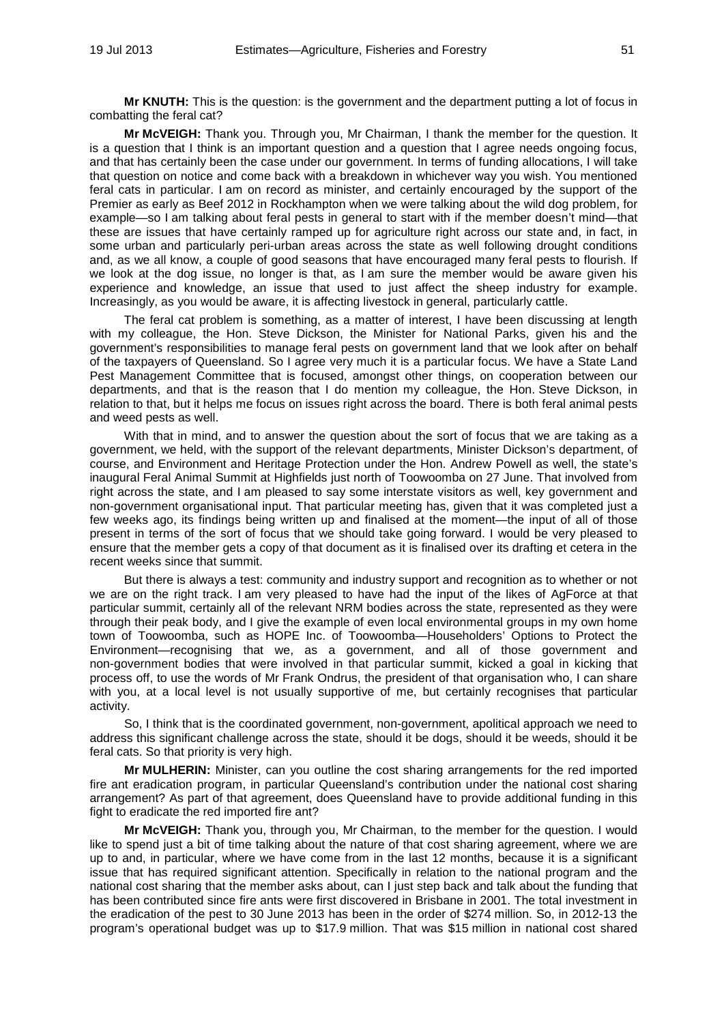**Mr KNUTH:** This is the question: is the government and the department putting a lot of focus in combatting the feral cat?

**Mr McVEIGH:** Thank you. Through you, Mr Chairman, I thank the member for the question. It is a question that I think is an important question and a question that I agree needs ongoing focus, and that has certainly been the case under our government. In terms of funding allocations, I will take that question on notice and come back with a breakdown in whichever way you wish. You mentioned feral cats in particular. I am on record as minister, and certainly encouraged by the support of the Premier as early as Beef 2012 in Rockhampton when we were talking about the wild dog problem, for example—so I am talking about feral pests in general to start with if the member doesn't mind—that these are issues that have certainly ramped up for agriculture right across our state and, in fact, in some urban and particularly peri-urban areas across the state as well following drought conditions and, as we all know, a couple of good seasons that have encouraged many feral pests to flourish. If we look at the dog issue, no longer is that, as I am sure the member would be aware given his experience and knowledge, an issue that used to just affect the sheep industry for example. Increasingly, as you would be aware, it is affecting livestock in general, particularly cattle.

The feral cat problem is something, as a matter of interest, I have been discussing at length with my colleague, the Hon. Steve Dickson, the Minister for National Parks, given his and the government's responsibilities to manage feral pests on government land that we look after on behalf of the taxpayers of Queensland. So I agree very much it is a particular focus. We have a State Land Pest Management Committee that is focused, amongst other things, on cooperation between our departments, and that is the reason that I do mention my colleague, the Hon. Steve Dickson, in relation to that, but it helps me focus on issues right across the board. There is both feral animal pests and weed pests as well.

With that in mind, and to answer the question about the sort of focus that we are taking as a government, we held, with the support of the relevant departments, Minister Dickson's department, of course, and Environment and Heritage Protection under the Hon. Andrew Powell as well, the state's inaugural Feral Animal Summit at Highfields just north of Toowoomba on 27 June. That involved from right across the state, and I am pleased to say some interstate visitors as well, key government and non-government organisational input. That particular meeting has, given that it was completed just a few weeks ago, its findings being written up and finalised at the moment—the input of all of those present in terms of the sort of focus that we should take going forward. I would be very pleased to ensure that the member gets a copy of that document as it is finalised over its drafting et cetera in the recent weeks since that summit.

But there is always a test: community and industry support and recognition as to whether or not we are on the right track. I am very pleased to have had the input of the likes of AgForce at that particular summit, certainly all of the relevant NRM bodies across the state, represented as they were through their peak body, and I give the example of even local environmental groups in my own home town of Toowoomba, such as HOPE Inc. of Toowoomba—Householders' Options to Protect the Environment—recognising that we, as a government, and all of those government and non-government bodies that were involved in that particular summit, kicked a goal in kicking that process off, to use the words of Mr Frank Ondrus, the president of that organisation who, I can share with you, at a local level is not usually supportive of me, but certainly recognises that particular activity.

So, I think that is the coordinated government, non-government, apolitical approach we need to address this significant challenge across the state, should it be dogs, should it be weeds, should it be feral cats. So that priority is very high.

**Mr MULHERIN:** Minister, can you outline the cost sharing arrangements for the red imported fire ant eradication program, in particular Queensland's contribution under the national cost sharing arrangement? As part of that agreement, does Queensland have to provide additional funding in this fight to eradicate the red imported fire ant?

**Mr McVEIGH:** Thank you, through you, Mr Chairman, to the member for the question. I would like to spend just a bit of time talking about the nature of that cost sharing agreement, where we are up to and, in particular, where we have come from in the last 12 months, because it is a significant issue that has required significant attention. Specifically in relation to the national program and the national cost sharing that the member asks about, can I just step back and talk about the funding that has been contributed since fire ants were first discovered in Brisbane in 2001. The total investment in the eradication of the pest to 30 June 2013 has been in the order of \$274 million. So, in 2012-13 the program's operational budget was up to \$17.9 million. That was \$15 million in national cost shared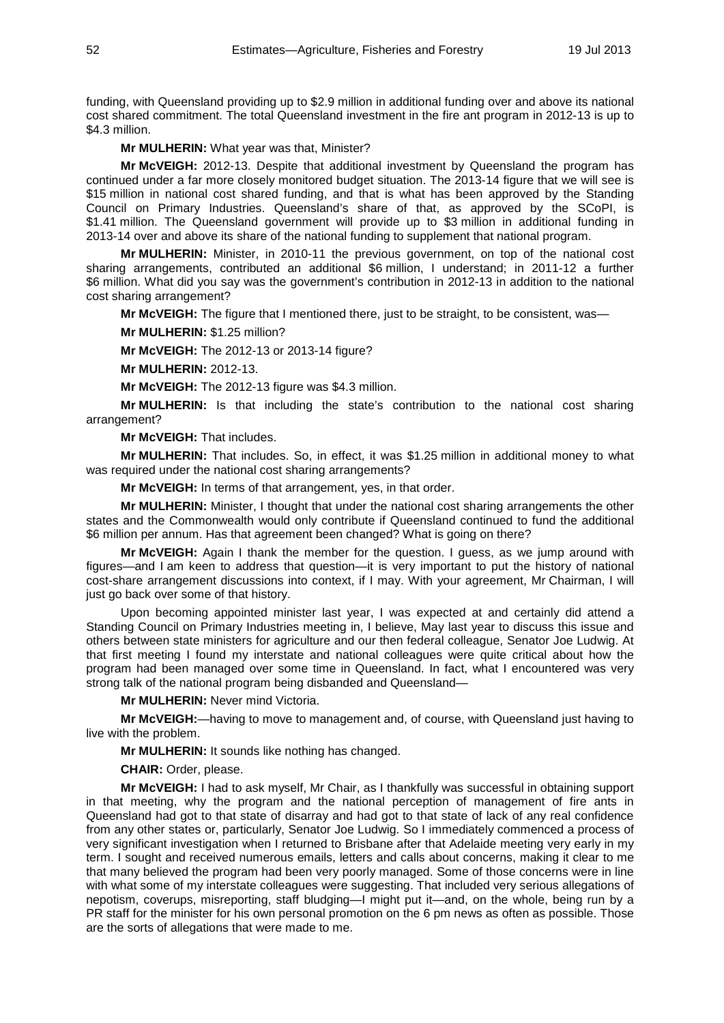funding, with Queensland providing up to \$2.9 million in additional funding over and above its national cost shared commitment. The total Queensland investment in the fire ant program in 2012-13 is up to \$4.3 million.

**Mr MULHERIN:** What year was that, Minister?

**Mr McVEIGH:** 2012-13. Despite that additional investment by Queensland the program has continued under a far more closely monitored budget situation. The 2013-14 figure that we will see is \$15 million in national cost shared funding, and that is what has been approved by the Standing Council on Primary Industries. Queensland's share of that, as approved by the SCoPI, is \$1.41 million. The Queensland government will provide up to \$3 million in additional funding in 2013-14 over and above its share of the national funding to supplement that national program.

**Mr MULHERIN:** Minister, in 2010-11 the previous government, on top of the national cost sharing arrangements, contributed an additional \$6 million, I understand; in 2011-12 a further \$6 million. What did you say was the government's contribution in 2012-13 in addition to the national cost sharing arrangement?

**Mr McVEIGH:** The figure that I mentioned there, just to be straight, to be consistent, was—

**Mr MULHERIN:** \$1.25 million?

**Mr McVEIGH:** The 2012-13 or 2013-14 figure?

**Mr MULHERIN:** 2012-13.

**Mr McVEIGH:** The 2012-13 figure was \$4.3 million.

**Mr MULHERIN:** Is that including the state's contribution to the national cost sharing arrangement?

**Mr McVEIGH:** That includes.

**Mr MULHERIN:** That includes. So, in effect, it was \$1.25 million in additional money to what was required under the national cost sharing arrangements?

**Mr McVEIGH:** In terms of that arrangement, yes, in that order.

**Mr MULHERIN:** Minister, I thought that under the national cost sharing arrangements the other states and the Commonwealth would only contribute if Queensland continued to fund the additional \$6 million per annum. Has that agreement been changed? What is going on there?

**Mr McVEIGH:** Again I thank the member for the question. I guess, as we jump around with figures—and I am keen to address that question—it is very important to put the history of national cost-share arrangement discussions into context, if I may. With your agreement, Mr Chairman, I will just go back over some of that history.

Upon becoming appointed minister last year, I was expected at and certainly did attend a Standing Council on Primary Industries meeting in, I believe, May last year to discuss this issue and others between state ministers for agriculture and our then federal colleague, Senator Joe Ludwig. At that first meeting I found my interstate and national colleagues were quite critical about how the program had been managed over some time in Queensland. In fact, what I encountered was very strong talk of the national program being disbanded and Queensland—

**Mr MULHERIN:** Never mind Victoria.

**Mr McVEIGH:**—having to move to management and, of course, with Queensland just having to live with the problem.

**Mr MULHERIN:** It sounds like nothing has changed.

**CHAIR:** Order, please.

**Mr McVEIGH:** I had to ask myself, Mr Chair, as I thankfully was successful in obtaining support in that meeting, why the program and the national perception of management of fire ants in Queensland had got to that state of disarray and had got to that state of lack of any real confidence from any other states or, particularly, Senator Joe Ludwig. So I immediately commenced a process of very significant investigation when I returned to Brisbane after that Adelaide meeting very early in my term. I sought and received numerous emails, letters and calls about concerns, making it clear to me that many believed the program had been very poorly managed. Some of those concerns were in line with what some of my interstate colleagues were suggesting. That included very serious allegations of nepotism, coverups, misreporting, staff bludging—I might put it—and, on the whole, being run by a PR staff for the minister for his own personal promotion on the 6 pm news as often as possible. Those are the sorts of allegations that were made to me.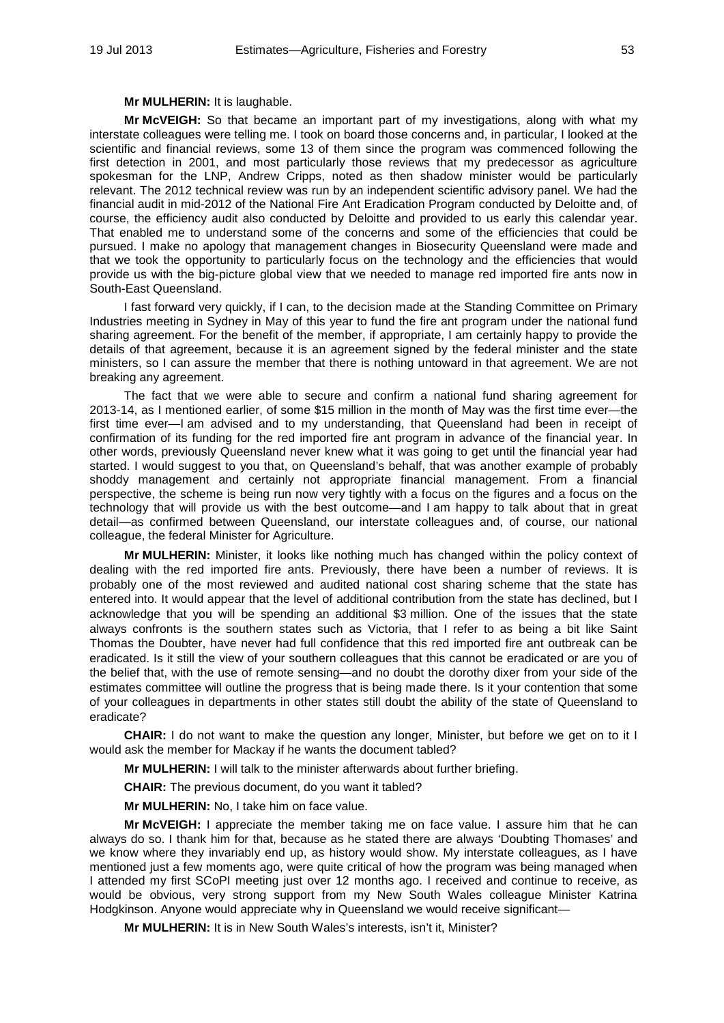### **Mr MULHERIN:** It is laughable.

**Mr McVEIGH:** So that became an important part of my investigations, along with what my interstate colleagues were telling me. I took on board those concerns and, in particular, I looked at the scientific and financial reviews, some 13 of them since the program was commenced following the first detection in 2001, and most particularly those reviews that my predecessor as agriculture spokesman for the LNP, Andrew Cripps, noted as then shadow minister would be particularly relevant. The 2012 technical review was run by an independent scientific advisory panel. We had the financial audit in mid-2012 of the National Fire Ant Eradication Program conducted by Deloitte and, of course, the efficiency audit also conducted by Deloitte and provided to us early this calendar year. That enabled me to understand some of the concerns and some of the efficiencies that could be pursued. I make no apology that management changes in Biosecurity Queensland were made and that we took the opportunity to particularly focus on the technology and the efficiencies that would provide us with the big-picture global view that we needed to manage red imported fire ants now in South-East Queensland.

I fast forward very quickly, if I can, to the decision made at the Standing Committee on Primary Industries meeting in Sydney in May of this year to fund the fire ant program under the national fund sharing agreement. For the benefit of the member, if appropriate, I am certainly happy to provide the details of that agreement, because it is an agreement signed by the federal minister and the state ministers, so I can assure the member that there is nothing untoward in that agreement. We are not breaking any agreement.

The fact that we were able to secure and confirm a national fund sharing agreement for 2013-14, as I mentioned earlier, of some \$15 million in the month of May was the first time ever—the first time ever—I am advised and to my understanding, that Queensland had been in receipt of confirmation of its funding for the red imported fire ant program in advance of the financial year. In other words, previously Queensland never knew what it was going to get until the financial year had started. I would suggest to you that, on Queensland's behalf, that was another example of probably shoddy management and certainly not appropriate financial management. From a financial perspective, the scheme is being run now very tightly with a focus on the figures and a focus on the technology that will provide us with the best outcome—and I am happy to talk about that in great detail—as confirmed between Queensland, our interstate colleagues and, of course, our national colleague, the federal Minister for Agriculture.

**Mr MULHERIN:** Minister, it looks like nothing much has changed within the policy context of dealing with the red imported fire ants. Previously, there have been a number of reviews. It is probably one of the most reviewed and audited national cost sharing scheme that the state has entered into. It would appear that the level of additional contribution from the state has declined, but I acknowledge that you will be spending an additional \$3 million. One of the issues that the state always confronts is the southern states such as Victoria, that I refer to as being a bit like Saint Thomas the Doubter, have never had full confidence that this red imported fire ant outbreak can be eradicated. Is it still the view of your southern colleagues that this cannot be eradicated or are you of the belief that, with the use of remote sensing—and no doubt the dorothy dixer from your side of the estimates committee will outline the progress that is being made there. Is it your contention that some of your colleagues in departments in other states still doubt the ability of the state of Queensland to eradicate?

**CHAIR:** I do not want to make the question any longer, Minister, but before we get on to it I would ask the member for Mackay if he wants the document tabled?

**Mr MULHERIN:** I will talk to the minister afterwards about further briefing.

**CHAIR:** The previous document, do you want it tabled?

**Mr MULHERIN:** No, I take him on face value.

**Mr McVEIGH:** I appreciate the member taking me on face value. I assure him that he can always do so. I thank him for that, because as he stated there are always 'Doubting Thomases' and we know where they invariably end up, as history would show. My interstate colleagues, as I have mentioned just a few moments ago, were quite critical of how the program was being managed when I attended my first SCoPI meeting just over 12 months ago. I received and continue to receive, as would be obvious, very strong support from my New South Wales colleague Minister Katrina Hodgkinson. Anyone would appreciate why in Queensland we would receive significant—

**Mr MULHERIN:** It is in New South Wales's interests, isn't it, Minister?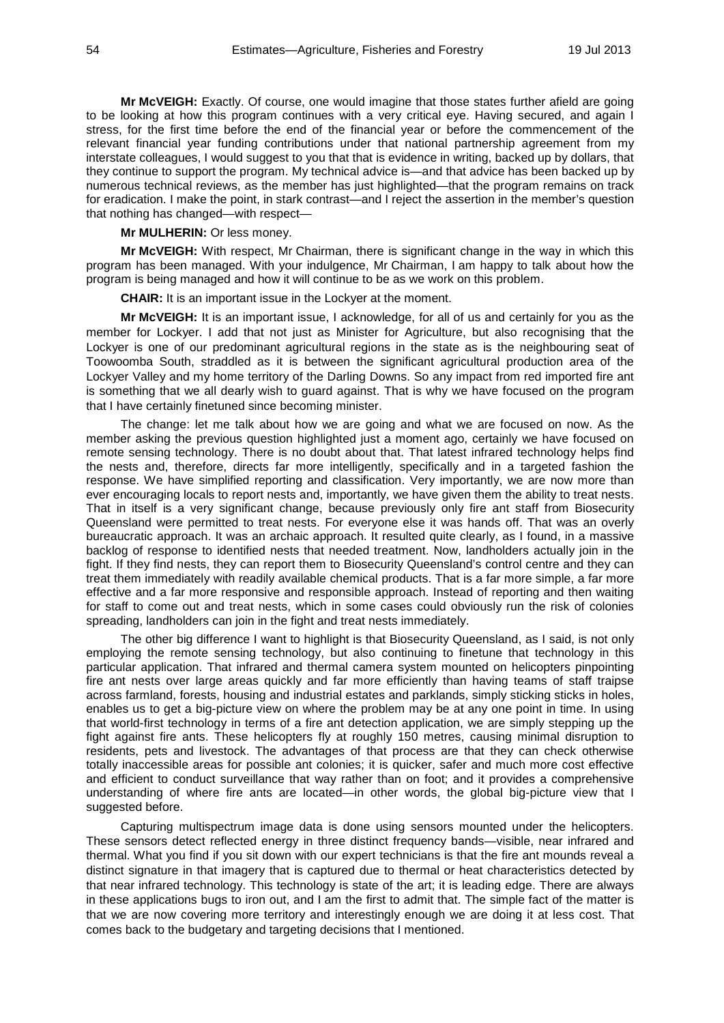**Mr McVEIGH:** Exactly. Of course, one would imagine that those states further afield are going to be looking at how this program continues with a very critical eye. Having secured, and again I stress, for the first time before the end of the financial year or before the commencement of the relevant financial year funding contributions under that national partnership agreement from my interstate colleagues, I would suggest to you that that is evidence in writing, backed up by dollars, that they continue to support the program. My technical advice is—and that advice has been backed up by numerous technical reviews, as the member has just highlighted—that the program remains on track for eradication. I make the point, in stark contrast—and I reject the assertion in the member's question that nothing has changed—with respect—

**Mr MULHERIN:** Or less money.

**Mr McVEIGH:** With respect, Mr Chairman, there is significant change in the way in which this program has been managed. With your indulgence, Mr Chairman, I am happy to talk about how the program is being managed and how it will continue to be as we work on this problem.

**CHAIR:** It is an important issue in the Lockyer at the moment.

**Mr McVEIGH:** It is an important issue, I acknowledge, for all of us and certainly for you as the member for Lockyer. I add that not just as Minister for Agriculture, but also recognising that the Lockyer is one of our predominant agricultural regions in the state as is the neighbouring seat of Toowoomba South, straddled as it is between the significant agricultural production area of the Lockyer Valley and my home territory of the Darling Downs. So any impact from red imported fire ant is something that we all dearly wish to guard against. That is why we have focused on the program that I have certainly finetuned since becoming minister.

The change: let me talk about how we are going and what we are focused on now. As the member asking the previous question highlighted just a moment ago, certainly we have focused on remote sensing technology. There is no doubt about that. That latest infrared technology helps find the nests and, therefore, directs far more intelligently, specifically and in a targeted fashion the response. We have simplified reporting and classification. Very importantly, we are now more than ever encouraging locals to report nests and, importantly, we have given them the ability to treat nests. That in itself is a very significant change, because previously only fire ant staff from Biosecurity Queensland were permitted to treat nests. For everyone else it was hands off. That was an overly bureaucratic approach. It was an archaic approach. It resulted quite clearly, as I found, in a massive backlog of response to identified nests that needed treatment. Now, landholders actually join in the fight. If they find nests, they can report them to Biosecurity Queensland's control centre and they can treat them immediately with readily available chemical products. That is a far more simple, a far more effective and a far more responsive and responsible approach. Instead of reporting and then waiting for staff to come out and treat nests, which in some cases could obviously run the risk of colonies spreading, landholders can join in the fight and treat nests immediately.

The other big difference I want to highlight is that Biosecurity Queensland, as I said, is not only employing the remote sensing technology, but also continuing to finetune that technology in this particular application. That infrared and thermal camera system mounted on helicopters pinpointing fire ant nests over large areas quickly and far more efficiently than having teams of staff traipse across farmland, forests, housing and industrial estates and parklands, simply sticking sticks in holes, enables us to get a big-picture view on where the problem may be at any one point in time. In using that world-first technology in terms of a fire ant detection application, we are simply stepping up the fight against fire ants. These helicopters fly at roughly 150 metres, causing minimal disruption to residents, pets and livestock. The advantages of that process are that they can check otherwise totally inaccessible areas for possible ant colonies; it is quicker, safer and much more cost effective and efficient to conduct surveillance that way rather than on foot; and it provides a comprehensive understanding of where fire ants are located—in other words, the global big-picture view that I suggested before.

Capturing multispectrum image data is done using sensors mounted under the helicopters. These sensors detect reflected energy in three distinct frequency bands—visible, near infrared and thermal. What you find if you sit down with our expert technicians is that the fire ant mounds reveal a distinct signature in that imagery that is captured due to thermal or heat characteristics detected by that near infrared technology. This technology is state of the art; it is leading edge. There are always in these applications bugs to iron out, and I am the first to admit that. The simple fact of the matter is that we are now covering more territory and interestingly enough we are doing it at less cost. That comes back to the budgetary and targeting decisions that I mentioned.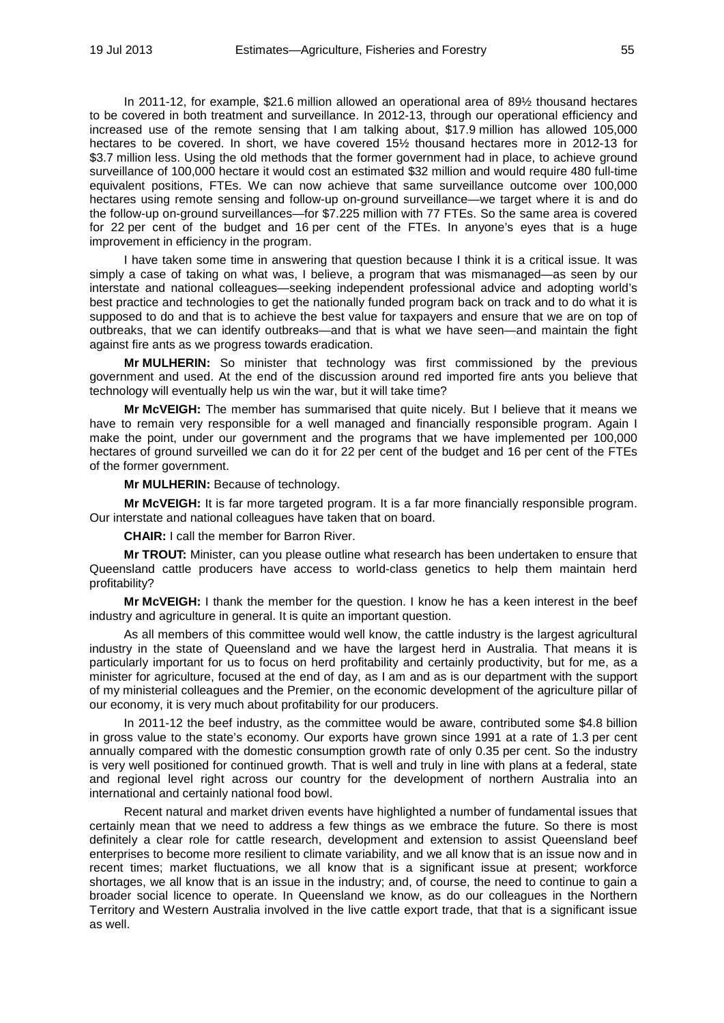In 2011-12, for example, \$21.6 million allowed an operational area of 89½ thousand hectares to be covered in both treatment and surveillance. In 2012-13, through our operational efficiency and increased use of the remote sensing that I am talking about, \$17.9 million has allowed 105,000 hectares to be covered. In short, we have covered 15½ thousand hectares more in 2012-13 for \$3.7 million less. Using the old methods that the former government had in place, to achieve ground surveillance of 100,000 hectare it would cost an estimated \$32 million and would require 480 full-time equivalent positions, FTEs. We can now achieve that same surveillance outcome over 100,000 hectares using remote sensing and follow-up on-ground surveillance—we target where it is and do the follow-up on-ground surveillances—for \$7.225 million with 77 FTEs. So the same area is covered for 22 per cent of the budget and 16 per cent of the FTEs. In anyone's eyes that is a huge improvement in efficiency in the program.

I have taken some time in answering that question because I think it is a critical issue. It was simply a case of taking on what was, I believe, a program that was mismanaged—as seen by our interstate and national colleagues—seeking independent professional advice and adopting world's best practice and technologies to get the nationally funded program back on track and to do what it is supposed to do and that is to achieve the best value for taxpayers and ensure that we are on top of outbreaks, that we can identify outbreaks—and that is what we have seen—and maintain the fight against fire ants as we progress towards eradication.

**Mr MULHERIN:** So minister that technology was first commissioned by the previous government and used. At the end of the discussion around red imported fire ants you believe that technology will eventually help us win the war, but it will take time?

**Mr McVEIGH:** The member has summarised that quite nicely. But I believe that it means we have to remain very responsible for a well managed and financially responsible program. Again I make the point, under our government and the programs that we have implemented per 100,000 hectares of ground surveilled we can do it for 22 per cent of the budget and 16 per cent of the FTEs of the former government.

**Mr MULHERIN:** Because of technology.

**Mr McVEIGH:** It is far more targeted program. It is a far more financially responsible program. Our interstate and national colleagues have taken that on board.

**CHAIR:** I call the member for Barron River.

**Mr TROUT:** Minister, can you please outline what research has been undertaken to ensure that Queensland cattle producers have access to world-class genetics to help them maintain herd profitability?

**Mr McVEIGH:** I thank the member for the question. I know he has a keen interest in the beef industry and agriculture in general. It is quite an important question.

As all members of this committee would well know, the cattle industry is the largest agricultural industry in the state of Queensland and we have the largest herd in Australia. That means it is particularly important for us to focus on herd profitability and certainly productivity, but for me, as a minister for agriculture, focused at the end of day, as I am and as is our department with the support of my ministerial colleagues and the Premier, on the economic development of the agriculture pillar of our economy, it is very much about profitability for our producers.

In 2011-12 the beef industry, as the committee would be aware, contributed some \$4.8 billion in gross value to the state's economy. Our exports have grown since 1991 at a rate of 1.3 per cent annually compared with the domestic consumption growth rate of only 0.35 per cent. So the industry is very well positioned for continued growth. That is well and truly in line with plans at a federal, state and regional level right across our country for the development of northern Australia into an international and certainly national food bowl.

Recent natural and market driven events have highlighted a number of fundamental issues that certainly mean that we need to address a few things as we embrace the future. So there is most definitely a clear role for cattle research, development and extension to assist Queensland beef enterprises to become more resilient to climate variability, and we all know that is an issue now and in recent times; market fluctuations, we all know that is a significant issue at present; workforce shortages, we all know that is an issue in the industry; and, of course, the need to continue to gain a broader social licence to operate. In Queensland we know, as do our colleagues in the Northern Territory and Western Australia involved in the live cattle export trade, that that is a significant issue as well.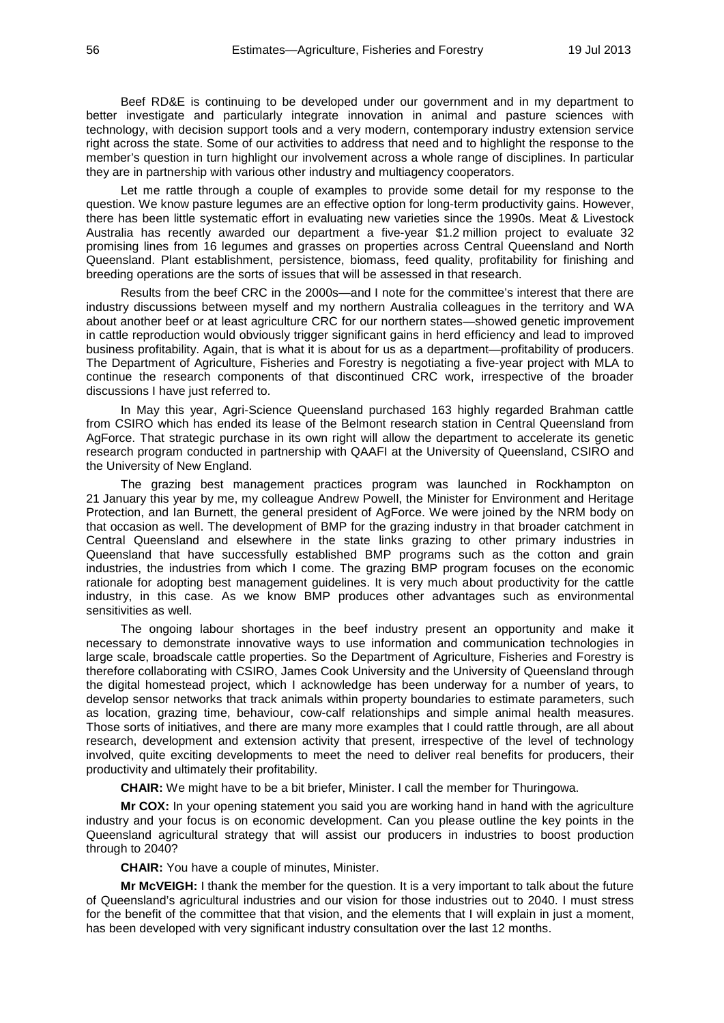Beef RD&E is continuing to be developed under our government and in my department to better investigate and particularly integrate innovation in animal and pasture sciences with technology, with decision support tools and a very modern, contemporary industry extension service right across the state. Some of our activities to address that need and to highlight the response to the member's question in turn highlight our involvement across a whole range of disciplines. In particular they are in partnership with various other industry and multiagency cooperators.

Let me rattle through a couple of examples to provide some detail for my response to the question. We know pasture legumes are an effective option for long-term productivity gains. However, there has been little systematic effort in evaluating new varieties since the 1990s. Meat & Livestock Australia has recently awarded our department a five-year \$1.2 million project to evaluate 32 promising lines from 16 legumes and grasses on properties across Central Queensland and North Queensland. Plant establishment, persistence, biomass, feed quality, profitability for finishing and breeding operations are the sorts of issues that will be assessed in that research.

Results from the beef CRC in the 2000s—and I note for the committee's interest that there are industry discussions between myself and my northern Australia colleagues in the territory and WA about another beef or at least agriculture CRC for our northern states—showed genetic improvement in cattle reproduction would obviously trigger significant gains in herd efficiency and lead to improved business profitability. Again, that is what it is about for us as a department—profitability of producers. The Department of Agriculture, Fisheries and Forestry is negotiating a five-year project with MLA to continue the research components of that discontinued CRC work, irrespective of the broader discussions I have just referred to.

In May this year, Agri-Science Queensland purchased 163 highly regarded Brahman cattle from CSIRO which has ended its lease of the Belmont research station in Central Queensland from AgForce. That strategic purchase in its own right will allow the department to accelerate its genetic research program conducted in partnership with QAAFI at the University of Queensland, CSIRO and the University of New England.

The grazing best management practices program was launched in Rockhampton on 21 January this year by me, my colleague Andrew Powell, the Minister for Environment and Heritage Protection, and Ian Burnett, the general president of AgForce. We were joined by the NRM body on that occasion as well. The development of BMP for the grazing industry in that broader catchment in Central Queensland and elsewhere in the state links grazing to other primary industries in Queensland that have successfully established BMP programs such as the cotton and grain industries, the industries from which I come. The grazing BMP program focuses on the economic rationale for adopting best management guidelines. It is very much about productivity for the cattle industry, in this case. As we know BMP produces other advantages such as environmental sensitivities as well.

The ongoing labour shortages in the beef industry present an opportunity and make it necessary to demonstrate innovative ways to use information and communication technologies in large scale, broadscale cattle properties. So the Department of Agriculture, Fisheries and Forestry is therefore collaborating with CSIRO, James Cook University and the University of Queensland through the digital homestead project, which I acknowledge has been underway for a number of years, to develop sensor networks that track animals within property boundaries to estimate parameters, such as location, grazing time, behaviour, cow-calf relationships and simple animal health measures. Those sorts of initiatives, and there are many more examples that I could rattle through, are all about research, development and extension activity that present, irrespective of the level of technology involved, quite exciting developments to meet the need to deliver real benefits for producers, their productivity and ultimately their profitability.

**CHAIR:** We might have to be a bit briefer, Minister. I call the member for Thuringowa.

**Mr COX:** In your opening statement you said you are working hand in hand with the agriculture industry and your focus is on economic development. Can you please outline the key points in the Queensland agricultural strategy that will assist our producers in industries to boost production through to 2040?

**CHAIR:** You have a couple of minutes, Minister.

**Mr McVEIGH:** I thank the member for the question. It is a very important to talk about the future of Queensland's agricultural industries and our vision for those industries out to 2040. I must stress for the benefit of the committee that that vision, and the elements that I will explain in just a moment, has been developed with very significant industry consultation over the last 12 months.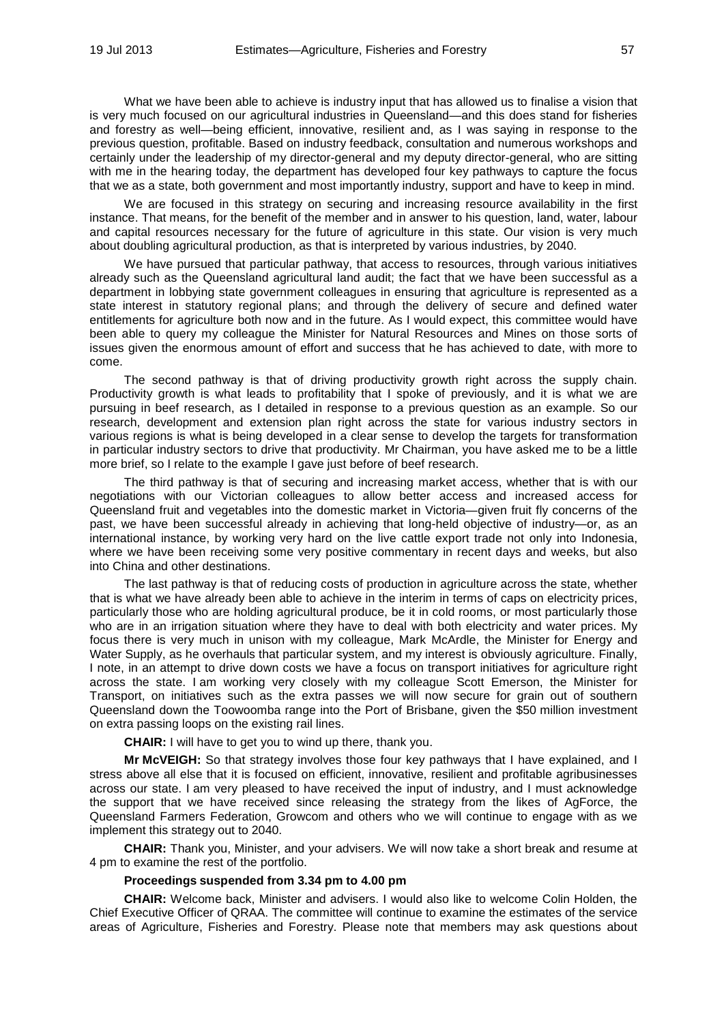What we have been able to achieve is industry input that has allowed us to finalise a vision that is very much focused on our agricultural industries in Queensland—and this does stand for fisheries and forestry as well—being efficient, innovative, resilient and, as I was saying in response to the previous question, profitable. Based on industry feedback, consultation and numerous workshops and certainly under the leadership of my director-general and my deputy director-general, who are sitting with me in the hearing today, the department has developed four key pathways to capture the focus that we as a state, both government and most importantly industry, support and have to keep in mind.

We are focused in this strategy on securing and increasing resource availability in the first instance. That means, for the benefit of the member and in answer to his question, land, water, labour and capital resources necessary for the future of agriculture in this state. Our vision is very much about doubling agricultural production, as that is interpreted by various industries, by 2040.

We have pursued that particular pathway, that access to resources, through various initiatives already such as the Queensland agricultural land audit; the fact that we have been successful as a department in lobbying state government colleagues in ensuring that agriculture is represented as a state interest in statutory regional plans; and through the delivery of secure and defined water entitlements for agriculture both now and in the future. As I would expect, this committee would have been able to query my colleague the Minister for Natural Resources and Mines on those sorts of issues given the enormous amount of effort and success that he has achieved to date, with more to come.

The second pathway is that of driving productivity growth right across the supply chain. Productivity growth is what leads to profitability that I spoke of previously, and it is what we are pursuing in beef research, as I detailed in response to a previous question as an example. So our research, development and extension plan right across the state for various industry sectors in various regions is what is being developed in a clear sense to develop the targets for transformation in particular industry sectors to drive that productivity. Mr Chairman, you have asked me to be a little more brief, so I relate to the example I gave just before of beef research.

The third pathway is that of securing and increasing market access, whether that is with our negotiations with our Victorian colleagues to allow better access and increased access for Queensland fruit and vegetables into the domestic market in Victoria—given fruit fly concerns of the past, we have been successful already in achieving that long-held objective of industry—or, as an international instance, by working very hard on the live cattle export trade not only into Indonesia, where we have been receiving some very positive commentary in recent days and weeks, but also into China and other destinations.

The last pathway is that of reducing costs of production in agriculture across the state, whether that is what we have already been able to achieve in the interim in terms of caps on electricity prices, particularly those who are holding agricultural produce, be it in cold rooms, or most particularly those who are in an irrigation situation where they have to deal with both electricity and water prices. My focus there is very much in unison with my colleague, Mark McArdle, the Minister for Energy and Water Supply, as he overhauls that particular system, and my interest is obviously agriculture. Finally, I note, in an attempt to drive down costs we have a focus on transport initiatives for agriculture right across the state. I am working very closely with my colleague Scott Emerson, the Minister for Transport, on initiatives such as the extra passes we will now secure for grain out of southern Queensland down the Toowoomba range into the Port of Brisbane, given the \$50 million investment on extra passing loops on the existing rail lines.

**CHAIR:** I will have to get you to wind up there, thank you.

**Mr McVEIGH:** So that strategy involves those four key pathways that I have explained, and I stress above all else that it is focused on efficient, innovative, resilient and profitable agribusinesses across our state. I am very pleased to have received the input of industry, and I must acknowledge the support that we have received since releasing the strategy from the likes of AgForce, the Queensland Farmers Federation, Growcom and others who we will continue to engage with as we implement this strategy out to 2040.

**CHAIR:** Thank you, Minister, and your advisers. We will now take a short break and resume at 4 pm to examine the rest of the portfolio.

### **Proceedings suspended from 3.34 pm to 4.00 pm**

**CHAIR:** Welcome back, Minister and advisers. I would also like to welcome Colin Holden, the Chief Executive Officer of QRAA. The committee will continue to examine the estimates of the service areas of Agriculture, Fisheries and Forestry. Please note that members may ask questions about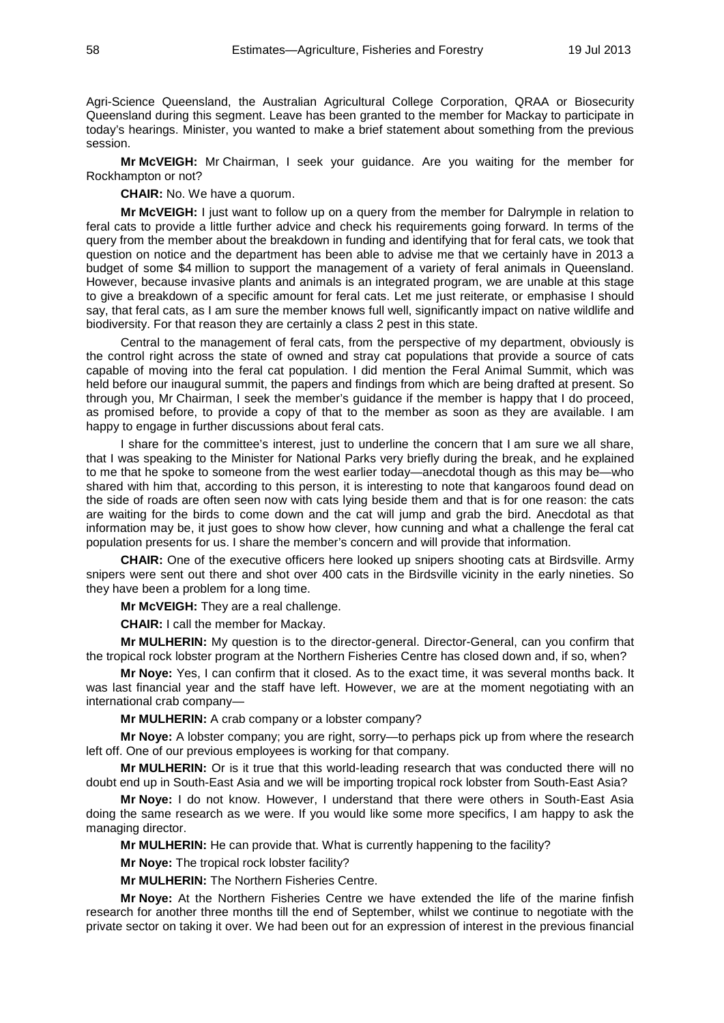Agri-Science Queensland, the Australian Agricultural College Corporation, QRAA or Biosecurity Queensland during this segment. Leave has been granted to the member for Mackay to participate in today's hearings. Minister, you wanted to make a brief statement about something from the previous session.

**Mr McVEIGH:** Mr Chairman, I seek your guidance. Are you waiting for the member for Rockhampton or not?

**CHAIR:** No. We have a quorum.

**Mr McVEIGH:** I just want to follow up on a query from the member for Dalrymple in relation to feral cats to provide a little further advice and check his requirements going forward. In terms of the query from the member about the breakdown in funding and identifying that for feral cats, we took that question on notice and the department has been able to advise me that we certainly have in 2013 a budget of some \$4 million to support the management of a variety of feral animals in Queensland. However, because invasive plants and animals is an integrated program, we are unable at this stage to give a breakdown of a specific amount for feral cats. Let me just reiterate, or emphasise I should say, that feral cats, as I am sure the member knows full well, significantly impact on native wildlife and biodiversity. For that reason they are certainly a class 2 pest in this state.

Central to the management of feral cats, from the perspective of my department, obviously is the control right across the state of owned and stray cat populations that provide a source of cats capable of moving into the feral cat population. I did mention the Feral Animal Summit, which was held before our inaugural summit, the papers and findings from which are being drafted at present. So through you, Mr Chairman, I seek the member's guidance if the member is happy that I do proceed, as promised before, to provide a copy of that to the member as soon as they are available. I am happy to engage in further discussions about feral cats.

I share for the committee's interest, just to underline the concern that I am sure we all share, that I was speaking to the Minister for National Parks very briefly during the break, and he explained to me that he spoke to someone from the west earlier today—anecdotal though as this may be—who shared with him that, according to this person, it is interesting to note that kangaroos found dead on the side of roads are often seen now with cats lying beside them and that is for one reason: the cats are waiting for the birds to come down and the cat will jump and grab the bird. Anecdotal as that information may be, it just goes to show how clever, how cunning and what a challenge the feral cat population presents for us. I share the member's concern and will provide that information.

**CHAIR:** One of the executive officers here looked up snipers shooting cats at Birdsville. Army snipers were sent out there and shot over 400 cats in the Birdsville vicinity in the early nineties. So they have been a problem for a long time.

**Mr McVEIGH:** They are a real challenge.

**CHAIR:** I call the member for Mackay.

**Mr MULHERIN:** My question is to the director-general. Director-General, can you confirm that the tropical rock lobster program at the Northern Fisheries Centre has closed down and, if so, when?

**Mr Noye:** Yes, I can confirm that it closed. As to the exact time, it was several months back. It was last financial year and the staff have left. However, we are at the moment negotiating with an international crab company—

**Mr MULHERIN:** A crab company or a lobster company?

**Mr Noye:** A lobster company; you are right, sorry—to perhaps pick up from where the research left off. One of our previous employees is working for that company.

**Mr MULHERIN:** Or is it true that this world-leading research that was conducted there will no doubt end up in South-East Asia and we will be importing tropical rock lobster from South-East Asia?

**Mr Noye:** I do not know. However, I understand that there were others in South-East Asia doing the same research as we were. If you would like some more specifics, I am happy to ask the managing director.

**Mr MULHERIN:** He can provide that. What is currently happening to the facility?

**Mr Noye:** The tropical rock lobster facility?

**Mr MULHERIN:** The Northern Fisheries Centre.

**Mr Noye:** At the Northern Fisheries Centre we have extended the life of the marine finfish research for another three months till the end of September, whilst we continue to negotiate with the private sector on taking it over. We had been out for an expression of interest in the previous financial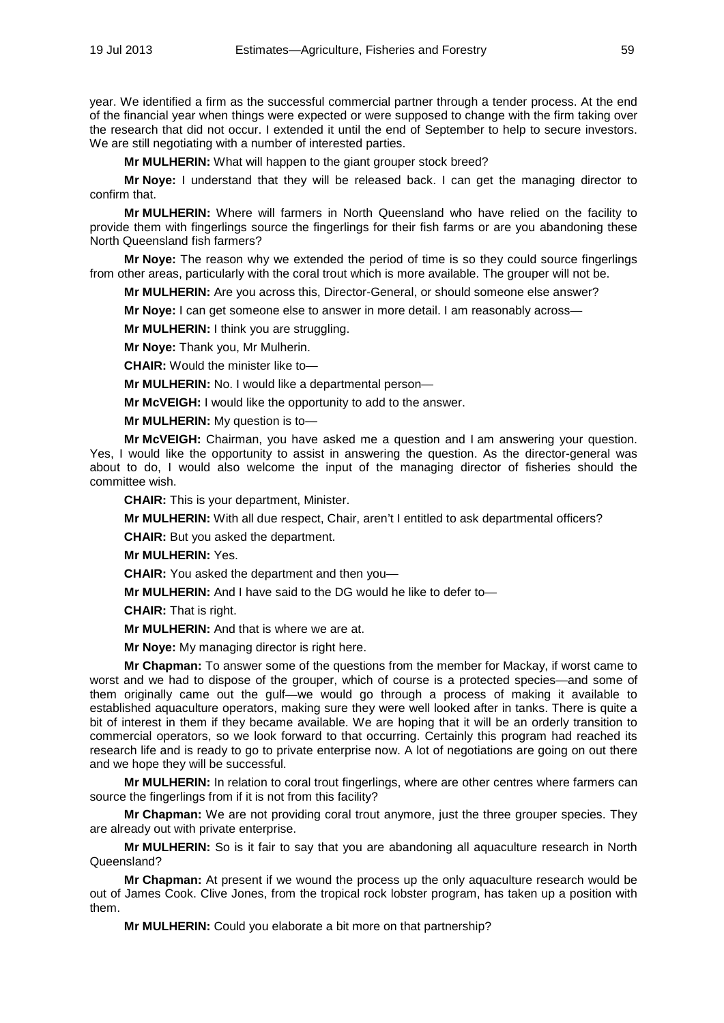year. We identified a firm as the successful commercial partner through a tender process. At the end of the financial year when things were expected or were supposed to change with the firm taking over the research that did not occur. I extended it until the end of September to help to secure investors. We are still negotiating with a number of interested parties.

**Mr MULHERIN:** What will happen to the giant grouper stock breed?

**Mr Noye:** I understand that they will be released back. I can get the managing director to confirm that.

**Mr MULHERIN:** Where will farmers in North Queensland who have relied on the facility to provide them with fingerlings source the fingerlings for their fish farms or are you abandoning these North Queensland fish farmers?

**Mr Noye:** The reason why we extended the period of time is so they could source fingerlings from other areas, particularly with the coral trout which is more available. The grouper will not be.

**Mr MULHERIN:** Are you across this, Director-General, or should someone else answer?

**Mr Noye:** I can get someone else to answer in more detail. I am reasonably across—

**Mr MULHERIN:** I think you are struggling.

**Mr Noye:** Thank you, Mr Mulherin.

**CHAIR:** Would the minister like to—

**Mr MULHERIN:** No. I would like a departmental person—

**Mr McVEIGH:** I would like the opportunity to add to the answer.

**Mr MULHERIN:** My question is to—

**Mr McVEIGH:** Chairman, you have asked me a question and I am answering your question. Yes, I would like the opportunity to assist in answering the question. As the director-general was about to do, I would also welcome the input of the managing director of fisheries should the committee wish.

**CHAIR:** This is your department, Minister.

**Mr MULHERIN:** With all due respect, Chair, aren't I entitled to ask departmental officers?

**CHAIR:** But you asked the department.

**Mr MULHERIN:** Yes.

**CHAIR:** You asked the department and then you—

**Mr MULHERIN:** And I have said to the DG would he like to defer to—

**CHAIR:** That is right.

**Mr MULHERIN:** And that is where we are at.

**Mr Noye:** My managing director is right here.

**Mr Chapman:** To answer some of the questions from the member for Mackay, if worst came to worst and we had to dispose of the grouper, which of course is a protected species—and some of them originally came out the gulf—we would go through a process of making it available to established aquaculture operators, making sure they were well looked after in tanks. There is quite a bit of interest in them if they became available. We are hoping that it will be an orderly transition to commercial operators, so we look forward to that occurring. Certainly this program had reached its research life and is ready to go to private enterprise now. A lot of negotiations are going on out there and we hope they will be successful.

**Mr MULHERIN:** In relation to coral trout fingerlings, where are other centres where farmers can source the fingerlings from if it is not from this facility?

**Mr Chapman:** We are not providing coral trout anymore, just the three grouper species. They are already out with private enterprise.

**Mr MULHERIN:** So is it fair to say that you are abandoning all aquaculture research in North Queensland?

**Mr Chapman:** At present if we wound the process up the only aquaculture research would be out of James Cook. Clive Jones, from the tropical rock lobster program, has taken up a position with them.

**Mr MULHERIN:** Could you elaborate a bit more on that partnership?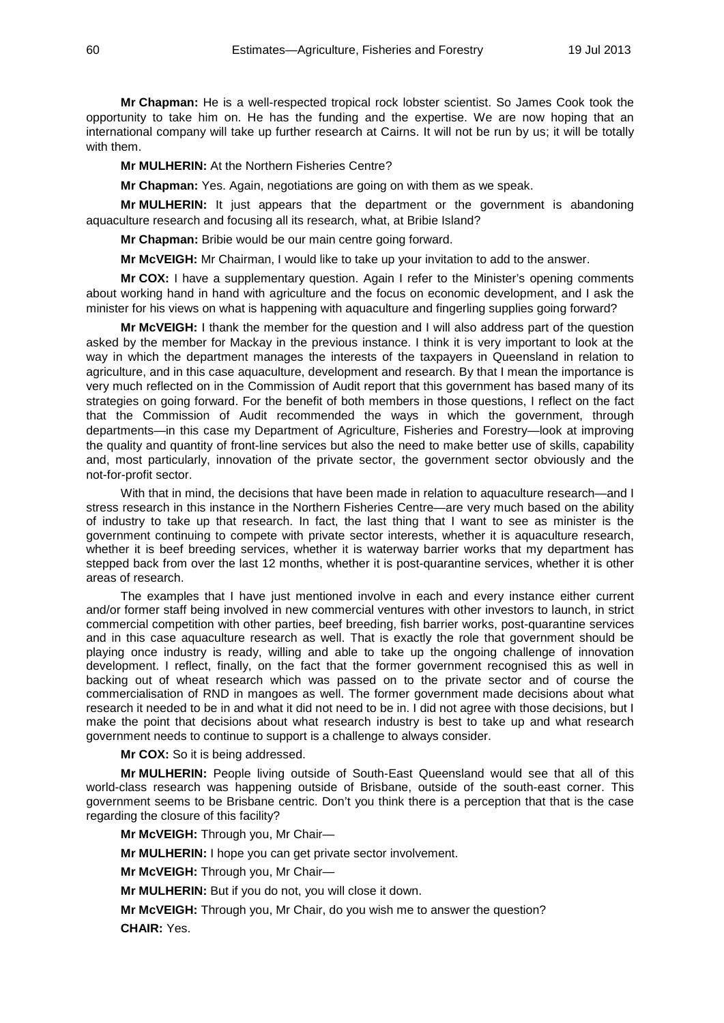**Mr Chapman:** He is a well-respected tropical rock lobster scientist. So James Cook took the opportunity to take him on. He has the funding and the expertise. We are now hoping that an international company will take up further research at Cairns. It will not be run by us; it will be totally with them.

**Mr MULHERIN:** At the Northern Fisheries Centre?

**Mr Chapman:** Yes. Again, negotiations are going on with them as we speak.

**Mr MULHERIN:** It just appears that the department or the government is abandoning aquaculture research and focusing all its research, what, at Bribie Island?

**Mr Chapman:** Bribie would be our main centre going forward.

**Mr McVEIGH:** Mr Chairman, I would like to take up your invitation to add to the answer.

**Mr COX:** I have a supplementary question. Again I refer to the Minister's opening comments about working hand in hand with agriculture and the focus on economic development, and I ask the minister for his views on what is happening with aquaculture and fingerling supplies going forward?

**Mr McVEIGH:** I thank the member for the question and I will also address part of the question asked by the member for Mackay in the previous instance. I think it is very important to look at the way in which the department manages the interests of the taxpayers in Queensland in relation to agriculture, and in this case aquaculture, development and research. By that I mean the importance is very much reflected on in the Commission of Audit report that this government has based many of its strategies on going forward. For the benefit of both members in those questions, I reflect on the fact that the Commission of Audit recommended the ways in which the government, through departments—in this case my Department of Agriculture, Fisheries and Forestry—look at improving the quality and quantity of front-line services but also the need to make better use of skills, capability and, most particularly, innovation of the private sector, the government sector obviously and the not-for-profit sector.

With that in mind, the decisions that have been made in relation to aquaculture research—and I stress research in this instance in the Northern Fisheries Centre—are very much based on the ability of industry to take up that research. In fact, the last thing that I want to see as minister is the government continuing to compete with private sector interests, whether it is aquaculture research, whether it is beef breeding services, whether it is waterway barrier works that my department has stepped back from over the last 12 months, whether it is post-quarantine services, whether it is other areas of research.

The examples that I have just mentioned involve in each and every instance either current and/or former staff being involved in new commercial ventures with other investors to launch, in strict commercial competition with other parties, beef breeding, fish barrier works, post-quarantine services and in this case aquaculture research as well. That is exactly the role that government should be playing once industry is ready, willing and able to take up the ongoing challenge of innovation development. I reflect, finally, on the fact that the former government recognised this as well in backing out of wheat research which was passed on to the private sector and of course the commercialisation of RND in mangoes as well. The former government made decisions about what research it needed to be in and what it did not need to be in. I did not agree with those decisions, but I make the point that decisions about what research industry is best to take up and what research government needs to continue to support is a challenge to always consider.

**Mr COX:** So it is being addressed.

**Mr MULHERIN:** People living outside of South-East Queensland would see that all of this world-class research was happening outside of Brisbane, outside of the south-east corner. This government seems to be Brisbane centric. Don't you think there is a perception that that is the case regarding the closure of this facility?

**Mr McVEIGH:** Through you, Mr Chair—

**Mr MULHERIN:** I hope you can get private sector involvement.

**Mr McVEIGH:** Through you, Mr Chair—

**Mr MULHERIN:** But if you do not, you will close it down.

**Mr McVEIGH:** Through you, Mr Chair, do you wish me to answer the question? **CHAIR:** Yes.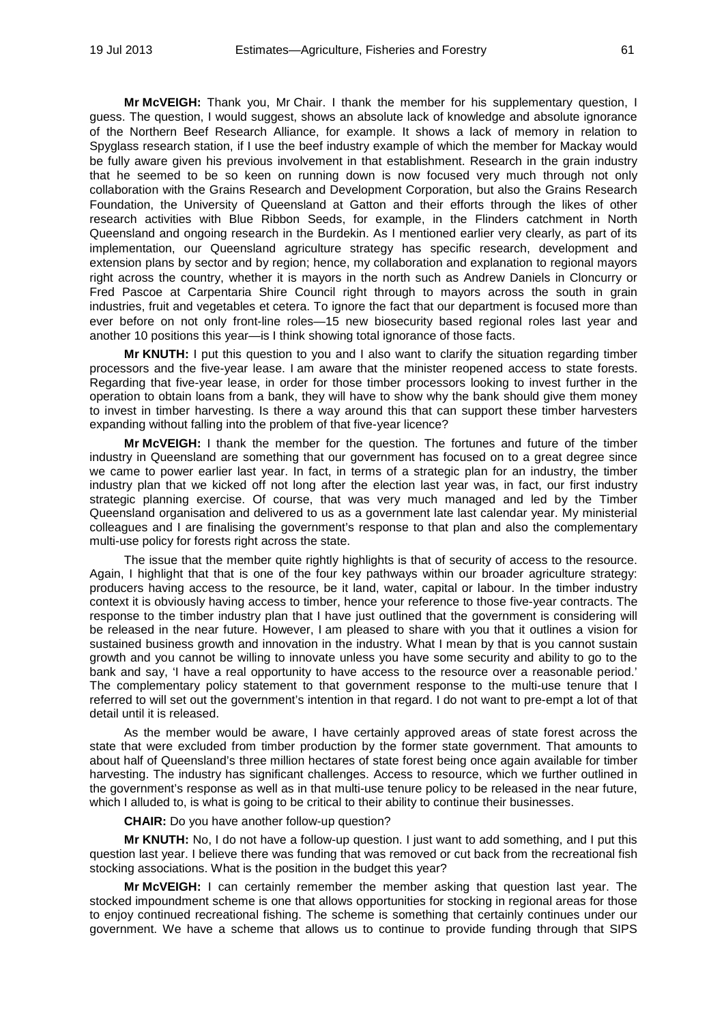**Mr McVEIGH:** Thank you, Mr Chair. I thank the member for his supplementary question, I guess. The question, I would suggest, shows an absolute lack of knowledge and absolute ignorance of the Northern Beef Research Alliance, for example. It shows a lack of memory in relation to Spyglass research station, if I use the beef industry example of which the member for Mackay would be fully aware given his previous involvement in that establishment. Research in the grain industry that he seemed to be so keen on running down is now focused very much through not only collaboration with the Grains Research and Development Corporation, but also the Grains Research Foundation, the University of Queensland at Gatton and their efforts through the likes of other research activities with Blue Ribbon Seeds, for example, in the Flinders catchment in North Queensland and ongoing research in the Burdekin. As I mentioned earlier very clearly, as part of its implementation, our Queensland agriculture strategy has specific research, development and extension plans by sector and by region; hence, my collaboration and explanation to regional mayors right across the country, whether it is mayors in the north such as Andrew Daniels in Cloncurry or Fred Pascoe at Carpentaria Shire Council right through to mayors across the south in grain industries, fruit and vegetables et cetera. To ignore the fact that our department is focused more than ever before on not only front-line roles—15 new biosecurity based regional roles last year and another 10 positions this year—is I think showing total ignorance of those facts.

**Mr KNUTH:** I put this question to you and I also want to clarify the situation regarding timber processors and the five-year lease. I am aware that the minister reopened access to state forests. Regarding that five-year lease, in order for those timber processors looking to invest further in the operation to obtain loans from a bank, they will have to show why the bank should give them money to invest in timber harvesting. Is there a way around this that can support these timber harvesters expanding without falling into the problem of that five-year licence?

**Mr McVEIGH:** I thank the member for the question. The fortunes and future of the timber industry in Queensland are something that our government has focused on to a great degree since we came to power earlier last year. In fact, in terms of a strategic plan for an industry, the timber industry plan that we kicked off not long after the election last year was, in fact, our first industry strategic planning exercise. Of course, that was very much managed and led by the Timber Queensland organisation and delivered to us as a government late last calendar year. My ministerial colleagues and I are finalising the government's response to that plan and also the complementary multi-use policy for forests right across the state.

The issue that the member quite rightly highlights is that of security of access to the resource. Again, I highlight that that is one of the four key pathways within our broader agriculture strategy: producers having access to the resource, be it land, water, capital or labour. In the timber industry context it is obviously having access to timber, hence your reference to those five-year contracts. The response to the timber industry plan that I have just outlined that the government is considering will be released in the near future. However, I am pleased to share with you that it outlines a vision for sustained business growth and innovation in the industry. What I mean by that is you cannot sustain growth and you cannot be willing to innovate unless you have some security and ability to go to the bank and say, 'I have a real opportunity to have access to the resource over a reasonable period.' The complementary policy statement to that government response to the multi-use tenure that I referred to will set out the government's intention in that regard. I do not want to pre-empt a lot of that detail until it is released.

As the member would be aware, I have certainly approved areas of state forest across the state that were excluded from timber production by the former state government. That amounts to about half of Queensland's three million hectares of state forest being once again available for timber harvesting. The industry has significant challenges. Access to resource, which we further outlined in the government's response as well as in that multi-use tenure policy to be released in the near future, which I alluded to, is what is going to be critical to their ability to continue their businesses.

**CHAIR:** Do you have another follow-up question?

**Mr KNUTH:** No, I do not have a follow-up question. I just want to add something, and I put this question last year. I believe there was funding that was removed or cut back from the recreational fish stocking associations. What is the position in the budget this year?

**Mr McVEIGH:** I can certainly remember the member asking that question last year. The stocked impoundment scheme is one that allows opportunities for stocking in regional areas for those to enjoy continued recreational fishing. The scheme is something that certainly continues under our government. We have a scheme that allows us to continue to provide funding through that SIPS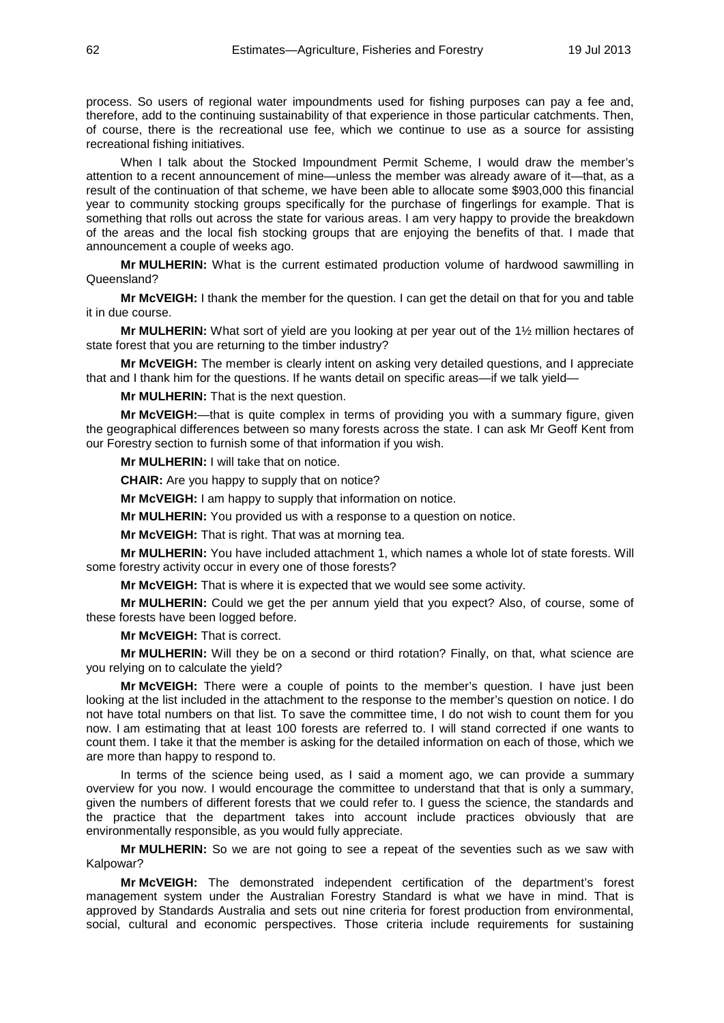process. So users of regional water impoundments used for fishing purposes can pay a fee and, therefore, add to the continuing sustainability of that experience in those particular catchments. Then, of course, there is the recreational use fee, which we continue to use as a source for assisting recreational fishing initiatives.

When I talk about the Stocked Impoundment Permit Scheme, I would draw the member's attention to a recent announcement of mine—unless the member was already aware of it—that, as a result of the continuation of that scheme, we have been able to allocate some \$903,000 this financial year to community stocking groups specifically for the purchase of fingerlings for example. That is something that rolls out across the state for various areas. I am very happy to provide the breakdown of the areas and the local fish stocking groups that are enjoying the benefits of that. I made that announcement a couple of weeks ago.

**Mr MULHERIN:** What is the current estimated production volume of hardwood sawmilling in Queensland?

**Mr McVEIGH:** I thank the member for the question. I can get the detail on that for you and table it in due course.

**Mr MULHERIN:** What sort of yield are you looking at per year out of the 1½ million hectares of state forest that you are returning to the timber industry?

**Mr McVEIGH:** The member is clearly intent on asking very detailed questions, and I appreciate that and I thank him for the questions. If he wants detail on specific areas—if we talk yield—

**Mr MULHERIN:** That is the next question.

**Mr McVEIGH:**—that is quite complex in terms of providing you with a summary figure, given the geographical differences between so many forests across the state. I can ask Mr Geoff Kent from our Forestry section to furnish some of that information if you wish.

**Mr MULHERIN:** I will take that on notice.

**CHAIR:** Are you happy to supply that on notice?

**Mr McVEIGH:** I am happy to supply that information on notice.

**Mr MULHERIN:** You provided us with a response to a question on notice.

**Mr McVEIGH:** That is right. That was at morning tea.

**Mr MULHERIN:** You have included attachment 1, which names a whole lot of state forests. Will some forestry activity occur in every one of those forests?

**Mr McVEIGH:** That is where it is expected that we would see some activity.

**Mr MULHERIN:** Could we get the per annum yield that you expect? Also, of course, some of these forests have been logged before.

**Mr McVEIGH:** That is correct.

**Mr MULHERIN:** Will they be on a second or third rotation? Finally, on that, what science are you relying on to calculate the yield?

**Mr McVEIGH:** There were a couple of points to the member's question. I have just been looking at the list included in the attachment to the response to the member's question on notice. I do not have total numbers on that list. To save the committee time, I do not wish to count them for you now. I am estimating that at least 100 forests are referred to. I will stand corrected if one wants to count them. I take it that the member is asking for the detailed information on each of those, which we are more than happy to respond to.

In terms of the science being used, as I said a moment ago, we can provide a summary overview for you now. I would encourage the committee to understand that that is only a summary, given the numbers of different forests that we could refer to. I guess the science, the standards and the practice that the department takes into account include practices obviously that are environmentally responsible, as you would fully appreciate.

**Mr MULHERIN:** So we are not going to see a repeat of the seventies such as we saw with Kalpowar?

**Mr McVEIGH:** The demonstrated independent certification of the department's forest management system under the Australian Forestry Standard is what we have in mind. That is approved by Standards Australia and sets out nine criteria for forest production from environmental, social, cultural and economic perspectives. Those criteria include requirements for sustaining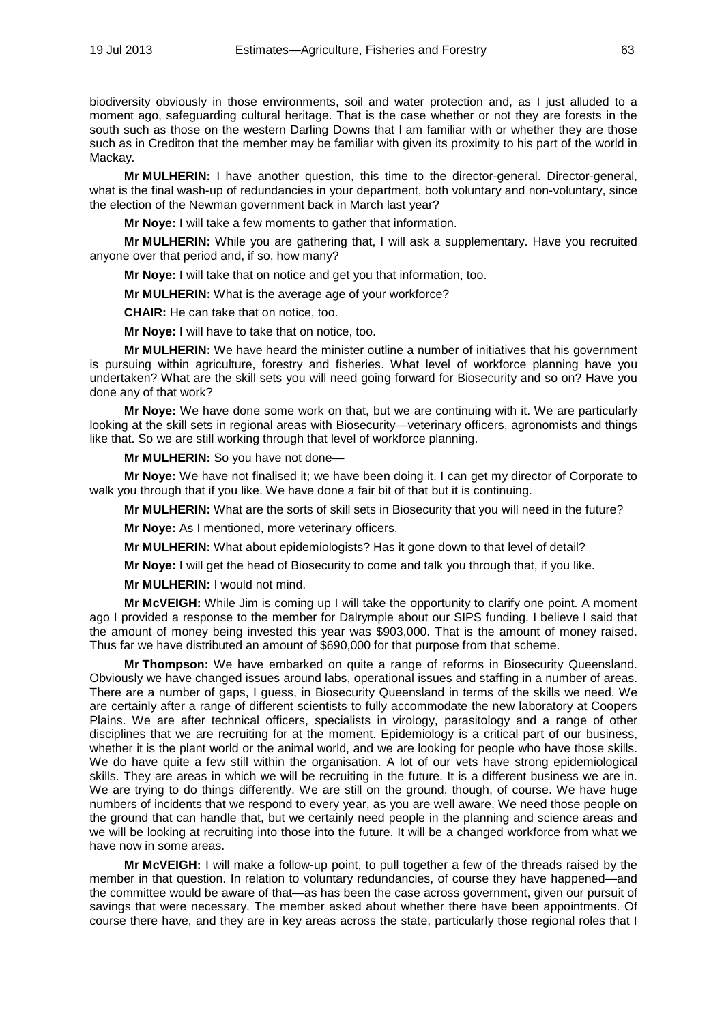biodiversity obviously in those environments, soil and water protection and, as I just alluded to a moment ago, safeguarding cultural heritage. That is the case whether or not they are forests in the south such as those on the western Darling Downs that I am familiar with or whether they are those such as in Crediton that the member may be familiar with given its proximity to his part of the world in Mackay.

**Mr MULHERIN:** I have another question, this time to the director-general. Director-general, what is the final wash-up of redundancies in your department, both voluntary and non-voluntary, since the election of the Newman government back in March last year?

**Mr Noye:** I will take a few moments to gather that information.

**Mr MULHERIN:** While you are gathering that, I will ask a supplementary. Have you recruited anyone over that period and, if so, how many?

**Mr Noye:** I will take that on notice and get you that information, too.

**Mr MULHERIN:** What is the average age of your workforce?

**CHAIR:** He can take that on notice, too.

**Mr Noye:** I will have to take that on notice, too.

**Mr MULHERIN:** We have heard the minister outline a number of initiatives that his government is pursuing within agriculture, forestry and fisheries. What level of workforce planning have you undertaken? What are the skill sets you will need going forward for Biosecurity and so on? Have you done any of that work?

**Mr Noye:** We have done some work on that, but we are continuing with it. We are particularly looking at the skill sets in regional areas with Biosecurity—veterinary officers, agronomists and things like that. So we are still working through that level of workforce planning.

**Mr MULHERIN:** So you have not done—

**Mr Noye:** We have not finalised it; we have been doing it. I can get my director of Corporate to walk you through that if you like. We have done a fair bit of that but it is continuing.

**Mr MULHERIN:** What are the sorts of skill sets in Biosecurity that you will need in the future?

**Mr Noye:** As I mentioned, more veterinary officers.

**Mr MULHERIN:** What about epidemiologists? Has it gone down to that level of detail?

**Mr Noye:** I will get the head of Biosecurity to come and talk you through that, if you like.

**Mr MULHERIN:** I would not mind.

**Mr McVEIGH:** While Jim is coming up I will take the opportunity to clarify one point. A moment ago I provided a response to the member for Dalrymple about our SIPS funding. I believe I said that the amount of money being invested this year was \$903,000. That is the amount of money raised. Thus far we have distributed an amount of \$690,000 for that purpose from that scheme.

**Mr Thompson:** We have embarked on quite a range of reforms in Biosecurity Queensland. Obviously we have changed issues around labs, operational issues and staffing in a number of areas. There are a number of gaps, I guess, in Biosecurity Queensland in terms of the skills we need. We are certainly after a range of different scientists to fully accommodate the new laboratory at Coopers Plains. We are after technical officers, specialists in virology, parasitology and a range of other disciplines that we are recruiting for at the moment. Epidemiology is a critical part of our business, whether it is the plant world or the animal world, and we are looking for people who have those skills. We do have quite a few still within the organisation. A lot of our vets have strong epidemiological skills. They are areas in which we will be recruiting in the future. It is a different business we are in. We are trying to do things differently. We are still on the ground, though, of course. We have huge numbers of incidents that we respond to every year, as you are well aware. We need those people on the ground that can handle that, but we certainly need people in the planning and science areas and we will be looking at recruiting into those into the future. It will be a changed workforce from what we have now in some areas.

**Mr McVEIGH:** I will make a follow-up point, to pull together a few of the threads raised by the member in that question. In relation to voluntary redundancies, of course they have happened—and the committee would be aware of that—as has been the case across government, given our pursuit of savings that were necessary. The member asked about whether there have been appointments. Of course there have, and they are in key areas across the state, particularly those regional roles that I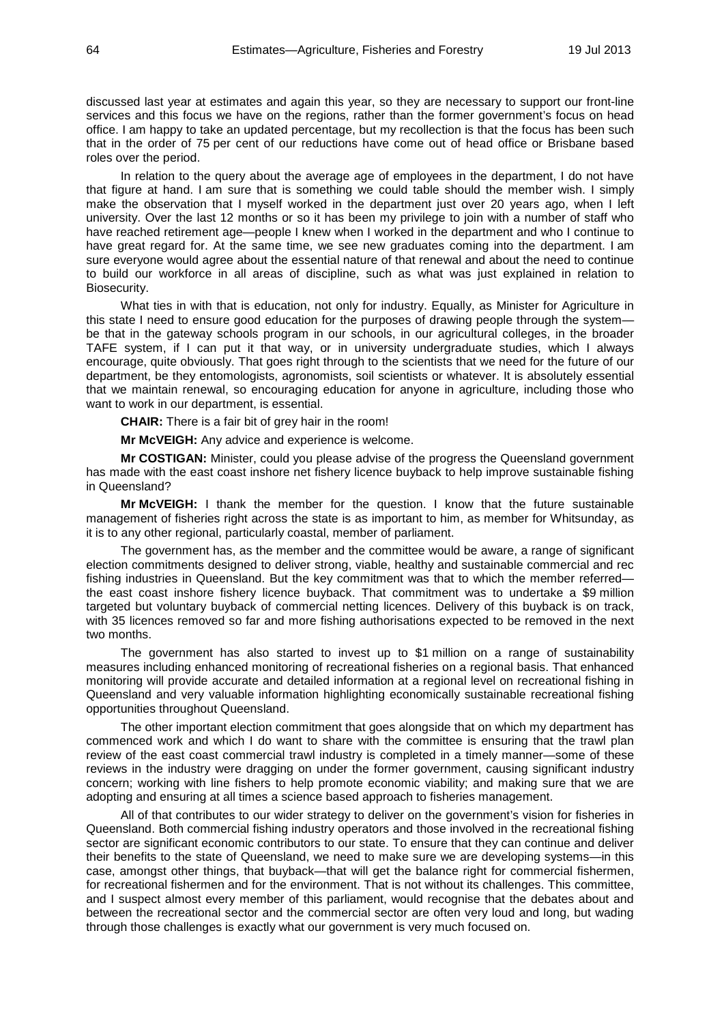discussed last year at estimates and again this year, so they are necessary to support our front-line services and this focus we have on the regions, rather than the former government's focus on head office. I am happy to take an updated percentage, but my recollection is that the focus has been such that in the order of 75 per cent of our reductions have come out of head office or Brisbane based roles over the period.

In relation to the query about the average age of employees in the department, I do not have that figure at hand. I am sure that is something we could table should the member wish. I simply make the observation that I myself worked in the department just over 20 years ago, when I left university. Over the last 12 months or so it has been my privilege to join with a number of staff who have reached retirement age—people I knew when I worked in the department and who I continue to have great regard for. At the same time, we see new graduates coming into the department. I am sure everyone would agree about the essential nature of that renewal and about the need to continue to build our workforce in all areas of discipline, such as what was just explained in relation to Biosecurity.

What ties in with that is education, not only for industry. Equally, as Minister for Agriculture in this state I need to ensure good education for the purposes of drawing people through the system be that in the gateway schools program in our schools, in our agricultural colleges, in the broader TAFE system, if I can put it that way, or in university undergraduate studies, which I always encourage, quite obviously. That goes right through to the scientists that we need for the future of our department, be they entomologists, agronomists, soil scientists or whatever. It is absolutely essential that we maintain renewal, so encouraging education for anyone in agriculture, including those who want to work in our department, is essential.

**CHAIR:** There is a fair bit of grey hair in the room!

**Mr McVEIGH:** Any advice and experience is welcome.

**Mr COSTIGAN:** Minister, could you please advise of the progress the Queensland government has made with the east coast inshore net fishery licence buyback to help improve sustainable fishing in Queensland?

**Mr McVEIGH:** I thank the member for the question. I know that the future sustainable management of fisheries right across the state is as important to him, as member for Whitsunday, as it is to any other regional, particularly coastal, member of parliament.

The government has, as the member and the committee would be aware, a range of significant election commitments designed to deliver strong, viable, healthy and sustainable commercial and rec fishing industries in Queensland. But the key commitment was that to which the member referred the east coast inshore fishery licence buyback. That commitment was to undertake a \$9 million targeted but voluntary buyback of commercial netting licences. Delivery of this buyback is on track, with 35 licences removed so far and more fishing authorisations expected to be removed in the next two months.

The government has also started to invest up to \$1 million on a range of sustainability measures including enhanced monitoring of recreational fisheries on a regional basis. That enhanced monitoring will provide accurate and detailed information at a regional level on recreational fishing in Queensland and very valuable information highlighting economically sustainable recreational fishing opportunities throughout Queensland.

The other important election commitment that goes alongside that on which my department has commenced work and which I do want to share with the committee is ensuring that the trawl plan review of the east coast commercial trawl industry is completed in a timely manner—some of these reviews in the industry were dragging on under the former government, causing significant industry concern; working with line fishers to help promote economic viability; and making sure that we are adopting and ensuring at all times a science based approach to fisheries management.

All of that contributes to our wider strategy to deliver on the government's vision for fisheries in Queensland. Both commercial fishing industry operators and those involved in the recreational fishing sector are significant economic contributors to our state. To ensure that they can continue and deliver their benefits to the state of Queensland, we need to make sure we are developing systems—in this case, amongst other things, that buyback—that will get the balance right for commercial fishermen, for recreational fishermen and for the environment. That is not without its challenges. This committee, and I suspect almost every member of this parliament, would recognise that the debates about and between the recreational sector and the commercial sector are often very loud and long, but wading through those challenges is exactly what our government is very much focused on.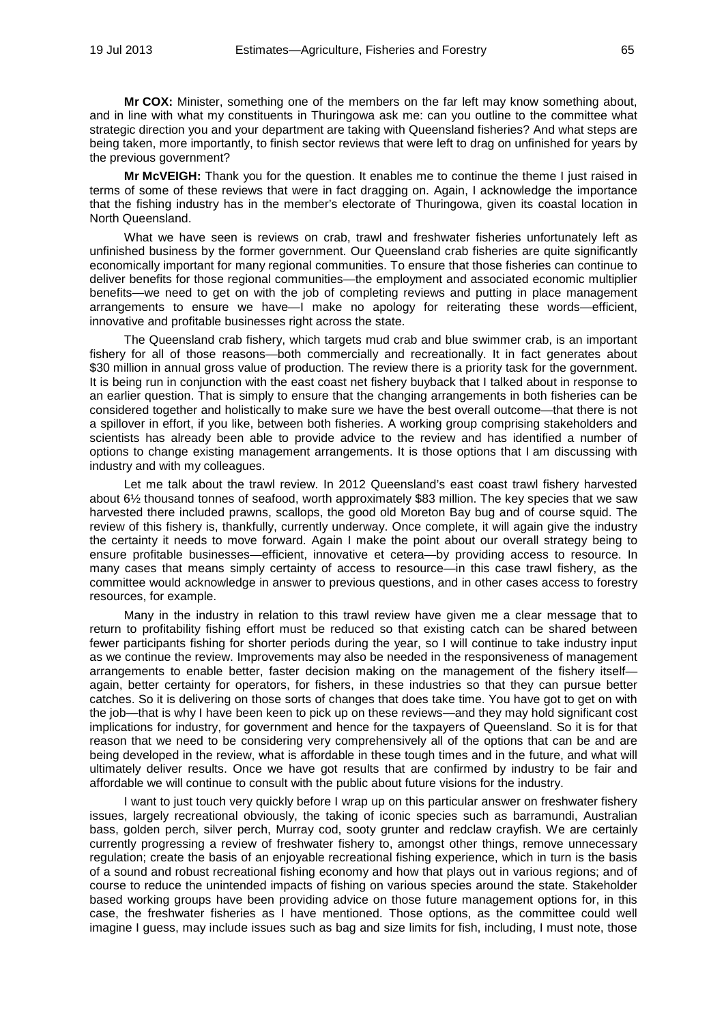**Mr COX:** Minister, something one of the members on the far left may know something about, and in line with what my constituents in Thuringowa ask me: can you outline to the committee what strategic direction you and your department are taking with Queensland fisheries? And what steps are being taken, more importantly, to finish sector reviews that were left to drag on unfinished for years by the previous government?

**Mr McVEIGH:** Thank you for the question. It enables me to continue the theme I just raised in terms of some of these reviews that were in fact dragging on. Again, I acknowledge the importance that the fishing industry has in the member's electorate of Thuringowa, given its coastal location in North Queensland.

What we have seen is reviews on crab, trawl and freshwater fisheries unfortunately left as unfinished business by the former government. Our Queensland crab fisheries are quite significantly economically important for many regional communities. To ensure that those fisheries can continue to deliver benefits for those regional communities—the employment and associated economic multiplier benefits—we need to get on with the job of completing reviews and putting in place management arrangements to ensure we have—I make no apology for reiterating these words—efficient, innovative and profitable businesses right across the state.

The Queensland crab fishery, which targets mud crab and blue swimmer crab, is an important fishery for all of those reasons—both commercially and recreationally. It in fact generates about \$30 million in annual gross value of production. The review there is a priority task for the government. It is being run in conjunction with the east coast net fishery buyback that I talked about in response to an earlier question. That is simply to ensure that the changing arrangements in both fisheries can be considered together and holistically to make sure we have the best overall outcome—that there is not a spillover in effort, if you like, between both fisheries. A working group comprising stakeholders and scientists has already been able to provide advice to the review and has identified a number of options to change existing management arrangements. It is those options that I am discussing with industry and with my colleagues.

Let me talk about the trawl review. In 2012 Queensland's east coast trawl fishery harvested about 6½ thousand tonnes of seafood, worth approximately \$83 million. The key species that we saw harvested there included prawns, scallops, the good old Moreton Bay bug and of course squid. The review of this fishery is, thankfully, currently underway. Once complete, it will again give the industry the certainty it needs to move forward. Again I make the point about our overall strategy being to ensure profitable businesses—efficient, innovative et cetera—by providing access to resource. In many cases that means simply certainty of access to resource—in this case trawl fishery, as the committee would acknowledge in answer to previous questions, and in other cases access to forestry resources, for example.

Many in the industry in relation to this trawl review have given me a clear message that to return to profitability fishing effort must be reduced so that existing catch can be shared between fewer participants fishing for shorter periods during the year, so I will continue to take industry input as we continue the review. Improvements may also be needed in the responsiveness of management arrangements to enable better, faster decision making on the management of the fishery itself again, better certainty for operators, for fishers, in these industries so that they can pursue better catches. So it is delivering on those sorts of changes that does take time. You have got to get on with the job—that is why I have been keen to pick up on these reviews—and they may hold significant cost implications for industry, for government and hence for the taxpayers of Queensland. So it is for that reason that we need to be considering very comprehensively all of the options that can be and are being developed in the review, what is affordable in these tough times and in the future, and what will ultimately deliver results. Once we have got results that are confirmed by industry to be fair and affordable we will continue to consult with the public about future visions for the industry.

I want to just touch very quickly before I wrap up on this particular answer on freshwater fishery issues, largely recreational obviously, the taking of iconic species such as barramundi, Australian bass, golden perch, silver perch, Murray cod, sooty grunter and redclaw crayfish. We are certainly currently progressing a review of freshwater fishery to, amongst other things, remove unnecessary regulation; create the basis of an enjoyable recreational fishing experience, which in turn is the basis of a sound and robust recreational fishing economy and how that plays out in various regions; and of course to reduce the unintended impacts of fishing on various species around the state. Stakeholder based working groups have been providing advice on those future management options for, in this case, the freshwater fisheries as I have mentioned. Those options, as the committee could well imagine I guess, may include issues such as bag and size limits for fish, including, I must note, those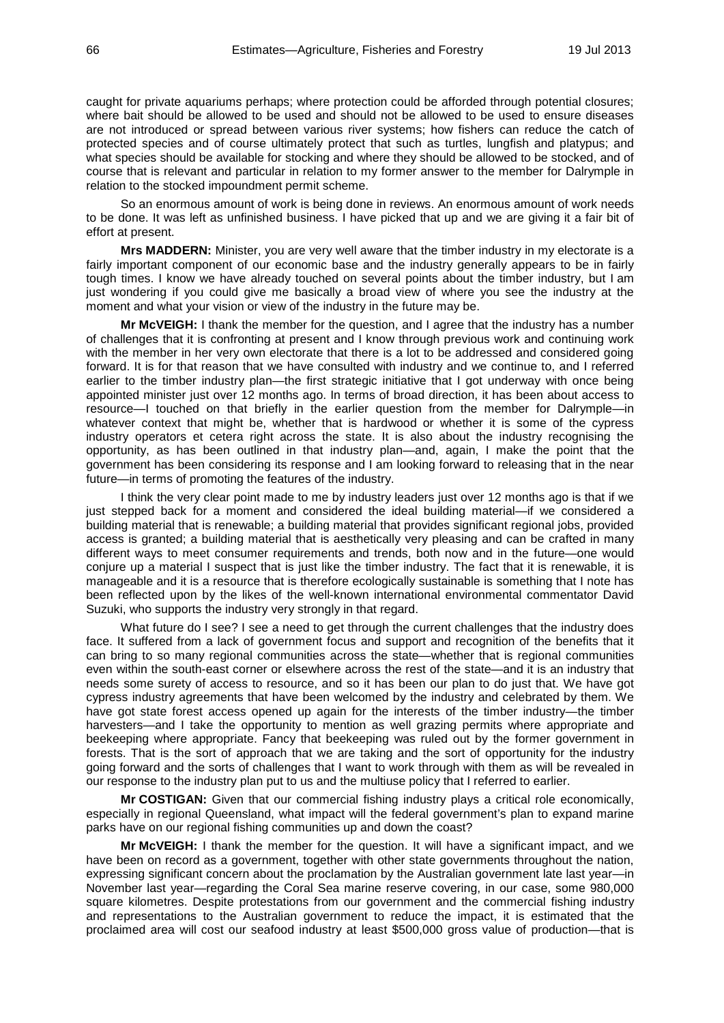caught for private aquariums perhaps; where protection could be afforded through potential closures; where bait should be allowed to be used and should not be allowed to be used to ensure diseases are not introduced or spread between various river systems; how fishers can reduce the catch of protected species and of course ultimately protect that such as turtles, lungfish and platypus; and what species should be available for stocking and where they should be allowed to be stocked, and of course that is relevant and particular in relation to my former answer to the member for Dalrymple in relation to the stocked impoundment permit scheme.

So an enormous amount of work is being done in reviews. An enormous amount of work needs to be done. It was left as unfinished business. I have picked that up and we are giving it a fair bit of effort at present.

**Mrs MADDERN:** Minister, you are very well aware that the timber industry in my electorate is a fairly important component of our economic base and the industry generally appears to be in fairly tough times. I know we have already touched on several points about the timber industry, but I am just wondering if you could give me basically a broad view of where you see the industry at the moment and what your vision or view of the industry in the future may be.

**Mr McVEIGH:** I thank the member for the question, and I agree that the industry has a number of challenges that it is confronting at present and I know through previous work and continuing work with the member in her very own electorate that there is a lot to be addressed and considered going forward. It is for that reason that we have consulted with industry and we continue to, and I referred earlier to the timber industry plan—the first strategic initiative that I got underway with once being appointed minister just over 12 months ago. In terms of broad direction, it has been about access to resource—I touched on that briefly in the earlier question from the member for Dalrymple—in whatever context that might be, whether that is hardwood or whether it is some of the cypress industry operators et cetera right across the state. It is also about the industry recognising the opportunity, as has been outlined in that industry plan—and, again, I make the point that the government has been considering its response and I am looking forward to releasing that in the near future—in terms of promoting the features of the industry.

I think the very clear point made to me by industry leaders just over 12 months ago is that if we just stepped back for a moment and considered the ideal building material—if we considered a building material that is renewable; a building material that provides significant regional jobs, provided access is granted; a building material that is aesthetically very pleasing and can be crafted in many different ways to meet consumer requirements and trends, both now and in the future—one would conjure up a material I suspect that is just like the timber industry. The fact that it is renewable, it is manageable and it is a resource that is therefore ecologically sustainable is something that I note has been reflected upon by the likes of the well-known international environmental commentator David Suzuki, who supports the industry very strongly in that regard.

What future do I see? I see a need to get through the current challenges that the industry does face. It suffered from a lack of government focus and support and recognition of the benefits that it can bring to so many regional communities across the state—whether that is regional communities even within the south-east corner or elsewhere across the rest of the state—and it is an industry that needs some surety of access to resource, and so it has been our plan to do just that. We have got cypress industry agreements that have been welcomed by the industry and celebrated by them. We have got state forest access opened up again for the interests of the timber industry—the timber harvesters—and I take the opportunity to mention as well grazing permits where appropriate and beekeeping where appropriate. Fancy that beekeeping was ruled out by the former government in forests. That is the sort of approach that we are taking and the sort of opportunity for the industry going forward and the sorts of challenges that I want to work through with them as will be revealed in our response to the industry plan put to us and the multiuse policy that I referred to earlier.

**Mr COSTIGAN:** Given that our commercial fishing industry plays a critical role economically, especially in regional Queensland, what impact will the federal government's plan to expand marine parks have on our regional fishing communities up and down the coast?

**Mr McVEIGH:** I thank the member for the question. It will have a significant impact, and we have been on record as a government, together with other state governments throughout the nation, expressing significant concern about the proclamation by the Australian government late last year—in November last year—regarding the Coral Sea marine reserve covering, in our case, some 980,000 square kilometres. Despite protestations from our government and the commercial fishing industry and representations to the Australian government to reduce the impact, it is estimated that the proclaimed area will cost our seafood industry at least \$500,000 gross value of production—that is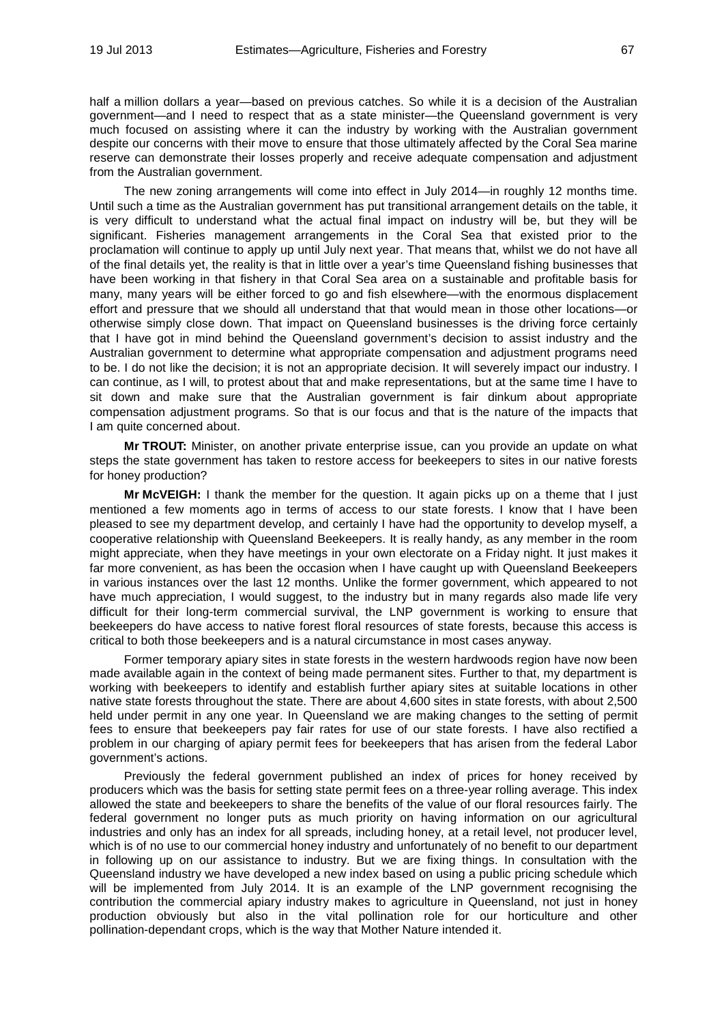half a million dollars a year—based on previous catches. So while it is a decision of the Australian government—and I need to respect that as a state minister—the Queensland government is very much focused on assisting where it can the industry by working with the Australian government despite our concerns with their move to ensure that those ultimately affected by the Coral Sea marine reserve can demonstrate their losses properly and receive adequate compensation and adjustment from the Australian government.

The new zoning arrangements will come into effect in July 2014—in roughly 12 months time. Until such a time as the Australian government has put transitional arrangement details on the table, it is very difficult to understand what the actual final impact on industry will be, but they will be significant. Fisheries management arrangements in the Coral Sea that existed prior to the proclamation will continue to apply up until July next year. That means that, whilst we do not have all of the final details yet, the reality is that in little over a year's time Queensland fishing businesses that have been working in that fishery in that Coral Sea area on a sustainable and profitable basis for many, many years will be either forced to go and fish elsewhere—with the enormous displacement effort and pressure that we should all understand that that would mean in those other locations—or otherwise simply close down. That impact on Queensland businesses is the driving force certainly that I have got in mind behind the Queensland government's decision to assist industry and the Australian government to determine what appropriate compensation and adjustment programs need to be. I do not like the decision; it is not an appropriate decision. It will severely impact our industry. I can continue, as I will, to protest about that and make representations, but at the same time I have to sit down and make sure that the Australian government is fair dinkum about appropriate compensation adjustment programs. So that is our focus and that is the nature of the impacts that I am quite concerned about.

**Mr TROUT:** Minister, on another private enterprise issue, can you provide an update on what steps the state government has taken to restore access for beekeepers to sites in our native forests for honey production?

**Mr McVEIGH:** I thank the member for the question. It again picks up on a theme that I just mentioned a few moments ago in terms of access to our state forests. I know that I have been pleased to see my department develop, and certainly I have had the opportunity to develop myself, a cooperative relationship with Queensland Beekeepers. It is really handy, as any member in the room might appreciate, when they have meetings in your own electorate on a Friday night. It just makes it far more convenient, as has been the occasion when I have caught up with Queensland Beekeepers in various instances over the last 12 months. Unlike the former government, which appeared to not have much appreciation, I would suggest, to the industry but in many regards also made life very difficult for their long-term commercial survival, the LNP government is working to ensure that beekeepers do have access to native forest floral resources of state forests, because this access is critical to both those beekeepers and is a natural circumstance in most cases anyway.

Former temporary apiary sites in state forests in the western hardwoods region have now been made available again in the context of being made permanent sites. Further to that, my department is working with beekeepers to identify and establish further apiary sites at suitable locations in other native state forests throughout the state. There are about 4,600 sites in state forests, with about 2,500 held under permit in any one year. In Queensland we are making changes to the setting of permit fees to ensure that beekeepers pay fair rates for use of our state forests. I have also rectified a problem in our charging of apiary permit fees for beekeepers that has arisen from the federal Labor government's actions.

Previously the federal government published an index of prices for honey received by producers which was the basis for setting state permit fees on a three-year rolling average. This index allowed the state and beekeepers to share the benefits of the value of our floral resources fairly. The federal government no longer puts as much priority on having information on our agricultural industries and only has an index for all spreads, including honey, at a retail level, not producer level, which is of no use to our commercial honey industry and unfortunately of no benefit to our department in following up on our assistance to industry. But we are fixing things. In consultation with the Queensland industry we have developed a new index based on using a public pricing schedule which will be implemented from July 2014. It is an example of the LNP government recognising the contribution the commercial apiary industry makes to agriculture in Queensland, not just in honey production obviously but also in the vital pollination role for our horticulture and other pollination-dependant crops, which is the way that Mother Nature intended it.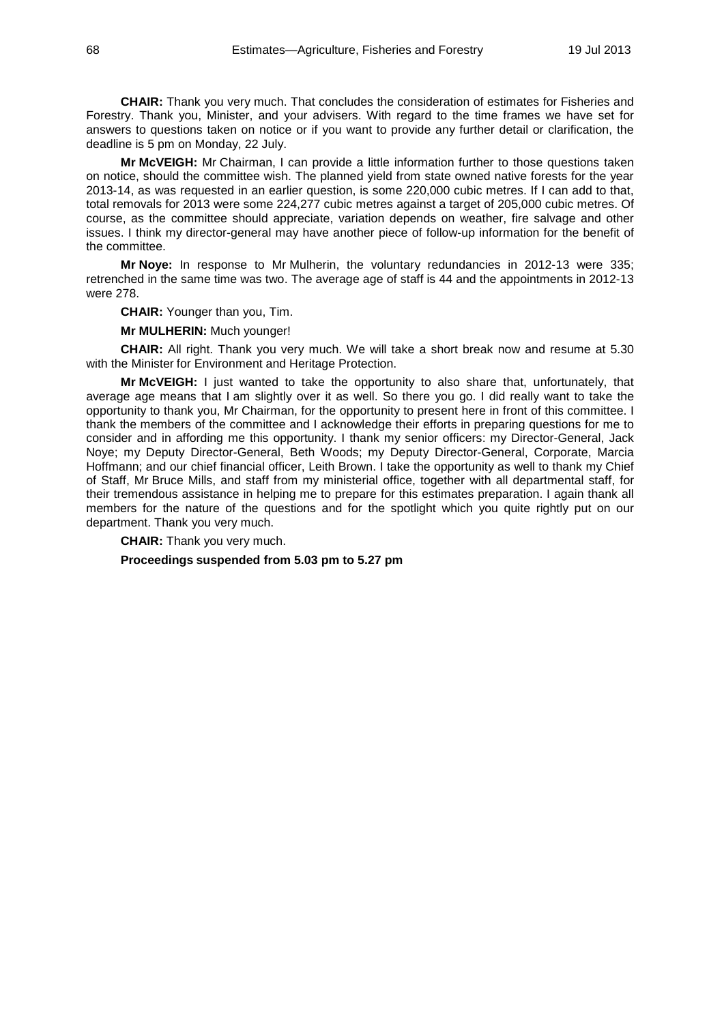**CHAIR:** Thank you very much. That concludes the consideration of estimates for Fisheries and Forestry. Thank you, Minister, and your advisers. With regard to the time frames we have set for answers to questions taken on notice or if you want to provide any further detail or clarification, the deadline is 5 pm on Monday, 22 July.

**Mr McVEIGH:** Mr Chairman, I can provide a little information further to those questions taken on notice, should the committee wish. The planned yield from state owned native forests for the year 2013-14, as was requested in an earlier question, is some 220,000 cubic metres. If I can add to that, total removals for 2013 were some 224,277 cubic metres against a target of 205,000 cubic metres. Of course, as the committee should appreciate, variation depends on weather, fire salvage and other issues. I think my director-general may have another piece of follow-up information for the benefit of the committee.

**Mr Noye:** In response to Mr Mulherin, the voluntary redundancies in 2012-13 were 335; retrenched in the same time was two. The average age of staff is 44 and the appointments in 2012-13 were 278.

**CHAIR:** Younger than you, Tim.

**Mr MULHERIN:** Much younger!

**CHAIR:** All right. Thank you very much. We will take a short break now and resume at 5.30 with the Minister for Environment and Heritage Protection.

**Mr McVEIGH:** I just wanted to take the opportunity to also share that, unfortunately, that average age means that I am slightly over it as well. So there you go. I did really want to take the opportunity to thank you, Mr Chairman, for the opportunity to present here in front of this committee. I thank the members of the committee and I acknowledge their efforts in preparing questions for me to consider and in affording me this opportunity. I thank my senior officers: my Director-General, Jack Noye; my Deputy Director-General, Beth Woods; my Deputy Director-General, Corporate, Marcia Hoffmann; and our chief financial officer, Leith Brown. I take the opportunity as well to thank my Chief of Staff, Mr Bruce Mills, and staff from my ministerial office, together with all departmental staff, for their tremendous assistance in helping me to prepare for this estimates preparation. I again thank all members for the nature of the questions and for the spotlight which you quite rightly put on our department. Thank you very much.

**CHAIR:** Thank you very much. **Proceedings suspended from 5.03 pm to 5.27 pm**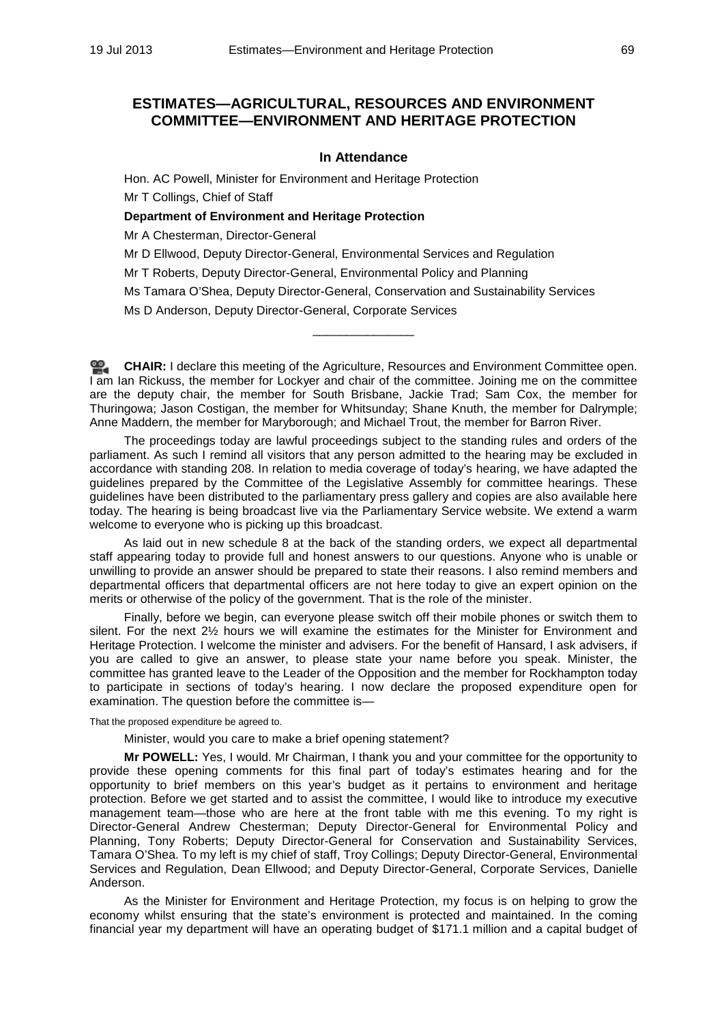# **ESTIMATES—AGRICULTURAL, RESOURCES AND ENVIRONMENT COMMITTEE—ENVIRONMENT AND HERITAGE PROTECTION**

### **In Attendance**

Hon. AC Powell, Minister for Environment and Heritage Protection Mr T Collings, Chief of Staff

#### **Department of Environment and Heritage Protection**

Mr A Chesterman, Director-General

Mr D Ellwood, Deputy Director-General, Environmental Services and Regulation

Mr T Roberts, Deputy Director-General, Environmental Policy and Planning

Ms Tamara O'Shea, Deputy Director-General, Conservation and Sustainability Services

\_\_\_\_\_\_\_\_\_\_\_\_\_\_\_

Ms D Anderson, Deputy Director-General, Corporate Services

**[CHAIR:](http://www.parliament.qld.gov.au/docs/find.aspx?id=0Mba20130719_172846)** I declare this meeting of the Agriculture, Resources and Environment Committee open. I am Ian Rickuss, the member for Lockyer and chair of the committee. Joining me on the committee are the deputy chair, the member for South Brisbane, Jackie Trad; Sam Cox, the member for Thuringowa; Jason Costigan, the member for Whitsunday; Shane Knuth, the member for Dalrymple; Anne Maddern, the member for Maryborough; and Michael Trout, the member for Barron River.

The proceedings today are lawful proceedings subject to the standing rules and orders of the parliament. As such I remind all visitors that any person admitted to the hearing may be excluded in accordance with standing 208. In relation to media coverage of today's hearing, we have adapted the guidelines prepared by the Committee of the Legislative Assembly for committee hearings. These guidelines have been distributed to the parliamentary press gallery and copies are also available here today. The hearing is being broadcast live via the Parliamentary Service website. We extend a warm welcome to everyone who is picking up this broadcast.

As laid out in new schedule 8 at the back of the standing orders, we expect all departmental staff appearing today to provide full and honest answers to our questions. Anyone who is unable or unwilling to provide an answer should be prepared to state their reasons. I also remind members and departmental officers that departmental officers are not here today to give an expert opinion on the merits or otherwise of the policy of the government. That is the role of the minister.

Finally, before we begin, can everyone please switch off their mobile phones or switch them to silent. For the next 2½ hours we will examine the estimates for the Minister for Environment and Heritage Protection. I welcome the minister and advisers. For the benefit of Hansard, I ask advisers, if you are called to give an answer, to please state your name before you speak. Minister, the committee has granted leave to the Leader of the Opposition and the member for Rockhampton today to participate in sections of today's hearing. I now declare the proposed expenditure open for examination. The question before the committee is—

That the proposed expenditure be agreed to.

Minister, would you care to make a brief opening statement?

**Mr POWELL:** Yes, I would. Mr Chairman, I thank you and your committee for the opportunity to provide these opening comments for this final part of today's estimates hearing and for the opportunity to brief members on this year's budget as it pertains to environment and heritage protection. Before we get started and to assist the committee, I would like to introduce my executive management team—those who are here at the front table with me this evening. To my right is Director-General Andrew Chesterman; Deputy Director-General for Environmental Policy and Planning, Tony Roberts; Deputy Director-General for Conservation and Sustainability Services, Tamara O'Shea. To my left is my chief of staff, Troy Collings; Deputy Director-General, Environmental Services and Regulation, Dean Ellwood; and Deputy Director-General, Corporate Services, Danielle Anderson.

As the Minister for Environment and Heritage Protection, my focus is on helping to grow the economy whilst ensuring that the state's environment is protected and maintained. In the coming financial year my department will have an operating budget of \$171.1 million and a capital budget of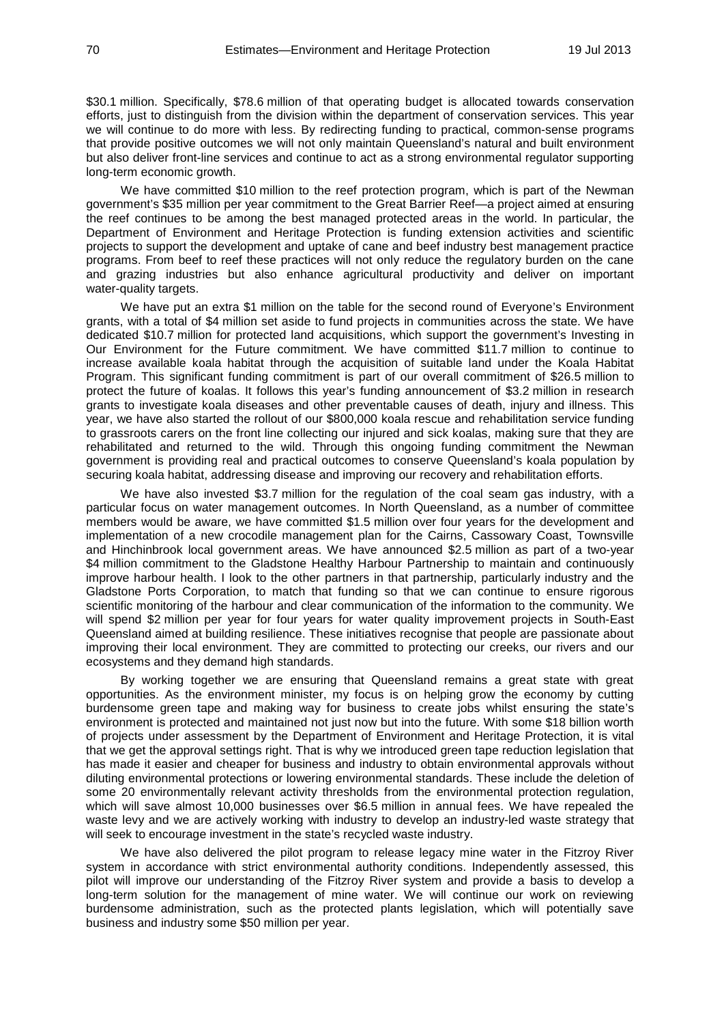\$30.1 million. Specifically, \$78.6 million of that operating budget is allocated towards conservation efforts, just to distinguish from the division within the department of conservation services. This year we will continue to do more with less. By redirecting funding to practical, common-sense programs that provide positive outcomes we will not only maintain Queensland's natural and built environment but also deliver front-line services and continue to act as a strong environmental regulator supporting long-term economic growth.

We have committed \$10 million to the reef protection program, which is part of the Newman government's \$35 million per year commitment to the Great Barrier Reef—a project aimed at ensuring the reef continues to be among the best managed protected areas in the world. In particular, the Department of Environment and Heritage Protection is funding extension activities and scientific projects to support the development and uptake of cane and beef industry best management practice programs. From beef to reef these practices will not only reduce the regulatory burden on the cane and grazing industries but also enhance agricultural productivity and deliver on important water-quality targets.

We have put an extra \$1 million on the table for the second round of Everyone's Environment grants, with a total of \$4 million set aside to fund projects in communities across the state. We have dedicated \$10.7 million for protected land acquisitions, which support the government's Investing in Our Environment for the Future commitment. We have committed \$11.7 million to continue to increase available koala habitat through the acquisition of suitable land under the Koala Habitat Program. This significant funding commitment is part of our overall commitment of \$26.5 million to protect the future of koalas. It follows this year's funding announcement of \$3.2 million in research grants to investigate koala diseases and other preventable causes of death, injury and illness. This year, we have also started the rollout of our \$800,000 koala rescue and rehabilitation service funding to grassroots carers on the front line collecting our injured and sick koalas, making sure that they are rehabilitated and returned to the wild. Through this ongoing funding commitment the Newman government is providing real and practical outcomes to conserve Queensland's koala population by securing koala habitat, addressing disease and improving our recovery and rehabilitation efforts.

We have also invested \$3.7 million for the regulation of the coal seam gas industry, with a particular focus on water management outcomes. In North Queensland, as a number of committee members would be aware, we have committed \$1.5 million over four years for the development and implementation of a new crocodile management plan for the Cairns, Cassowary Coast, Townsville and Hinchinbrook local government areas. We have announced \$2.5 million as part of a two-year \$4 million commitment to the Gladstone Healthy Harbour Partnership to maintain and continuously improve harbour health. I look to the other partners in that partnership, particularly industry and the Gladstone Ports Corporation, to match that funding so that we can continue to ensure rigorous scientific monitoring of the harbour and clear communication of the information to the community. We will spend \$2 million per year for four years for water quality improvement projects in South-East Queensland aimed at building resilience. These initiatives recognise that people are passionate about improving their local environment. They are committed to protecting our creeks, our rivers and our ecosystems and they demand high standards.

By working together we are ensuring that Queensland remains a great state with great opportunities. As the environment minister, my focus is on helping grow the economy by cutting burdensome green tape and making way for business to create jobs whilst ensuring the state's environment is protected and maintained not just now but into the future. With some \$18 billion worth of projects under assessment by the Department of Environment and Heritage Protection, it is vital that we get the approval settings right. That is why we introduced green tape reduction legislation that has made it easier and cheaper for business and industry to obtain environmental approvals without diluting environmental protections or lowering environmental standards. These include the deletion of some 20 environmentally relevant activity thresholds from the environmental protection regulation, which will save almost 10,000 businesses over \$6.5 million in annual fees. We have repealed the waste levy and we are actively working with industry to develop an industry-led waste strategy that will seek to encourage investment in the state's recycled waste industry.

We have also delivered the pilot program to release legacy mine water in the Fitzroy River system in accordance with strict environmental authority conditions. Independently assessed, this pilot will improve our understanding of the Fitzroy River system and provide a basis to develop a long-term solution for the management of mine water. We will continue our work on reviewing burdensome administration, such as the protected plants legislation, which will potentially save business and industry some \$50 million per year.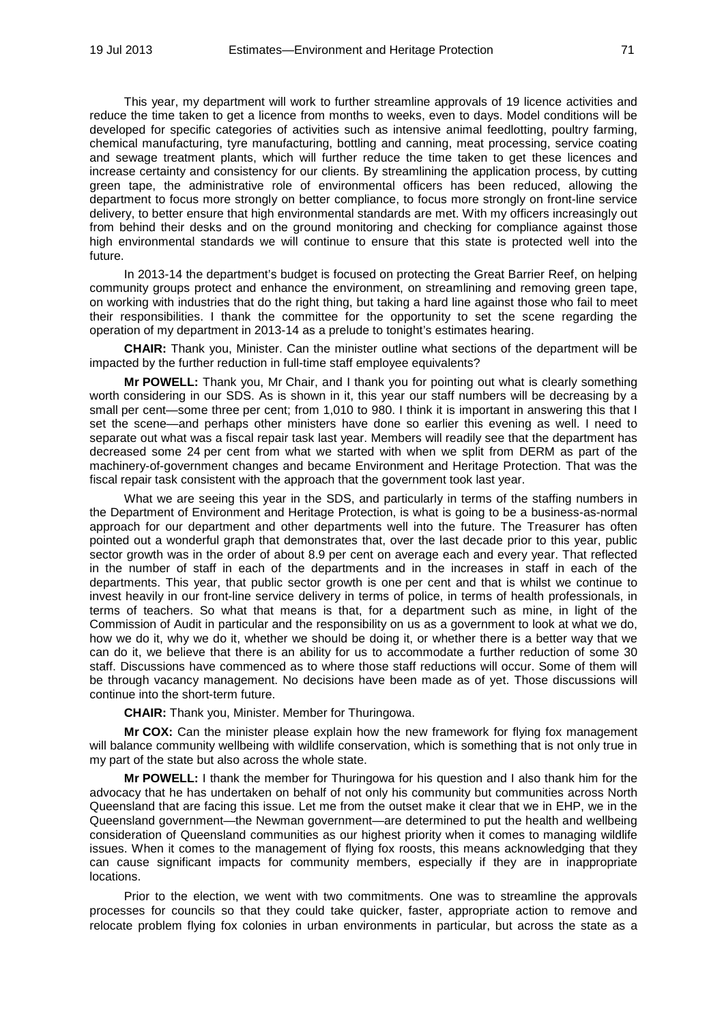This year, my department will work to further streamline approvals of 19 licence activities and reduce the time taken to get a licence from months to weeks, even to days. Model conditions will be developed for specific categories of activities such as intensive animal feedlotting, poultry farming, chemical manufacturing, tyre manufacturing, bottling and canning, meat processing, service coating and sewage treatment plants, which will further reduce the time taken to get these licences and increase certainty and consistency for our clients. By streamlining the application process, by cutting green tape, the administrative role of environmental officers has been reduced, allowing the department to focus more strongly on better compliance, to focus more strongly on front-line service delivery, to better ensure that high environmental standards are met. With my officers increasingly out from behind their desks and on the ground monitoring and checking for compliance against those high environmental standards we will continue to ensure that this state is protected well into the future.

In 2013-14 the department's budget is focused on protecting the Great Barrier Reef, on helping community groups protect and enhance the environment, on streamlining and removing green tape, on working with industries that do the right thing, but taking a hard line against those who fail to meet their responsibilities. I thank the committee for the opportunity to set the scene regarding the operation of my department in 2013-14 as a prelude to tonight's estimates hearing.

**CHAIR:** Thank you, Minister. Can the minister outline what sections of the department will be impacted by the further reduction in full-time staff employee equivalents?

**Mr POWELL:** Thank you, Mr Chair, and I thank you for pointing out what is clearly something worth considering in our SDS. As is shown in it, this year our staff numbers will be decreasing by a small per cent—some three per cent; from 1,010 to 980. I think it is important in answering this that I set the scene—and perhaps other ministers have done so earlier this evening as well. I need to separate out what was a fiscal repair task last year. Members will readily see that the department has decreased some 24 per cent from what we started with when we split from DERM as part of the machinery-of-government changes and became Environment and Heritage Protection. That was the fiscal repair task consistent with the approach that the government took last year.

What we are seeing this year in the SDS, and particularly in terms of the staffing numbers in the Department of Environment and Heritage Protection, is what is going to be a business-as-normal approach for our department and other departments well into the future. The Treasurer has often pointed out a wonderful graph that demonstrates that, over the last decade prior to this year, public sector growth was in the order of about 8.9 per cent on average each and every year. That reflected in the number of staff in each of the departments and in the increases in staff in each of the departments. This year, that public sector growth is one per cent and that is whilst we continue to invest heavily in our front-line service delivery in terms of police, in terms of health professionals, in terms of teachers. So what that means is that, for a department such as mine, in light of the Commission of Audit in particular and the responsibility on us as a government to look at what we do, how we do it, why we do it, whether we should be doing it, or whether there is a better way that we can do it, we believe that there is an ability for us to accommodate a further reduction of some 30 staff. Discussions have commenced as to where those staff reductions will occur. Some of them will be through vacancy management. No decisions have been made as of yet. Those discussions will continue into the short-term future.

**CHAIR:** Thank you, Minister. Member for Thuringowa.

**Mr COX:** Can the minister please explain how the new framework for flying fox management will balance community wellbeing with wildlife conservation, which is something that is not only true in my part of the state but also across the whole state.

**Mr POWELL:** I thank the member for Thuringowa for his question and I also thank him for the advocacy that he has undertaken on behalf of not only his community but communities across North Queensland that are facing this issue. Let me from the outset make it clear that we in EHP, we in the Queensland government—the Newman government—are determined to put the health and wellbeing consideration of Queensland communities as our highest priority when it comes to managing wildlife issues. When it comes to the management of flying fox roosts, this means acknowledging that they can cause significant impacts for community members, especially if they are in inappropriate locations.

Prior to the election, we went with two commitments. One was to streamline the approvals processes for councils so that they could take quicker, faster, appropriate action to remove and relocate problem flying fox colonies in urban environments in particular, but across the state as a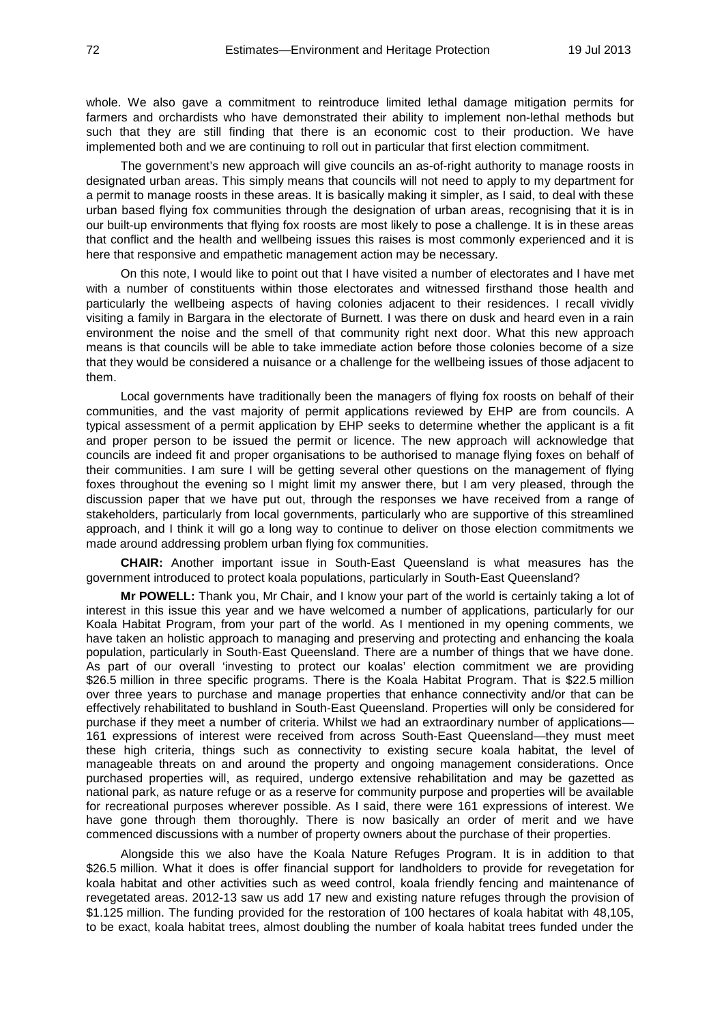whole. We also gave a commitment to reintroduce limited lethal damage mitigation permits for farmers and orchardists who have demonstrated their ability to implement non-lethal methods but such that they are still finding that there is an economic cost to their production. We have implemented both and we are continuing to roll out in particular that first election commitment.

The government's new approach will give councils an as-of-right authority to manage roosts in designated urban areas. This simply means that councils will not need to apply to my department for a permit to manage roosts in these areas. It is basically making it simpler, as I said, to deal with these urban based flying fox communities through the designation of urban areas, recognising that it is in our built-up environments that flying fox roosts are most likely to pose a challenge. It is in these areas that conflict and the health and wellbeing issues this raises is most commonly experienced and it is here that responsive and empathetic management action may be necessary.

On this note, I would like to point out that I have visited a number of electorates and I have met with a number of constituents within those electorates and witnessed firsthand those health and particularly the wellbeing aspects of having colonies adjacent to their residences. I recall vividly visiting a family in Bargara in the electorate of Burnett. I was there on dusk and heard even in a rain environment the noise and the smell of that community right next door. What this new approach means is that councils will be able to take immediate action before those colonies become of a size that they would be considered a nuisance or a challenge for the wellbeing issues of those adjacent to them.

Local governments have traditionally been the managers of flying fox roosts on behalf of their communities, and the vast majority of permit applications reviewed by EHP are from councils. A typical assessment of a permit application by EHP seeks to determine whether the applicant is a fit and proper person to be issued the permit or licence. The new approach will acknowledge that councils are indeed fit and proper organisations to be authorised to manage flying foxes on behalf of their communities. I am sure I will be getting several other questions on the management of flying foxes throughout the evening so I might limit my answer there, but I am very pleased, through the discussion paper that we have put out, through the responses we have received from a range of stakeholders, particularly from local governments, particularly who are supportive of this streamlined approach, and I think it will go a long way to continue to deliver on those election commitments we made around addressing problem urban flying fox communities.

**CHAIR:** Another important issue in South-East Queensland is what measures has the government introduced to protect koala populations, particularly in South-East Queensland?

**Mr POWELL:** Thank you, Mr Chair, and I know your part of the world is certainly taking a lot of interest in this issue this year and we have welcomed a number of applications, particularly for our Koala Habitat Program, from your part of the world. As I mentioned in my opening comments, we have taken an holistic approach to managing and preserving and protecting and enhancing the koala population, particularly in South-East Queensland. There are a number of things that we have done. As part of our overall 'investing to protect our koalas' election commitment we are providing \$26.5 million in three specific programs. There is the Koala Habitat Program. That is \$22.5 million over three years to purchase and manage properties that enhance connectivity and/or that can be effectively rehabilitated to bushland in South-East Queensland. Properties will only be considered for purchase if they meet a number of criteria. Whilst we had an extraordinary number of applications— 161 expressions of interest were received from across South-East Queensland—they must meet these high criteria, things such as connectivity to existing secure koala habitat, the level of manageable threats on and around the property and ongoing management considerations. Once purchased properties will, as required, undergo extensive rehabilitation and may be gazetted as national park, as nature refuge or as a reserve for community purpose and properties will be available for recreational purposes wherever possible. As I said, there were 161 expressions of interest. We have gone through them thoroughly. There is now basically an order of merit and we have commenced discussions with a number of property owners about the purchase of their properties.

Alongside this we also have the Koala Nature Refuges Program. It is in addition to that \$26.5 million. What it does is offer financial support for landholders to provide for revegetation for koala habitat and other activities such as weed control, koala friendly fencing and maintenance of revegetated areas. 2012-13 saw us add 17 new and existing nature refuges through the provision of \$1.125 million. The funding provided for the restoration of 100 hectares of koala habitat with 48,105, to be exact, koala habitat trees, almost doubling the number of koala habitat trees funded under the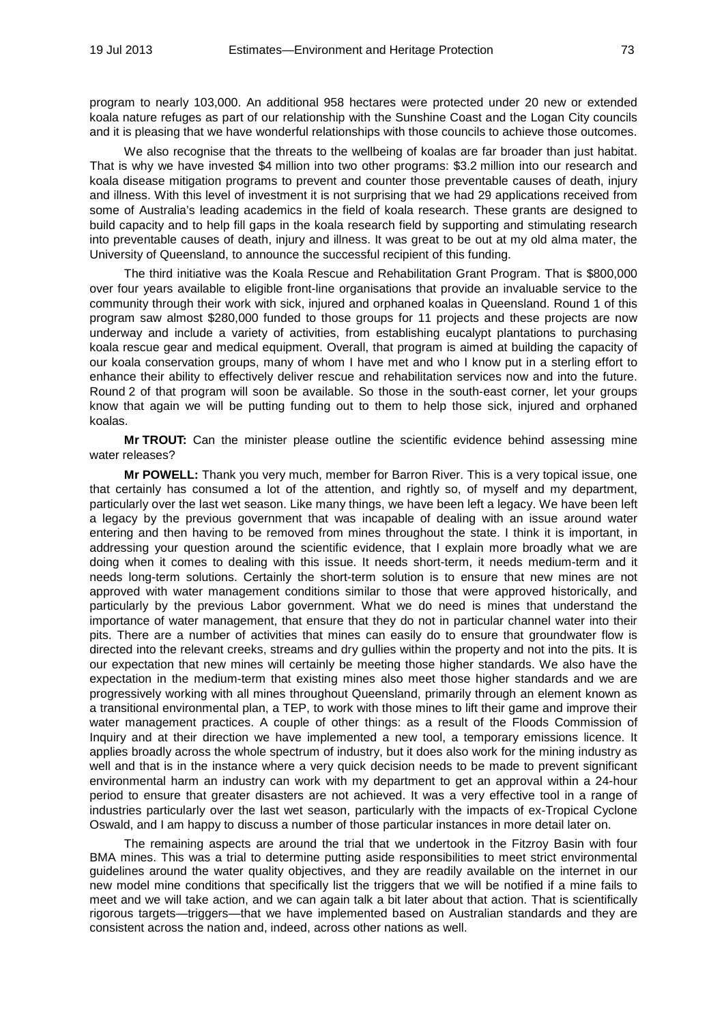program to nearly 103,000. An additional 958 hectares were protected under 20 new or extended koala nature refuges as part of our relationship with the Sunshine Coast and the Logan City councils and it is pleasing that we have wonderful relationships with those councils to achieve those outcomes.

We also recognise that the threats to the wellbeing of koalas are far broader than just habitat. That is why we have invested \$4 million into two other programs: \$3.2 million into our research and koala disease mitigation programs to prevent and counter those preventable causes of death, injury and illness. With this level of investment it is not surprising that we had 29 applications received from some of Australia's leading academics in the field of koala research. These grants are designed to build capacity and to help fill gaps in the koala research field by supporting and stimulating research into preventable causes of death, injury and illness. It was great to be out at my old alma mater, the University of Queensland, to announce the successful recipient of this funding.

The third initiative was the Koala Rescue and Rehabilitation Grant Program. That is \$800,000 over four years available to eligible front-line organisations that provide an invaluable service to the community through their work with sick, injured and orphaned koalas in Queensland. Round 1 of this program saw almost \$280,000 funded to those groups for 11 projects and these projects are now underway and include a variety of activities, from establishing eucalypt plantations to purchasing koala rescue gear and medical equipment. Overall, that program is aimed at building the capacity of our koala conservation groups, many of whom I have met and who I know put in a sterling effort to enhance their ability to effectively deliver rescue and rehabilitation services now and into the future. Round 2 of that program will soon be available. So those in the south-east corner, let your groups know that again we will be putting funding out to them to help those sick, injured and orphaned koalas.

**Mr TROUT:** Can the minister please outline the scientific evidence behind assessing mine water releases?

**Mr POWELL:** Thank you very much, member for Barron River. This is a very topical issue, one that certainly has consumed a lot of the attention, and rightly so, of myself and my department, particularly over the last wet season. Like many things, we have been left a legacy. We have been left a legacy by the previous government that was incapable of dealing with an issue around water entering and then having to be removed from mines throughout the state. I think it is important, in addressing your question around the scientific evidence, that I explain more broadly what we are doing when it comes to dealing with this issue. It needs short-term, it needs medium-term and it needs long-term solutions. Certainly the short-term solution is to ensure that new mines are not approved with water management conditions similar to those that were approved historically, and particularly by the previous Labor government. What we do need is mines that understand the importance of water management, that ensure that they do not in particular channel water into their pits. There are a number of activities that mines can easily do to ensure that groundwater flow is directed into the relevant creeks, streams and dry gullies within the property and not into the pits. It is our expectation that new mines will certainly be meeting those higher standards. We also have the expectation in the medium-term that existing mines also meet those higher standards and we are progressively working with all mines throughout Queensland, primarily through an element known as a transitional environmental plan, a TEP, to work with those mines to lift their game and improve their water management practices. A couple of other things: as a result of the Floods Commission of Inquiry and at their direction we have implemented a new tool, a temporary emissions licence. It applies broadly across the whole spectrum of industry, but it does also work for the mining industry as well and that is in the instance where a very quick decision needs to be made to prevent significant environmental harm an industry can work with my department to get an approval within a 24-hour period to ensure that greater disasters are not achieved. It was a very effective tool in a range of industries particularly over the last wet season, particularly with the impacts of ex-Tropical Cyclone Oswald, and I am happy to discuss a number of those particular instances in more detail later on.

The remaining aspects are around the trial that we undertook in the Fitzroy Basin with four BMA mines. This was a trial to determine putting aside responsibilities to meet strict environmental guidelines around the water quality objectives, and they are readily available on the internet in our new model mine conditions that specifically list the triggers that we will be notified if a mine fails to meet and we will take action, and we can again talk a bit later about that action. That is scientifically rigorous targets—triggers—that we have implemented based on Australian standards and they are consistent across the nation and, indeed, across other nations as well.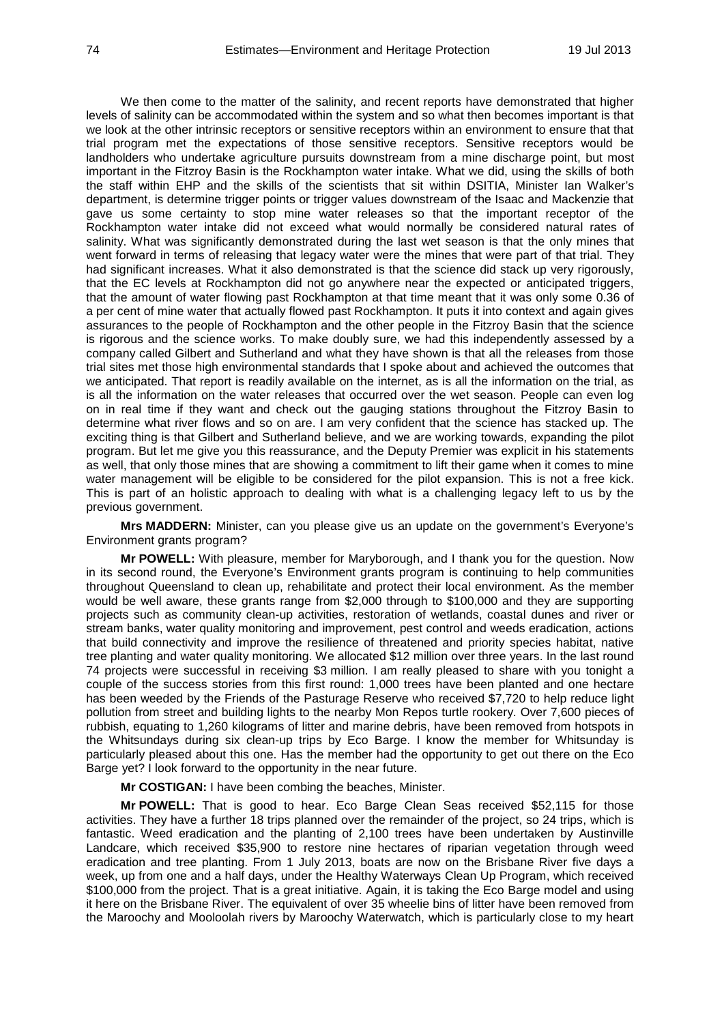We then come to the matter of the salinity, and recent reports have demonstrated that higher levels of salinity can be accommodated within the system and so what then becomes important is that we look at the other intrinsic receptors or sensitive receptors within an environment to ensure that that trial program met the expectations of those sensitive receptors. Sensitive receptors would be landholders who undertake agriculture pursuits downstream from a mine discharge point, but most important in the Fitzroy Basin is the Rockhampton water intake. What we did, using the skills of both the staff within EHP and the skills of the scientists that sit within DSITIA, Minister Ian Walker's department, is determine trigger points or trigger values downstream of the Isaac and Mackenzie that gave us some certainty to stop mine water releases so that the important receptor of the Rockhampton water intake did not exceed what would normally be considered natural rates of salinity. What was significantly demonstrated during the last wet season is that the only mines that went forward in terms of releasing that legacy water were the mines that were part of that trial. They had significant increases. What it also demonstrated is that the science did stack up very rigorously, that the EC levels at Rockhampton did not go anywhere near the expected or anticipated triggers, that the amount of water flowing past Rockhampton at that time meant that it was only some 0.36 of a per cent of mine water that actually flowed past Rockhampton. It puts it into context and again gives assurances to the people of Rockhampton and the other people in the Fitzroy Basin that the science is rigorous and the science works. To make doubly sure, we had this independently assessed by a company called Gilbert and Sutherland and what they have shown is that all the releases from those trial sites met those high environmental standards that I spoke about and achieved the outcomes that we anticipated. That report is readily available on the internet, as is all the information on the trial, as is all the information on the water releases that occurred over the wet season. People can even log on in real time if they want and check out the gauging stations throughout the Fitzroy Basin to determine what river flows and so on are. I am very confident that the science has stacked up. The exciting thing is that Gilbert and Sutherland believe, and we are working towards, expanding the pilot program. But let me give you this reassurance, and the Deputy Premier was explicit in his statements as well, that only those mines that are showing a commitment to lift their game when it comes to mine water management will be eligible to be considered for the pilot expansion. This is not a free kick. This is part of an holistic approach to dealing with what is a challenging legacy left to us by the previous government.

**Mrs MADDERN:** Minister, can you please give us an update on the government's Everyone's Environment grants program?

**Mr POWELL:** With pleasure, member for Maryborough, and I thank you for the question. Now in its second round, the Everyone's Environment grants program is continuing to help communities throughout Queensland to clean up, rehabilitate and protect their local environment. As the member would be well aware, these grants range from \$2,000 through to \$100,000 and they are supporting projects such as community clean-up activities, restoration of wetlands, coastal dunes and river or stream banks, water quality monitoring and improvement, pest control and weeds eradication, actions that build connectivity and improve the resilience of threatened and priority species habitat, native tree planting and water quality monitoring. We allocated \$12 million over three years. In the last round 74 projects were successful in receiving \$3 million. I am really pleased to share with you tonight a couple of the success stories from this first round: 1,000 trees have been planted and one hectare has been weeded by the Friends of the Pasturage Reserve who received \$7,720 to help reduce light pollution from street and building lights to the nearby Mon Repos turtle rookery. Over 7,600 pieces of rubbish, equating to 1,260 kilograms of litter and marine debris, have been removed from hotspots in the Whitsundays during six clean-up trips by Eco Barge. I know the member for Whitsunday is particularly pleased about this one. Has the member had the opportunity to get out there on the Eco Barge yet? I look forward to the opportunity in the near future.

**Mr COSTIGAN:** I have been combing the beaches, Minister.

**Mr POWELL:** That is good to hear. Eco Barge Clean Seas received \$52,115 for those activities. They have a further 18 trips planned over the remainder of the project, so 24 trips, which is fantastic. Weed eradication and the planting of 2,100 trees have been undertaken by Austinville Landcare, which received \$35,900 to restore nine hectares of riparian vegetation through weed eradication and tree planting. From 1 July 2013, boats are now on the Brisbane River five days a week, up from one and a half days, under the Healthy Waterways Clean Up Program, which received \$100,000 from the project. That is a great initiative. Again, it is taking the Eco Barge model and using it here on the Brisbane River. The equivalent of over 35 wheelie bins of litter have been removed from the Maroochy and Mooloolah rivers by Maroochy Waterwatch, which is particularly close to my heart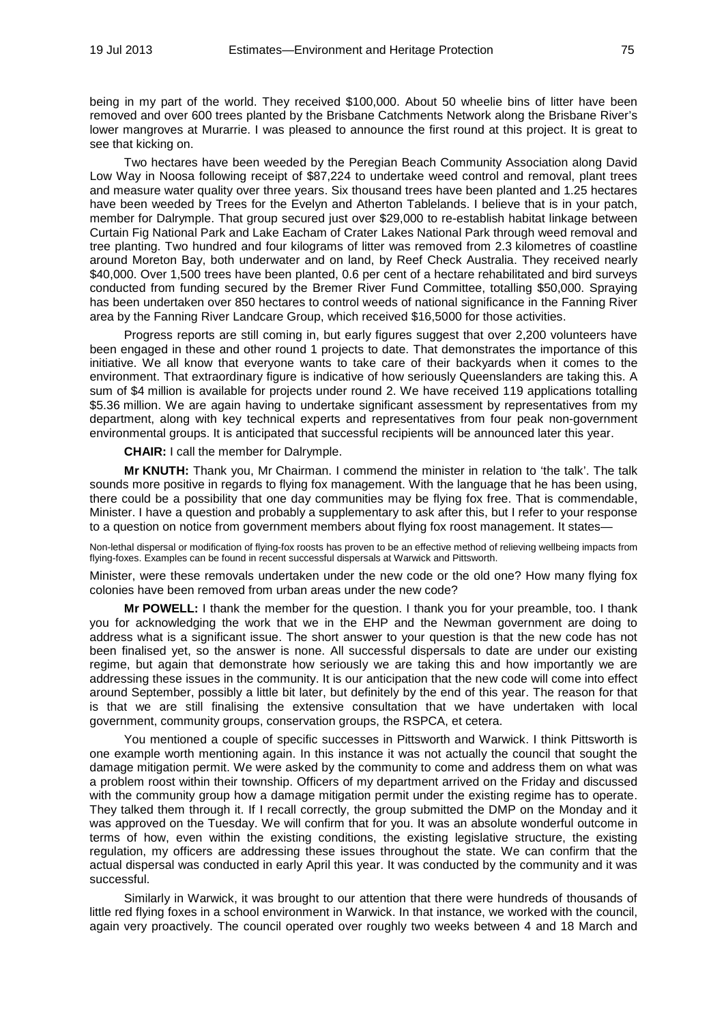being in my part of the world. They received \$100,000. About 50 wheelie bins of litter have been removed and over 600 trees planted by the Brisbane Catchments Network along the Brisbane River's lower mangroves at Murarrie. I was pleased to announce the first round at this project. It is great to see that kicking on.

Two hectares have been weeded by the Peregian Beach Community Association along David Low Way in Noosa following receipt of \$87,224 to undertake weed control and removal, plant trees and measure water quality over three years. Six thousand trees have been planted and 1.25 hectares have been weeded by Trees for the Evelyn and Atherton Tablelands. I believe that is in your patch, member for Dalrymple. That group secured just over \$29,000 to re-establish habitat linkage between Curtain Fig National Park and Lake Eacham of Crater Lakes National Park through weed removal and tree planting. Two hundred and four kilograms of litter was removed from 2.3 kilometres of coastline around Moreton Bay, both underwater and on land, by Reef Check Australia. They received nearly \$40,000. Over 1,500 trees have been planted, 0.6 per cent of a hectare rehabilitated and bird surveys conducted from funding secured by the Bremer River Fund Committee, totalling \$50,000. Spraying has been undertaken over 850 hectares to control weeds of national significance in the Fanning River area by the Fanning River Landcare Group, which received \$16,5000 for those activities.

Progress reports are still coming in, but early figures suggest that over 2,200 volunteers have been engaged in these and other round 1 projects to date. That demonstrates the importance of this initiative. We all know that everyone wants to take care of their backyards when it comes to the environment. That extraordinary figure is indicative of how seriously Queenslanders are taking this. A sum of \$4 million is available for projects under round 2. We have received 119 applications totalling \$5.36 million. We are again having to undertake significant assessment by representatives from my department, along with key technical experts and representatives from four peak non-government environmental groups. It is anticipated that successful recipients will be announced later this year.

**CHAIR:** I call the member for Dalrymple.

**Mr KNUTH:** Thank you, Mr Chairman. I commend the minister in relation to 'the talk'. The talk sounds more positive in regards to flying fox management. With the language that he has been using, there could be a possibility that one day communities may be flying fox free. That is commendable, Minister. I have a question and probably a supplementary to ask after this, but I refer to your response to a question on notice from government members about flying fox roost management. It states—

Non-lethal dispersal or modification of flying-fox roosts has proven to be an effective method of relieving wellbeing impacts from flying-foxes. Examples can be found in recent successful dispersals at Warwick and Pittsworth.

Minister, were these removals undertaken under the new code or the old one? How many flying fox colonies have been removed from urban areas under the new code?

**Mr POWELL:** I thank the member for the question. I thank you for your preamble, too. I thank you for acknowledging the work that we in the EHP and the Newman government are doing to address what is a significant issue. The short answer to your question is that the new code has not been finalised yet, so the answer is none. All successful dispersals to date are under our existing regime, but again that demonstrate how seriously we are taking this and how importantly we are addressing these issues in the community. It is our anticipation that the new code will come into effect around September, possibly a little bit later, but definitely by the end of this year. The reason for that is that we are still finalising the extensive consultation that we have undertaken with local government, community groups, conservation groups, the RSPCA, et cetera.

You mentioned a couple of specific successes in Pittsworth and Warwick. I think Pittsworth is one example worth mentioning again. In this instance it was not actually the council that sought the damage mitigation permit. We were asked by the community to come and address them on what was a problem roost within their township. Officers of my department arrived on the Friday and discussed with the community group how a damage mitigation permit under the existing regime has to operate. They talked them through it. If I recall correctly, the group submitted the DMP on the Monday and it was approved on the Tuesday. We will confirm that for you. It was an absolute wonderful outcome in terms of how, even within the existing conditions, the existing legislative structure, the existing regulation, my officers are addressing these issues throughout the state. We can confirm that the actual dispersal was conducted in early April this year. It was conducted by the community and it was successful.

Similarly in Warwick, it was brought to our attention that there were hundreds of thousands of little red flying foxes in a school environment in Warwick. In that instance, we worked with the council, again very proactively. The council operated over roughly two weeks between 4 and 18 March and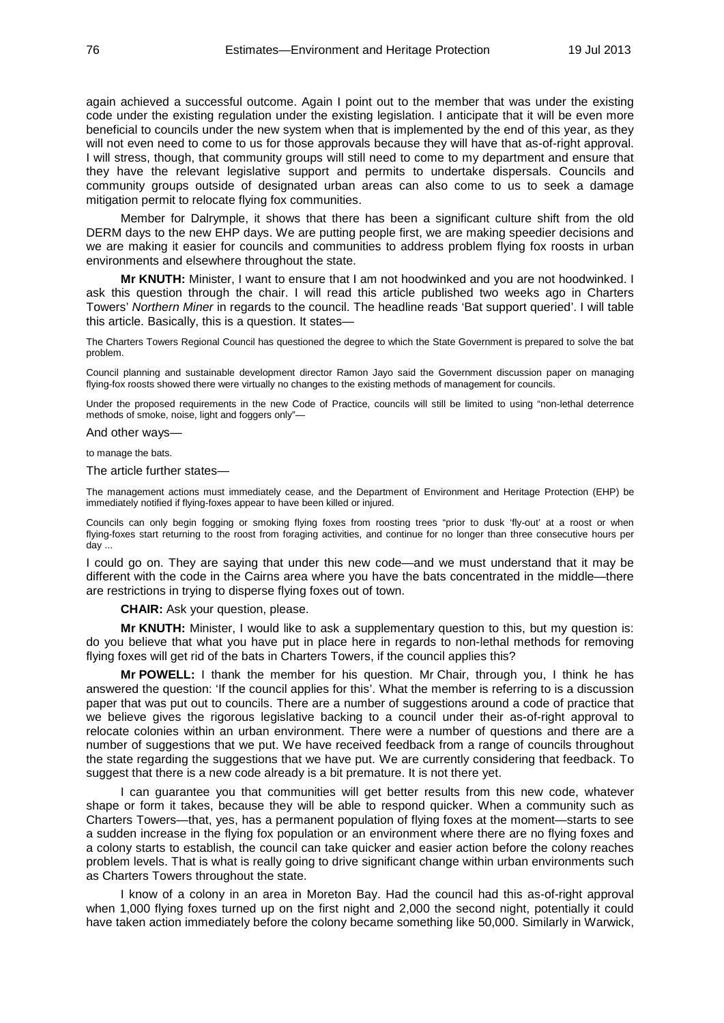again achieved a successful outcome. Again I point out to the member that was under the existing code under the existing regulation under the existing legislation. I anticipate that it will be even more beneficial to councils under the new system when that is implemented by the end of this year, as they will not even need to come to us for those approvals because they will have that as-of-right approval. I will stress, though, that community groups will still need to come to my department and ensure that they have the relevant legislative support and permits to undertake dispersals. Councils and community groups outside of designated urban areas can also come to us to seek a damage mitigation permit to relocate flying fox communities.

Member for Dalrymple, it shows that there has been a significant culture shift from the old DERM days to the new EHP days. We are putting people first, we are making speedier decisions and we are making it easier for councils and communities to address problem flying fox roosts in urban environments and elsewhere throughout the state.

**Mr KNUTH:** Minister, I want to ensure that I am not hoodwinked and you are not hoodwinked. I ask this question through the chair. I will read this article published two weeks ago in Charters Towers' *Northern Miner* in regards to the council. The headline reads 'Bat support queried'. I will table this article. Basically, this is a question. It states—

The Charters Towers Regional Council has questioned the degree to which the State Government is prepared to solve the bat problem.

Council planning and sustainable development director Ramon Jayo said the Government discussion paper on managing flying-fox roosts showed there were virtually no changes to the existing methods of management for councils.

Under the proposed requirements in the new Code of Practice, councils will still be limited to using "non-lethal deterrence methods of smoke, noise, light and foggers only"—

And other ways—

to manage the bats.

The article further states—

The management actions must immediately cease, and the Department of Environment and Heritage Protection (EHP) be immediately notified if flying-foxes appear to have been killed or injured.

Councils can only begin fogging or smoking flying foxes from roosting trees "prior to dusk 'fly-out' at a roost or when flying-foxes start returning to the roost from foraging activities, and continue for no longer than three consecutive hours per day ...

I could go on. They are saying that under this new code—and we must understand that it may be different with the code in the Cairns area where you have the bats concentrated in the middle—there are restrictions in trying to disperse flying foxes out of town.

**CHAIR:** Ask your question, please.

**Mr KNUTH:** Minister, I would like to ask a supplementary question to this, but my question is: do you believe that what you have put in place here in regards to non-lethal methods for removing flying foxes will get rid of the bats in Charters Towers, if the council applies this?

**Mr POWELL:** I thank the member for his question. Mr Chair, through you, I think he has answered the question: 'If the council applies for this'. What the member is referring to is a discussion paper that was put out to councils. There are a number of suggestions around a code of practice that we believe gives the rigorous legislative backing to a council under their as-of-right approval to relocate colonies within an urban environment. There were a number of questions and there are a number of suggestions that we put. We have received feedback from a range of councils throughout the state regarding the suggestions that we have put. We are currently considering that feedback. To suggest that there is a new code already is a bit premature. It is not there yet.

I can guarantee you that communities will get better results from this new code, whatever shape or form it takes, because they will be able to respond quicker. When a community such as Charters Towers—that, yes, has a permanent population of flying foxes at the moment—starts to see a sudden increase in the flying fox population or an environment where there are no flying foxes and a colony starts to establish, the council can take quicker and easier action before the colony reaches problem levels. That is what is really going to drive significant change within urban environments such as Charters Towers throughout the state.

I know of a colony in an area in Moreton Bay. Had the council had this as-of-right approval when 1,000 flying foxes turned up on the first night and 2,000 the second night, potentially it could have taken action immediately before the colony became something like 50,000. Similarly in Warwick,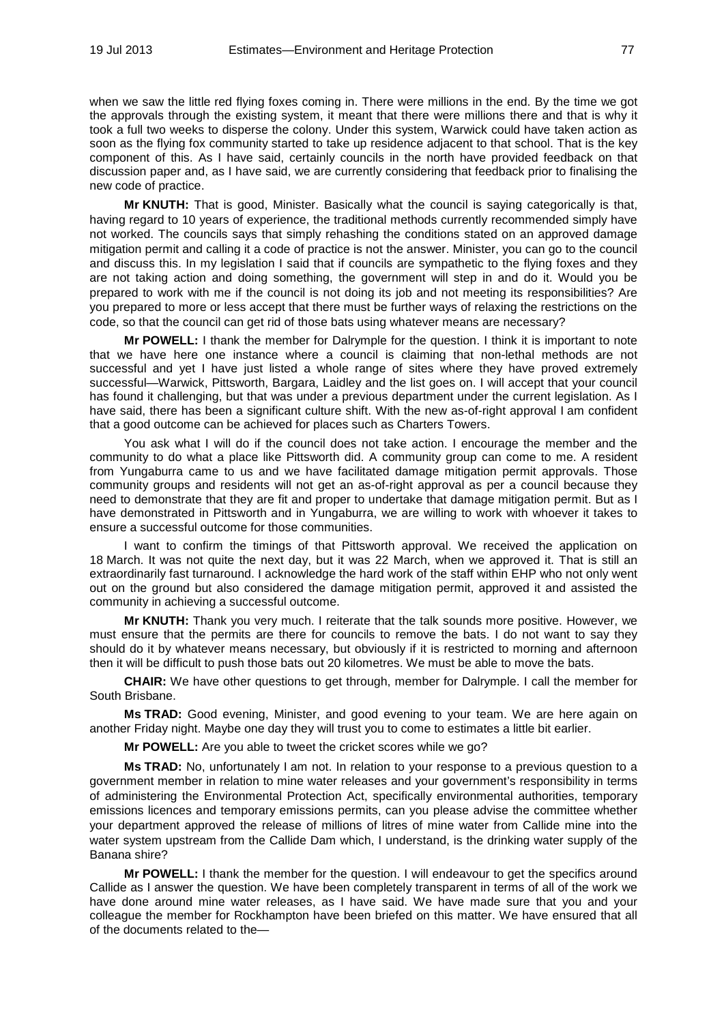when we saw the little red flying foxes coming in. There were millions in the end. By the time we got the approvals through the existing system, it meant that there were millions there and that is why it took a full two weeks to disperse the colony. Under this system, Warwick could have taken action as soon as the flying fox community started to take up residence adjacent to that school. That is the key component of this. As I have said, certainly councils in the north have provided feedback on that discussion paper and, as I have said, we are currently considering that feedback prior to finalising the new code of practice.

**Mr KNUTH:** That is good, Minister. Basically what the council is saying categorically is that, having regard to 10 years of experience, the traditional methods currently recommended simply have not worked. The councils says that simply rehashing the conditions stated on an approved damage mitigation permit and calling it a code of practice is not the answer. Minister, you can go to the council and discuss this. In my legislation I said that if councils are sympathetic to the flying foxes and they are not taking action and doing something, the government will step in and do it. Would you be prepared to work with me if the council is not doing its job and not meeting its responsibilities? Are you prepared to more or less accept that there must be further ways of relaxing the restrictions on the code, so that the council can get rid of those bats using whatever means are necessary?

**Mr POWELL:** I thank the member for Dalrymple for the question. I think it is important to note that we have here one instance where a council is claiming that non-lethal methods are not successful and yet I have just listed a whole range of sites where they have proved extremely successful—Warwick, Pittsworth, Bargara, Laidley and the list goes on. I will accept that your council has found it challenging, but that was under a previous department under the current legislation. As I have said, there has been a significant culture shift. With the new as-of-right approval I am confident that a good outcome can be achieved for places such as Charters Towers.

You ask what I will do if the council does not take action. I encourage the member and the community to do what a place like Pittsworth did. A community group can come to me. A resident from Yungaburra came to us and we have facilitated damage mitigation permit approvals. Those community groups and residents will not get an as-of-right approval as per a council because they need to demonstrate that they are fit and proper to undertake that damage mitigation permit. But as I have demonstrated in Pittsworth and in Yungaburra, we are willing to work with whoever it takes to ensure a successful outcome for those communities.

I want to confirm the timings of that Pittsworth approval. We received the application on 18 March. It was not quite the next day, but it was 22 March, when we approved it. That is still an extraordinarily fast turnaround. I acknowledge the hard work of the staff within EHP who not only went out on the ground but also considered the damage mitigation permit, approved it and assisted the community in achieving a successful outcome.

**Mr KNUTH:** Thank you very much. I reiterate that the talk sounds more positive. However, we must ensure that the permits are there for councils to remove the bats. I do not want to say they should do it by whatever means necessary, but obviously if it is restricted to morning and afternoon then it will be difficult to push those bats out 20 kilometres. We must be able to move the bats.

**CHAIR:** We have other questions to get through, member for Dalrymple. I call the member for South Brisbane.

**Ms TRAD:** Good evening, Minister, and good evening to your team. We are here again on another Friday night. Maybe one day they will trust you to come to estimates a little bit earlier.

**Mr POWELL:** Are you able to tweet the cricket scores while we go?

**Ms TRAD:** No, unfortunately I am not. In relation to your response to a previous question to a government member in relation to mine water releases and your government's responsibility in terms of administering the Environmental Protection Act, specifically environmental authorities, temporary emissions licences and temporary emissions permits, can you please advise the committee whether your department approved the release of millions of litres of mine water from Callide mine into the water system upstream from the Callide Dam which, I understand, is the drinking water supply of the Banana shire?

**Mr POWELL:** I thank the member for the question. I will endeavour to get the specifics around Callide as I answer the question. We have been completely transparent in terms of all of the work we have done around mine water releases, as I have said. We have made sure that you and your colleague the member for Rockhampton have been briefed on this matter. We have ensured that all of the documents related to the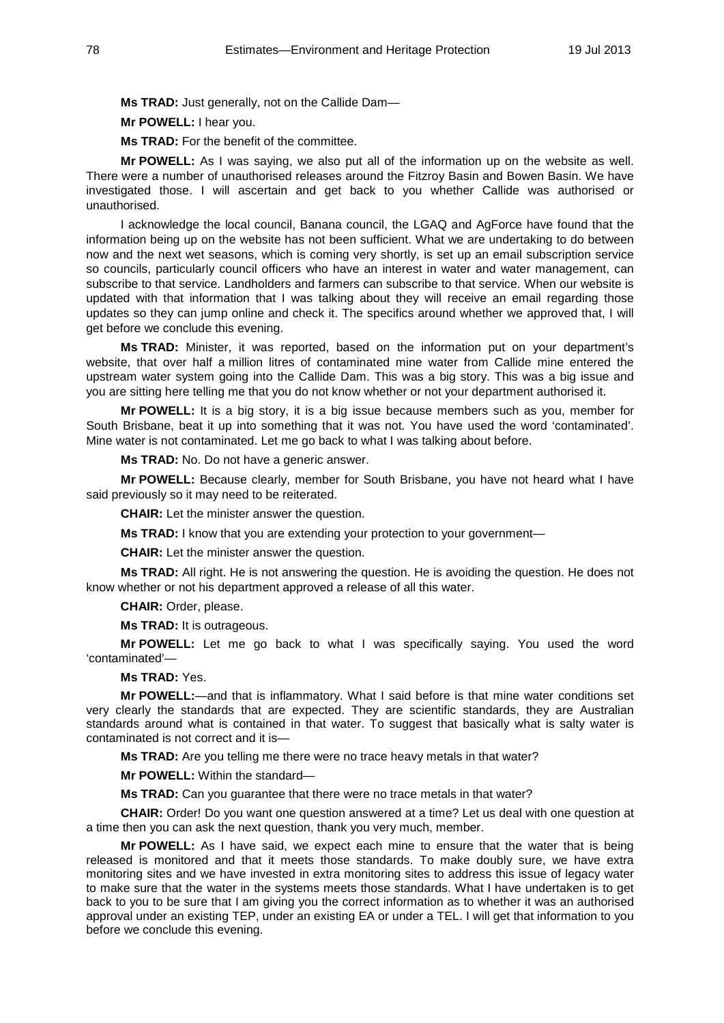**Ms TRAD:** Just generally, not on the Callide Dam—

**Mr POWELL:** I hear you.

**Ms TRAD:** For the benefit of the committee.

**Mr POWELL:** As I was saying, we also put all of the information up on the website as well. There were a number of unauthorised releases around the Fitzroy Basin and Bowen Basin. We have investigated those. I will ascertain and get back to you whether Callide was authorised or unauthorised.

I acknowledge the local council, Banana council, the LGAQ and AgForce have found that the information being up on the website has not been sufficient. What we are undertaking to do between now and the next wet seasons, which is coming very shortly, is set up an email subscription service so councils, particularly council officers who have an interest in water and water management, can subscribe to that service. Landholders and farmers can subscribe to that service. When our website is updated with that information that I was talking about they will receive an email regarding those updates so they can jump online and check it. The specifics around whether we approved that, I will get before we conclude this evening.

**Ms TRAD:** Minister, it was reported, based on the information put on your department's website, that over half a million litres of contaminated mine water from Callide mine entered the upstream water system going into the Callide Dam. This was a big story. This was a big issue and you are sitting here telling me that you do not know whether or not your department authorised it.

**Mr POWELL:** It is a big story, it is a big issue because members such as you, member for South Brisbane, beat it up into something that it was not. You have used the word 'contaminated'. Mine water is not contaminated. Let me go back to what I was talking about before.

**Ms TRAD:** No. Do not have a generic answer.

**Mr POWELL:** Because clearly, member for South Brisbane, you have not heard what I have said previously so it may need to be reiterated.

**CHAIR:** Let the minister answer the question.

**Ms TRAD:** I know that you are extending your protection to your government—

**CHAIR:** Let the minister answer the question.

**Ms TRAD:** All right. He is not answering the question. He is avoiding the question. He does not know whether or not his department approved a release of all this water.

**CHAIR:** Order, please.

**Ms TRAD:** It is outrageous.

**Mr POWELL:** Let me go back to what I was specifically saying. You used the word 'contaminated'—

**Ms TRAD:** Yes.

**Mr POWELL:**—and that is inflammatory. What I said before is that mine water conditions set very clearly the standards that are expected. They are scientific standards, they are Australian standards around what is contained in that water. To suggest that basically what is salty water is contaminated is not correct and it is—

**Ms TRAD:** Are you telling me there were no trace heavy metals in that water?

**Mr POWELL:** Within the standard—

**Ms TRAD:** Can you guarantee that there were no trace metals in that water?

**CHAIR:** Order! Do you want one question answered at a time? Let us deal with one question at a time then you can ask the next question, thank you very much, member.

**Mr POWELL:** As I have said, we expect each mine to ensure that the water that is being released is monitored and that it meets those standards. To make doubly sure, we have extra monitoring sites and we have invested in extra monitoring sites to address this issue of legacy water to make sure that the water in the systems meets those standards. What I have undertaken is to get back to you to be sure that I am giving you the correct information as to whether it was an authorised approval under an existing TEP, under an existing EA or under a TEL. I will get that information to you before we conclude this evening.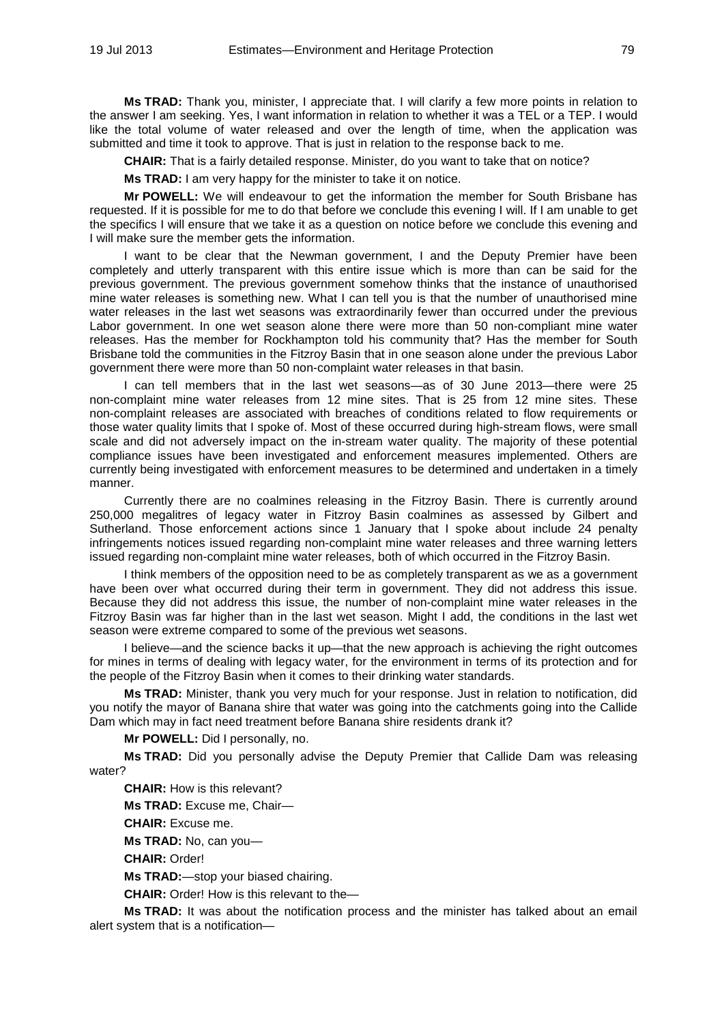**Ms TRAD:** Thank you, minister, I appreciate that. I will clarify a few more points in relation to the answer I am seeking. Yes, I want information in relation to whether it was a TEL or a TEP. I would like the total volume of water released and over the length of time, when the application was submitted and time it took to approve. That is just in relation to the response back to me.

**CHAIR:** That is a fairly detailed response. Minister, do you want to take that on notice?

**Ms TRAD:** I am very happy for the minister to take it on notice.

**Mr POWELL:** We will endeavour to get the information the member for South Brisbane has requested. If it is possible for me to do that before we conclude this evening I will. If I am unable to get the specifics I will ensure that we take it as a question on notice before we conclude this evening and I will make sure the member gets the information.

I want to be clear that the Newman government, I and the Deputy Premier have been completely and utterly transparent with this entire issue which is more than can be said for the previous government. The previous government somehow thinks that the instance of unauthorised mine water releases is something new. What I can tell you is that the number of unauthorised mine water releases in the last wet seasons was extraordinarily fewer than occurred under the previous Labor government. In one wet season alone there were more than 50 non-compliant mine water releases. Has the member for Rockhampton told his community that? Has the member for South Brisbane told the communities in the Fitzroy Basin that in one season alone under the previous Labor government there were more than 50 non-complaint water releases in that basin.

I can tell members that in the last wet seasons—as of 30 June 2013—there were 25 non-complaint mine water releases from 12 mine sites. That is 25 from 12 mine sites. These non-complaint releases are associated with breaches of conditions related to flow requirements or those water quality limits that I spoke of. Most of these occurred during high-stream flows, were small scale and did not adversely impact on the in-stream water quality. The majority of these potential compliance issues have been investigated and enforcement measures implemented. Others are currently being investigated with enforcement measures to be determined and undertaken in a timely manner.

Currently there are no coalmines releasing in the Fitzroy Basin. There is currently around 250,000 megalitres of legacy water in Fitzroy Basin coalmines as assessed by Gilbert and Sutherland. Those enforcement actions since 1 January that I spoke about include 24 penalty infringements notices issued regarding non-complaint mine water releases and three warning letters issued regarding non-complaint mine water releases, both of which occurred in the Fitzroy Basin.

I think members of the opposition need to be as completely transparent as we as a government have been over what occurred during their term in government. They did not address this issue. Because they did not address this issue, the number of non-complaint mine water releases in the Fitzroy Basin was far higher than in the last wet season. Might I add, the conditions in the last wet season were extreme compared to some of the previous wet seasons.

I believe—and the science backs it up—that the new approach is achieving the right outcomes for mines in terms of dealing with legacy water, for the environment in terms of its protection and for the people of the Fitzroy Basin when it comes to their drinking water standards.

**Ms TRAD:** Minister, thank you very much for your response. Just in relation to notification, did you notify the mayor of Banana shire that water was going into the catchments going into the Callide Dam which may in fact need treatment before Banana shire residents drank it?

**Mr POWELL:** Did I personally, no.

**Ms TRAD:** Did you personally advise the Deputy Premier that Callide Dam was releasing water?

**CHAIR:** How is this relevant?

**Ms TRAD:** Excuse me, Chair—

**CHAIR:** Excuse me.

**Ms TRAD:** No, can you—

**CHAIR:** Order!

**Ms TRAD:**—stop your biased chairing.

**CHAIR:** Order! How is this relevant to the—

**Ms TRAD:** It was about the notification process and the minister has talked about an email alert system that is a notification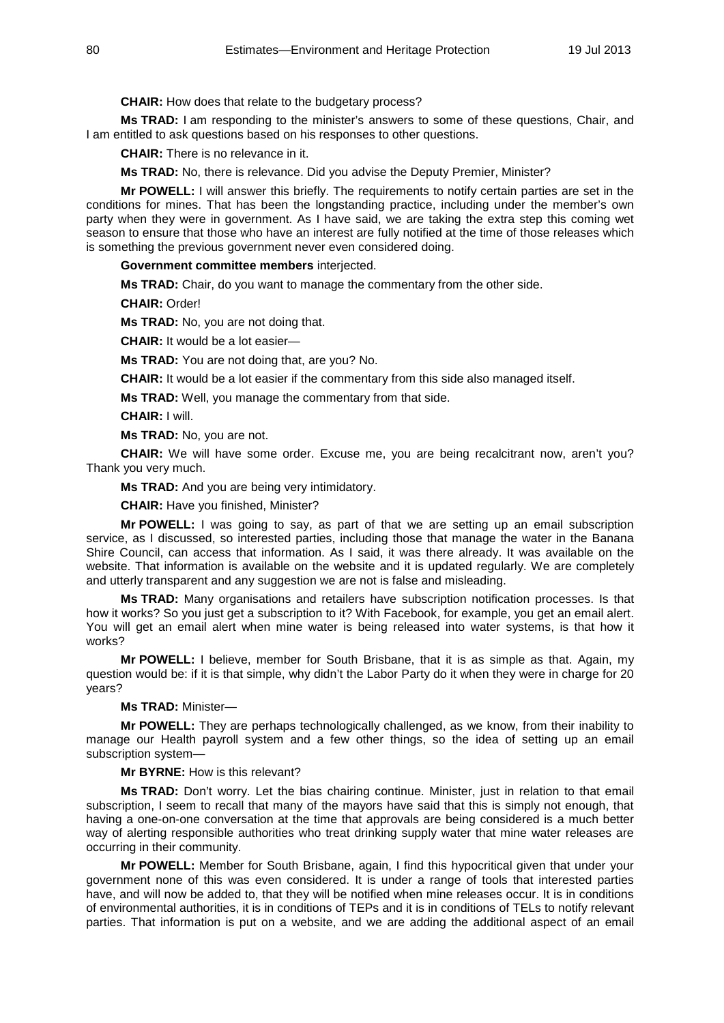**CHAIR:** How does that relate to the budgetary process?

**Ms TRAD:** I am responding to the minister's answers to some of these questions, Chair, and I am entitled to ask questions based on his responses to other questions.

**CHAIR:** There is no relevance in it.

**Ms TRAD:** No, there is relevance. Did you advise the Deputy Premier, Minister?

**Mr POWELL:** I will answer this briefly. The requirements to notify certain parties are set in the conditions for mines. That has been the longstanding practice, including under the member's own party when they were in government. As I have said, we are taking the extra step this coming wet season to ensure that those who have an interest are fully notified at the time of those releases which is something the previous government never even considered doing.

**Government committee members** interjected.

**Ms TRAD:** Chair, do you want to manage the commentary from the other side.

**CHAIR:** Order!

**Ms TRAD:** No, you are not doing that.

**CHAIR:** It would be a lot easier—

**Ms TRAD:** You are not doing that, are you? No.

**CHAIR:** It would be a lot easier if the commentary from this side also managed itself.

**Ms TRAD:** Well, you manage the commentary from that side.

**CHAIR:** I will.

**Ms TRAD:** No, you are not.

**CHAIR:** We will have some order. Excuse me, you are being recalcitrant now, aren't you? Thank you very much.

**Ms TRAD:** And you are being very intimidatory.

**CHAIR:** Have you finished, Minister?

**Mr POWELL:** I was going to say, as part of that we are setting up an email subscription service, as I discussed, so interested parties, including those that manage the water in the Banana Shire Council, can access that information. As I said, it was there already. It was available on the website. That information is available on the website and it is updated regularly. We are completely and utterly transparent and any suggestion we are not is false and misleading.

**Ms TRAD:** Many organisations and retailers have subscription notification processes. Is that how it works? So you just get a subscription to it? With Facebook, for example, you get an email alert. You will get an email alert when mine water is being released into water systems, is that how it works?

**Mr POWELL:** I believe, member for South Brisbane, that it is as simple as that. Again, my question would be: if it is that simple, why didn't the Labor Party do it when they were in charge for 20 years?

## **Ms TRAD:** Minister—

**Mr POWELL:** They are perhaps technologically challenged, as we know, from their inability to manage our Health payroll system and a few other things, so the idea of setting up an email subscription system—

**Mr BYRNE:** How is this relevant?

**Ms TRAD:** Don't worry. Let the bias chairing continue. Minister, just in relation to that email subscription, I seem to recall that many of the mayors have said that this is simply not enough, that having a one-on-one conversation at the time that approvals are being considered is a much better way of alerting responsible authorities who treat drinking supply water that mine water releases are occurring in their community.

**Mr POWELL:** Member for South Brisbane, again, I find this hypocritical given that under your government none of this was even considered. It is under a range of tools that interested parties have, and will now be added to, that they will be notified when mine releases occur. It is in conditions of environmental authorities, it is in conditions of TEPs and it is in conditions of TELs to notify relevant parties. That information is put on a website, and we are adding the additional aspect of an email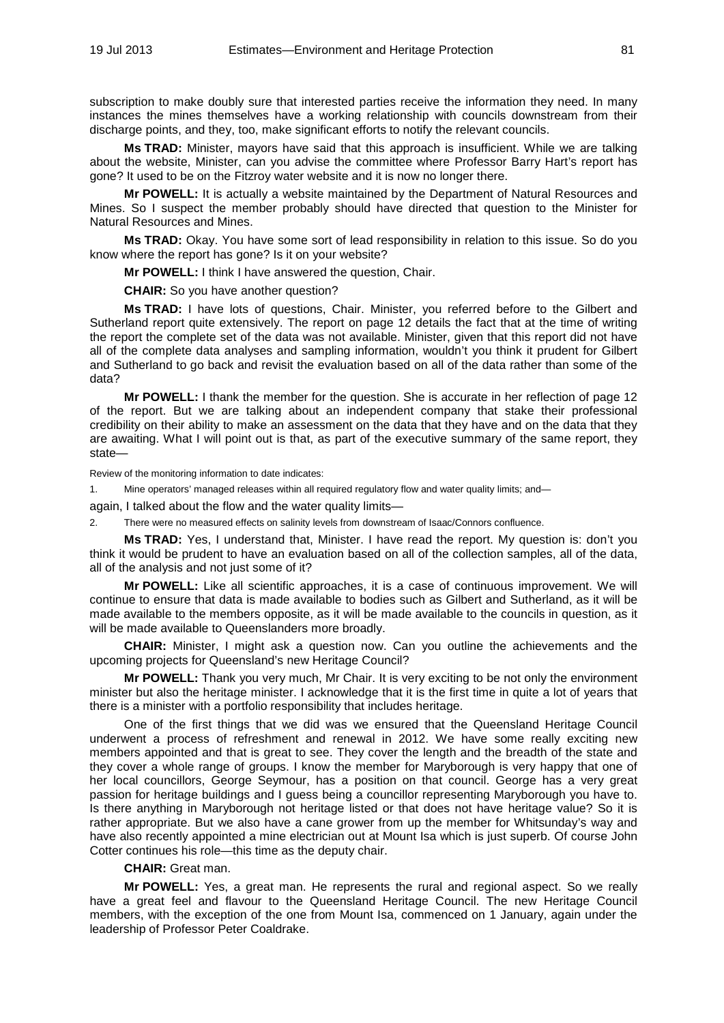subscription to make doubly sure that interested parties receive the information they need. In many instances the mines themselves have a working relationship with councils downstream from their discharge points, and they, too, make significant efforts to notify the relevant councils.

**Ms TRAD:** Minister, mayors have said that this approach is insufficient. While we are talking about the website, Minister, can you advise the committee where Professor Barry Hart's report has gone? It used to be on the Fitzroy water website and it is now no longer there.

**Mr POWELL:** It is actually a website maintained by the Department of Natural Resources and Mines. So I suspect the member probably should have directed that question to the Minister for Natural Resources and Mines.

**Ms TRAD:** Okay. You have some sort of lead responsibility in relation to this issue. So do you know where the report has gone? Is it on your website?

**Mr POWELL:** I think I have answered the question, Chair.

**CHAIR:** So you have another question?

**Ms TRAD:** I have lots of questions, Chair. Minister, you referred before to the Gilbert and Sutherland report quite extensively. The report on page 12 details the fact that at the time of writing the report the complete set of the data was not available. Minister, given that this report did not have all of the complete data analyses and sampling information, wouldn't you think it prudent for Gilbert and Sutherland to go back and revisit the evaluation based on all of the data rather than some of the data?

**Mr POWELL:** I thank the member for the question. She is accurate in her reflection of page 12 of the report. But we are talking about an independent company that stake their professional credibility on their ability to make an assessment on the data that they have and on the data that they are awaiting. What I will point out is that, as part of the executive summary of the same report, they state—

Review of the monitoring information to date indicates:

1. Mine operators' managed releases within all required regulatory flow and water quality limits; and—

again, I talked about the flow and the water quality limits—

2. There were no measured effects on salinity levels from downstream of Isaac/Connors confluence.

**Ms TRAD:** Yes, I understand that, Minister. I have read the report. My question is: don't you think it would be prudent to have an evaluation based on all of the collection samples, all of the data, all of the analysis and not just some of it?

**Mr POWELL:** Like all scientific approaches, it is a case of continuous improvement. We will continue to ensure that data is made available to bodies such as Gilbert and Sutherland, as it will be made available to the members opposite, as it will be made available to the councils in question, as it will be made available to Queenslanders more broadly.

**CHAIR:** Minister, I might ask a question now. Can you outline the achievements and the upcoming projects for Queensland's new Heritage Council?

**Mr POWELL:** Thank you very much, Mr Chair. It is very exciting to be not only the environment minister but also the heritage minister. I acknowledge that it is the first time in quite a lot of years that there is a minister with a portfolio responsibility that includes heritage.

One of the first things that we did was we ensured that the Queensland Heritage Council underwent a process of refreshment and renewal in 2012. We have some really exciting new members appointed and that is great to see. They cover the length and the breadth of the state and they cover a whole range of groups. I know the member for Maryborough is very happy that one of her local councillors, George Seymour, has a position on that council. George has a very great passion for heritage buildings and I guess being a councillor representing Maryborough you have to. Is there anything in Maryborough not heritage listed or that does not have heritage value? So it is rather appropriate. But we also have a cane grower from up the member for Whitsunday's way and have also recently appointed a mine electrician out at Mount Isa which is just superb. Of course John Cotter continues his role—this time as the deputy chair.

**CHAIR:** Great man.

**Mr POWELL:** Yes, a great man. He represents the rural and regional aspect. So we really have a great feel and flavour to the Queensland Heritage Council. The new Heritage Council members, with the exception of the one from Mount Isa, commenced on 1 January, again under the leadership of Professor Peter Coaldrake.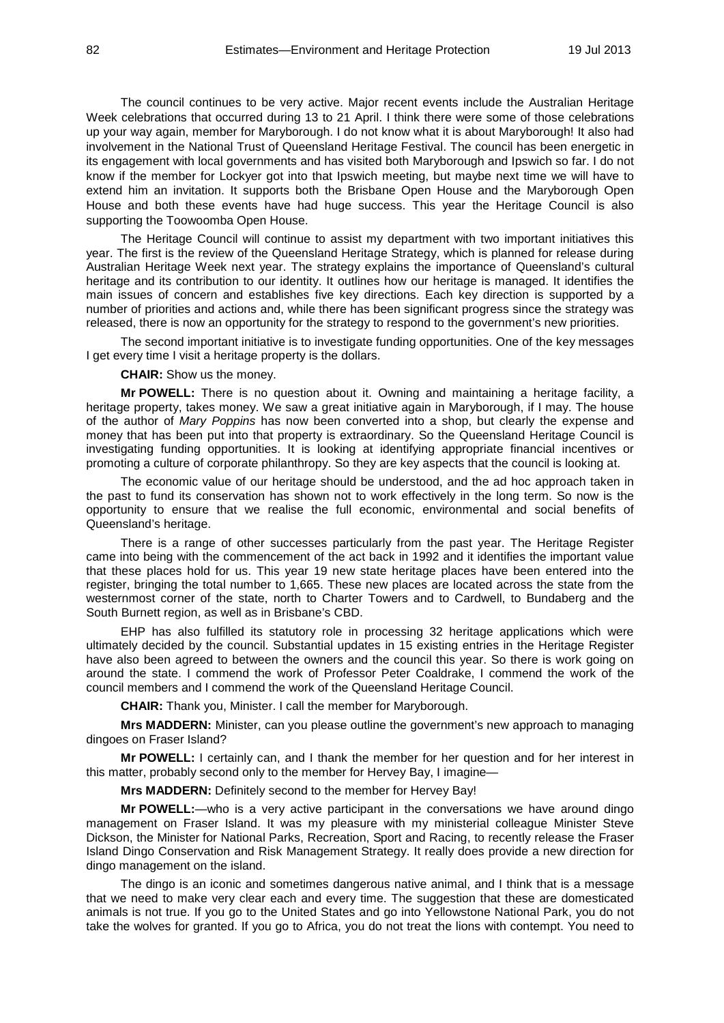The council continues to be very active. Major recent events include the Australian Heritage Week celebrations that occurred during 13 to 21 April. I think there were some of those celebrations up your way again, member for Maryborough. I do not know what it is about Maryborough! It also had involvement in the National Trust of Queensland Heritage Festival. The council has been energetic in its engagement with local governments and has visited both Maryborough and Ipswich so far. I do not know if the member for Lockyer got into that Ipswich meeting, but maybe next time we will have to extend him an invitation. It supports both the Brisbane Open House and the Maryborough Open House and both these events have had huge success. This year the Heritage Council is also supporting the Toowoomba Open House.

The Heritage Council will continue to assist my department with two important initiatives this year. The first is the review of the Queensland Heritage Strategy, which is planned for release during Australian Heritage Week next year. The strategy explains the importance of Queensland's cultural heritage and its contribution to our identity. It outlines how our heritage is managed. It identifies the main issues of concern and establishes five key directions. Each key direction is supported by a number of priorities and actions and, while there has been significant progress since the strategy was released, there is now an opportunity for the strategy to respond to the government's new priorities.

The second important initiative is to investigate funding opportunities. One of the key messages I get every time I visit a heritage property is the dollars.

**CHAIR:** Show us the money.

**Mr POWELL:** There is no question about it. Owning and maintaining a heritage facility, a heritage property, takes money. We saw a great initiative again in Maryborough, if I may. The house of the author of *Mary Poppins* has now been converted into a shop, but clearly the expense and money that has been put into that property is extraordinary. So the Queensland Heritage Council is investigating funding opportunities. It is looking at identifying appropriate financial incentives or promoting a culture of corporate philanthropy. So they are key aspects that the council is looking at.

The economic value of our heritage should be understood, and the ad hoc approach taken in the past to fund its conservation has shown not to work effectively in the long term. So now is the opportunity to ensure that we realise the full economic, environmental and social benefits of Queensland's heritage.

There is a range of other successes particularly from the past year. The Heritage Register came into being with the commencement of the act back in 1992 and it identifies the important value that these places hold for us. This year 19 new state heritage places have been entered into the register, bringing the total number to 1,665. These new places are located across the state from the westernmost corner of the state, north to Charter Towers and to Cardwell, to Bundaberg and the South Burnett region, as well as in Brisbane's CBD.

EHP has also fulfilled its statutory role in processing 32 heritage applications which were ultimately decided by the council. Substantial updates in 15 existing entries in the Heritage Register have also been agreed to between the owners and the council this year. So there is work going on around the state. I commend the work of Professor Peter Coaldrake, I commend the work of the council members and I commend the work of the Queensland Heritage Council.

**CHAIR:** Thank you, Minister. I call the member for Maryborough.

**Mrs MADDERN:** Minister, can you please outline the government's new approach to managing dingoes on Fraser Island?

**Mr POWELL:** I certainly can, and I thank the member for her question and for her interest in this matter, probably second only to the member for Hervey Bay, I imagine—

**Mrs MADDERN:** Definitely second to the member for Hervey Bay!

**Mr POWELL:**—who is a very active participant in the conversations we have around dingo management on Fraser Island. It was my pleasure with my ministerial colleague Minister Steve Dickson, the Minister for National Parks, Recreation, Sport and Racing, to recently release the Fraser Island Dingo Conservation and Risk Management Strategy. It really does provide a new direction for dingo management on the island.

The dingo is an iconic and sometimes dangerous native animal, and I think that is a message that we need to make very clear each and every time. The suggestion that these are domesticated animals is not true. If you go to the United States and go into Yellowstone National Park, you do not take the wolves for granted. If you go to Africa, you do not treat the lions with contempt. You need to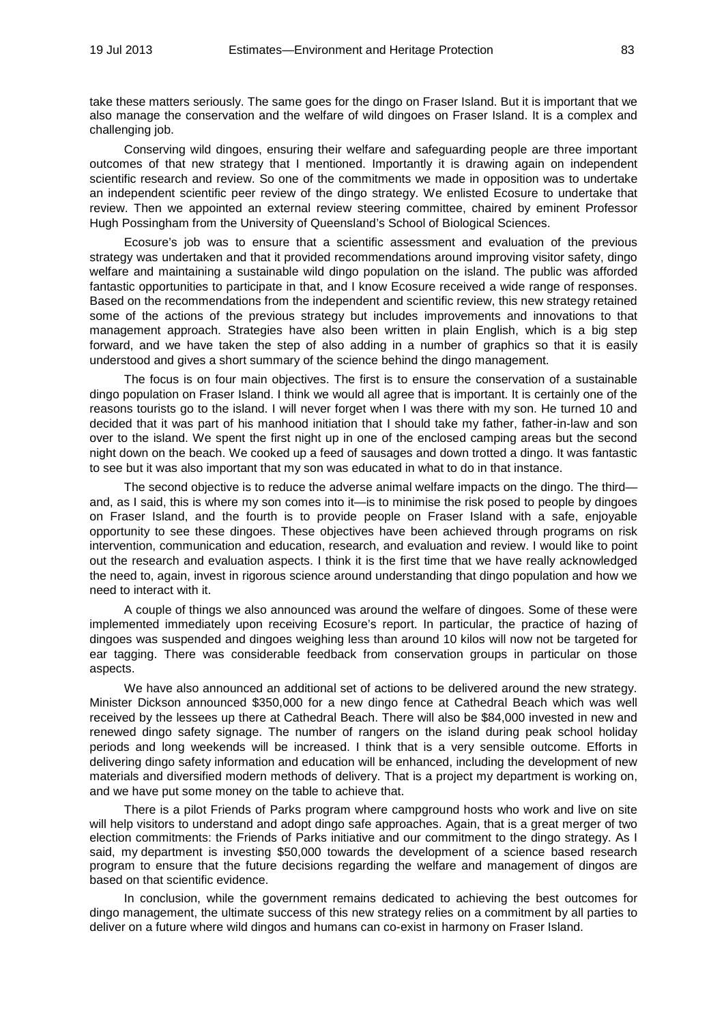take these matters seriously. The same goes for the dingo on Fraser Island. But it is important that we also manage the conservation and the welfare of wild dingoes on Fraser Island. It is a complex and challenging job.

Conserving wild dingoes, ensuring their welfare and safeguarding people are three important outcomes of that new strategy that I mentioned. Importantly it is drawing again on independent scientific research and review. So one of the commitments we made in opposition was to undertake an independent scientific peer review of the dingo strategy. We enlisted Ecosure to undertake that review. Then we appointed an external review steering committee, chaired by eminent Professor Hugh Possingham from the University of Queensland's School of Biological Sciences.

Ecosure's job was to ensure that a scientific assessment and evaluation of the previous strategy was undertaken and that it provided recommendations around improving visitor safety, dingo welfare and maintaining a sustainable wild dingo population on the island. The public was afforded fantastic opportunities to participate in that, and I know Ecosure received a wide range of responses. Based on the recommendations from the independent and scientific review, this new strategy retained some of the actions of the previous strategy but includes improvements and innovations to that management approach. Strategies have also been written in plain English, which is a big step forward, and we have taken the step of also adding in a number of graphics so that it is easily understood and gives a short summary of the science behind the dingo management.

The focus is on four main objectives. The first is to ensure the conservation of a sustainable dingo population on Fraser Island. I think we would all agree that is important. It is certainly one of the reasons tourists go to the island. I will never forget when I was there with my son. He turned 10 and decided that it was part of his manhood initiation that I should take my father, father-in-law and son over to the island. We spent the first night up in one of the enclosed camping areas but the second night down on the beach. We cooked up a feed of sausages and down trotted a dingo. It was fantastic to see but it was also important that my son was educated in what to do in that instance.

The second objective is to reduce the adverse animal welfare impacts on the dingo. The third and, as I said, this is where my son comes into it—is to minimise the risk posed to people by dingoes on Fraser Island, and the fourth is to provide people on Fraser Island with a safe, enjoyable opportunity to see these dingoes. These objectives have been achieved through programs on risk intervention, communication and education, research, and evaluation and review. I would like to point out the research and evaluation aspects. I think it is the first time that we have really acknowledged the need to, again, invest in rigorous science around understanding that dingo population and how we need to interact with it.

A couple of things we also announced was around the welfare of dingoes. Some of these were implemented immediately upon receiving Ecosure's report. In particular, the practice of hazing of dingoes was suspended and dingoes weighing less than around 10 kilos will now not be targeted for ear tagging. There was considerable feedback from conservation groups in particular on those aspects.

We have also announced an additional set of actions to be delivered around the new strategy. Minister Dickson announced \$350,000 for a new dingo fence at Cathedral Beach which was well received by the lessees up there at Cathedral Beach. There will also be \$84,000 invested in new and renewed dingo safety signage. The number of rangers on the island during peak school holiday periods and long weekends will be increased. I think that is a very sensible outcome. Efforts in delivering dingo safety information and education will be enhanced, including the development of new materials and diversified modern methods of delivery. That is a project my department is working on, and we have put some money on the table to achieve that.

There is a pilot Friends of Parks program where campground hosts who work and live on site will help visitors to understand and adopt dingo safe approaches. Again, that is a great merger of two election commitments: the Friends of Parks initiative and our commitment to the dingo strategy. As I said, my department is investing \$50,000 towards the development of a science based research program to ensure that the future decisions regarding the welfare and management of dingos are based on that scientific evidence.

In conclusion, while the government remains dedicated to achieving the best outcomes for dingo management, the ultimate success of this new strategy relies on a commitment by all parties to deliver on a future where wild dingos and humans can co-exist in harmony on Fraser Island.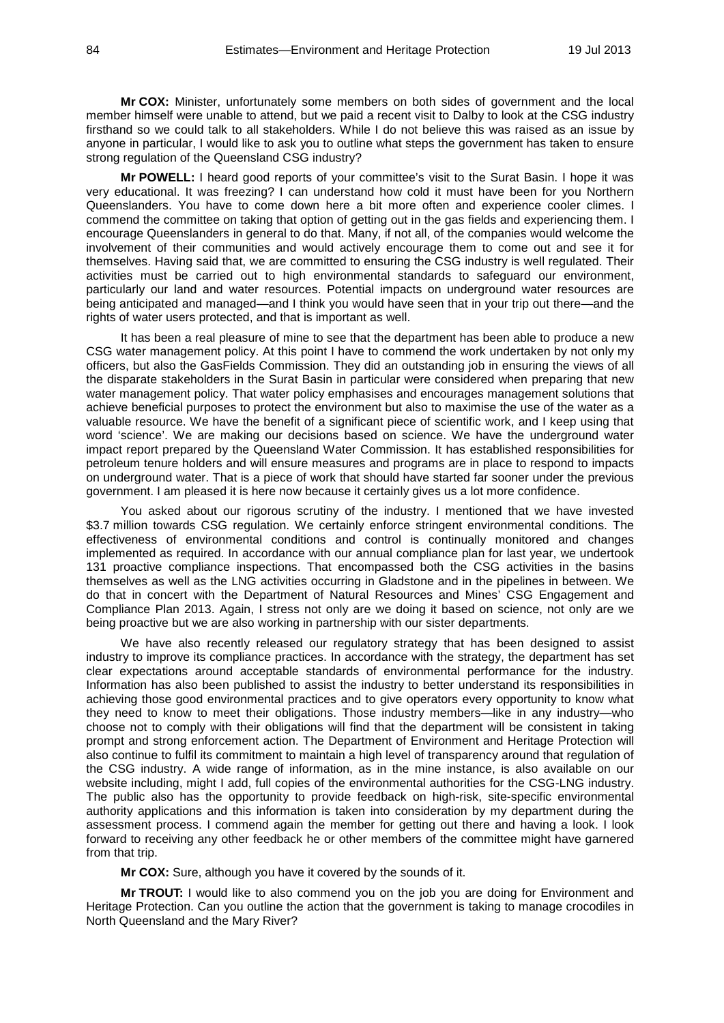**Mr COX:** Minister, unfortunately some members on both sides of government and the local member himself were unable to attend, but we paid a recent visit to Dalby to look at the CSG industry firsthand so we could talk to all stakeholders. While I do not believe this was raised as an issue by anyone in particular, I would like to ask you to outline what steps the government has taken to ensure strong regulation of the Queensland CSG industry?

**Mr POWELL:** I heard good reports of your committee's visit to the Surat Basin. I hope it was very educational. It was freezing? I can understand how cold it must have been for you Northern Queenslanders. You have to come down here a bit more often and experience cooler climes. I commend the committee on taking that option of getting out in the gas fields and experiencing them. I encourage Queenslanders in general to do that. Many, if not all, of the companies would welcome the involvement of their communities and would actively encourage them to come out and see it for themselves. Having said that, we are committed to ensuring the CSG industry is well regulated. Their activities must be carried out to high environmental standards to safeguard our environment, particularly our land and water resources. Potential impacts on underground water resources are being anticipated and managed—and I think you would have seen that in your trip out there—and the rights of water users protected, and that is important as well.

It has been a real pleasure of mine to see that the department has been able to produce a new CSG water management policy. At this point I have to commend the work undertaken by not only my officers, but also the GasFields Commission. They did an outstanding job in ensuring the views of all the disparate stakeholders in the Surat Basin in particular were considered when preparing that new water management policy. That water policy emphasises and encourages management solutions that achieve beneficial purposes to protect the environment but also to maximise the use of the water as a valuable resource. We have the benefit of a significant piece of scientific work, and I keep using that word 'science'. We are making our decisions based on science. We have the underground water impact report prepared by the Queensland Water Commission. It has established responsibilities for petroleum tenure holders and will ensure measures and programs are in place to respond to impacts on underground water. That is a piece of work that should have started far sooner under the previous government. I am pleased it is here now because it certainly gives us a lot more confidence.

You asked about our rigorous scrutiny of the industry. I mentioned that we have invested \$3.7 million towards CSG regulation. We certainly enforce stringent environmental conditions. The effectiveness of environmental conditions and control is continually monitored and changes implemented as required. In accordance with our annual compliance plan for last year, we undertook 131 proactive compliance inspections. That encompassed both the CSG activities in the basins themselves as well as the LNG activities occurring in Gladstone and in the pipelines in between. We do that in concert with the Department of Natural Resources and Mines' CSG Engagement and Compliance Plan 2013. Again, I stress not only are we doing it based on science, not only are we being proactive but we are also working in partnership with our sister departments.

We have also recently released our regulatory strategy that has been designed to assist industry to improve its compliance practices. In accordance with the strategy, the department has set clear expectations around acceptable standards of environmental performance for the industry. Information has also been published to assist the industry to better understand its responsibilities in achieving those good environmental practices and to give operators every opportunity to know what they need to know to meet their obligations. Those industry members—like in any industry—who choose not to comply with their obligations will find that the department will be consistent in taking prompt and strong enforcement action. The Department of Environment and Heritage Protection will also continue to fulfil its commitment to maintain a high level of transparency around that regulation of the CSG industry. A wide range of information, as in the mine instance, is also available on our website including, might I add, full copies of the environmental authorities for the CSG-LNG industry. The public also has the opportunity to provide feedback on high-risk, site-specific environmental authority applications and this information is taken into consideration by my department during the assessment process. I commend again the member for getting out there and having a look. I look forward to receiving any other feedback he or other members of the committee might have garnered from that trip.

**Mr COX:** Sure, although you have it covered by the sounds of it.

**Mr TROUT:** I would like to also commend you on the job you are doing for Environment and Heritage Protection. Can you outline the action that the government is taking to manage crocodiles in North Queensland and the Mary River?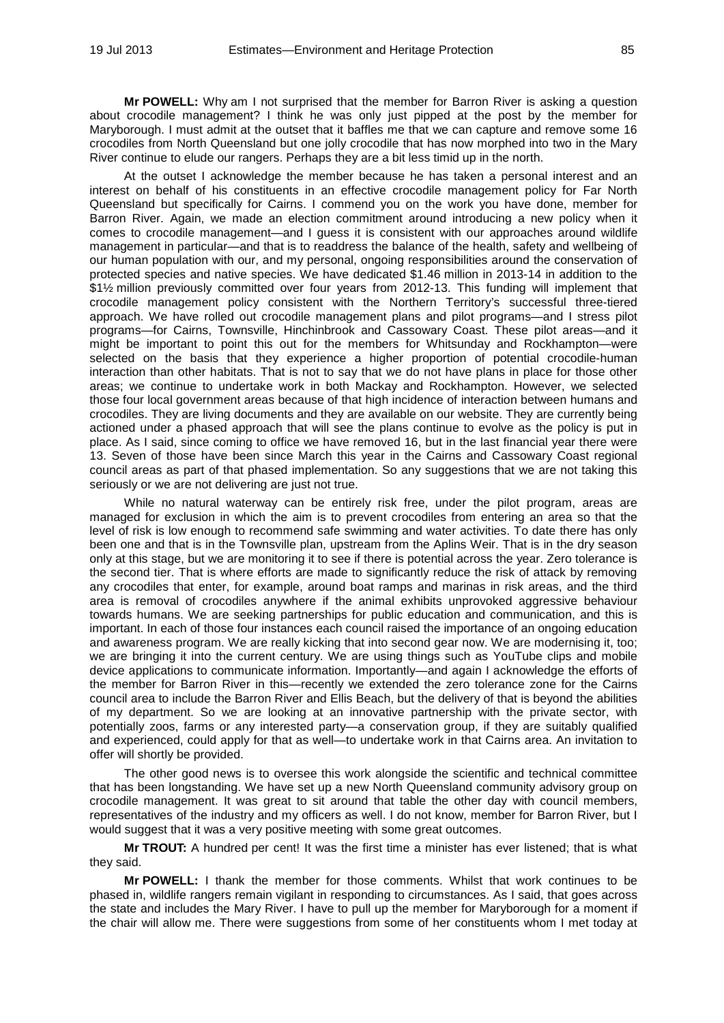**Mr POWELL:** Why am I not surprised that the member for Barron River is asking a question about crocodile management? I think he was only just pipped at the post by the member for Maryborough. I must admit at the outset that it baffles me that we can capture and remove some 16 crocodiles from North Queensland but one jolly crocodile that has now morphed into two in the Mary River continue to elude our rangers. Perhaps they are a bit less timid up in the north.

At the outset I acknowledge the member because he has taken a personal interest and an interest on behalf of his constituents in an effective crocodile management policy for Far North Queensland but specifically for Cairns. I commend you on the work you have done, member for Barron River. Again, we made an election commitment around introducing a new policy when it comes to crocodile management—and I guess it is consistent with our approaches around wildlife management in particular—and that is to readdress the balance of the health, safety and wellbeing of our human population with our, and my personal, ongoing responsibilities around the conservation of protected species and native species. We have dedicated \$1.46 million in 2013-14 in addition to the \$1½ million previously committed over four years from 2012-13. This funding will implement that crocodile management policy consistent with the Northern Territory's successful three-tiered approach. We have rolled out crocodile management plans and pilot programs—and I stress pilot programs—for Cairns, Townsville, Hinchinbrook and Cassowary Coast. These pilot areas—and it might be important to point this out for the members for Whitsunday and Rockhampton—were selected on the basis that they experience a higher proportion of potential crocodile-human interaction than other habitats. That is not to say that we do not have plans in place for those other areas; we continue to undertake work in both Mackay and Rockhampton. However, we selected those four local government areas because of that high incidence of interaction between humans and crocodiles. They are living documents and they are available on our website. They are currently being actioned under a phased approach that will see the plans continue to evolve as the policy is put in place. As I said, since coming to office we have removed 16, but in the last financial year there were 13. Seven of those have been since March this year in the Cairns and Cassowary Coast regional council areas as part of that phased implementation. So any suggestions that we are not taking this seriously or we are not delivering are just not true.

While no natural waterway can be entirely risk free, under the pilot program, areas are managed for exclusion in which the aim is to prevent crocodiles from entering an area so that the level of risk is low enough to recommend safe swimming and water activities. To date there has only been one and that is in the Townsville plan, upstream from the Aplins Weir. That is in the dry season only at this stage, but we are monitoring it to see if there is potential across the year. Zero tolerance is the second tier. That is where efforts are made to significantly reduce the risk of attack by removing any crocodiles that enter, for example, around boat ramps and marinas in risk areas, and the third area is removal of crocodiles anywhere if the animal exhibits unprovoked aggressive behaviour towards humans. We are seeking partnerships for public education and communication, and this is important. In each of those four instances each council raised the importance of an ongoing education and awareness program. We are really kicking that into second gear now. We are modernising it, too; we are bringing it into the current century. We are using things such as YouTube clips and mobile device applications to communicate information. Importantly—and again I acknowledge the efforts of the member for Barron River in this—recently we extended the zero tolerance zone for the Cairns council area to include the Barron River and Ellis Beach, but the delivery of that is beyond the abilities of my department. So we are looking at an innovative partnership with the private sector, with potentially zoos, farms or any interested party—a conservation group, if they are suitably qualified and experienced, could apply for that as well—to undertake work in that Cairns area. An invitation to offer will shortly be provided.

The other good news is to oversee this work alongside the scientific and technical committee that has been longstanding. We have set up a new North Queensland community advisory group on crocodile management. It was great to sit around that table the other day with council members, representatives of the industry and my officers as well. I do not know, member for Barron River, but I would suggest that it was a very positive meeting with some great outcomes.

**Mr TROUT:** A hundred per cent! It was the first time a minister has ever listened; that is what they said.

**Mr POWELL:** I thank the member for those comments. Whilst that work continues to be phased in, wildlife rangers remain vigilant in responding to circumstances. As I said, that goes across the state and includes the Mary River. I have to pull up the member for Maryborough for a moment if the chair will allow me. There were suggestions from some of her constituents whom I met today at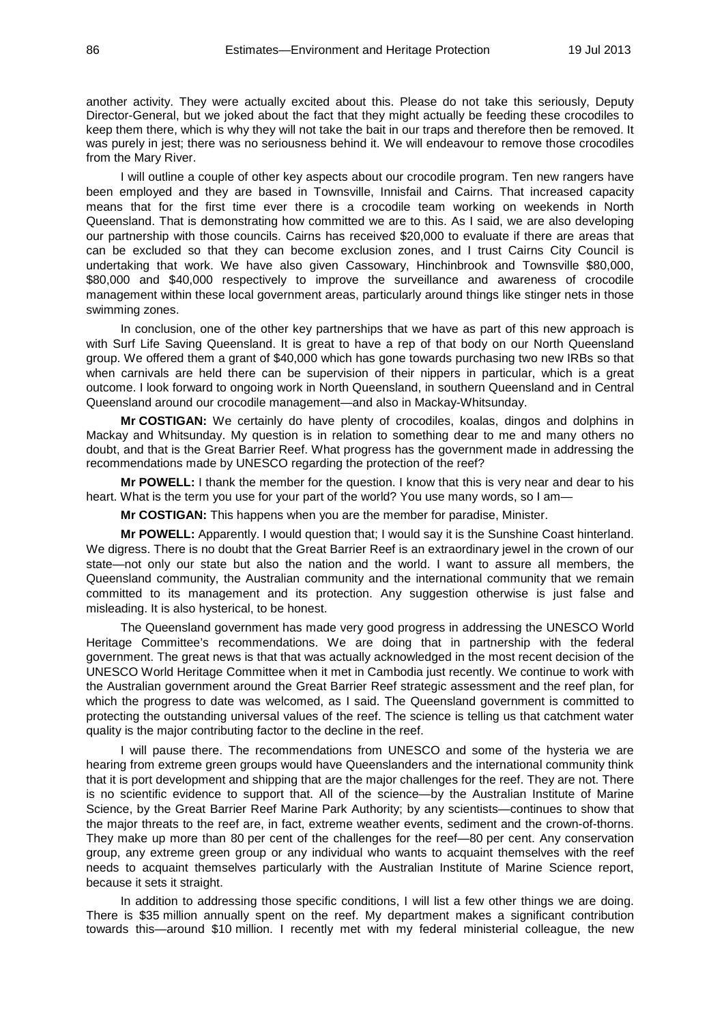another activity. They were actually excited about this. Please do not take this seriously, Deputy Director-General, but we joked about the fact that they might actually be feeding these crocodiles to keep them there, which is why they will not take the bait in our traps and therefore then be removed. It was purely in jest; there was no seriousness behind it. We will endeavour to remove those crocodiles from the Mary River.

I will outline a couple of other key aspects about our crocodile program. Ten new rangers have been employed and they are based in Townsville, Innisfail and Cairns. That increased capacity means that for the first time ever there is a crocodile team working on weekends in North Queensland. That is demonstrating how committed we are to this. As I said, we are also developing our partnership with those councils. Cairns has received \$20,000 to evaluate if there are areas that can be excluded so that they can become exclusion zones, and I trust Cairns City Council is undertaking that work. We have also given Cassowary, Hinchinbrook and Townsville \$80,000, \$80,000 and \$40,000 respectively to improve the surveillance and awareness of crocodile management within these local government areas, particularly around things like stinger nets in those swimming zones.

In conclusion, one of the other key partnerships that we have as part of this new approach is with Surf Life Saving Queensland. It is great to have a rep of that body on our North Queensland group. We offered them a grant of \$40,000 which has gone towards purchasing two new IRBs so that when carnivals are held there can be supervision of their nippers in particular, which is a great outcome. I look forward to ongoing work in North Queensland, in southern Queensland and in Central Queensland around our crocodile management—and also in Mackay-Whitsunday.

**Mr COSTIGAN:** We certainly do have plenty of crocodiles, koalas, dingos and dolphins in Mackay and Whitsunday. My question is in relation to something dear to me and many others no doubt, and that is the Great Barrier Reef. What progress has the government made in addressing the recommendations made by UNESCO regarding the protection of the reef?

**Mr POWELL:** I thank the member for the question. I know that this is very near and dear to his heart. What is the term you use for your part of the world? You use many words, so I am—

**Mr COSTIGAN:** This happens when you are the member for paradise, Minister.

**Mr POWELL:** Apparently. I would question that; I would say it is the Sunshine Coast hinterland. We digress. There is no doubt that the Great Barrier Reef is an extraordinary jewel in the crown of our state—not only our state but also the nation and the world. I want to assure all members, the Queensland community, the Australian community and the international community that we remain committed to its management and its protection. Any suggestion otherwise is just false and misleading. It is also hysterical, to be honest.

The Queensland government has made very good progress in addressing the UNESCO World Heritage Committee's recommendations. We are doing that in partnership with the federal government. The great news is that that was actually acknowledged in the most recent decision of the UNESCO World Heritage Committee when it met in Cambodia just recently. We continue to work with the Australian government around the Great Barrier Reef strategic assessment and the reef plan, for which the progress to date was welcomed, as I said. The Queensland government is committed to protecting the outstanding universal values of the reef. The science is telling us that catchment water quality is the major contributing factor to the decline in the reef.

I will pause there. The recommendations from UNESCO and some of the hysteria we are hearing from extreme green groups would have Queenslanders and the international community think that it is port development and shipping that are the major challenges for the reef. They are not. There is no scientific evidence to support that. All of the science—by the Australian Institute of Marine Science, by the Great Barrier Reef Marine Park Authority; by any scientists—continues to show that the major threats to the reef are, in fact, extreme weather events, sediment and the crown-of-thorns. They make up more than 80 per cent of the challenges for the reef—80 per cent. Any conservation group, any extreme green group or any individual who wants to acquaint themselves with the reef needs to acquaint themselves particularly with the Australian Institute of Marine Science report, because it sets it straight.

In addition to addressing those specific conditions, I will list a few other things we are doing. There is \$35 million annually spent on the reef. My department makes a significant contribution towards this—around \$10 million. I recently met with my federal ministerial colleague, the new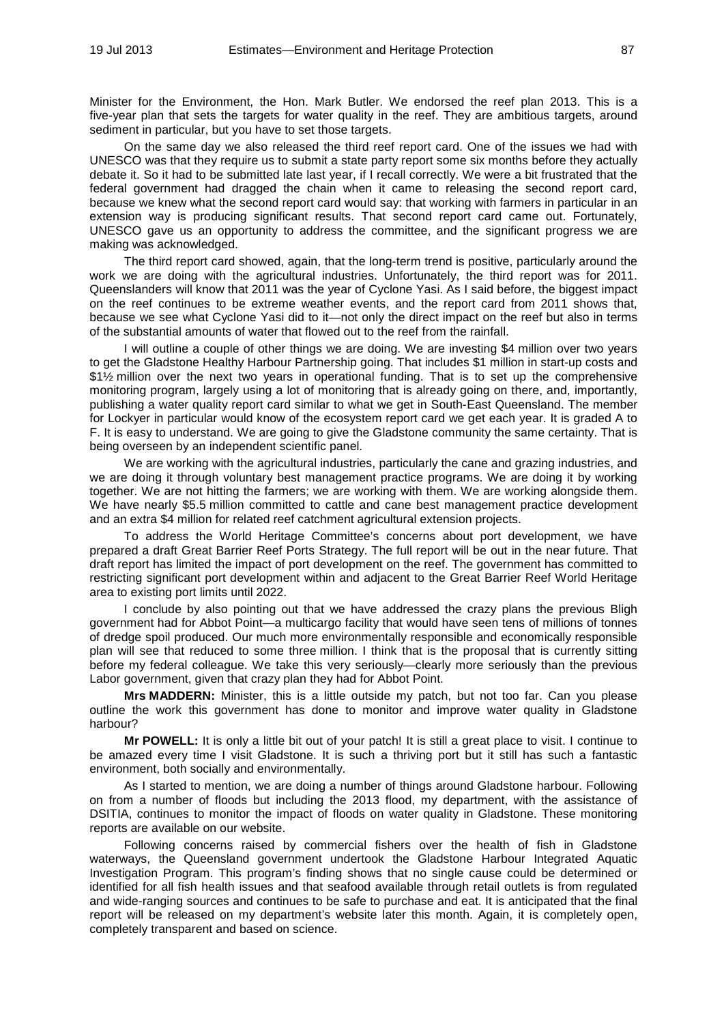Minister for the Environment, the Hon. Mark Butler. We endorsed the reef plan 2013. This is a five-year plan that sets the targets for water quality in the reef. They are ambitious targets, around sediment in particular, but you have to set those targets.

On the same day we also released the third reef report card. One of the issues we had with UNESCO was that they require us to submit a state party report some six months before they actually debate it. So it had to be submitted late last year, if I recall correctly. We were a bit frustrated that the federal government had dragged the chain when it came to releasing the second report card, because we knew what the second report card would say: that working with farmers in particular in an extension way is producing significant results. That second report card came out. Fortunately, UNESCO gave us an opportunity to address the committee, and the significant progress we are making was acknowledged.

The third report card showed, again, that the long-term trend is positive, particularly around the work we are doing with the agricultural industries. Unfortunately, the third report was for 2011. Queenslanders will know that 2011 was the year of Cyclone Yasi. As I said before, the biggest impact on the reef continues to be extreme weather events, and the report card from 2011 shows that, because we see what Cyclone Yasi did to it—not only the direct impact on the reef but also in terms of the substantial amounts of water that flowed out to the reef from the rainfall.

I will outline a couple of other things we are doing. We are investing \$4 million over two years to get the Gladstone Healthy Harbour Partnership going. That includes \$1 million in start-up costs and \$1½ million over the next two years in operational funding. That is to set up the comprehensive monitoring program, largely using a lot of monitoring that is already going on there, and, importantly, publishing a water quality report card similar to what we get in South-East Queensland. The member for Lockyer in particular would know of the ecosystem report card we get each year. It is graded A to F. It is easy to understand. We are going to give the Gladstone community the same certainty. That is being overseen by an independent scientific panel.

We are working with the agricultural industries, particularly the cane and grazing industries, and we are doing it through voluntary best management practice programs. We are doing it by working together. We are not hitting the farmers; we are working with them. We are working alongside them. We have nearly \$5.5 million committed to cattle and cane best management practice development and an extra \$4 million for related reef catchment agricultural extension projects.

To address the World Heritage Committee's concerns about port development, we have prepared a draft Great Barrier Reef Ports Strategy. The full report will be out in the near future. That draft report has limited the impact of port development on the reef. The government has committed to restricting significant port development within and adjacent to the Great Barrier Reef World Heritage area to existing port limits until 2022.

I conclude by also pointing out that we have addressed the crazy plans the previous Bligh government had for Abbot Point—a multicargo facility that would have seen tens of millions of tonnes of dredge spoil produced. Our much more environmentally responsible and economically responsible plan will see that reduced to some three million. I think that is the proposal that is currently sitting before my federal colleague. We take this very seriously—clearly more seriously than the previous Labor government, given that crazy plan they had for Abbot Point.

**Mrs MADDERN:** Minister, this is a little outside my patch, but not too far. Can you please outline the work this government has done to monitor and improve water quality in Gladstone harbour?

**Mr POWELL:** It is only a little bit out of your patch! It is still a great place to visit. I continue to be amazed every time I visit Gladstone. It is such a thriving port but it still has such a fantastic environment, both socially and environmentally.

As I started to mention, we are doing a number of things around Gladstone harbour. Following on from a number of floods but including the 2013 flood, my department, with the assistance of DSITIA, continues to monitor the impact of floods on water quality in Gladstone. These monitoring reports are available on our website.

Following concerns raised by commercial fishers over the health of fish in Gladstone waterways, the Queensland government undertook the Gladstone Harbour Integrated Aquatic Investigation Program. This program's finding shows that no single cause could be determined or identified for all fish health issues and that seafood available through retail outlets is from regulated and wide-ranging sources and continues to be safe to purchase and eat. It is anticipated that the final report will be released on my department's website later this month. Again, it is completely open, completely transparent and based on science.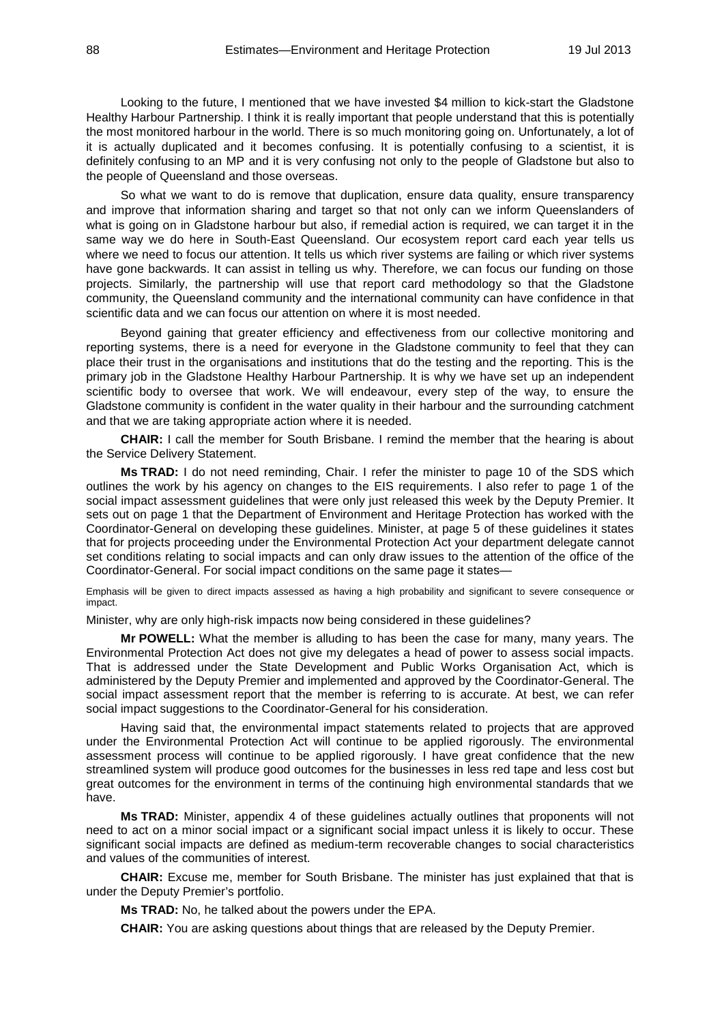Looking to the future, I mentioned that we have invested \$4 million to kick-start the Gladstone Healthy Harbour Partnership. I think it is really important that people understand that this is potentially the most monitored harbour in the world. There is so much monitoring going on. Unfortunately, a lot of it is actually duplicated and it becomes confusing. It is potentially confusing to a scientist, it is definitely confusing to an MP and it is very confusing not only to the people of Gladstone but also to the people of Queensland and those overseas.

So what we want to do is remove that duplication, ensure data quality, ensure transparency and improve that information sharing and target so that not only can we inform Queenslanders of what is going on in Gladstone harbour but also, if remedial action is required, we can target it in the same way we do here in South-East Queensland. Our ecosystem report card each year tells us where we need to focus our attention. It tells us which river systems are failing or which river systems have gone backwards. It can assist in telling us why. Therefore, we can focus our funding on those projects. Similarly, the partnership will use that report card methodology so that the Gladstone community, the Queensland community and the international community can have confidence in that scientific data and we can focus our attention on where it is most needed.

Beyond gaining that greater efficiency and effectiveness from our collective monitoring and reporting systems, there is a need for everyone in the Gladstone community to feel that they can place their trust in the organisations and institutions that do the testing and the reporting. This is the primary job in the Gladstone Healthy Harbour Partnership. It is why we have set up an independent scientific body to oversee that work. We will endeavour, every step of the way, to ensure the Gladstone community is confident in the water quality in their harbour and the surrounding catchment and that we are taking appropriate action where it is needed.

**CHAIR:** I call the member for South Brisbane. I remind the member that the hearing is about the Service Delivery Statement.

**Ms TRAD:** I do not need reminding, Chair. I refer the minister to page 10 of the SDS which outlines the work by his agency on changes to the EIS requirements. I also refer to page 1 of the social impact assessment guidelines that were only just released this week by the Deputy Premier. It sets out on page 1 that the Department of Environment and Heritage Protection has worked with the Coordinator-General on developing these guidelines. Minister, at page 5 of these guidelines it states that for projects proceeding under the Environmental Protection Act your department delegate cannot set conditions relating to social impacts and can only draw issues to the attention of the office of the Coordinator-General. For social impact conditions on the same page it states—

Emphasis will be given to direct impacts assessed as having a high probability and significant to severe consequence or impact.

Minister, why are only high-risk impacts now being considered in these guidelines?

**Mr POWELL:** What the member is alluding to has been the case for many, many years. The Environmental Protection Act does not give my delegates a head of power to assess social impacts. That is addressed under the State Development and Public Works Organisation Act, which is administered by the Deputy Premier and implemented and approved by the Coordinator-General. The social impact assessment report that the member is referring to is accurate. At best, we can refer social impact suggestions to the Coordinator-General for his consideration.

Having said that, the environmental impact statements related to projects that are approved under the Environmental Protection Act will continue to be applied rigorously. The environmental assessment process will continue to be applied rigorously. I have great confidence that the new streamlined system will produce good outcomes for the businesses in less red tape and less cost but great outcomes for the environment in terms of the continuing high environmental standards that we have.

**Ms TRAD:** Minister, appendix 4 of these guidelines actually outlines that proponents will not need to act on a minor social impact or a significant social impact unless it is likely to occur. These significant social impacts are defined as medium-term recoverable changes to social characteristics and values of the communities of interest.

**CHAIR:** Excuse me, member for South Brisbane. The minister has just explained that that is under the Deputy Premier's portfolio.

**Ms TRAD:** No, he talked about the powers under the EPA.

**CHAIR:** You are asking questions about things that are released by the Deputy Premier.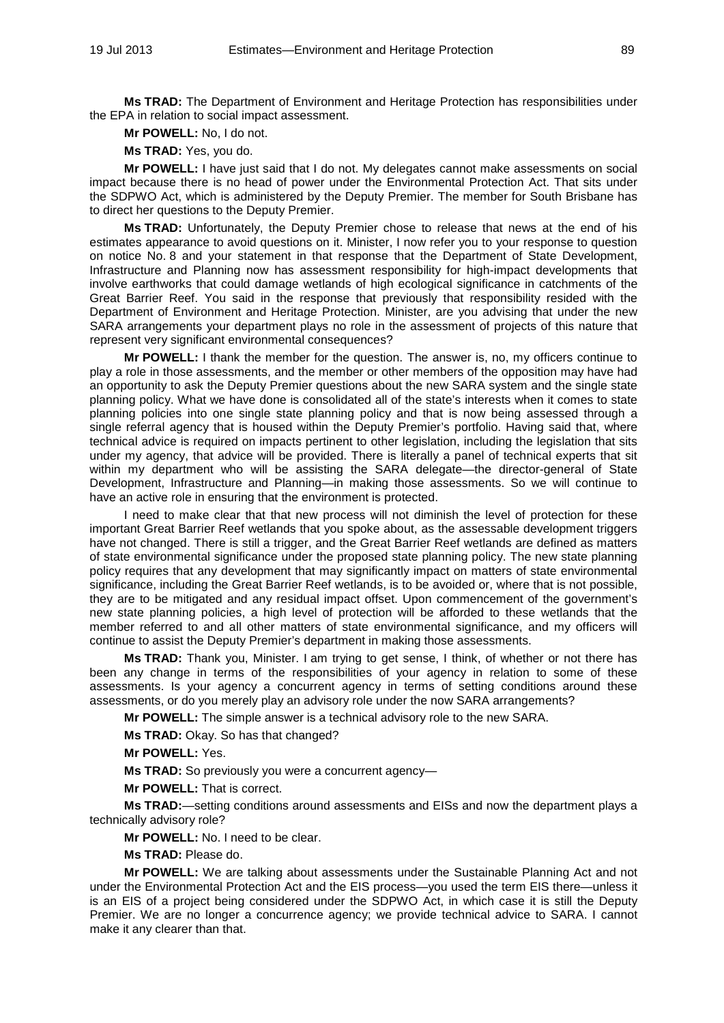**Ms TRAD:** The Department of Environment and Heritage Protection has responsibilities under the EPA in relation to social impact assessment.

**Mr POWELL:** No, I do not.

**Ms TRAD:** Yes, you do.

**Mr POWELL:** I have just said that I do not. My delegates cannot make assessments on social impact because there is no head of power under the Environmental Protection Act. That sits under the SDPWO Act, which is administered by the Deputy Premier. The member for South Brisbane has to direct her questions to the Deputy Premier.

**Ms TRAD:** Unfortunately, the Deputy Premier chose to release that news at the end of his estimates appearance to avoid questions on it. Minister, I now refer you to your response to question on notice No. 8 and your statement in that response that the Department of State Development, Infrastructure and Planning now has assessment responsibility for high-impact developments that involve earthworks that could damage wetlands of high ecological significance in catchments of the Great Barrier Reef. You said in the response that previously that responsibility resided with the Department of Environment and Heritage Protection. Minister, are you advising that under the new SARA arrangements your department plays no role in the assessment of projects of this nature that represent very significant environmental consequences?

**Mr POWELL:** I thank the member for the question. The answer is, no, my officers continue to play a role in those assessments, and the member or other members of the opposition may have had an opportunity to ask the Deputy Premier questions about the new SARA system and the single state planning policy. What we have done is consolidated all of the state's interests when it comes to state planning policies into one single state planning policy and that is now being assessed through a single referral agency that is housed within the Deputy Premier's portfolio. Having said that, where technical advice is required on impacts pertinent to other legislation, including the legislation that sits under my agency, that advice will be provided. There is literally a panel of technical experts that sit within my department who will be assisting the SARA delegate—the director-general of State Development, Infrastructure and Planning—in making those assessments. So we will continue to have an active role in ensuring that the environment is protected.

I need to make clear that that new process will not diminish the level of protection for these important Great Barrier Reef wetlands that you spoke about, as the assessable development triggers have not changed. There is still a trigger, and the Great Barrier Reef wetlands are defined as matters of state environmental significance under the proposed state planning policy. The new state planning policy requires that any development that may significantly impact on matters of state environmental significance, including the Great Barrier Reef wetlands, is to be avoided or, where that is not possible, they are to be mitigated and any residual impact offset. Upon commencement of the government's new state planning policies, a high level of protection will be afforded to these wetlands that the member referred to and all other matters of state environmental significance, and my officers will continue to assist the Deputy Premier's department in making those assessments.

**Ms TRAD:** Thank you, Minister. I am trying to get sense, I think, of whether or not there has been any change in terms of the responsibilities of your agency in relation to some of these assessments. Is your agency a concurrent agency in terms of setting conditions around these assessments, or do you merely play an advisory role under the now SARA arrangements?

**Mr POWELL:** The simple answer is a technical advisory role to the new SARA.

**Ms TRAD:** Okay. So has that changed?

**Mr POWELL:** Yes.

**Ms TRAD:** So previously you were a concurrent agency—

**Mr POWELL:** That is correct.

**Ms TRAD:**—setting conditions around assessments and EISs and now the department plays a technically advisory role?

**Mr POWELL:** No. I need to be clear.

**Ms TRAD:** Please do.

**Mr POWELL:** We are talking about assessments under the Sustainable Planning Act and not under the Environmental Protection Act and the EIS process—you used the term EIS there—unless it is an EIS of a project being considered under the SDPWO Act, in which case it is still the Deputy Premier. We are no longer a concurrence agency; we provide technical advice to SARA. I cannot make it any clearer than that.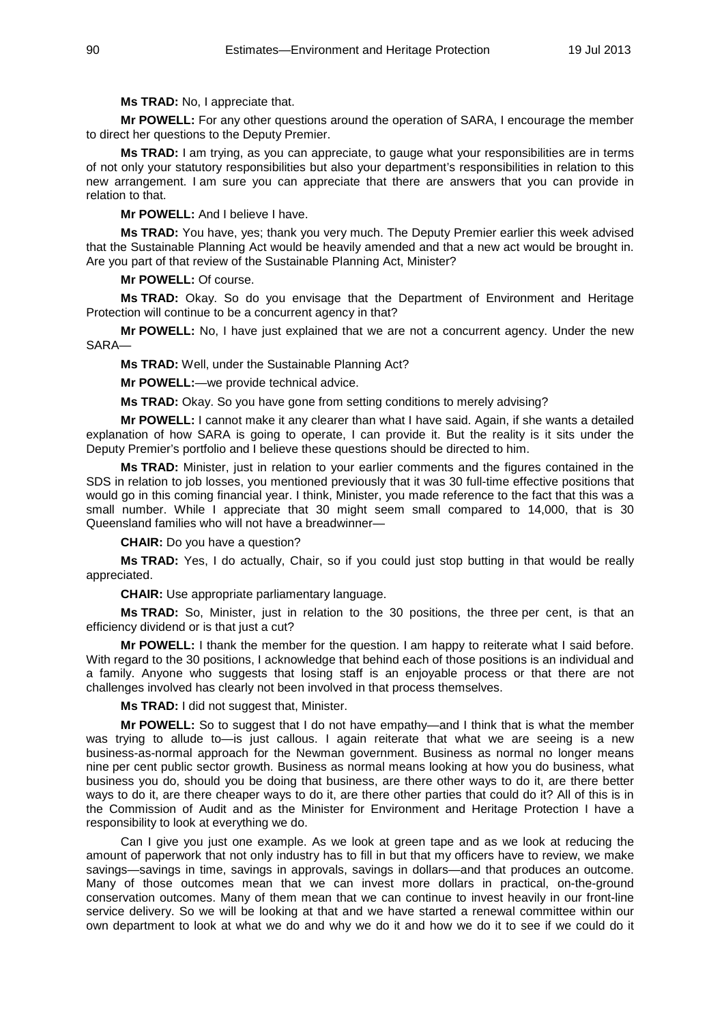**Ms TRAD:** No, I appreciate that.

**Mr POWELL:** For any other questions around the operation of SARA, I encourage the member to direct her questions to the Deputy Premier.

**Ms TRAD:** I am trying, as you can appreciate, to gauge what your responsibilities are in terms of not only your statutory responsibilities but also your department's responsibilities in relation to this new arrangement. I am sure you can appreciate that there are answers that you can provide in relation to that.

**Mr POWELL:** And I believe I have.

**Ms TRAD:** You have, yes; thank you very much. The Deputy Premier earlier this week advised that the Sustainable Planning Act would be heavily amended and that a new act would be brought in. Are you part of that review of the Sustainable Planning Act, Minister?

**Mr POWELL:** Of course.

**Ms TRAD:** Okay. So do you envisage that the Department of Environment and Heritage Protection will continue to be a concurrent agency in that?

**Mr POWELL:** No, I have just explained that we are not a concurrent agency. Under the new SARA—

**Ms TRAD:** Well, under the Sustainable Planning Act?

**Mr POWELL:**—we provide technical advice.

**Ms TRAD:** Okay. So you have gone from setting conditions to merely advising?

**Mr POWELL:** I cannot make it any clearer than what I have said. Again, if she wants a detailed explanation of how SARA is going to operate, I can provide it. But the reality is it sits under the Deputy Premier's portfolio and I believe these questions should be directed to him.

**Ms TRAD:** Minister, just in relation to your earlier comments and the figures contained in the SDS in relation to job losses, you mentioned previously that it was 30 full-time effective positions that would go in this coming financial year. I think, Minister, you made reference to the fact that this was a small number. While I appreciate that 30 might seem small compared to 14,000, that is 30 Queensland families who will not have a breadwinner—

**CHAIR:** Do you have a question?

**Ms TRAD:** Yes, I do actually, Chair, so if you could just stop butting in that would be really appreciated.

**CHAIR:** Use appropriate parliamentary language.

**Ms TRAD:** So, Minister, just in relation to the 30 positions, the three per cent, is that an efficiency dividend or is that just a cut?

**Mr POWELL:** I thank the member for the question. I am happy to reiterate what I said before. With regard to the 30 positions, I acknowledge that behind each of those positions is an individual and a family. Anyone who suggests that losing staff is an enjoyable process or that there are not challenges involved has clearly not been involved in that process themselves.

**Ms TRAD:** I did not suggest that, Minister.

**Mr POWELL:** So to suggest that I do not have empathy—and I think that is what the member was trying to allude to—is just callous. I again reiterate that what we are seeing is a new business-as-normal approach for the Newman government. Business as normal no longer means nine per cent public sector growth. Business as normal means looking at how you do business, what business you do, should you be doing that business, are there other ways to do it, are there better ways to do it, are there cheaper ways to do it, are there other parties that could do it? All of this is in the Commission of Audit and as the Minister for Environment and Heritage Protection I have a responsibility to look at everything we do.

Can I give you just one example. As we look at green tape and as we look at reducing the amount of paperwork that not only industry has to fill in but that my officers have to review, we make savings—savings in time, savings in approvals, savings in dollars—and that produces an outcome. Many of those outcomes mean that we can invest more dollars in practical, on-the-ground conservation outcomes. Many of them mean that we can continue to invest heavily in our front-line service delivery. So we will be looking at that and we have started a renewal committee within our own department to look at what we do and why we do it and how we do it to see if we could do it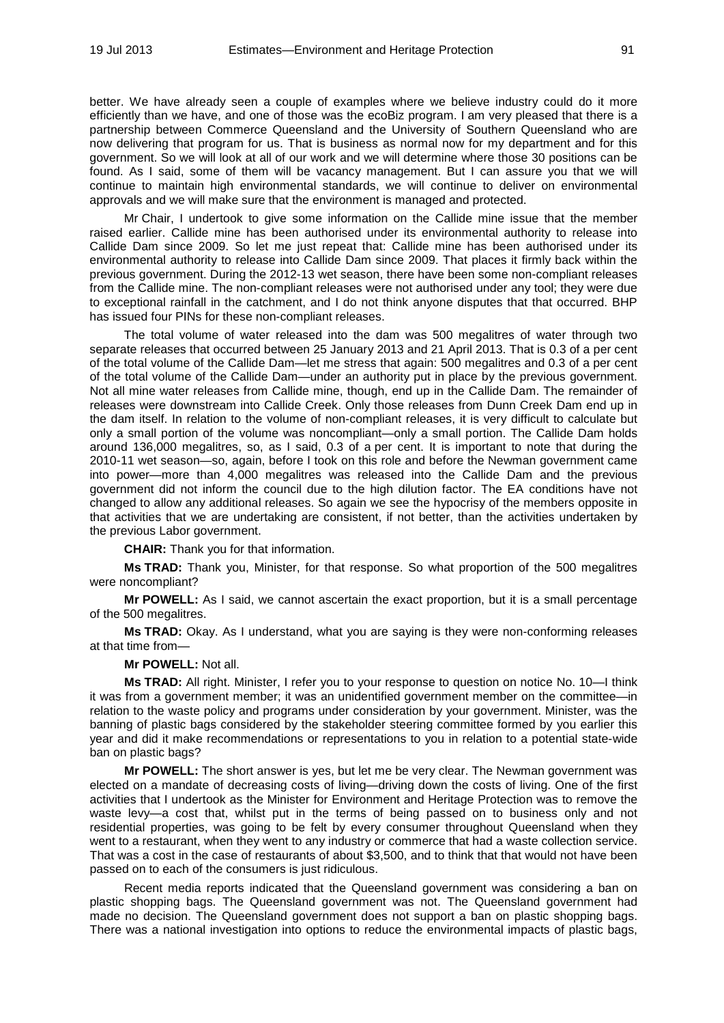better. We have already seen a couple of examples where we believe industry could do it more efficiently than we have, and one of those was the ecoBiz program. I am very pleased that there is a partnership between Commerce Queensland and the University of Southern Queensland who are now delivering that program for us. That is business as normal now for my department and for this government. So we will look at all of our work and we will determine where those 30 positions can be found. As I said, some of them will be vacancy management. But I can assure you that we will continue to maintain high environmental standards, we will continue to deliver on environmental approvals and we will make sure that the environment is managed and protected.

Mr Chair, I undertook to give some information on the Callide mine issue that the member raised earlier. Callide mine has been authorised under its environmental authority to release into Callide Dam since 2009. So let me just repeat that: Callide mine has been authorised under its environmental authority to release into Callide Dam since 2009. That places it firmly back within the previous government. During the 2012-13 wet season, there have been some non-compliant releases from the Callide mine. The non-compliant releases were not authorised under any tool; they were due to exceptional rainfall in the catchment, and I do not think anyone disputes that that occurred. BHP has issued four PINs for these non-compliant releases.

The total volume of water released into the dam was 500 megalitres of water through two separate releases that occurred between 25 January 2013 and 21 April 2013. That is 0.3 of a per cent of the total volume of the Callide Dam—let me stress that again: 500 megalitres and 0.3 of a per cent of the total volume of the Callide Dam—under an authority put in place by the previous government. Not all mine water releases from Callide mine, though, end up in the Callide Dam. The remainder of releases were downstream into Callide Creek. Only those releases from Dunn Creek Dam end up in the dam itself. In relation to the volume of non-compliant releases, it is very difficult to calculate but only a small portion of the volume was noncompliant—only a small portion. The Callide Dam holds around 136,000 megalitres, so, as I said, 0.3 of a per cent. It is important to note that during the 2010-11 wet season—so, again, before I took on this role and before the Newman government came into power—more than 4,000 megalitres was released into the Callide Dam and the previous government did not inform the council due to the high dilution factor. The EA conditions have not changed to allow any additional releases. So again we see the hypocrisy of the members opposite in that activities that we are undertaking are consistent, if not better, than the activities undertaken by the previous Labor government.

**CHAIR:** Thank you for that information.

**Ms TRAD:** Thank you, Minister, for that response. So what proportion of the 500 megalitres were noncompliant?

**Mr POWELL:** As I said, we cannot ascertain the exact proportion, but it is a small percentage of the 500 megalitres.

**Ms TRAD:** Okay. As I understand, what you are saying is they were non-conforming releases at that time from—

## **Mr POWELL:** Not all.

**Ms TRAD:** All right. Minister, I refer you to your response to question on notice No. 10—I think it was from a government member; it was an unidentified government member on the committee—in relation to the waste policy and programs under consideration by your government. Minister, was the banning of plastic bags considered by the stakeholder steering committee formed by you earlier this year and did it make recommendations or representations to you in relation to a potential state-wide ban on plastic bags?

**Mr POWELL:** The short answer is yes, but let me be very clear. The Newman government was elected on a mandate of decreasing costs of living—driving down the costs of living. One of the first activities that I undertook as the Minister for Environment and Heritage Protection was to remove the waste levy—a cost that, whilst put in the terms of being passed on to business only and not residential properties, was going to be felt by every consumer throughout Queensland when they went to a restaurant, when they went to any industry or commerce that had a waste collection service. That was a cost in the case of restaurants of about \$3,500, and to think that that would not have been passed on to each of the consumers is just ridiculous.

Recent media reports indicated that the Queensland government was considering a ban on plastic shopping bags. The Queensland government was not. The Queensland government had made no decision. The Queensland government does not support a ban on plastic shopping bags. There was a national investigation into options to reduce the environmental impacts of plastic bags,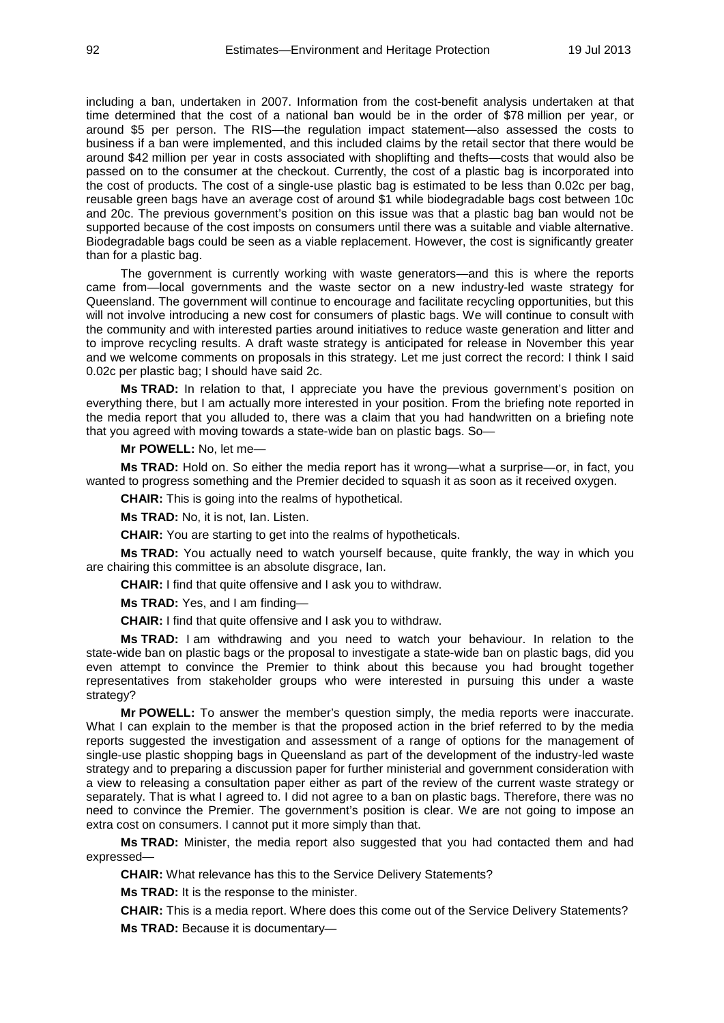including a ban, undertaken in 2007. Information from the cost-benefit analysis undertaken at that time determined that the cost of a national ban would be in the order of \$78 million per year, or around \$5 per person. The RIS—the regulation impact statement—also assessed the costs to business if a ban were implemented, and this included claims by the retail sector that there would be around \$42 million per year in costs associated with shoplifting and thefts—costs that would also be passed on to the consumer at the checkout. Currently, the cost of a plastic bag is incorporated into the cost of products. The cost of a single-use plastic bag is estimated to be less than 0.02c per bag, reusable green bags have an average cost of around \$1 while biodegradable bags cost between 10c and 20c. The previous government's position on this issue was that a plastic bag ban would not be supported because of the cost imposts on consumers until there was a suitable and viable alternative. Biodegradable bags could be seen as a viable replacement. However, the cost is significantly greater than for a plastic bag.

The government is currently working with waste generators—and this is where the reports came from—local governments and the waste sector on a new industry-led waste strategy for Queensland. The government will continue to encourage and facilitate recycling opportunities, but this will not involve introducing a new cost for consumers of plastic bags. We will continue to consult with the community and with interested parties around initiatives to reduce waste generation and litter and to improve recycling results. A draft waste strategy is anticipated for release in November this year and we welcome comments on proposals in this strategy. Let me just correct the record: I think I said 0.02c per plastic bag; I should have said 2c.

**Ms TRAD:** In relation to that, I appreciate you have the previous government's position on everything there, but I am actually more interested in your position. From the briefing note reported in the media report that you alluded to, there was a claim that you had handwritten on a briefing note that you agreed with moving towards a state-wide ban on plastic bags. So—

**Mr POWELL:** No, let me—

**Ms TRAD:** Hold on. So either the media report has it wrong—what a surprise—or, in fact, you wanted to progress something and the Premier decided to squash it as soon as it received oxygen.

**CHAIR:** This is going into the realms of hypothetical.

**Ms TRAD:** No, it is not, Ian. Listen.

**CHAIR:** You are starting to get into the realms of hypotheticals.

**Ms TRAD:** You actually need to watch yourself because, quite frankly, the way in which you are chairing this committee is an absolute disgrace, Ian.

**CHAIR:** I find that quite offensive and I ask you to withdraw.

**Ms TRAD:** Yes, and I am finding—

**CHAIR:** I find that quite offensive and I ask you to withdraw.

**Ms TRAD:** I am withdrawing and you need to watch your behaviour. In relation to the state-wide ban on plastic bags or the proposal to investigate a state-wide ban on plastic bags, did you even attempt to convince the Premier to think about this because you had brought together representatives from stakeholder groups who were interested in pursuing this under a waste strategy?

**Mr POWELL:** To answer the member's question simply, the media reports were inaccurate. What I can explain to the member is that the proposed action in the brief referred to by the media reports suggested the investigation and assessment of a range of options for the management of single-use plastic shopping bags in Queensland as part of the development of the industry-led waste strategy and to preparing a discussion paper for further ministerial and government consideration with a view to releasing a consultation paper either as part of the review of the current waste strategy or separately. That is what I agreed to. I did not agree to a ban on plastic bags. Therefore, there was no need to convince the Premier. The government's position is clear. We are not going to impose an extra cost on consumers. I cannot put it more simply than that.

**Ms TRAD:** Minister, the media report also suggested that you had contacted them and had expressed—

**CHAIR:** What relevance has this to the Service Delivery Statements?

**Ms TRAD:** It is the response to the minister.

**CHAIR:** This is a media report. Where does this come out of the Service Delivery Statements? **Ms TRAD:** Because it is documentary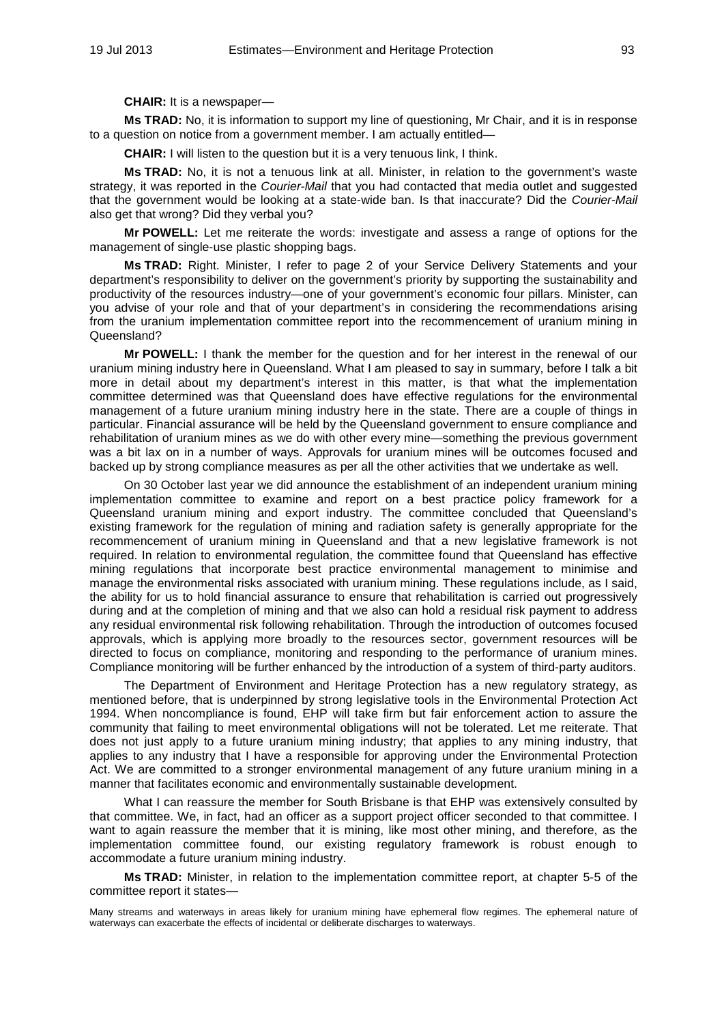**CHAIR:** It is a newspaper—

**Ms TRAD:** No, it is information to support my line of questioning, Mr Chair, and it is in response to a question on notice from a government member. I am actually entitled—

**CHAIR:** I will listen to the question but it is a very tenuous link, I think.

**Ms TRAD:** No, it is not a tenuous link at all. Minister, in relation to the government's waste strategy, it was reported in the *Courier-Mail* that you had contacted that media outlet and suggested that the government would be looking at a state-wide ban. Is that inaccurate? Did the *Courier-Mail* also get that wrong? Did they verbal you?

**Mr POWELL:** Let me reiterate the words: investigate and assess a range of options for the management of single-use plastic shopping bags.

**Ms TRAD:** Right. Minister, I refer to page 2 of your Service Delivery Statements and your department's responsibility to deliver on the government's priority by supporting the sustainability and productivity of the resources industry—one of your government's economic four pillars. Minister, can you advise of your role and that of your department's in considering the recommendations arising from the uranium implementation committee report into the recommencement of uranium mining in Queensland?

**Mr POWELL:** I thank the member for the question and for her interest in the renewal of our uranium mining industry here in Queensland. What I am pleased to say in summary, before I talk a bit more in detail about my department's interest in this matter, is that what the implementation committee determined was that Queensland does have effective regulations for the environmental management of a future uranium mining industry here in the state. There are a couple of things in particular. Financial assurance will be held by the Queensland government to ensure compliance and rehabilitation of uranium mines as we do with other every mine—something the previous government was a bit lax on in a number of ways. Approvals for uranium mines will be outcomes focused and backed up by strong compliance measures as per all the other activities that we undertake as well.

On 30 October last year we did announce the establishment of an independent uranium mining implementation committee to examine and report on a best practice policy framework for a Queensland uranium mining and export industry. The committee concluded that Queensland's existing framework for the regulation of mining and radiation safety is generally appropriate for the recommencement of uranium mining in Queensland and that a new legislative framework is not required. In relation to environmental regulation, the committee found that Queensland has effective mining regulations that incorporate best practice environmental management to minimise and manage the environmental risks associated with uranium mining. These regulations include, as I said, the ability for us to hold financial assurance to ensure that rehabilitation is carried out progressively during and at the completion of mining and that we also can hold a residual risk payment to address any residual environmental risk following rehabilitation. Through the introduction of outcomes focused approvals, which is applying more broadly to the resources sector, government resources will be directed to focus on compliance, monitoring and responding to the performance of uranium mines. Compliance monitoring will be further enhanced by the introduction of a system of third-party auditors.

The Department of Environment and Heritage Protection has a new regulatory strategy, as mentioned before, that is underpinned by strong legislative tools in the Environmental Protection Act 1994. When noncompliance is found, EHP will take firm but fair enforcement action to assure the community that failing to meet environmental obligations will not be tolerated. Let me reiterate. That does not just apply to a future uranium mining industry; that applies to any mining industry, that applies to any industry that I have a responsible for approving under the Environmental Protection Act. We are committed to a stronger environmental management of any future uranium mining in a manner that facilitates economic and environmentally sustainable development.

What I can reassure the member for South Brisbane is that EHP was extensively consulted by that committee. We, in fact, had an officer as a support project officer seconded to that committee. I want to again reassure the member that it is mining, like most other mining, and therefore, as the implementation committee found, our existing regulatory framework is robust enough to accommodate a future uranium mining industry.

**Ms TRAD:** Minister, in relation to the implementation committee report, at chapter 5-5 of the committee report it states—

Many streams and waterways in areas likely for uranium mining have ephemeral flow regimes. The ephemeral nature of waterways can exacerbate the effects of incidental or deliberate discharges to waterways.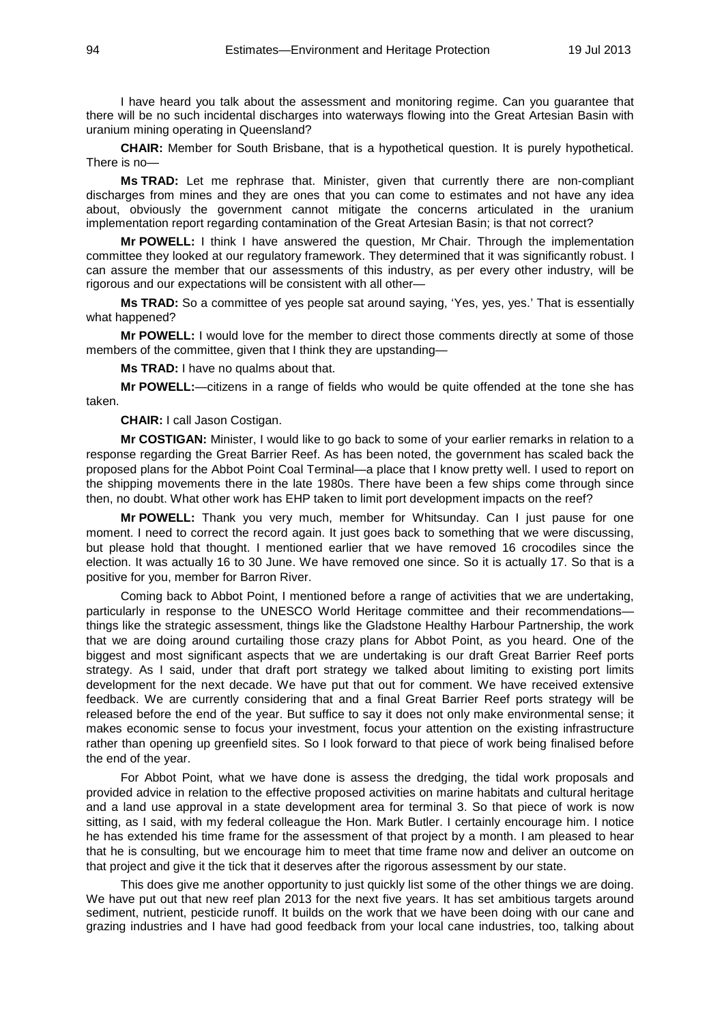I have heard you talk about the assessment and monitoring regime. Can you guarantee that there will be no such incidental discharges into waterways flowing into the Great Artesian Basin with uranium mining operating in Queensland?

**CHAIR:** Member for South Brisbane, that is a hypothetical question. It is purely hypothetical. There is no—

**Ms TRAD:** Let me rephrase that. Minister, given that currently there are non-compliant discharges from mines and they are ones that you can come to estimates and not have any idea about, obviously the government cannot mitigate the concerns articulated in the uranium implementation report regarding contamination of the Great Artesian Basin; is that not correct?

**Mr POWELL:** I think I have answered the question, Mr Chair. Through the implementation committee they looked at our regulatory framework. They determined that it was significantly robust. I can assure the member that our assessments of this industry, as per every other industry, will be rigorous and our expectations will be consistent with all other—

**Ms TRAD:** So a committee of yes people sat around saying, 'Yes, yes, yes.' That is essentially what happened?

**Mr POWELL:** I would love for the member to direct those comments directly at some of those members of the committee, given that I think they are upstanding—

**Ms TRAD:** I have no qualms about that.

**Mr POWELL:**—citizens in a range of fields who would be quite offended at the tone she has taken.

**CHAIR:** I call Jason Costigan.

**Mr COSTIGAN:** Minister, I would like to go back to some of your earlier remarks in relation to a response regarding the Great Barrier Reef. As has been noted, the government has scaled back the proposed plans for the Abbot Point Coal Terminal—a place that I know pretty well. I used to report on the shipping movements there in the late 1980s. There have been a few ships come through since then, no doubt. What other work has EHP taken to limit port development impacts on the reef?

**Mr POWELL:** Thank you very much, member for Whitsunday. Can I just pause for one moment. I need to correct the record again. It just goes back to something that we were discussing, but please hold that thought. I mentioned earlier that we have removed 16 crocodiles since the election. It was actually 16 to 30 June. We have removed one since. So it is actually 17. So that is a positive for you, member for Barron River.

Coming back to Abbot Point, I mentioned before a range of activities that we are undertaking, particularly in response to the UNESCO World Heritage committee and their recommendations things like the strategic assessment, things like the Gladstone Healthy Harbour Partnership, the work that we are doing around curtailing those crazy plans for Abbot Point, as you heard. One of the biggest and most significant aspects that we are undertaking is our draft Great Barrier Reef ports strategy. As I said, under that draft port strategy we talked about limiting to existing port limits development for the next decade. We have put that out for comment. We have received extensive feedback. We are currently considering that and a final Great Barrier Reef ports strategy will be released before the end of the year. But suffice to say it does not only make environmental sense; it makes economic sense to focus your investment, focus your attention on the existing infrastructure rather than opening up greenfield sites. So I look forward to that piece of work being finalised before the end of the year.

For Abbot Point, what we have done is assess the dredging, the tidal work proposals and provided advice in relation to the effective proposed activities on marine habitats and cultural heritage and a land use approval in a state development area for terminal 3. So that piece of work is now sitting, as I said, with my federal colleague the Hon. Mark Butler. I certainly encourage him. I notice he has extended his time frame for the assessment of that project by a month. I am pleased to hear that he is consulting, but we encourage him to meet that time frame now and deliver an outcome on that project and give it the tick that it deserves after the rigorous assessment by our state.

This does give me another opportunity to just quickly list some of the other things we are doing. We have put out that new reef plan 2013 for the next five years. It has set ambitious targets around sediment, nutrient, pesticide runoff. It builds on the work that we have been doing with our cane and grazing industries and I have had good feedback from your local cane industries, too, talking about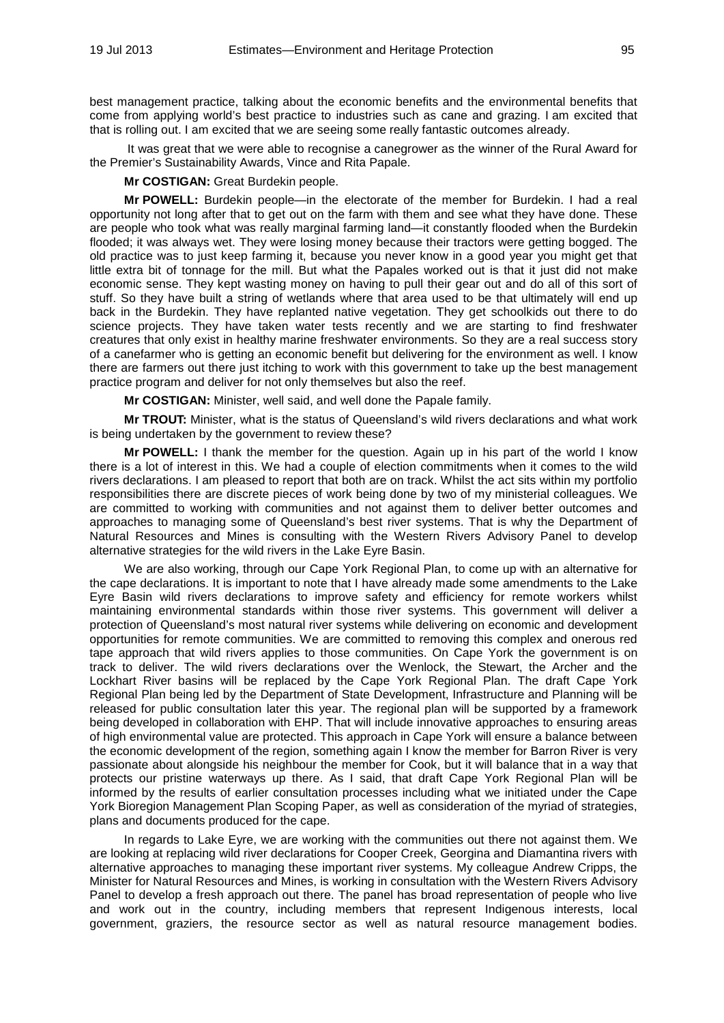best management practice, talking about the economic benefits and the environmental benefits that come from applying world's best practice to industries such as cane and grazing. I am excited that that is rolling out. I am excited that we are seeing some really fantastic outcomes already.

It was great that we were able to recognise a canegrower as the winner of the Rural Award for the Premier's Sustainability Awards, Vince and Rita Papale.

**Mr COSTIGAN:** Great Burdekin people.

**Mr POWELL:** Burdekin people—in the electorate of the member for Burdekin. I had a real opportunity not long after that to get out on the farm with them and see what they have done. These are people who took what was really marginal farming land—it constantly flooded when the Burdekin flooded; it was always wet. They were losing money because their tractors were getting bogged. The old practice was to just keep farming it, because you never know in a good year you might get that little extra bit of tonnage for the mill. But what the Papales worked out is that it just did not make economic sense. They kept wasting money on having to pull their gear out and do all of this sort of stuff. So they have built a string of wetlands where that area used to be that ultimately will end up back in the Burdekin. They have replanted native vegetation. They get schoolkids out there to do science projects. They have taken water tests recently and we are starting to find freshwater creatures that only exist in healthy marine freshwater environments. So they are a real success story of a canefarmer who is getting an economic benefit but delivering for the environment as well. I know there are farmers out there just itching to work with this government to take up the best management practice program and deliver for not only themselves but also the reef.

**Mr COSTIGAN:** Minister, well said, and well done the Papale family.

**Mr TROUT:** Minister, what is the status of Queensland's wild rivers declarations and what work is being undertaken by the government to review these?

**Mr POWELL:** I thank the member for the question. Again up in his part of the world I know there is a lot of interest in this. We had a couple of election commitments when it comes to the wild rivers declarations. I am pleased to report that both are on track. Whilst the act sits within my portfolio responsibilities there are discrete pieces of work being done by two of my ministerial colleagues. We are committed to working with communities and not against them to deliver better outcomes and approaches to managing some of Queensland's best river systems. That is why the Department of Natural Resources and Mines is consulting with the Western Rivers Advisory Panel to develop alternative strategies for the wild rivers in the Lake Eyre Basin.

We are also working, through our Cape York Regional Plan, to come up with an alternative for the cape declarations. It is important to note that I have already made some amendments to the Lake Eyre Basin wild rivers declarations to improve safety and efficiency for remote workers whilst maintaining environmental standards within those river systems. This government will deliver a protection of Queensland's most natural river systems while delivering on economic and development opportunities for remote communities. We are committed to removing this complex and onerous red tape approach that wild rivers applies to those communities. On Cape York the government is on track to deliver. The wild rivers declarations over the Wenlock, the Stewart, the Archer and the Lockhart River basins will be replaced by the Cape York Regional Plan. The draft Cape York Regional Plan being led by the Department of State Development, Infrastructure and Planning will be released for public consultation later this year. The regional plan will be supported by a framework being developed in collaboration with EHP. That will include innovative approaches to ensuring areas of high environmental value are protected. This approach in Cape York will ensure a balance between the economic development of the region, something again I know the member for Barron River is very passionate about alongside his neighbour the member for Cook, but it will balance that in a way that protects our pristine waterways up there. As I said, that draft Cape York Regional Plan will be informed by the results of earlier consultation processes including what we initiated under the Cape York Bioregion Management Plan Scoping Paper, as well as consideration of the myriad of strategies, plans and documents produced for the cape.

In regards to Lake Eyre, we are working with the communities out there not against them. We are looking at replacing wild river declarations for Cooper Creek, Georgina and Diamantina rivers with alternative approaches to managing these important river systems. My colleague Andrew Cripps, the Minister for Natural Resources and Mines, is working in consultation with the Western Rivers Advisory Panel to develop a fresh approach out there. The panel has broad representation of people who live and work out in the country, including members that represent Indigenous interests, local government, graziers, the resource sector as well as natural resource management bodies.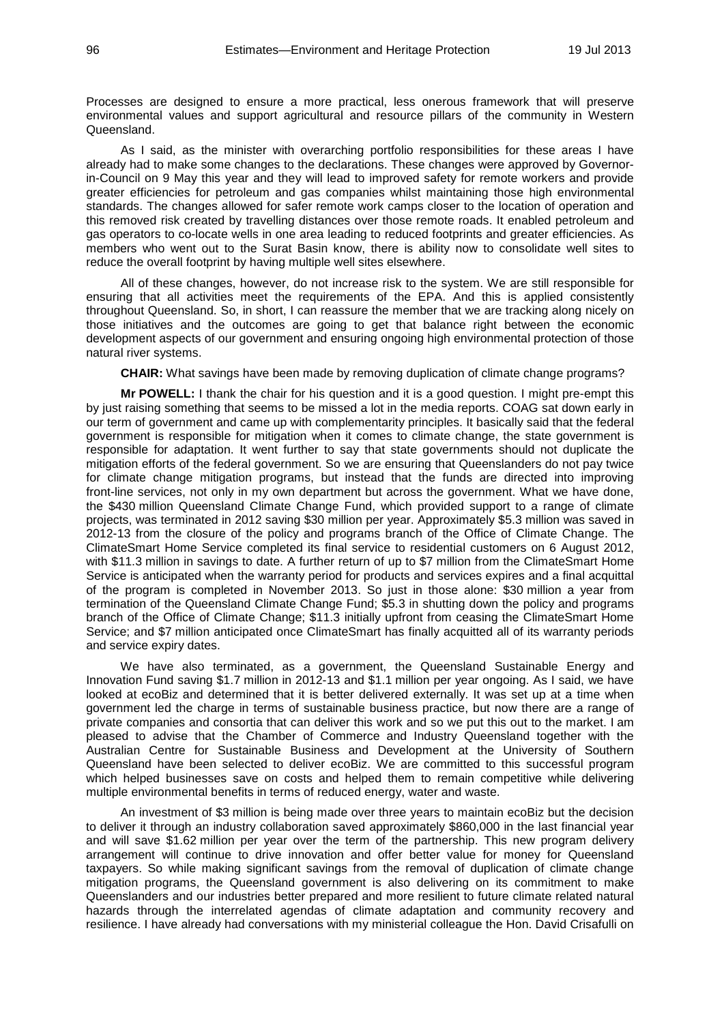Processes are designed to ensure a more practical, less onerous framework that will preserve environmental values and support agricultural and resource pillars of the community in Western **Queensland** 

As I said, as the minister with overarching portfolio responsibilities for these areas I have already had to make some changes to the declarations. These changes were approved by Governorin-Council on 9 May this year and they will lead to improved safety for remote workers and provide greater efficiencies for petroleum and gas companies whilst maintaining those high environmental standards. The changes allowed for safer remote work camps closer to the location of operation and this removed risk created by travelling distances over those remote roads. It enabled petroleum and gas operators to co-locate wells in one area leading to reduced footprints and greater efficiencies. As members who went out to the Surat Basin know, there is ability now to consolidate well sites to reduce the overall footprint by having multiple well sites elsewhere.

All of these changes, however, do not increase risk to the system. We are still responsible for ensuring that all activities meet the requirements of the EPA. And this is applied consistently throughout Queensland. So, in short, I can reassure the member that we are tracking along nicely on those initiatives and the outcomes are going to get that balance right between the economic development aspects of our government and ensuring ongoing high environmental protection of those natural river systems.

**CHAIR:** What savings have been made by removing duplication of climate change programs?

**Mr POWELL:** I thank the chair for his question and it is a good question. I might pre-empt this by just raising something that seems to be missed a lot in the media reports. COAG sat down early in our term of government and came up with complementarity principles. It basically said that the federal government is responsible for mitigation when it comes to climate change, the state government is responsible for adaptation. It went further to say that state governments should not duplicate the mitigation efforts of the federal government. So we are ensuring that Queenslanders do not pay twice for climate change mitigation programs, but instead that the funds are directed into improving front-line services, not only in my own department but across the government. What we have done, the \$430 million Queensland Climate Change Fund, which provided support to a range of climate projects, was terminated in 2012 saving \$30 million per year. Approximately \$5.3 million was saved in 2012-13 from the closure of the policy and programs branch of the Office of Climate Change. The ClimateSmart Home Service completed its final service to residential customers on 6 August 2012, with \$11.3 million in savings to date. A further return of up to \$7 million from the ClimateSmart Home Service is anticipated when the warranty period for products and services expires and a final acquittal of the program is completed in November 2013. So just in those alone: \$30 million a year from termination of the Queensland Climate Change Fund; \$5.3 in shutting down the policy and programs branch of the Office of Climate Change; \$11.3 initially upfront from ceasing the ClimateSmart Home Service; and \$7 million anticipated once ClimateSmart has finally acquitted all of its warranty periods and service expiry dates.

We have also terminated, as a government, the Queensland Sustainable Energy and Innovation Fund saving \$1.7 million in 2012-13 and \$1.1 million per year ongoing. As I said, we have looked at ecoBiz and determined that it is better delivered externally. It was set up at a time when government led the charge in terms of sustainable business practice, but now there are a range of private companies and consortia that can deliver this work and so we put this out to the market. I am pleased to advise that the Chamber of Commerce and Industry Queensland together with the Australian Centre for Sustainable Business and Development at the University of Southern Queensland have been selected to deliver ecoBiz. We are committed to this successful program which helped businesses save on costs and helped them to remain competitive while delivering multiple environmental benefits in terms of reduced energy, water and waste.

An investment of \$3 million is being made over three years to maintain ecoBiz but the decision to deliver it through an industry collaboration saved approximately \$860,000 in the last financial year and will save \$1.62 million per year over the term of the partnership. This new program delivery arrangement will continue to drive innovation and offer better value for money for Queensland taxpayers. So while making significant savings from the removal of duplication of climate change mitigation programs, the Queensland government is also delivering on its commitment to make Queenslanders and our industries better prepared and more resilient to future climate related natural hazards through the interrelated agendas of climate adaptation and community recovery and resilience. I have already had conversations with my ministerial colleague the Hon. David Crisafulli on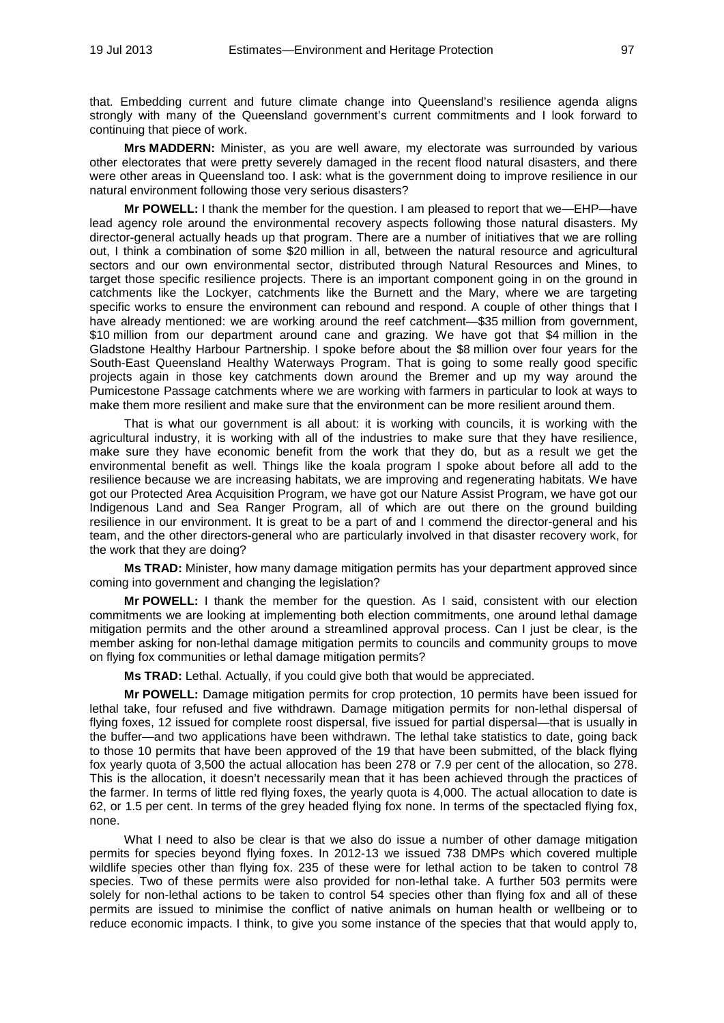that. Embedding current and future climate change into Queensland's resilience agenda aligns strongly with many of the Queensland government's current commitments and I look forward to continuing that piece of work.

**Mrs MADDERN:** Minister, as you are well aware, my electorate was surrounded by various other electorates that were pretty severely damaged in the recent flood natural disasters, and there were other areas in Queensland too. I ask: what is the government doing to improve resilience in our natural environment following those very serious disasters?

**Mr POWELL:** I thank the member for the question. I am pleased to report that we—EHP—have lead agency role around the environmental recovery aspects following those natural disasters. My director-general actually heads up that program. There are a number of initiatives that we are rolling out, I think a combination of some \$20 million in all, between the natural resource and agricultural sectors and our own environmental sector, distributed through Natural Resources and Mines, to target those specific resilience projects. There is an important component going in on the ground in catchments like the Lockyer, catchments like the Burnett and the Mary, where we are targeting specific works to ensure the environment can rebound and respond. A couple of other things that I have already mentioned: we are working around the reef catchment—\$35 million from government, \$10 million from our department around cane and grazing. We have got that \$4 million in the Gladstone Healthy Harbour Partnership. I spoke before about the \$8 million over four years for the South-East Queensland Healthy Waterways Program. That is going to some really good specific projects again in those key catchments down around the Bremer and up my way around the Pumicestone Passage catchments where we are working with farmers in particular to look at ways to make them more resilient and make sure that the environment can be more resilient around them.

That is what our government is all about: it is working with councils, it is working with the agricultural industry, it is working with all of the industries to make sure that they have resilience, make sure they have economic benefit from the work that they do, but as a result we get the environmental benefit as well. Things like the koala program I spoke about before all add to the resilience because we are increasing habitats, we are improving and regenerating habitats. We have got our Protected Area Acquisition Program, we have got our Nature Assist Program, we have got our Indigenous Land and Sea Ranger Program, all of which are out there on the ground building resilience in our environment. It is great to be a part of and I commend the director-general and his team, and the other directors-general who are particularly involved in that disaster recovery work, for the work that they are doing?

**Ms TRAD:** Minister, how many damage mitigation permits has your department approved since coming into government and changing the legislation?

**Mr POWELL:** I thank the member for the question. As I said, consistent with our election commitments we are looking at implementing both election commitments, one around lethal damage mitigation permits and the other around a streamlined approval process. Can I just be clear, is the member asking for non-lethal damage mitigation permits to councils and community groups to move on flying fox communities or lethal damage mitigation permits?

**Ms TRAD:** Lethal. Actually, if you could give both that would be appreciated.

**Mr POWELL:** Damage mitigation permits for crop protection, 10 permits have been issued for lethal take, four refused and five withdrawn. Damage mitigation permits for non-lethal dispersal of flying foxes, 12 issued for complete roost dispersal, five issued for partial dispersal—that is usually in the buffer—and two applications have been withdrawn. The lethal take statistics to date, going back to those 10 permits that have been approved of the 19 that have been submitted, of the black flying fox yearly quota of 3,500 the actual allocation has been 278 or 7.9 per cent of the allocation, so 278. This is the allocation, it doesn't necessarily mean that it has been achieved through the practices of the farmer. In terms of little red flying foxes, the yearly quota is 4,000. The actual allocation to date is 62, or 1.5 per cent. In terms of the grey headed flying fox none. In terms of the spectacled flying fox, none.

What I need to also be clear is that we also do issue a number of other damage mitigation permits for species beyond flying foxes. In 2012-13 we issued 738 DMPs which covered multiple wildlife species other than flying fox. 235 of these were for lethal action to be taken to control 78 species. Two of these permits were also provided for non-lethal take. A further 503 permits were solely for non-lethal actions to be taken to control 54 species other than flying fox and all of these permits are issued to minimise the conflict of native animals on human health or wellbeing or to reduce economic impacts. I think, to give you some instance of the species that that would apply to,